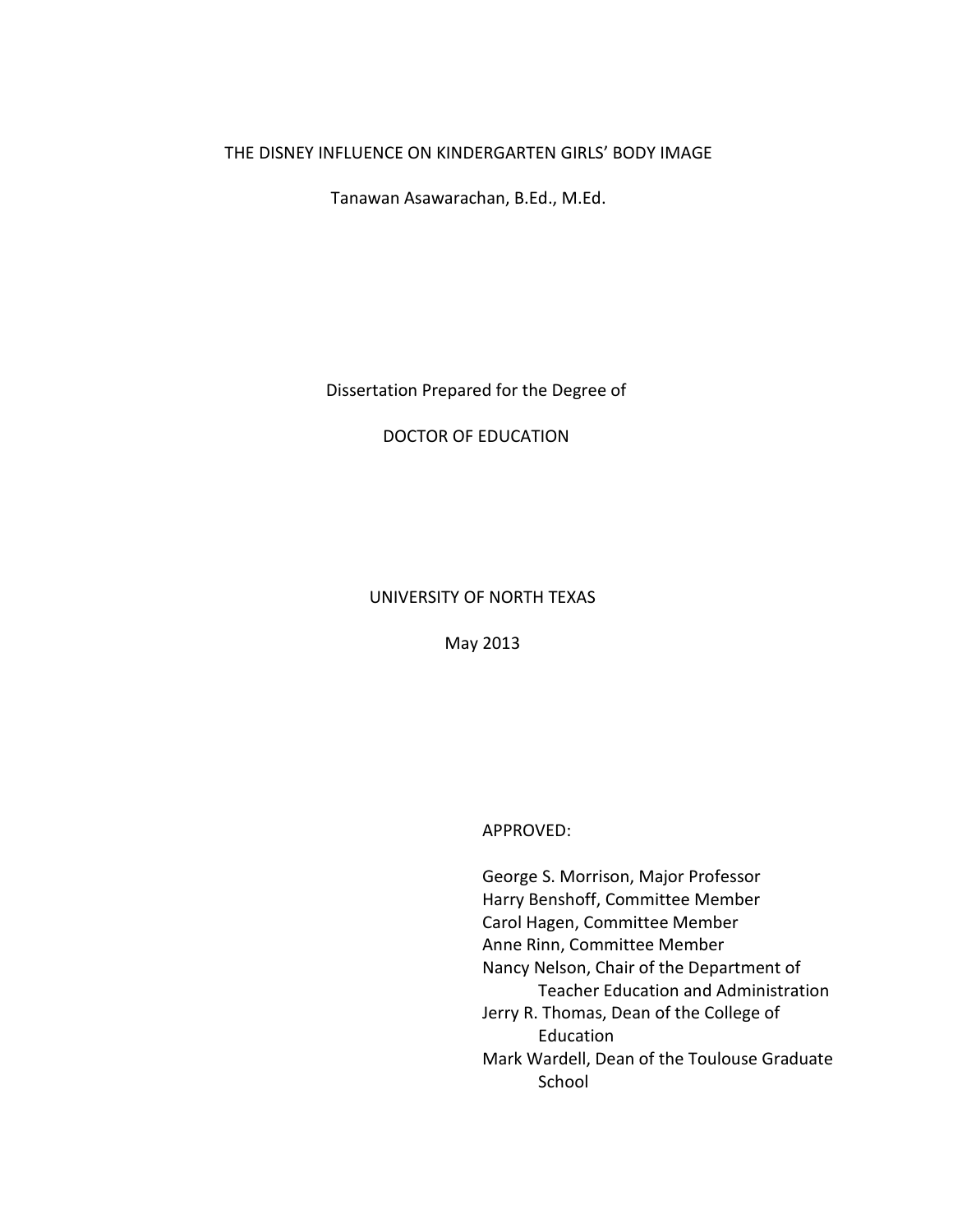## THE DISNEY INFLUENCE ON KINDERGARTEN GIRLS' BODY IMAGE

Tanawan Asawarachan, B.Ed., M.Ed.

Dissertation Prepared for the Degree of

DOCTOR OF EDUCATION

## UNIVERSITY OF NORTH TEXAS

May 2013

APPROVED:

George S. Morrison, Major Professor Harry Benshoff, Committee Member Carol Hagen, Committee Member Anne Rinn, Committee Member Nancy Nelson, Chair of the Department of Teacher Education and Administration Jerry R. Thomas, Dean of the College of Education Mark Wardell, Dean of the Toulouse Graduate School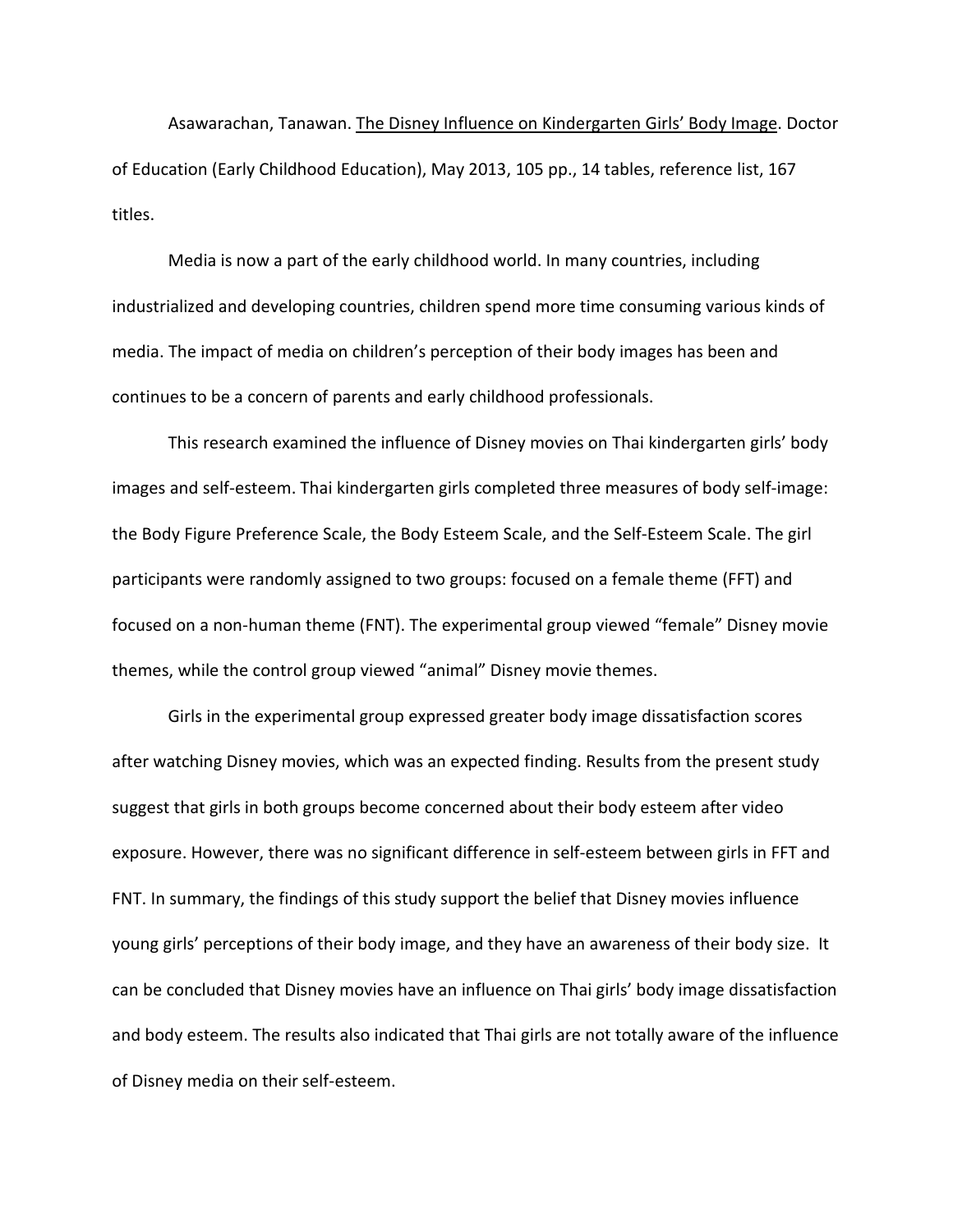Asawarachan, Tanawan. The Disney Influence on Kindergarten Girls' Body Image. Doctor of Education (Early Childhood Education), May 2013, 105 pp., 14 tables, reference list, 167 titles.

Media is now a part of the early childhood world. In many countries, including industrialized and developing countries, children spend more time consuming various kinds of media. The impact of media on children's perception of their body images has been and continues to be a concern of parents and early childhood professionals.

This research examined the influence of Disney movies on Thai kindergarten girls' body images and self-esteem. Thai kindergarten girls completed three measures of body self-image: the Body Figure Preference Scale, the Body Esteem Scale, and the Self-Esteem Scale. The girl participants were randomly assigned to two groups: focused on a female theme (FFT) and focused on a non-human theme (FNT). The experimental group viewed "female" Disney movie themes, while the control group viewed "animal" Disney movie themes.

Girls in the experimental group expressed greater body image dissatisfaction scores after watching Disney movies, which was an expected finding. Results from the present study suggest that girls in both groups become concerned about their body esteem after video exposure. However, there was no significant difference in self-esteem between girls in FFT and FNT. In summary, the findings of this study support the belief that Disney movies influence young girls' perceptions of their body image, and they have an awareness of their body size. It can be concluded that Disney movies have an influence on Thai girls' body image dissatisfaction and body esteem. The results also indicated that Thai girls are not totally aware of the influence of Disney media on their self-esteem.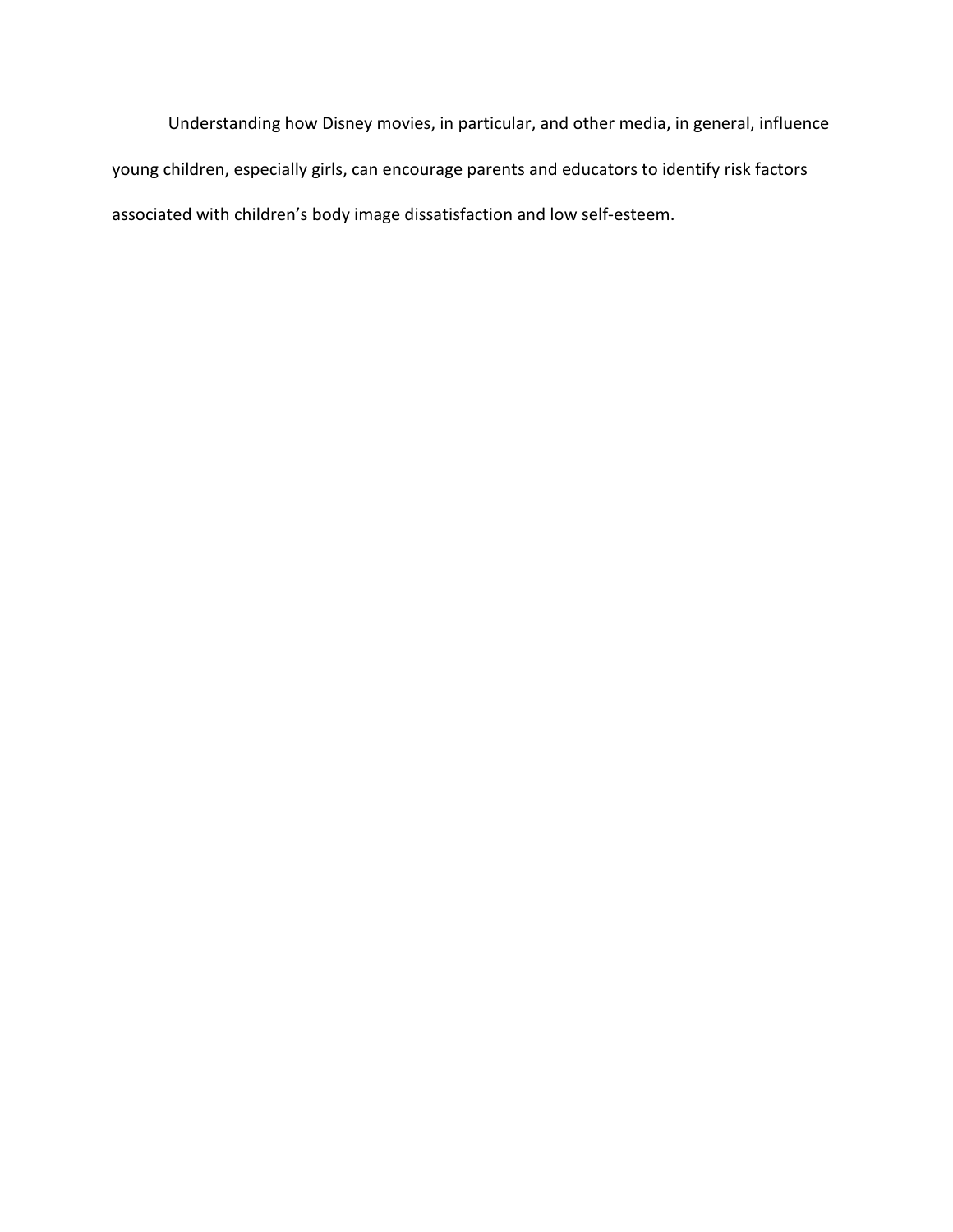Understanding how Disney movies, in particular, and other media, in general, influence young children, especially girls, can encourage parents and educators to identify risk factors associated with children's body image dissatisfaction and low self-esteem.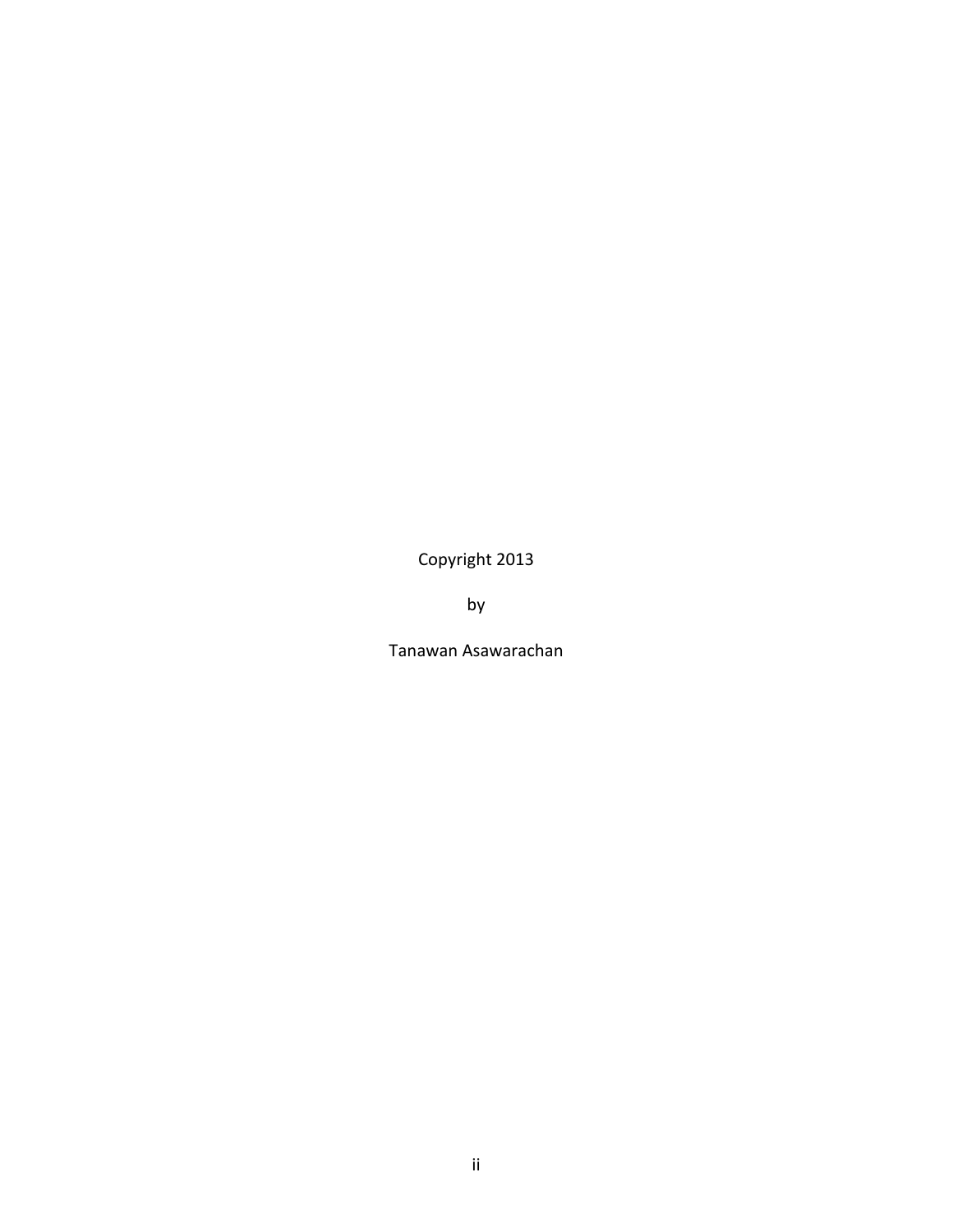Copyright 2013

by

Tanawan Asawarachan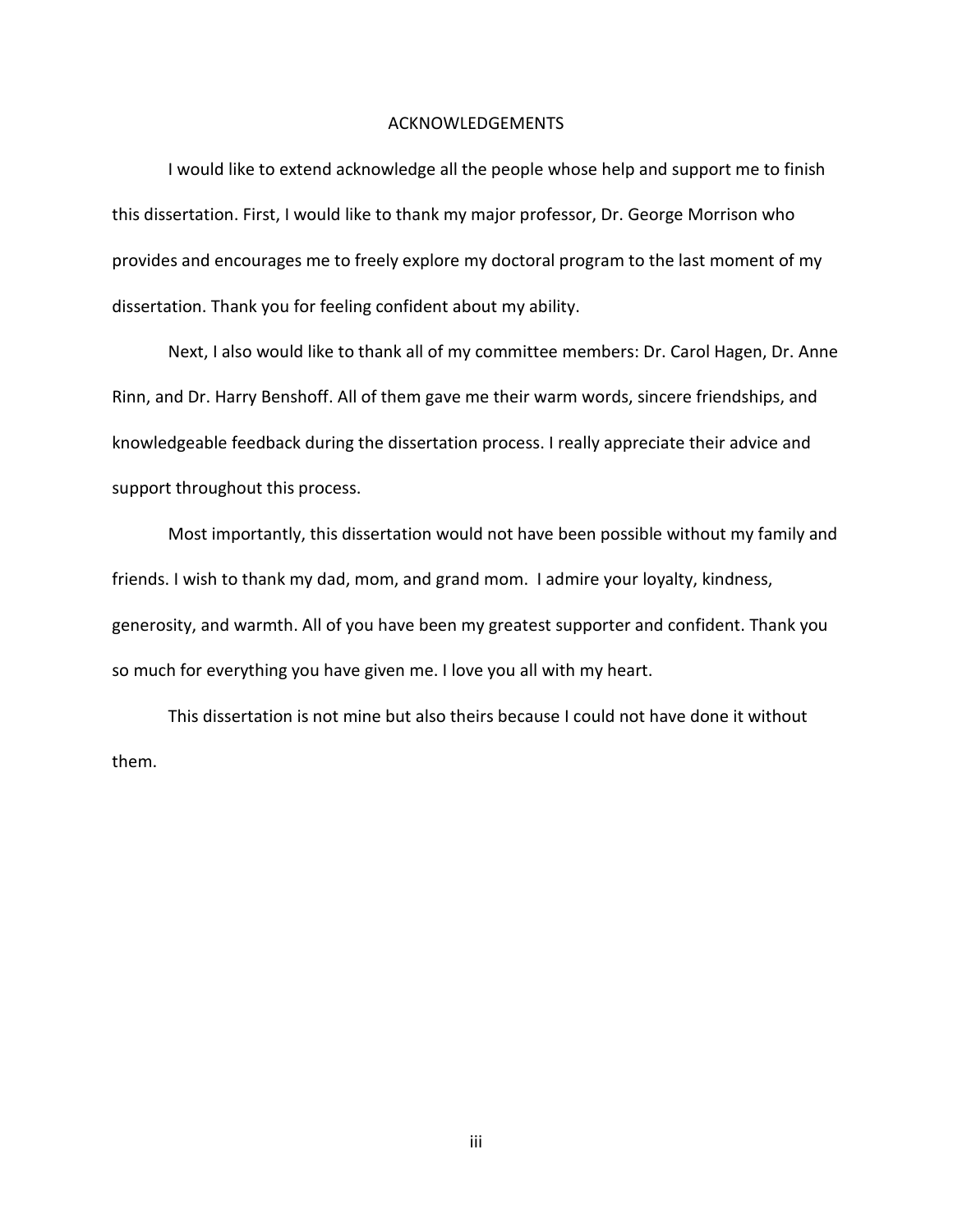#### ACKNOWLEDGEMENTS

I would like to extend acknowledge all the people whose help and support me to finish this dissertation. First, I would like to thank my major professor, Dr. George Morrison who provides and encourages me to freely explore my doctoral program to the last moment of my dissertation. Thank you for feeling confident about my ability.

Next, I also would like to thank all of my committee members: Dr. Carol Hagen, Dr. Anne Rinn, and Dr. Harry Benshoff. All of them gave me their warm words, sincere friendships, and knowledgeable feedback during the dissertation process. I really appreciate their advice and support throughout this process.

Most importantly, this dissertation would not have been possible without my family and friends. I wish to thank my dad, mom, and grand mom. I admire your loyalty, kindness, generosity, and warmth. All of you have been my greatest supporter and confident. Thank you so much for everything you have given me. I love you all with my heart.

This dissertation is not mine but also theirs because I could not have done it without them.

iii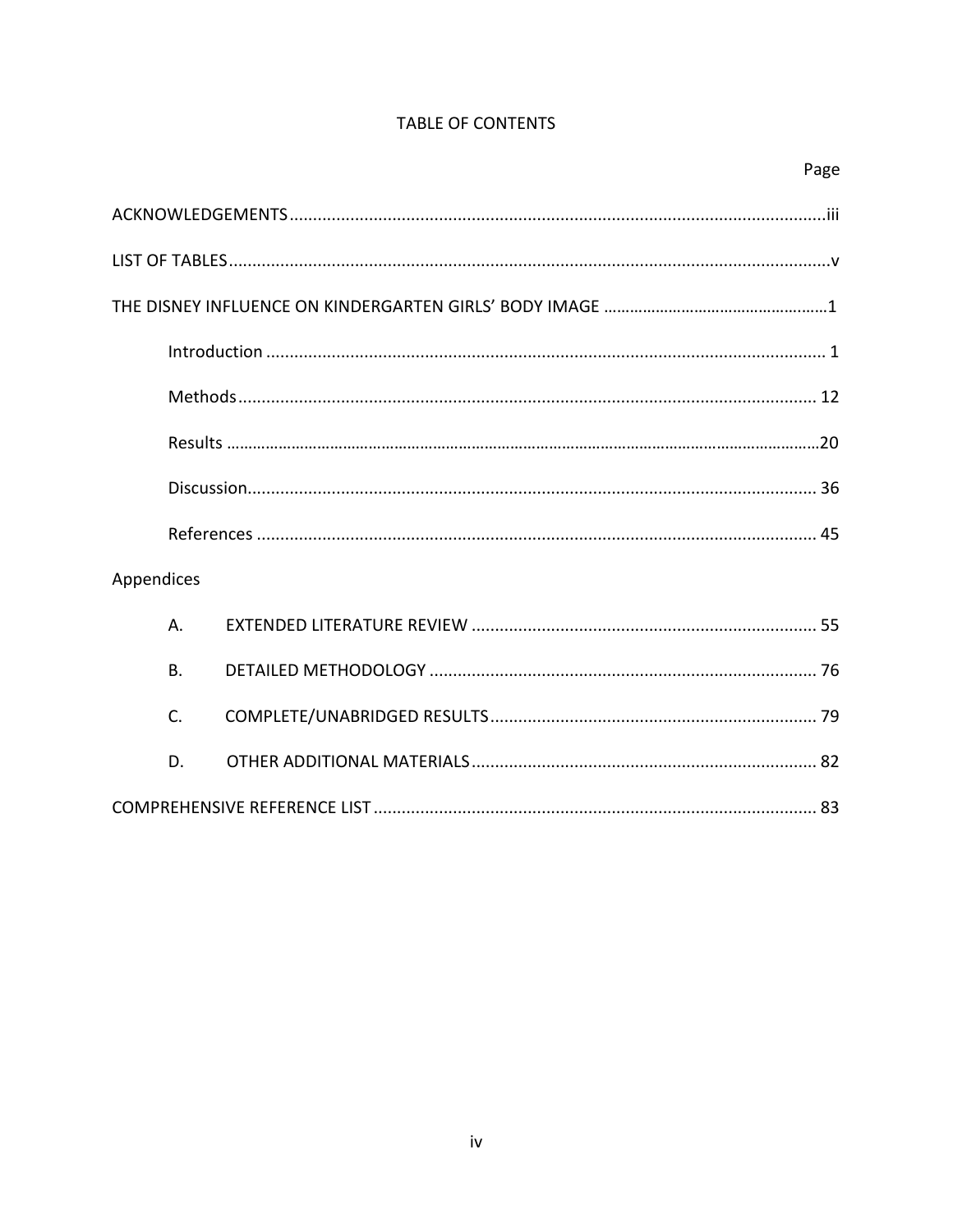# TABLE OF CONTENTS

| Appendices |  |
|------------|--|
| Α.         |  |
| <b>B.</b>  |  |
| C.         |  |
| D.         |  |
|            |  |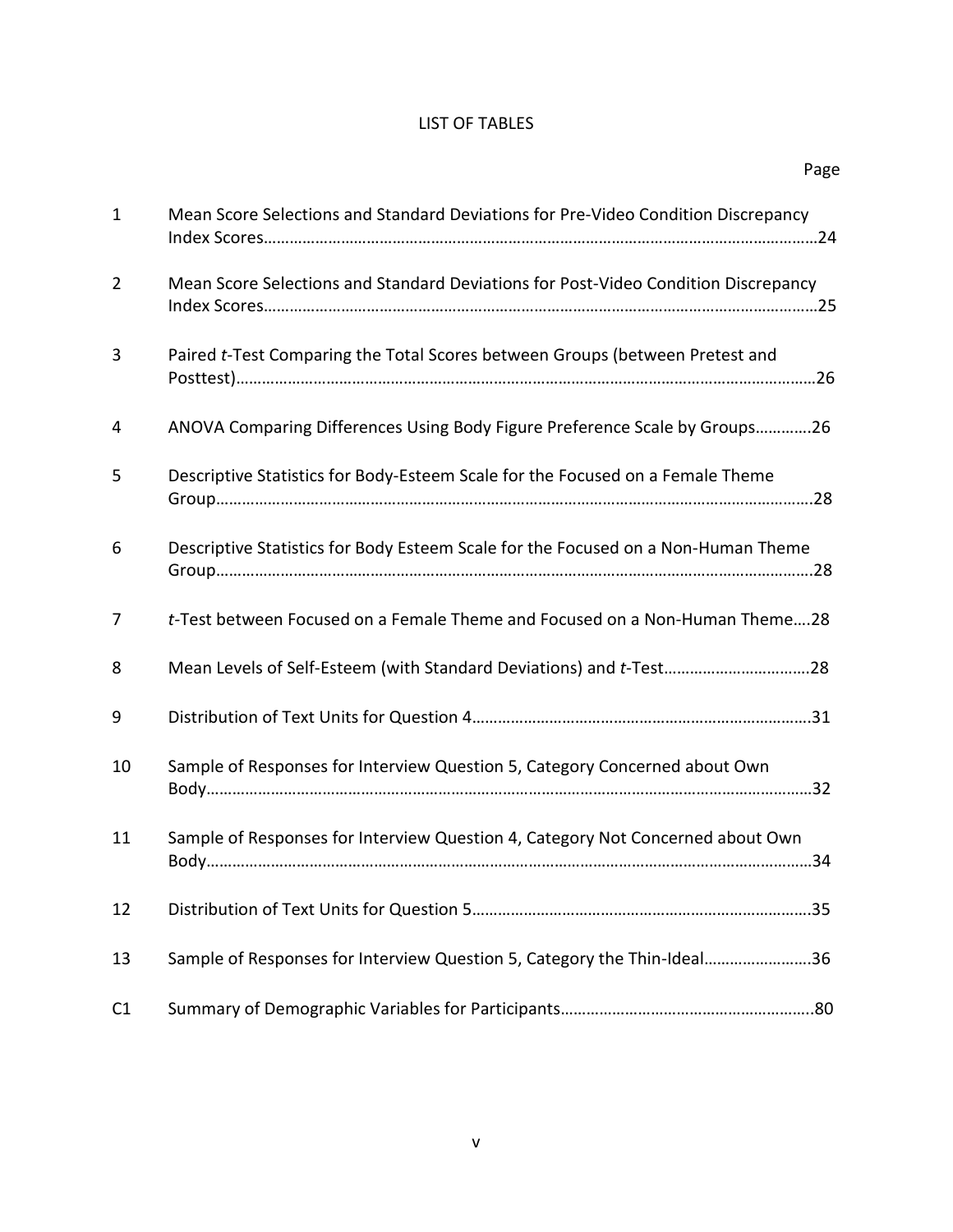# LIST OF TABLES

<span id="page-6-0"></span>

| $\mathbf{1}$   | Mean Score Selections and Standard Deviations for Pre-Video Condition Discrepancy  |
|----------------|------------------------------------------------------------------------------------|
| $\overline{2}$ | Mean Score Selections and Standard Deviations for Post-Video Condition Discrepancy |
| 3              | Paired t-Test Comparing the Total Scores between Groups (between Pretest and       |
| 4              | ANOVA Comparing Differences Using Body Figure Preference Scale by Groups26         |
| 5              | Descriptive Statistics for Body-Esteem Scale for the Focused on a Female Theme     |
| 6              | Descriptive Statistics for Body Esteem Scale for the Focused on a Non-Human Theme  |
| $\overline{7}$ | t-Test between Focused on a Female Theme and Focused on a Non-Human Theme28        |
| 8              | Mean Levels of Self-Esteem (with Standard Deviations) and t-Test28                 |
| 9              |                                                                                    |
| 10             | Sample of Responses for Interview Question 5, Category Concerned about Own         |
| 11             | Sample of Responses for Interview Question 4, Category Not Concerned about Own     |
| 12             |                                                                                    |
| 13             | Sample of Responses for Interview Question 5, Category the Thin-Ideal36            |
| C1             |                                                                                    |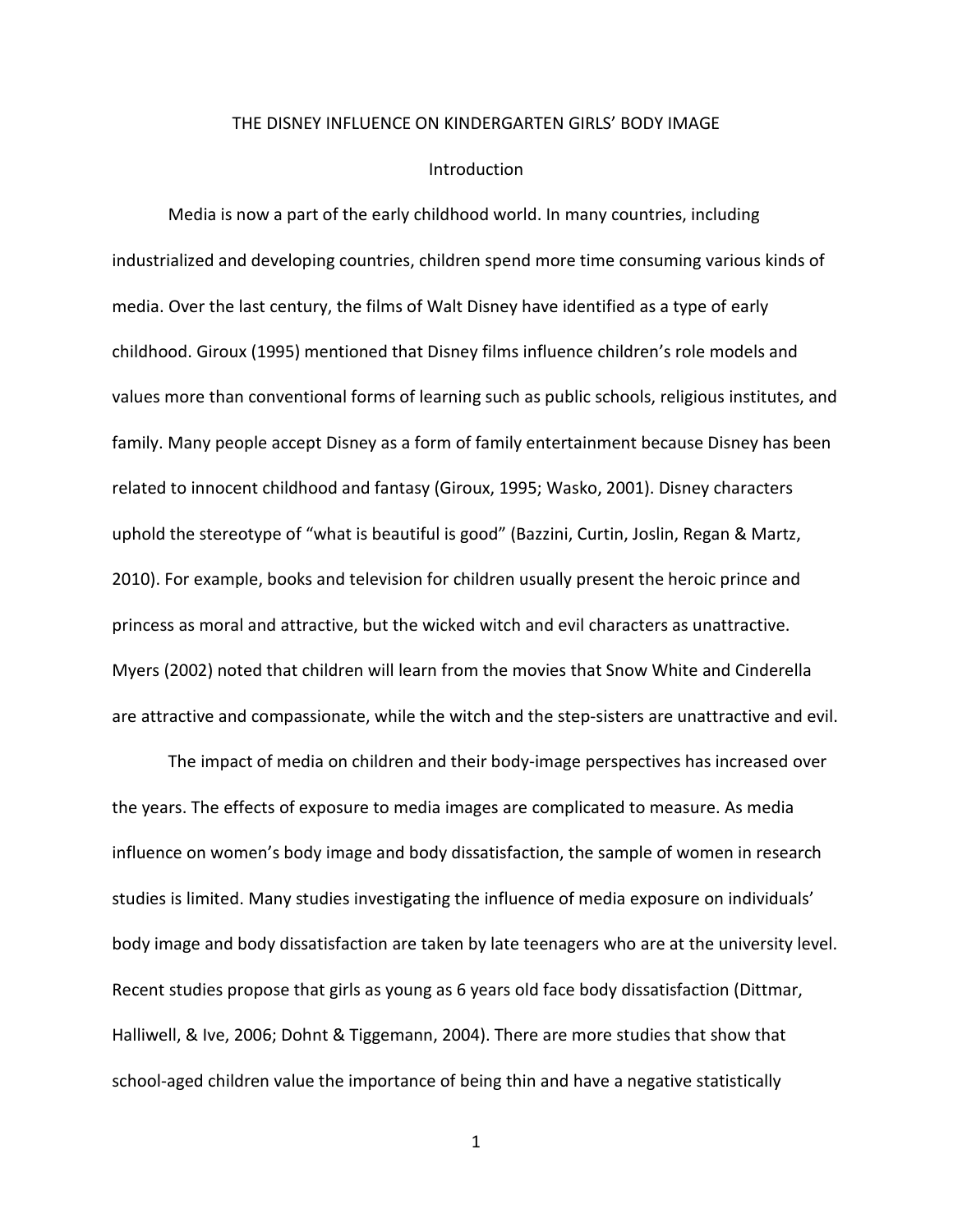#### THE DISNEY INFLUENCE ON KINDERGARTEN GIRLS' BODY IMAGE

#### Introduction

<span id="page-7-1"></span><span id="page-7-0"></span>Media is now a part of the early childhood world. In many countries, including industrialized and developing countries, children spend more time consuming various kinds of media. Over the last century, the films of Walt Disney have identified as a type of early childhood. Giroux (1995) mentioned that Disney films influence children's role models and values more than conventional forms of learning such as public schools, religious institutes, and family. Many people accept Disney as a form of family entertainment because Disney has been related to innocent childhood and fantasy (Giroux, 1995; Wasko, 2001). Disney characters uphold the stereotype of "what is beautiful is good" (Bazzini, Curtin, Joslin, Regan & Martz, 2010). For example, books and television for children usually present the heroic prince and princess as moral and attractive, but the wicked witch and evil characters as unattractive. Myers (2002) noted that children will learn from the movies that Snow White and Cinderella are attractive and compassionate, while the witch and the step-sisters are unattractive and evil.

The impact of media on children and their body-image perspectives has increased over the years. The effects of exposure to media images are complicated to measure. As media influence on women's body image and body dissatisfaction, the sample of women in research studies is limited. Many studies investigating the influence of media exposure on individuals' body image and body dissatisfaction are taken by late teenagers who are at the university level. Recent studies propose that girls as young as 6 years old face body dissatisfaction (Dittmar, Halliwell, & Ive, 2006; Dohnt & Tiggemann, 2004). There are more studies that show that school-aged children value the importance of being thin and have a negative statistically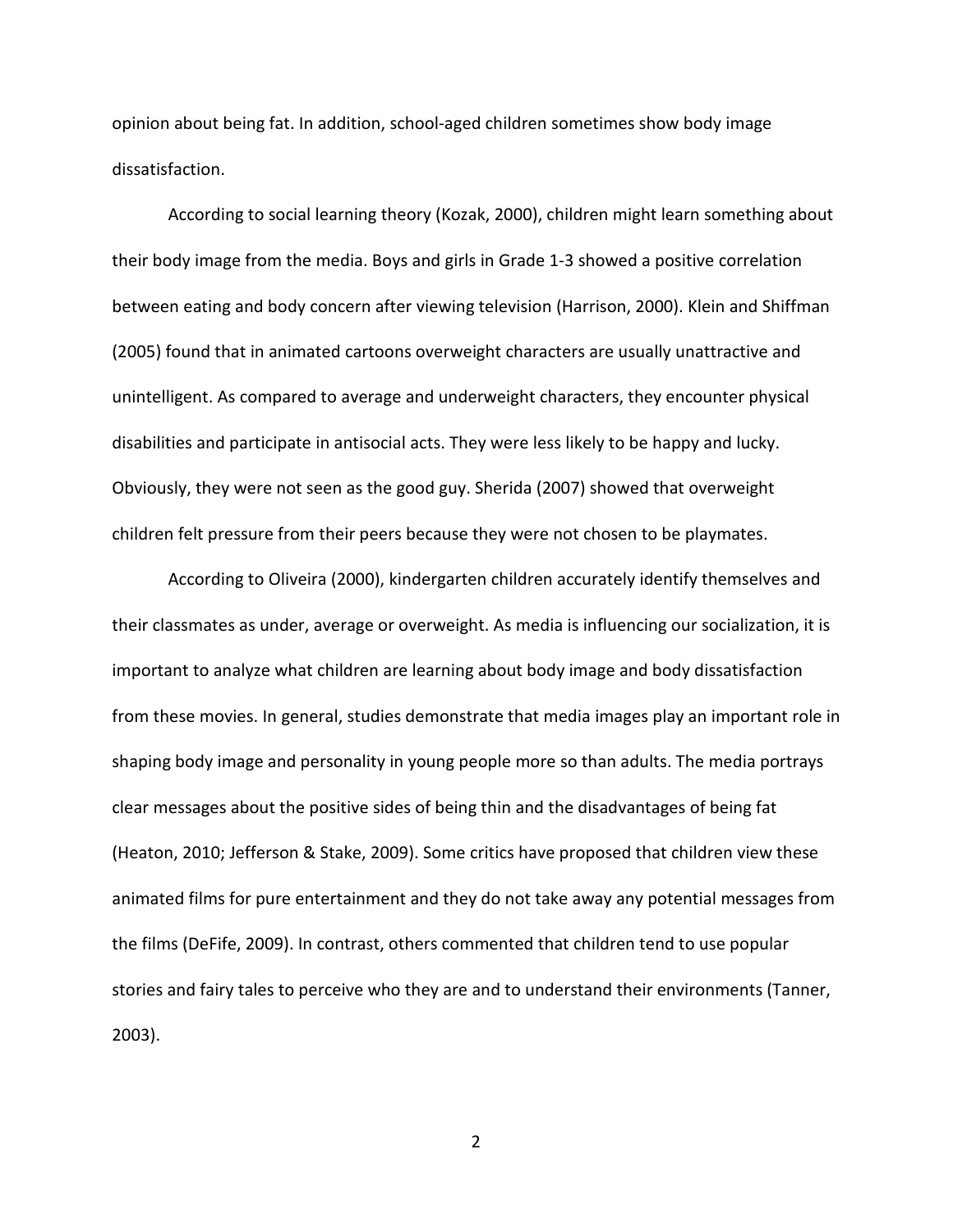opinion about being fat. In addition, school-aged children sometimes show body image dissatisfaction.

According to social learning theory (Kozak, 2000), children might learn something about their body image from the media. Boys and girls in Grade 1-3 showed a positive correlation between eating and body concern after viewing television (Harrison, 2000). Klein and Shiffman (2005) found that in animated cartoons overweight characters are usually unattractive and unintelligent. As compared to average and underweight characters, they encounter physical disabilities and participate in antisocial acts. They were less likely to be happy and lucky. Obviously, they were not seen as the good guy. Sherida (2007) showed that overweight children felt pressure from their peers because they were not chosen to be playmates.

According to Oliveira (2000), kindergarten children accurately identify themselves and their classmates as under, average or overweight. As media is influencing our socialization, it is important to analyze what children are learning about body image and body dissatisfaction from these movies. In general, studies demonstrate that media images play an important role in shaping body image and personality in young people more so than adults. The media portrays clear messages about the positive sides of being thin and the disadvantages of being fat (Heaton, 2010; Jefferson & Stake, 2009). Some critics have proposed that children view these animated films for pure entertainment and they do not take away any potential messages from the films (DeFife, 2009). In contrast, others commented that children tend to use popular stories and fairy tales to perceive who they are and to understand their environments (Tanner, 2003).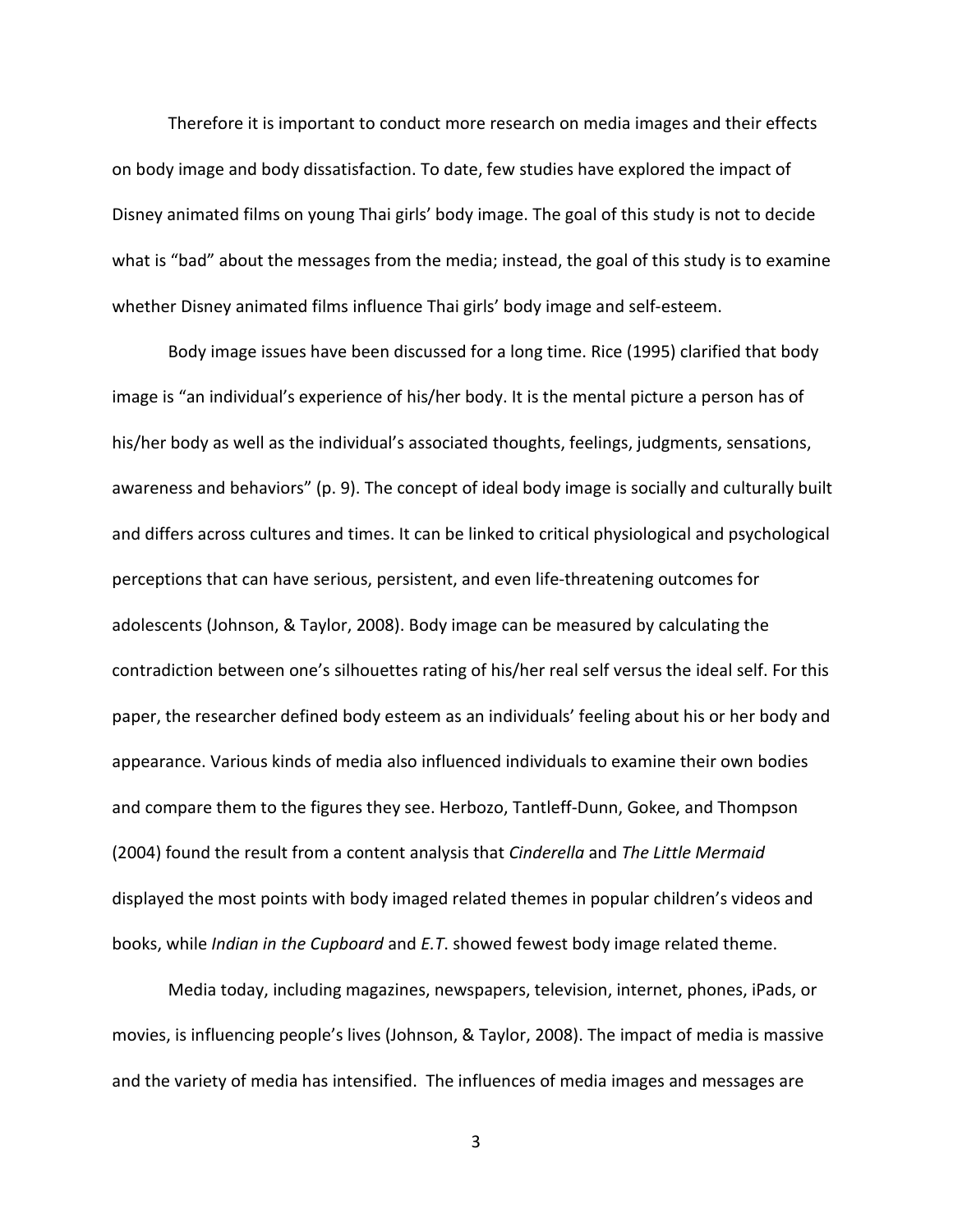Therefore it is important to conduct more research on media images and their effects on body image and body dissatisfaction. To date, few studies have explored the impact of Disney animated films on young Thai girls' body image. The goal of this study is not to decide what is "bad" about the messages from the media; instead, the goal of this study is to examine whether Disney animated films influence Thai girls' body image and self-esteem.

Body image issues have been discussed for a long time. Rice (1995) clarified that body image is "an individual's experience of his/her body. It is the mental picture a person has of his/her body as well as the individual's associated thoughts, feelings, judgments, sensations, awareness and behaviors" (p. 9). The concept of ideal body image is socially and culturally built and differs across cultures and times. It can be linked to critical physiological and psychological perceptions that can have serious, persistent, and even life-threatening outcomes for adolescents (Johnson, & Taylor, 2008). Body image can be measured by calculating the contradiction between one's silhouettes rating of his/her real self versus the ideal self. For this paper, the researcher defined body esteem as an individuals' feeling about his or her body and appearance. Various kinds of media also influenced individuals to examine their own bodies and compare them to the figures they see. Herbozo, Tantleff-Dunn, Gokee, and Thompson (2004) found the result from a content analysis that *Cinderella* and *The Little Mermaid* displayed the most points with body imaged related themes in popular children's videos and books, while *Indian in the Cupboard* and *E.T*. showed fewest body image related theme.

Media today, including magazines, newspapers, television, internet, phones, iPads, or movies, is influencing people's lives (Johnson, & Taylor, 2008). The impact of media is massive and the variety of media has intensified. The influences of media images and messages are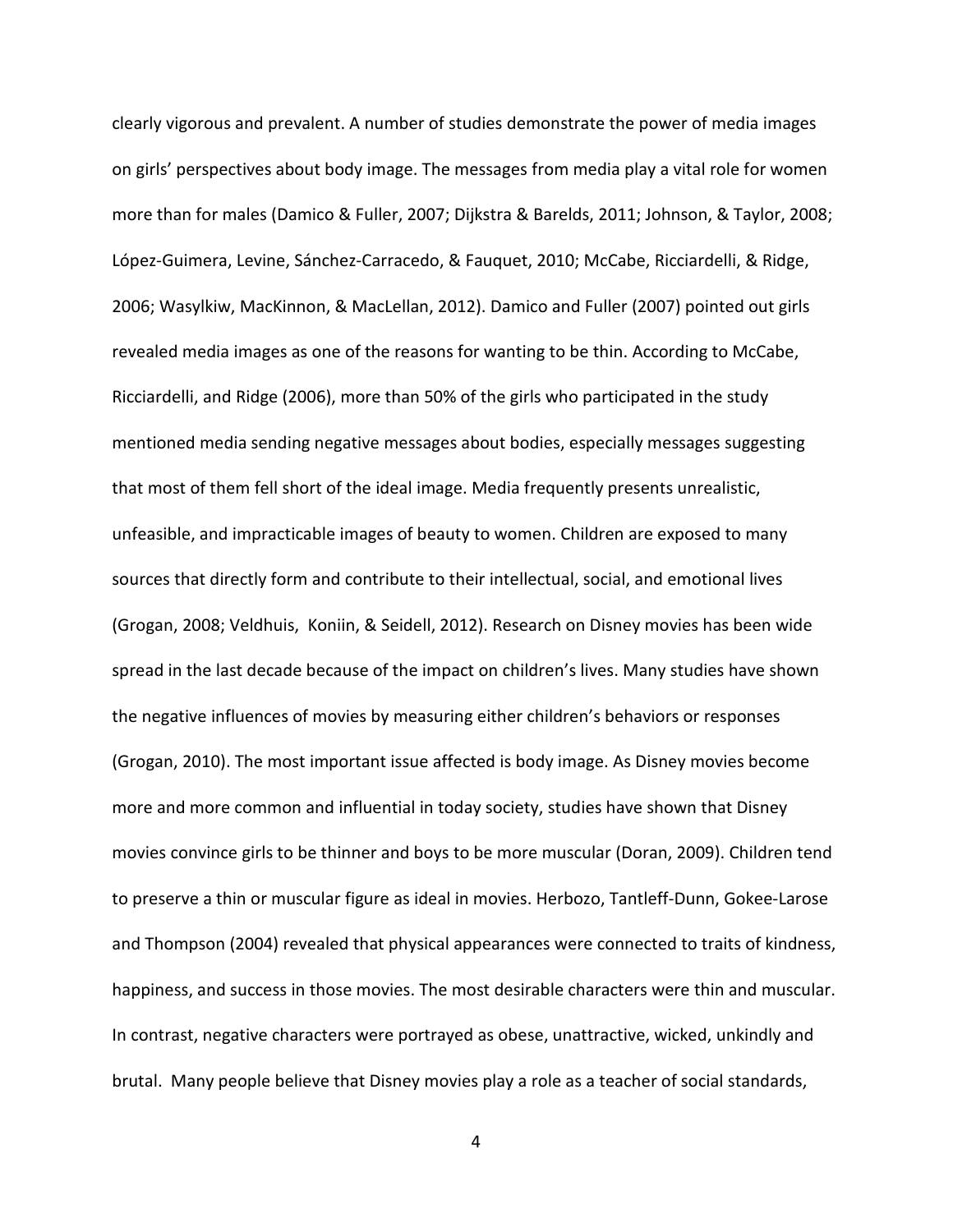clearly vigorous and prevalent. A number of studies demonstrate the power of media images on girls' perspectives about body image. The messages from media play a vital role for women more than for males (Damico & Fuller, 2007; Dijkstra & Barelds, 2011; Johnson, & Taylor, 2008; López-Guimera, Levine, Sánchez-Carracedo, & Fauquet, 2010; McCabe, Ricciardelli, & Ridge, 2006; Wasylkiw, MacKinnon, & MacLellan, 2012). Damico and Fuller (2007) pointed out girls revealed media images as one of the reasons for wanting to be thin. According to McCabe, Ricciardelli, and Ridge (2006), more than 50% of the girls who participated in the study mentioned media sending negative messages about bodies, especially messages suggesting that most of them fell short of the ideal image. Media frequently presents unrealistic, unfeasible, and impracticable images of beauty to women. Children are exposed to many sources that directly form and contribute to their intellectual, social, and emotional lives (Grogan, 2008; Veldhuis, Koniin, & Seidell, 2012). Research on Disney movies has been wide spread in the last decade because of the impact on children's lives. Many studies have shown the negative influences of movies by measuring either children's behaviors or responses (Grogan, 2010). The most important issue affected is body image. As Disney movies become more and more common and influential in today society, studies have shown that Disney movies convince girls to be thinner and boys to be more muscular (Doran, 2009). Children tend to preserve a thin or muscular figure as ideal in movies. Herbozo, Tantleff-Dunn, Gokee-Larose and Thompson (2004) revealed that physical appearances were connected to traits of kindness, happiness, and success in those movies. The most desirable characters were thin and muscular. In contrast, negative characters were portrayed as obese, unattractive, wicked, unkindly and brutal. Many people believe that Disney movies play a role as a teacher of social standards,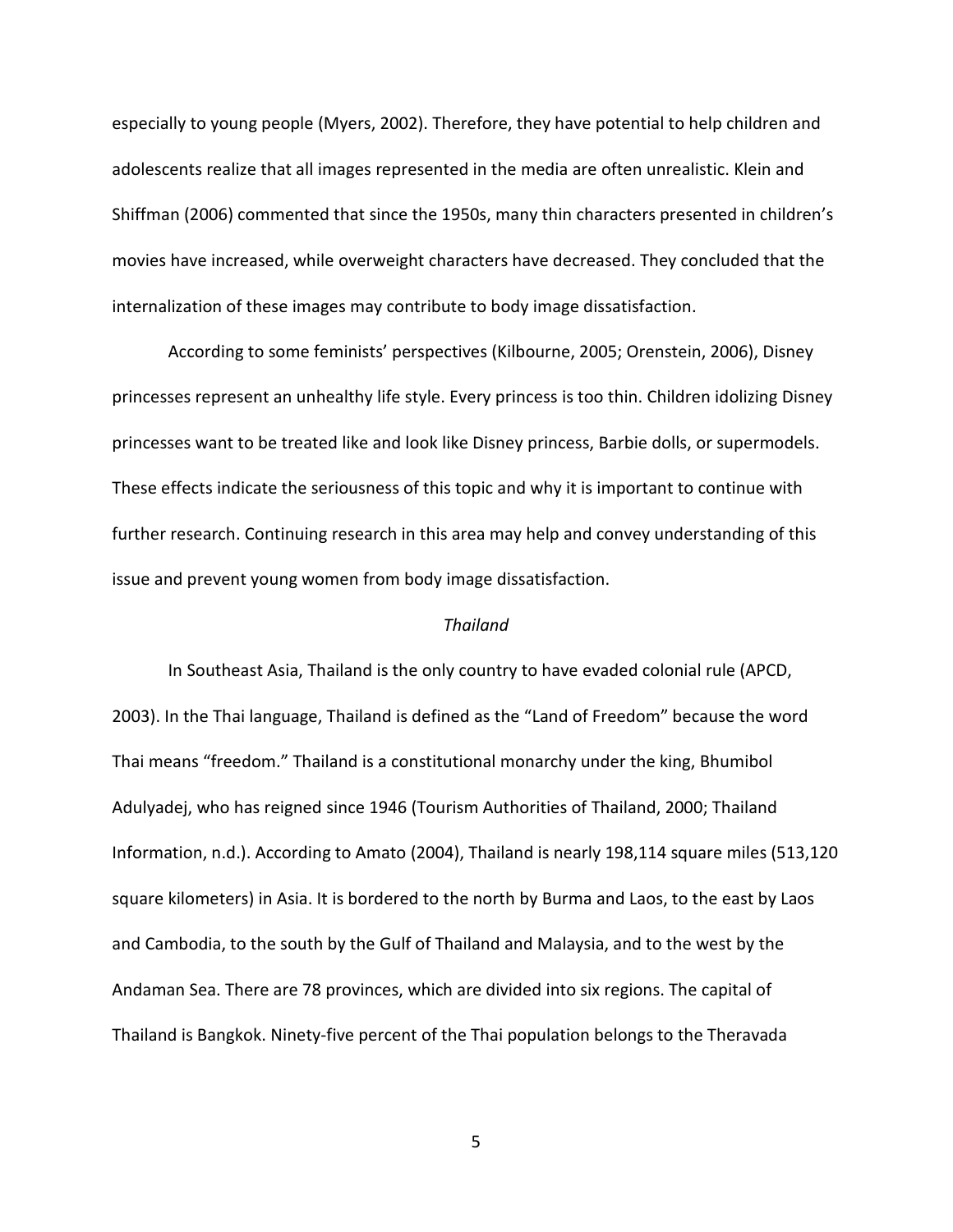especially to young people (Myers, 2002). Therefore, they have potential to help children and adolescents realize that all images represented in the media are often unrealistic. Klein and Shiffman (2006) commented that since the 1950s, many thin characters presented in children's movies have increased, while overweight characters have decreased. They concluded that the internalization of these images may contribute to body image dissatisfaction.

According to some feminists' perspectives (Kilbourne, 2005; Orenstein, 2006), Disney princesses represent an unhealthy life style. Every princess is too thin. Children idolizing Disney princesses want to be treated like and look like Disney princess, Barbie dolls, or supermodels. These effects indicate the seriousness of this topic and why it is important to continue with further research. Continuing research in this area may help and convey understanding of this issue and prevent young women from body image dissatisfaction.

## *Thailand*

In Southeast Asia, Thailand is the only country to have evaded colonial rule (APCD, 2003). In the Thai language, Thailand is defined as the "Land of Freedom" because the word Thai means "freedom." Thailand is a constitutional monarchy under the king, Bhumibol Adulyadej, who has reigned since 1946 (Tourism Authorities of Thailand, 2000; Thailand Information, n.d.). According to Amato (2004), Thailand is nearly 198,114 square miles (513,120 square kilometers) in Asia. It is bordered to the north by Burma and Laos, to the east by Laos and Cambodia, to the south by the Gulf of Thailand and Malaysia, and to the west by the Andaman Sea. There are 78 provinces, which are divided into six regions. The capital of Thailand is Bangkok. Ninety-five percent of the Thai population belongs to the Theravada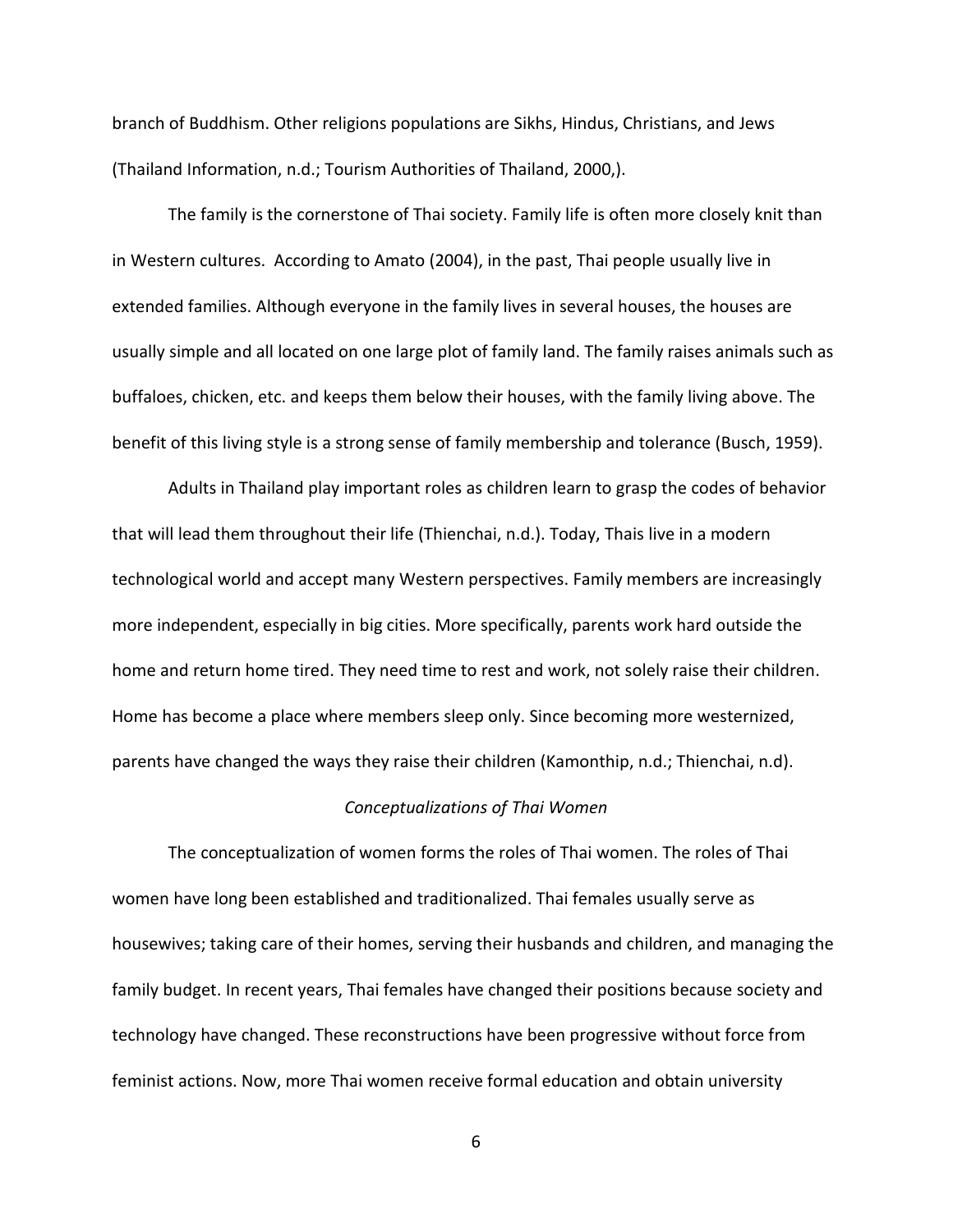branch of Buddhism. Other religions populations are Sikhs, Hindus, Christians, and Jews (Thailand Information, n.d.; Tourism Authorities of Thailand, 2000,).

The family is the cornerstone of Thai society. Family life is often more closely knit than in Western cultures. According to Amato (2004), in the past, Thai people usually live in extended families. Although everyone in the family lives in several houses, the houses are usually simple and all located on one large plot of family land. The family raises animals such as buffaloes, chicken, etc. and keeps them below their houses, with the family living above. The benefit of this living style is a strong sense of family membership and tolerance (Busch, 1959).

Adults in Thailand play important roles as children learn to grasp the codes of behavior that will lead them throughout their life (Thienchai, n.d.). Today, Thais live in a modern technological world and accept many Western perspectives. Family members are increasingly more independent, especially in big cities. More specifically, parents work hard outside the home and return home tired. They need time to rest and work, not solely raise their children. Home has become a place where members sleep only. Since becoming more westernized, parents have changed the ways they raise their children (Kamonthip, n.d.; Thienchai, n.d).

#### *Conceptualizations of Thai Women*

The conceptualization of women forms the roles of Thai women. The roles of Thai women have long been established and traditionalized. Thai females usually serve as housewives; taking care of their homes, serving their husbands and children, and managing the family budget. In recent years, Thai females have changed their positions because society and technology have changed. These reconstructions have been progressive without force from feminist actions. Now, more Thai women receive formal education and obtain university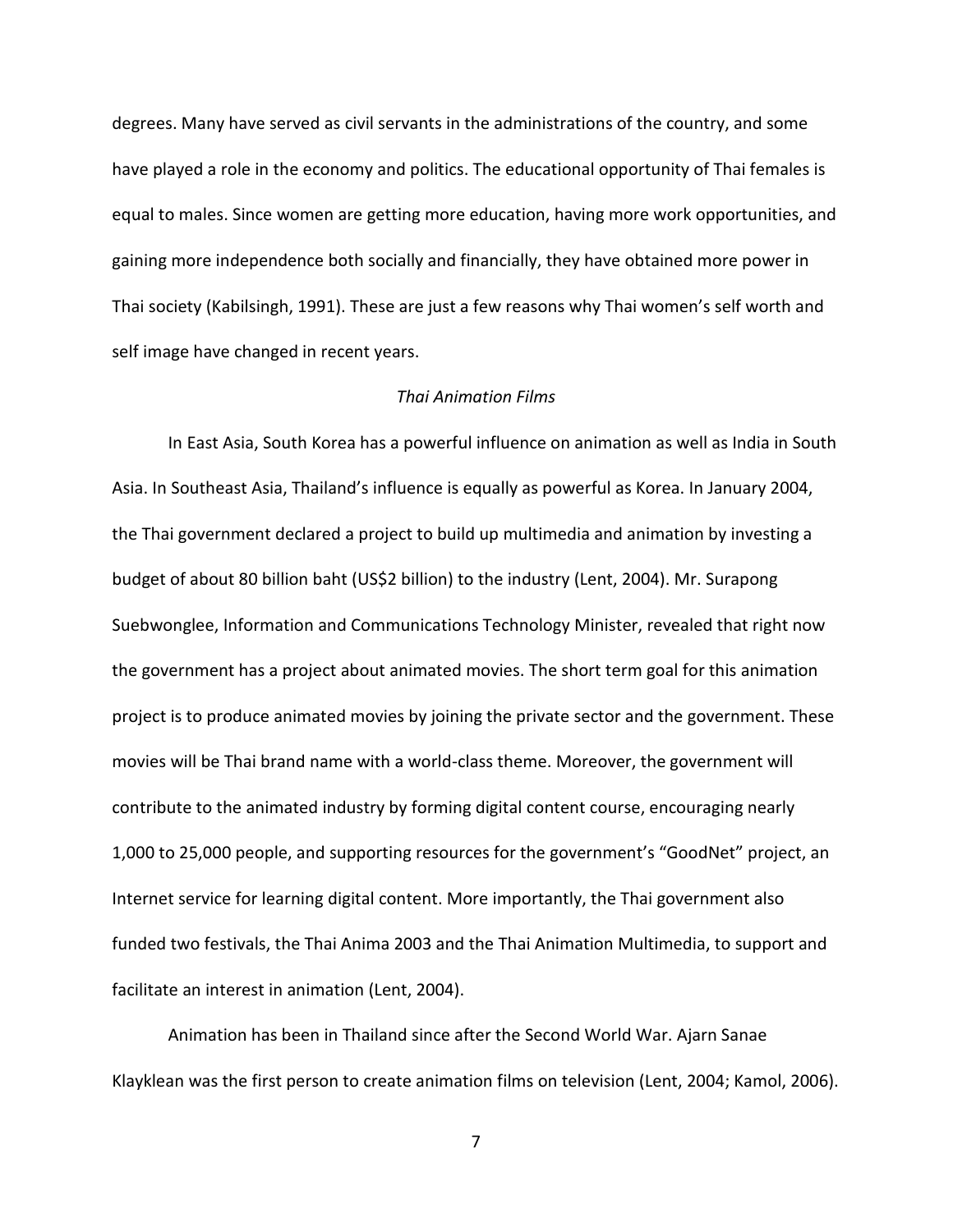degrees. Many have served as civil servants in the administrations of the country, and some have played a role in the economy and politics. The educational opportunity of Thai females is equal to males. Since women are getting more education, having more work opportunities, and gaining more independence both socially and financially, they have obtained more power in Thai society (Kabilsingh, 1991). These are just a few reasons why Thai women's self worth and self image have changed in recent years.

#### *Thai Animation Films*

In East Asia, South Korea has a powerful influence on animation as well as India in South Asia. In Southeast Asia, Thailand's influence is equally as powerful as Korea. In January 2004, the Thai government declared a project to build up multimedia and animation by investing a budget of about 80 billion baht (US\$2 billion) to the industry (Lent, 2004). Mr. Surapong Suebwonglee, Information and Communications Technology Minister, revealed that right now the government has a project about animated movies. The short term goal for this animation project is to produce animated movies by joining the private sector and the government. These movies will be Thai brand name with a world-class theme. Moreover, the government will contribute to the animated industry by forming digital content course, encouraging nearly 1,000 to 25,000 people, and supporting resources for the government's "GoodNet" project, an Internet service for learning digital content. More importantly, the Thai government also funded two festivals, the Thai Anima 2003 and the Thai Animation Multimedia, to support and facilitate an interest in animation (Lent, 2004).

Animation has been in Thailand since after the Second World War. Ajarn Sanae Klayklean was the first person to create animation films on television (Lent, 2004; Kamol, 2006).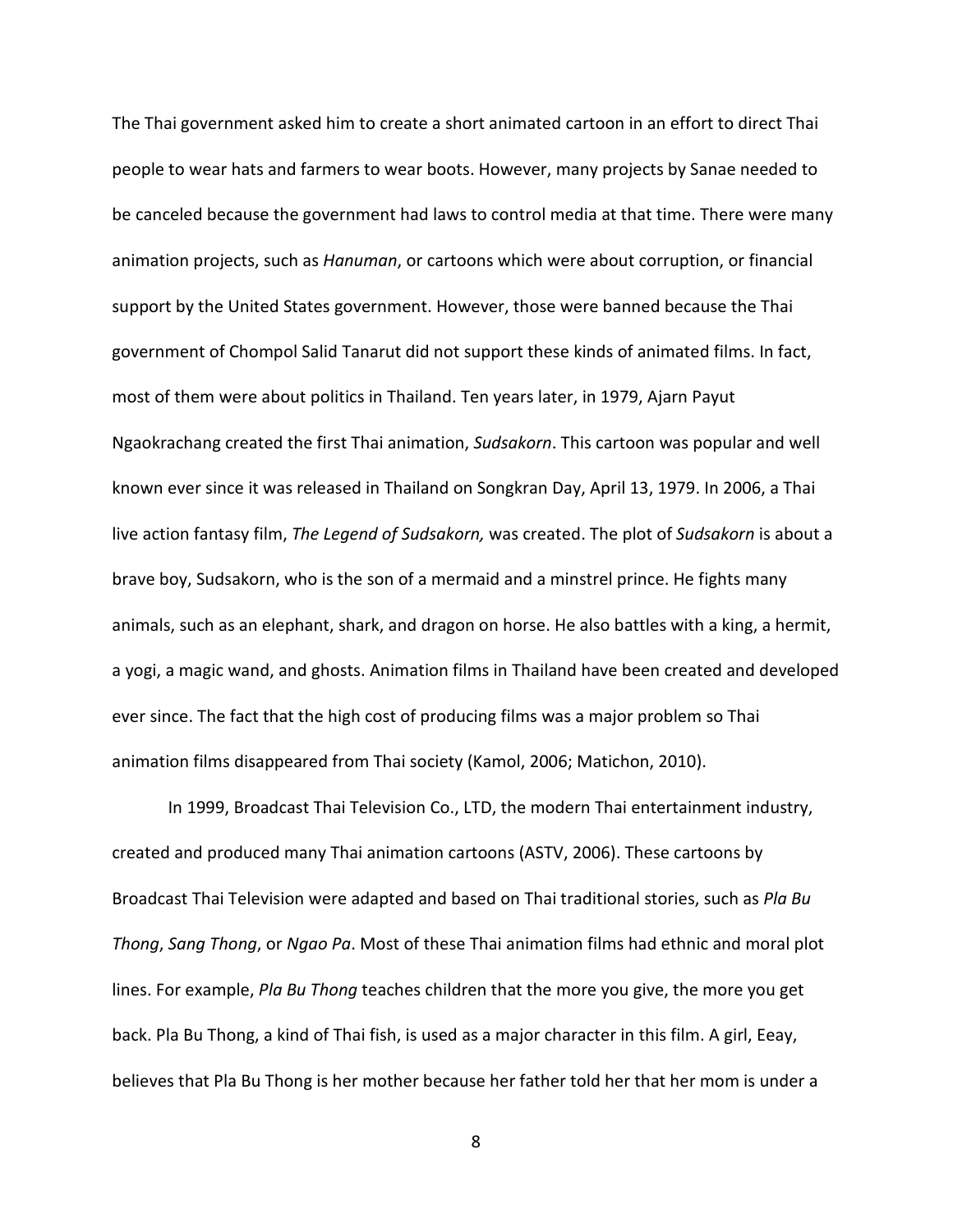The Thai government asked him to create a short animated cartoon in an effort to direct Thai people to wear hats and farmers to wear boots. However, many projects by Sanae needed to be canceled because the government had laws to control media at that time. There were many animation projects, such as *Hanuman*, or cartoons which were about corruption, or financial support by the United States government. However, those were banned because the Thai government of Chompol Salid Tanarut did not support these kinds of animated films. In fact, most of them were about politics in Thailand. Ten years later, in 1979, Ajarn Payut Ngaokrachang created the first Thai animation, *Sudsakorn*. This cartoon was popular and well known ever since it was released in Thailand on Songkran Day, April 13, 1979. In 2006, a Thai live action fantasy film, *The Legend of Sudsakorn,* was created. The plot of *Sudsakorn* is about a brave boy, Sudsakorn, who is the son of a mermaid and a minstrel prince. He fights many animals, such as an elephant, shark, and dragon on horse. He also battles with a king, a hermit, a yogi, a magic wand, and ghosts. Animation films in Thailand have been created and developed ever since. The fact that the high cost of producing films was a major problem so Thai animation films disappeared from Thai society (Kamol, 2006; Matichon, 2010).

In 1999, Broadcast Thai Television Co., LTD, the modern Thai entertainment industry, created and produced many Thai animation cartoons (ASTV, 2006). These cartoons by Broadcast Thai Television were adapted and based on Thai traditional stories, such as *Pla Bu Thong*, *Sang Thong*, or *Ngao Pa*. Most of these Thai animation films had ethnic and moral plot lines. For example, *Pla Bu Thong* teaches children that the more you give, the more you get back. Pla Bu Thong, a kind of Thai fish, is used as a major character in this film. A girl, Eeay, believes that Pla Bu Thong is her mother because her father told her that her mom is under a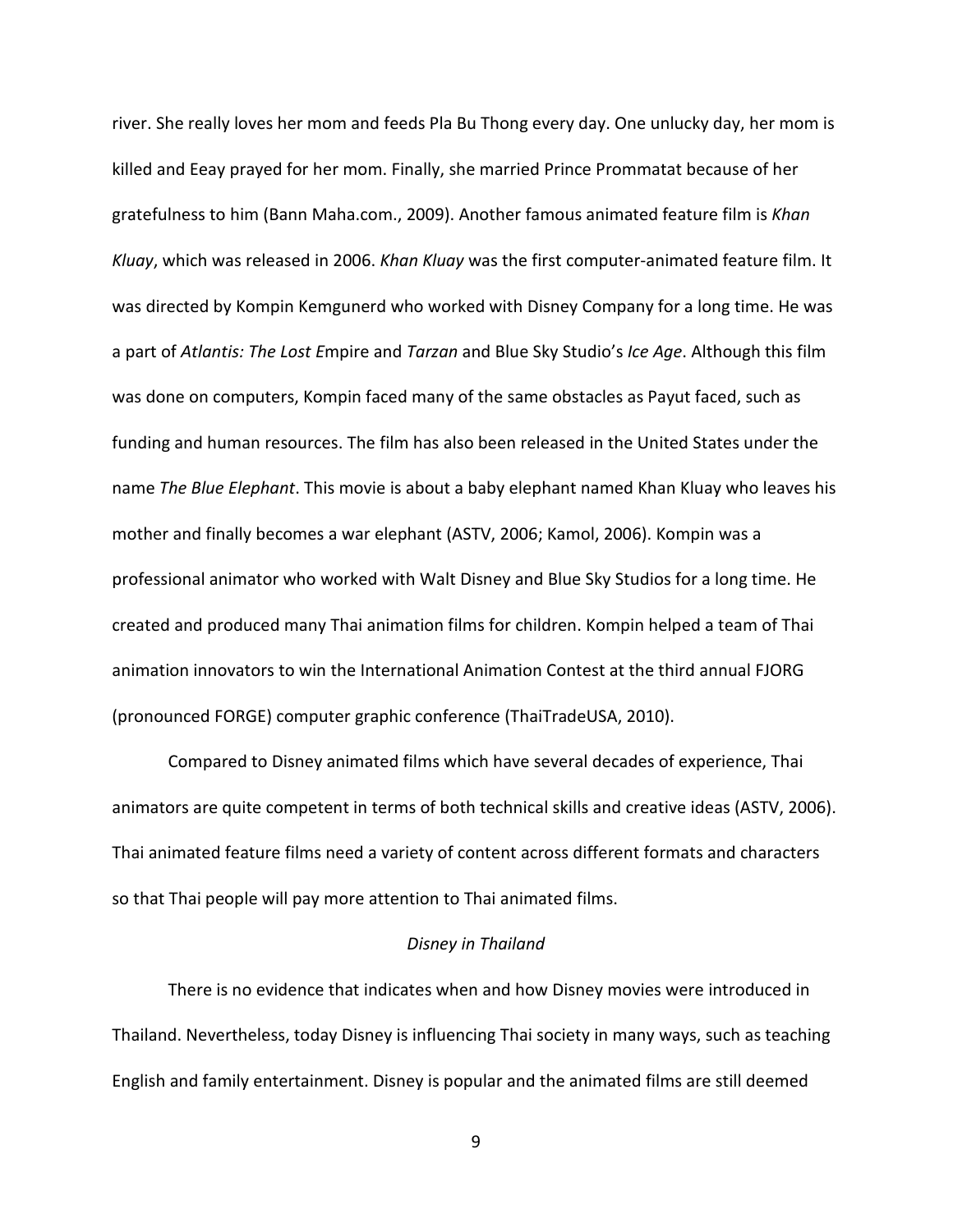river. She really loves her mom and feeds Pla Bu Thong every day. One unlucky day, her mom is killed and Eeay prayed for her mom. Finally, she married Prince Prommatat because of her gratefulness to him (Bann Maha.com., 2009). Another famous animated feature film is *Khan Kluay*, which was released in 2006. *Khan Kluay* was the first computer-animated feature film. It was directed by Kompin Kemgunerd who worked with Disney Company for a long time. He was a part of *Atlantis: The Lost E*mpire and *Tarzan* and Blue Sky Studio's *Ice Age*. Although this film was done on computers, Kompin faced many of the same obstacles as Payut faced, such as funding and human resources. The film has also been released in the United States under the name *The Blue Elephant*. This movie is about a baby elephant named Khan Kluay who leaves his mother and finally becomes a war elephant (ASTV, 2006; Kamol, 2006). Kompin was a professional animator who worked with Walt Disney and Blue Sky Studios for a long time. He created and produced many Thai animation films for children. Kompin helped a team of Thai animation innovators to win the International Animation Contest at the third annual FJORG (pronounced FORGE) computer graphic conference (ThaiTradeUSA, 2010).

Compared to Disney animated films which have several decades of experience, Thai animators are quite competent in terms of both technical skills and creative ideas (ASTV, 2006). Thai animated feature films need a variety of content across different formats and characters so that Thai people will pay more attention to Thai animated films.

### *Disney in Thailand*

There is no evidence that indicates when and how Disney movies were introduced in Thailand. Nevertheless, today Disney is influencing Thai society in many ways, such as teaching English and family entertainment. Disney is popular and the animated films are still deemed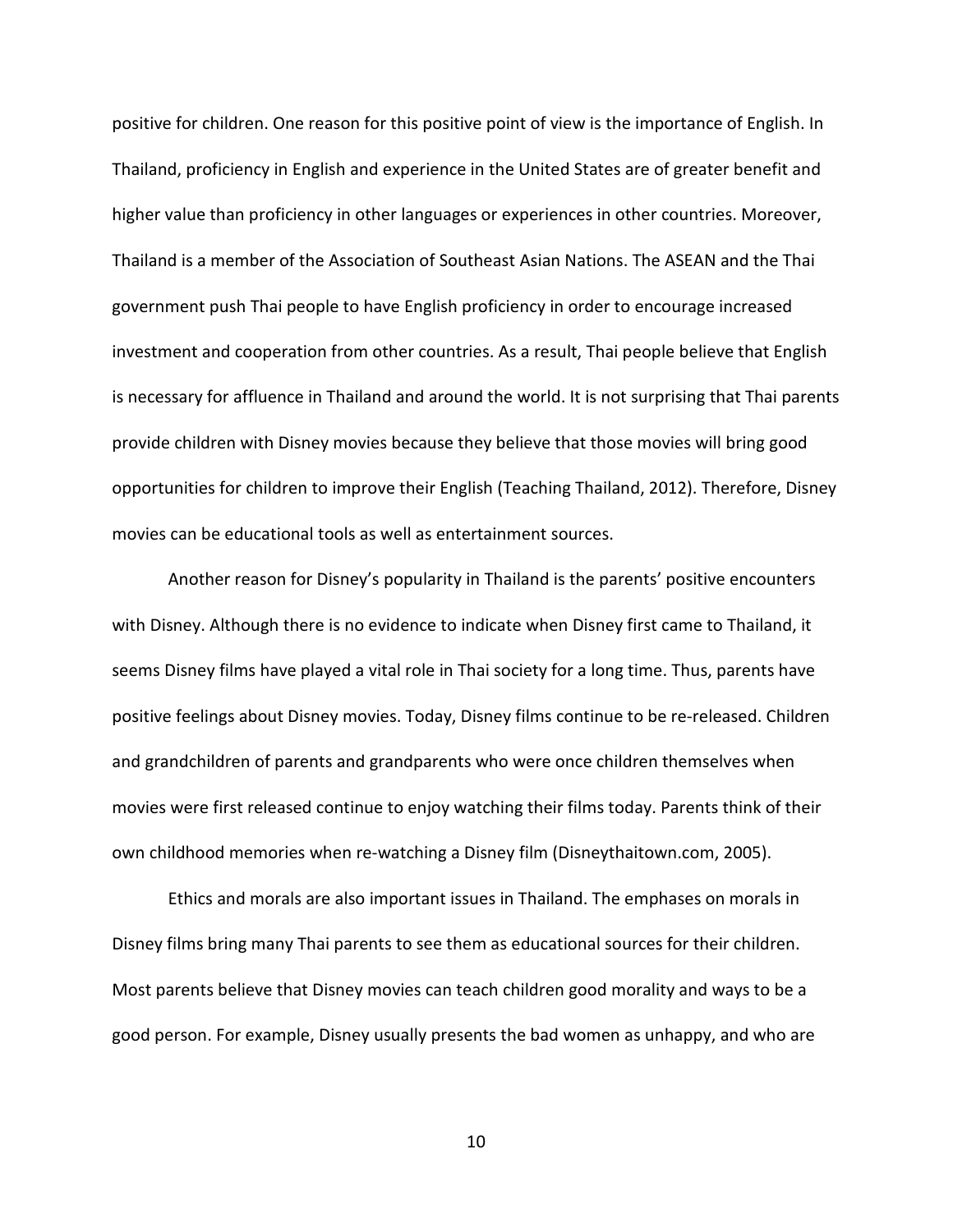positive for children. One reason for this positive point of view is the importance of English. In Thailand, proficiency in English and experience in the United States are of greater benefit and higher value than proficiency in other languages or experiences in other countries. Moreover, Thailand is a member of the Association of Southeast Asian Nations. The ASEAN and the Thai government push Thai people to have English proficiency in order to encourage increased investment and cooperation from other countries. As a result, Thai people believe that English is necessary for affluence in Thailand and around the world. It is not surprising that Thai parents provide children with Disney movies because they believe that those movies will bring good opportunities for children to improve their English (Teaching Thailand, 2012). Therefore, Disney movies can be educational tools as well as entertainment sources.

Another reason for Disney's popularity in Thailand is the parents' positive encounters with Disney. Although there is no evidence to indicate when Disney first came to Thailand, it seems Disney films have played a vital role in Thai society for a long time. Thus, parents have positive feelings about Disney movies. Today, Disney films continue to be re-released. Children and grandchildren of parents and grandparents who were once children themselves when movies were first released continue to enjoy watching their films today. Parents think of their own childhood memories when re-watching a Disney film (Disneythaitown.com, 2005).

Ethics and morals are also important issues in Thailand. The emphases on morals in Disney films bring many Thai parents to see them as educational sources for their children. Most parents believe that Disney movies can teach children good morality and ways to be a good person. For example, Disney usually presents the bad women as unhappy, and who are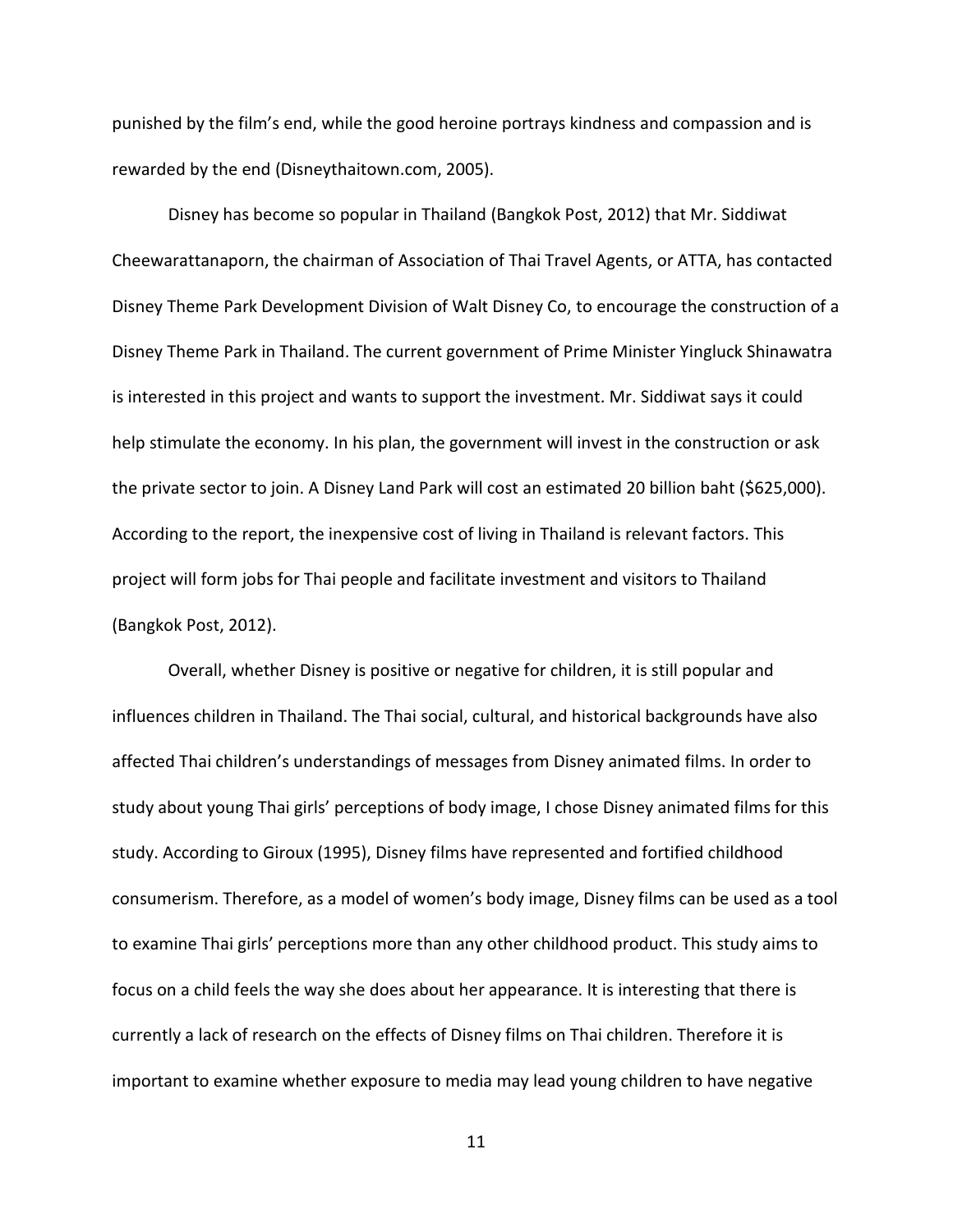punished by the film's end, while the good heroine portrays kindness and compassion and is rewarded by the end (Disneythaitown.com, 2005).

Disney has become so popular in Thailand (Bangkok Post, 2012) that Mr. Siddiwat Cheewarattanaporn, the chairman of Association of Thai Travel Agents, or ATTA, has contacted Disney Theme Park Development Division of Walt Disney Co, to encourage the construction of a Disney Theme Park in Thailand. The current government of Prime Minister Yingluck Shinawatra is interested in this project and wants to support the investment. Mr. Siddiwat says it could help stimulate the economy. In his plan, the government will invest in the construction or ask the private sector to join. A Disney Land Park will cost an estimated 20 billion baht (\$625,000). According to the report, the inexpensive cost of living in Thailand is relevant factors. This project will form jobs for Thai people and facilitate investment and visitors to Thailand (Bangkok Post, 2012).

Overall, whether Disney is positive or negative for children, it is still popular and influences children in Thailand. The Thai social, cultural, and historical backgrounds have also affected Thai children's understandings of messages from Disney animated films. In order to study about young Thai girls' perceptions of body image, I chose Disney animated films for this study. According to Giroux (1995), Disney films have represented and fortified childhood consumerism. Therefore, as a model of women's body image, Disney films can be used as a tool to examine Thai girls' perceptions more than any other childhood product. This study aims to focus on a child feels the way she does about her appearance. It is interesting that there is currently a lack of research on the effects of Disney films on Thai children. Therefore it is important to examine whether exposure to media may lead young children to have negative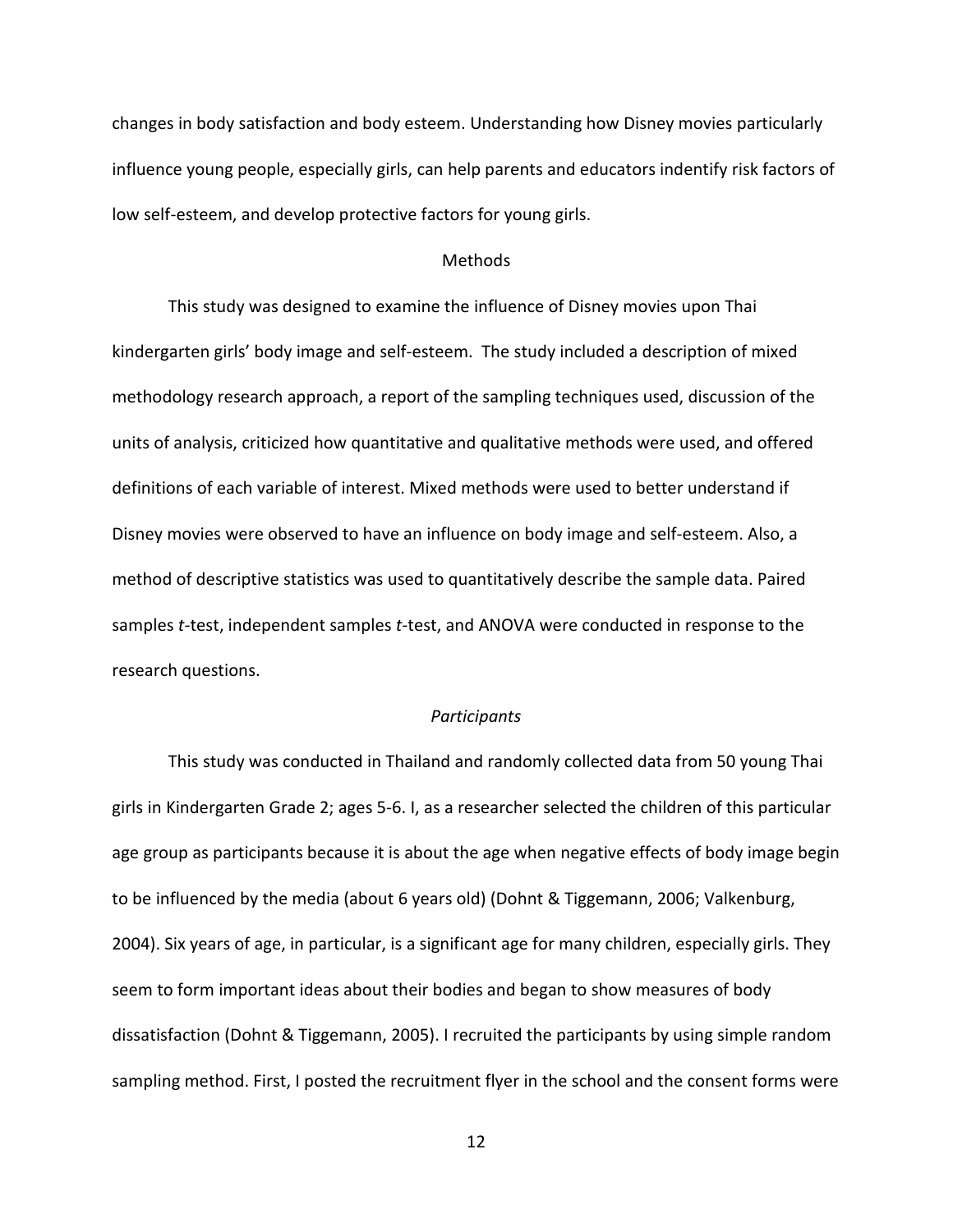changes in body satisfaction and body esteem. Understanding how Disney movies particularly influence young people, especially girls, can help parents and educators indentify risk factors of low self-esteem, and develop protective factors for young girls.

## Methods

This study was designed to examine the influence of Disney movies upon Thai kindergarten girls' body image and self-esteem. The study included a description of mixed methodology research approach, a report of the sampling techniques used, discussion of the units of analysis, criticized how quantitative and qualitative methods were used, and offered definitions of each variable of interest. Mixed methods were used to better understand if Disney movies were observed to have an influence on body image and self-esteem. Also, a method of descriptive statistics was used to quantitatively describe the sample data. Paired samples *t-*test, independent samples *t-*test, and ANOVA were conducted in response to the research questions.

#### *Participants*

This study was conducted in Thailand and randomly collected data from 50 young Thai girls in Kindergarten Grade 2; ages 5-6. I, as a researcher selected the children of this particular age group as participants because it is about the age when negative effects of body image begin to be influenced by the media (about 6 years old) (Dohnt & Tiggemann, 2006; Valkenburg, 2004). Six years of age, in particular, is a significant age for many children, especially girls. They seem to form important ideas about their bodies and began to show measures of body dissatisfaction (Dohnt & Tiggemann, 2005). I recruited the participants by using simple random sampling method. First, I posted the recruitment flyer in the school and the consent forms were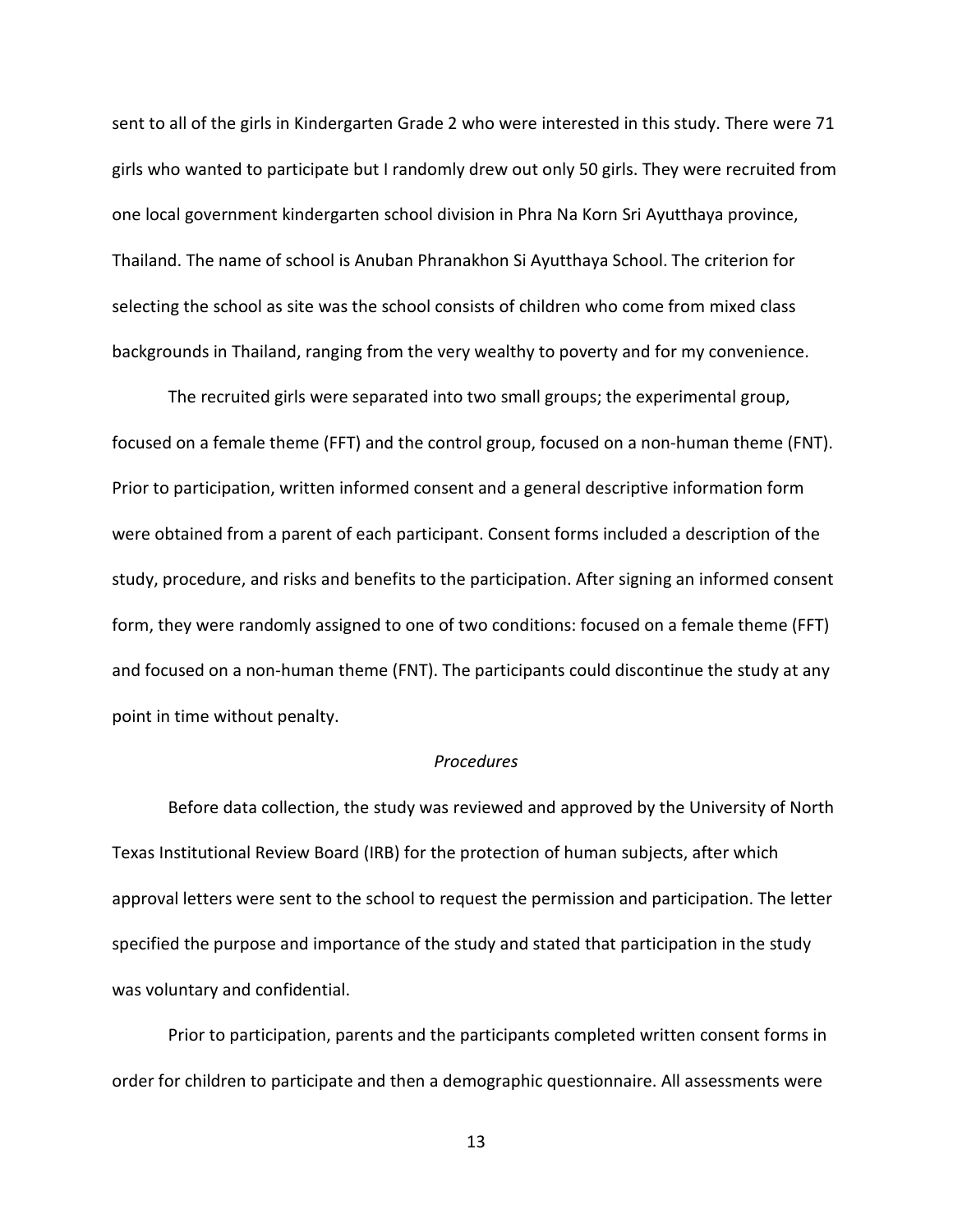sent to all of the girls in Kindergarten Grade 2 who were interested in this study. There were 71 girls who wanted to participate but I randomly drew out only 50 girls. They were recruited from one local government kindergarten school division in Phra Na Korn Sri Ayutthaya province, Thailand. The name of school is Anuban Phranakhon Si Ayutthaya School. The criterion for selecting the school as site was the school consists of children who come from mixed class backgrounds in Thailand, ranging from the very wealthy to poverty and for my convenience.

The recruited girls were separated into two small groups; the experimental group, focused on a female theme (FFT) and the control group, focused on a non-human theme (FNT). Prior to participation, written informed consent and a general descriptive information form were obtained from a parent of each participant. Consent forms included a description of the study, procedure, and risks and benefits to the participation. After signing an informed consent form, they were randomly assigned to one of two conditions: focused on a female theme (FFT) and focused on a non-human theme (FNT). The participants could discontinue the study at any point in time without penalty.

## *Procedures*

Before data collection, the study was reviewed and approved by the University of North Texas Institutional Review Board (IRB) for the protection of human subjects, after which approval letters were sent to the school to request the permission and participation. The letter specified the purpose and importance of the study and stated that participation in the study was voluntary and confidential.

Prior to participation, parents and the participants completed written consent forms in order for children to participate and then a demographic questionnaire. All assessments were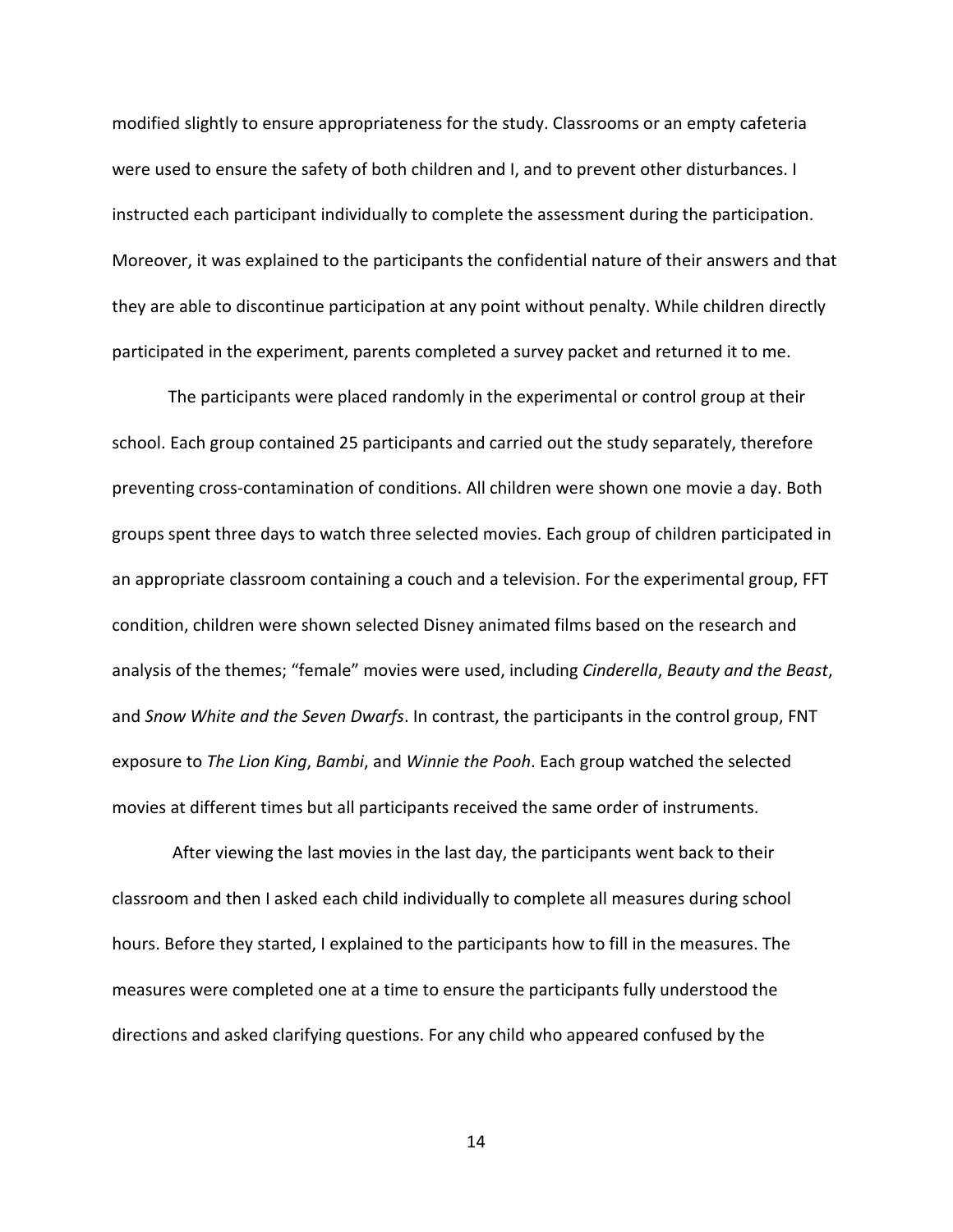modified slightly to ensure appropriateness for the study. Classrooms or an empty cafeteria were used to ensure the safety of both children and I, and to prevent other disturbances. I instructed each participant individually to complete the assessment during the participation. Moreover, it was explained to the participants the confidential nature of their answers and that they are able to discontinue participation at any point without penalty. While children directly participated in the experiment, parents completed a survey packet and returned it to me.

The participants were placed randomly in the experimental or control group at their school. Each group contained 25 participants and carried out the study separately, therefore preventing cross-contamination of conditions. All children were shown one movie a day. Both groups spent three days to watch three selected movies. Each group of children participated in an appropriate classroom containing a couch and a television. For the experimental group, FFT condition, children were shown selected Disney animated films based on the research and analysis of the themes; "female" movies were used, including *Cinderella*, *Beauty and the Beast*, and *Snow White and the Seven Dwarfs*. In contrast, the participants in the control group, FNT exposure to *The Lion King*, *Bambi*, and *Winnie the Pooh*. Each group watched the selected movies at different times but all participants received the same order of instruments.

After viewing the last movies in the last day, the participants went back to their classroom and then I asked each child individually to complete all measures during school hours. Before they started, I explained to the participants how to fill in the measures. The measures were completed one at a time to ensure the participants fully understood the directions and asked clarifying questions. For any child who appeared confused by the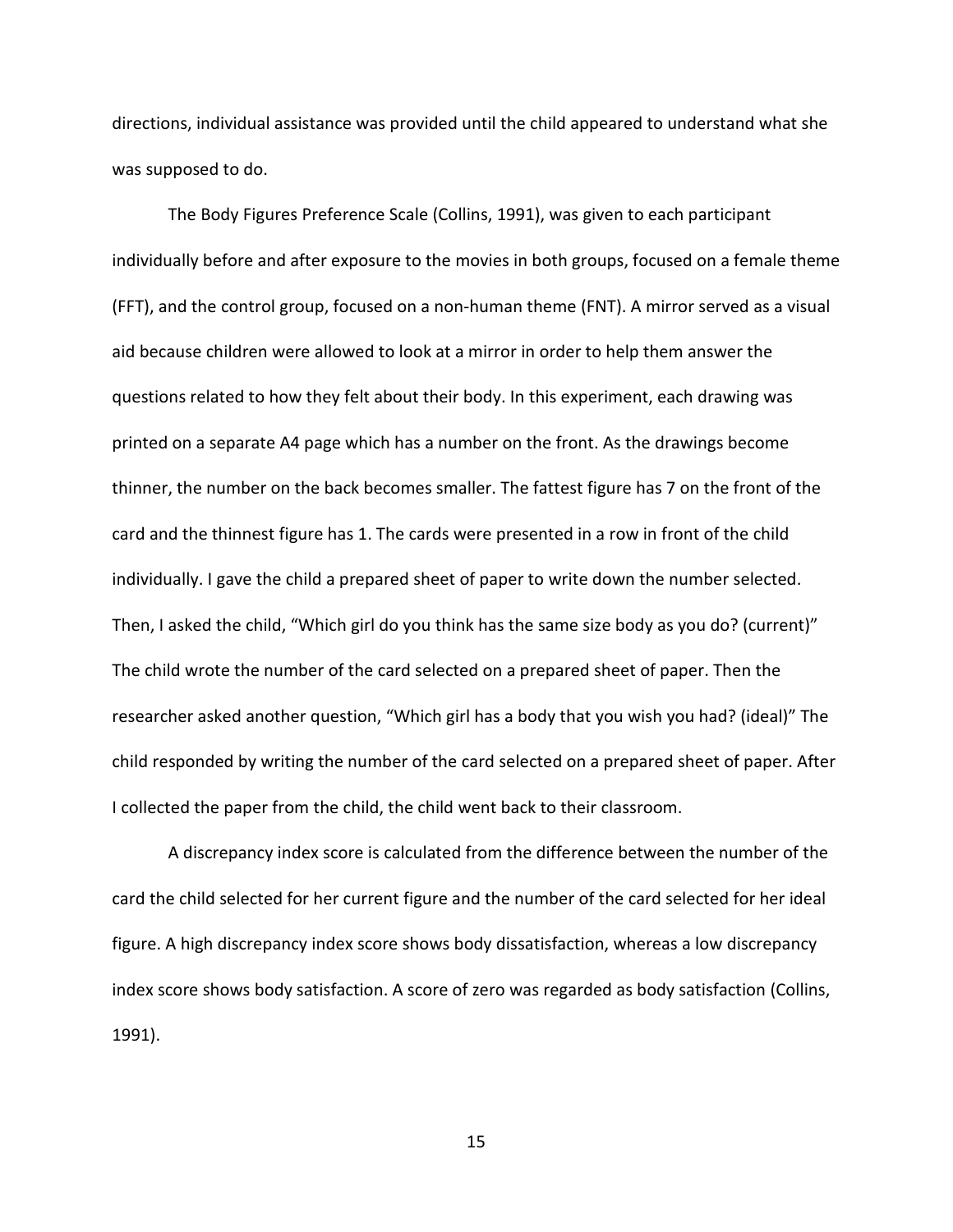directions, individual assistance was provided until the child appeared to understand what she was supposed to do.

The Body Figures Preference Scale (Collins, 1991), was given to each participant individually before and after exposure to the movies in both groups, focused on a female theme (FFT), and the control group, focused on a non-human theme (FNT). A mirror served as a visual aid because children were allowed to look at a mirror in order to help them answer the questions related to how they felt about their body. In this experiment, each drawing was printed on a separate A4 page which has a number on the front. As the drawings become thinner, the number on the back becomes smaller. The fattest figure has 7 on the front of the card and the thinnest figure has 1. The cards were presented in a row in front of the child individually. I gave the child a prepared sheet of paper to write down the number selected. Then, I asked the child, "Which girl do you think has the same size body as you do? (current)" The child wrote the number of the card selected on a prepared sheet of paper. Then the researcher asked another question, "Which girl has a body that you wish you had? (ideal)" The child responded by writing the number of the card selected on a prepared sheet of paper. After I collected the paper from the child, the child went back to their classroom.

A discrepancy index score is calculated from the difference between the number of the card the child selected for her current figure and the number of the card selected for her ideal figure. A high discrepancy index score shows body dissatisfaction, whereas a low discrepancy index score shows body satisfaction. A score of zero was regarded as body satisfaction (Collins, 1991).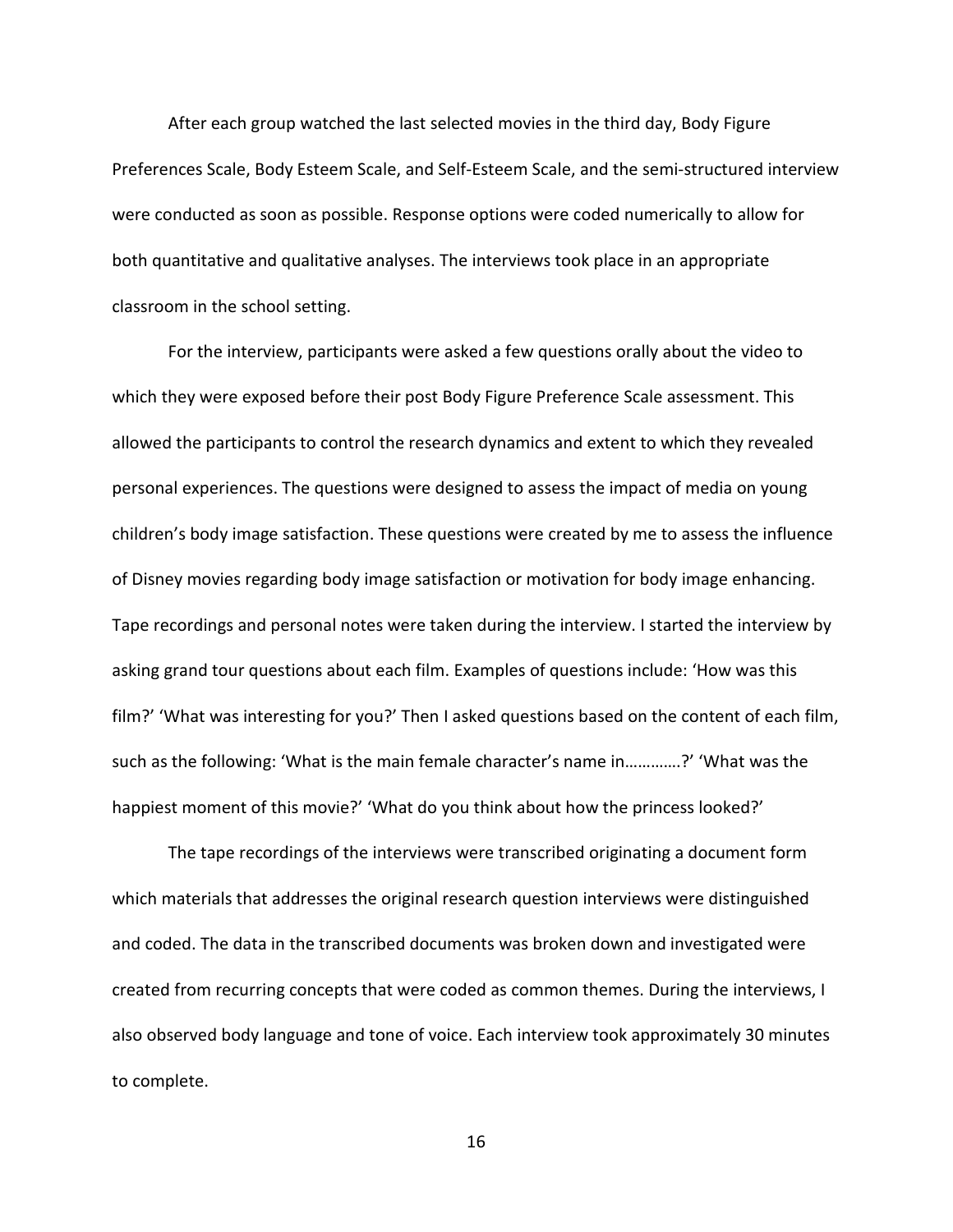After each group watched the last selected movies in the third day, Body Figure Preferences Scale, Body Esteem Scale, and Self-Esteem Scale, and the semi-structured interview were conducted as soon as possible. Response options were coded numerically to allow for both quantitative and qualitative analyses. The interviews took place in an appropriate classroom in the school setting.

For the interview, participants were asked a few questions orally about the video to which they were exposed before their post Body Figure Preference Scale assessment. This allowed the participants to control the research dynamics and extent to which they revealed personal experiences. The questions were designed to assess the impact of media on young children's body image satisfaction. These questions were created by me to assess the influence of Disney movies regarding body image satisfaction or motivation for body image enhancing. Tape recordings and personal notes were taken during the interview. I started the interview by asking grand tour questions about each film. Examples of questions include: 'How was this film?' 'What was interesting for you?' Then I asked questions based on the content of each film, such as the following: 'What is the main female character's name in………….?' 'What was the happiest moment of this movie?' 'What do you think about how the princess looked?'

The tape recordings of the interviews were transcribed originating a document form which materials that addresses the original research question interviews were distinguished and coded. The data in the transcribed documents was broken down and investigated were created from recurring concepts that were coded as common themes. During the interviews, I also observed body language and tone of voice. Each interview took approximately 30 minutes to complete.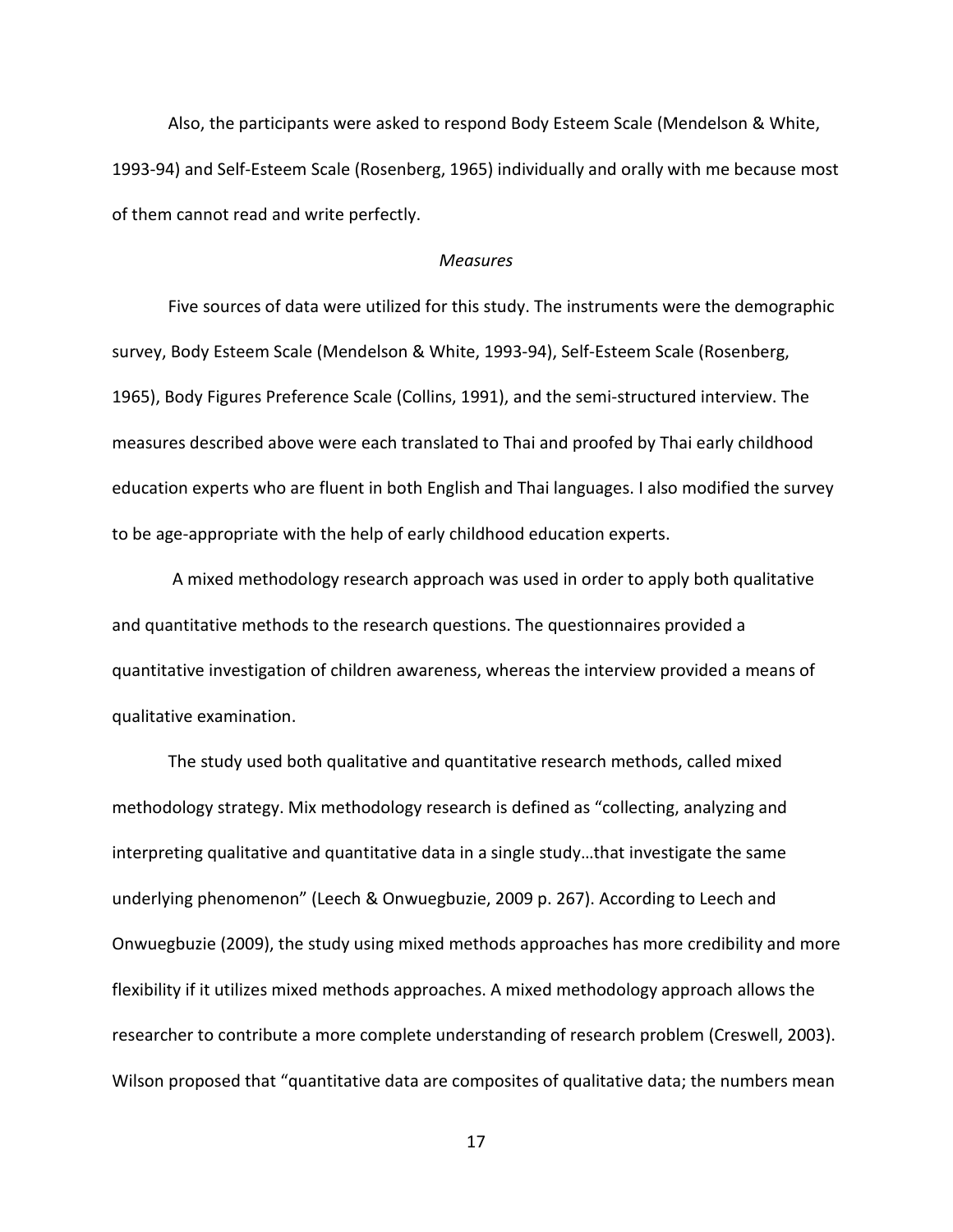Also, the participants were asked to respond Body Esteem Scale (Mendelson & White, 1993-94) and Self-Esteem Scale (Rosenberg, 1965) individually and orally with me because most of them cannot read and write perfectly.

### *Measures*

Five sources of data were utilized for this study. The instruments were the demographic survey, Body Esteem Scale (Mendelson & White, 1993-94), Self-Esteem Scale (Rosenberg, 1965), Body Figures Preference Scale (Collins, 1991), and the semi-structured interview. The measures described above were each translated to Thai and proofed by Thai early childhood education experts who are fluent in both English and Thai languages. I also modified the survey to be age-appropriate with the help of early childhood education experts.

A mixed methodology research approach was used in order to apply both qualitative and quantitative methods to the research questions. The questionnaires provided a quantitative investigation of children awareness, whereas the interview provided a means of qualitative examination.

The study used both qualitative and quantitative research methods, called mixed methodology strategy. Mix methodology research is defined as "collecting, analyzing and interpreting qualitative and quantitative data in a single study…that investigate the same underlying phenomenon" (Leech & Onwuegbuzie, 2009 p. 267). According to Leech and Onwuegbuzie (2009), the study using mixed methods approaches has more credibility and more flexibility if it utilizes mixed methods approaches. A mixed methodology approach allows the researcher to contribute a more complete understanding of research problem (Creswell, 2003). Wilson proposed that "quantitative data are composites of qualitative data; the numbers mean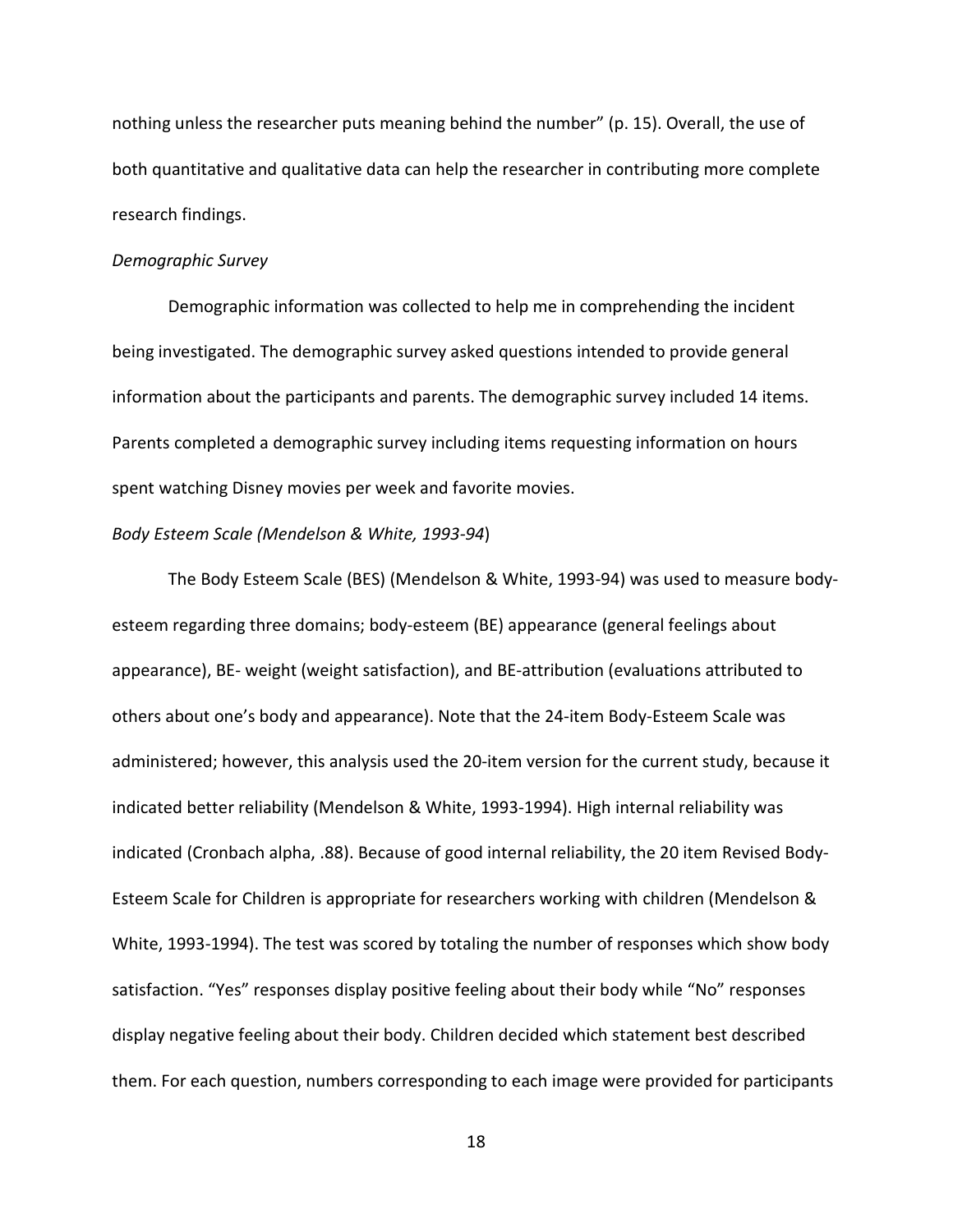nothing unless the researcher puts meaning behind the number" (p. 15). Overall, the use of both quantitative and qualitative data can help the researcher in contributing more complete research findings.

### *Demographic Survey*

Demographic information was collected to help me in comprehending the incident being investigated. The demographic survey asked questions intended to provide general information about the participants and parents. The demographic survey included 14 items. Parents completed a demographic survey including items requesting information on hours spent watching Disney movies per week and favorite movies.

#### *Body Esteem Scale (Mendelson & White, 1993-94*)

The Body Esteem Scale (BES) (Mendelson & White, 1993-94) was used to measure bodyesteem regarding three domains; body-esteem (BE) appearance (general feelings about appearance), BE- weight (weight satisfaction), and BE-attribution (evaluations attributed to others about one's body and appearance). Note that the 24-item Body-Esteem Scale was administered; however, this analysis used the 20-item version for the current study, because it indicated better reliability (Mendelson & White, 1993-1994). High internal reliability was indicated (Cronbach alpha, .88). Because of good internal reliability, the 20 item Revised Body-Esteem Scale for Children is appropriate for researchers working with children (Mendelson & White, 1993-1994). The test was scored by totaling the number of responses which show body satisfaction. "Yes" responses display positive feeling about their body while "No" responses display negative feeling about their body. Children decided which statement best described them. For each question, numbers corresponding to each image were provided for participants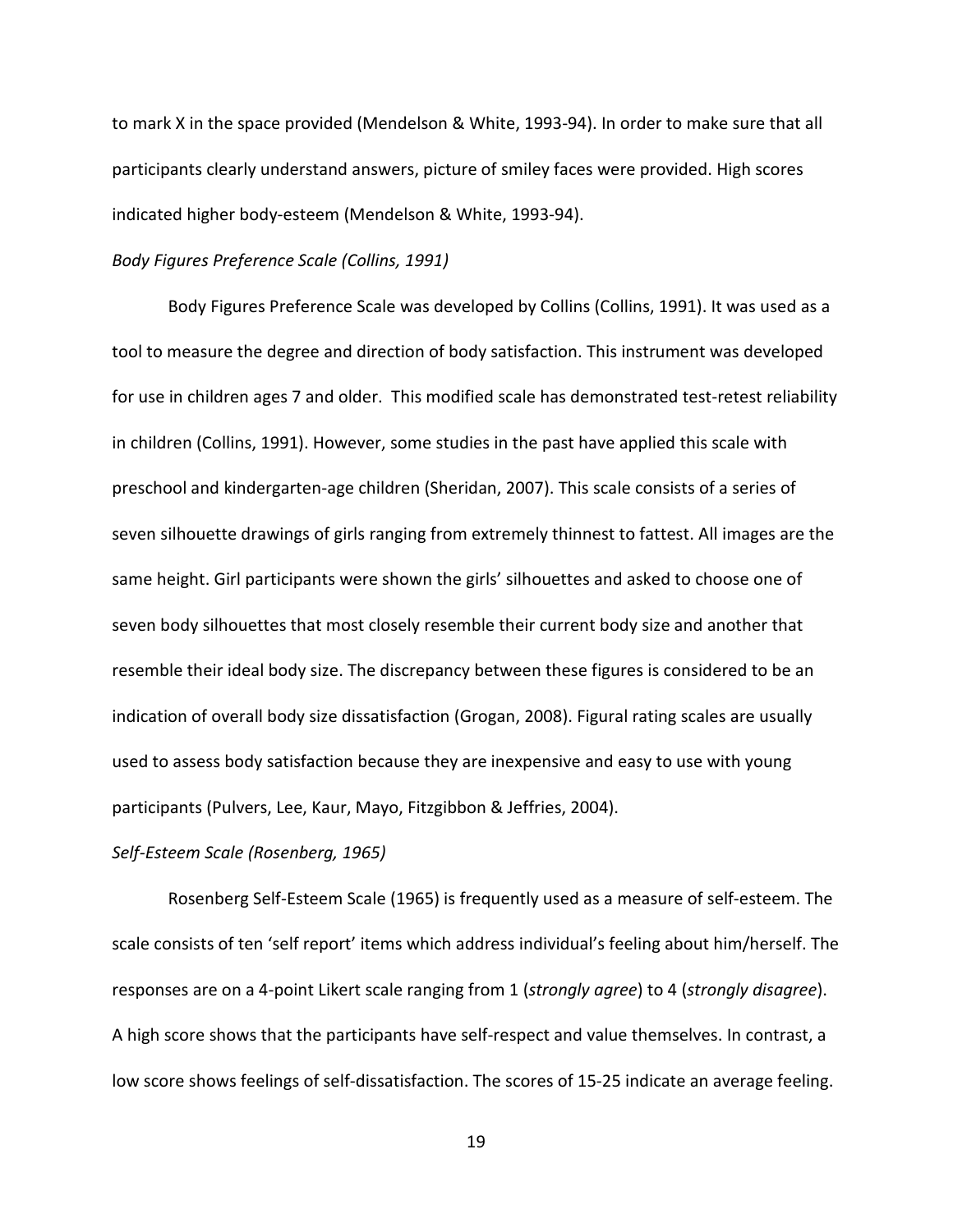to mark X in the space provided (Mendelson & White, 1993-94). In order to make sure that all participants clearly understand answers, picture of smiley faces were provided. High scores indicated higher body-esteem (Mendelson & White, 1993-94).

#### *Body Figures Preference Scale (Collins, 1991)*

Body Figures Preference Scale was developed by Collins (Collins, 1991). It was used as a tool to measure the degree and direction of body satisfaction. This instrument was developed for use in children ages 7 and older. This modified scale has demonstrated test-retest reliability in children (Collins, 1991). However, some studies in the past have applied this scale with preschool and kindergarten-age children (Sheridan, 2007). This scale consists of a series of seven silhouette drawings of girls ranging from extremely thinnest to fattest. All images are the same height. Girl participants were shown the girls' silhouettes and asked to choose one of seven body silhouettes that most closely resemble their current body size and another that resemble their ideal body size. The discrepancy between these figures is considered to be an indication of overall body size dissatisfaction (Grogan, 2008). Figural rating scales are usually used to assess body satisfaction because they are inexpensive and easy to use with young participants (Pulvers, Lee, Kaur, Mayo, Fitzgibbon & Jeffries, 2004).

#### *Self-Esteem Scale (Rosenberg, 1965)*

Rosenberg Self-Esteem Scale (1965) is frequently used as a measure of self-esteem. The scale consists of ten 'self report' items which address individual's feeling about him/herself. The responses are on a 4-point Likert scale ranging from 1 (*strongly agree*) to 4 (*strongly disagree*). A high score shows that the participants have self-respect and value themselves. In contrast, a low score shows feelings of self-dissatisfaction. The scores of 15-25 indicate an average feeling.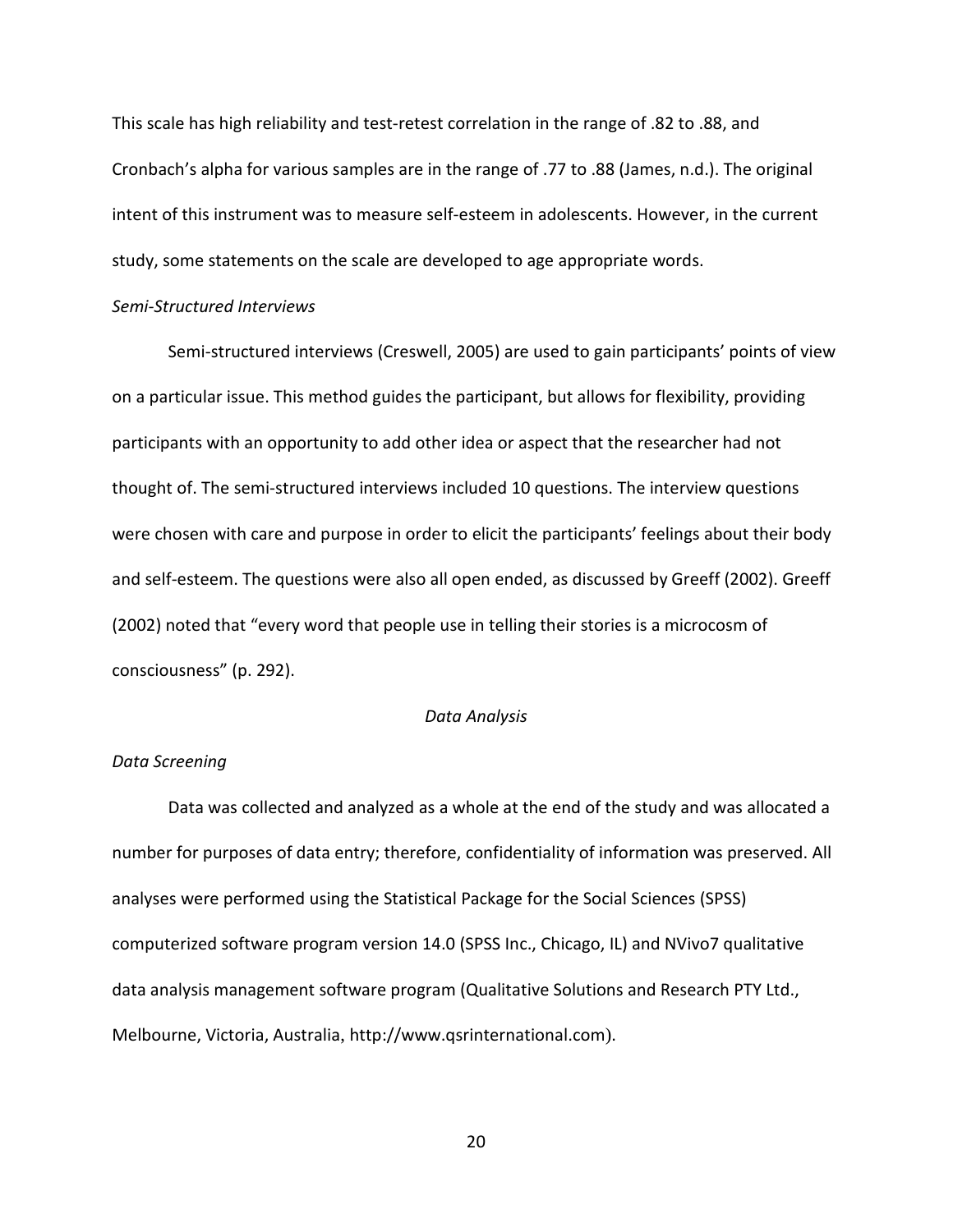This scale has high reliability and test-retest correlation in the range of .82 to .88, and Cronbach's alpha for various samples are in the range of .77 to .88 (James, n.d.). The original intent of this instrument was to measure self-esteem in adolescents. However, in the current study, some statements on the scale are developed to age appropriate words.

### *Semi-Structured Interviews*

Semi-structured interviews (Creswell, 2005) are used to gain participants' points of view on a particular issue. This method guides the participant, but allows for flexibility, providing participants with an opportunity to add other idea or aspect that the researcher had not thought of. The semi-structured interviews included 10 questions. The interview questions were chosen with care and purpose in order to elicit the participants' feelings about their body and self-esteem. The questions were also all open ended, as discussed by Greeff (2002). Greeff (2002) noted that "every word that people use in telling their stories is a microcosm of consciousness" (p. 292).

#### *Data Analysis*

## <span id="page-26-0"></span>*Data Screening*

Data was collected and analyzed as a whole at the end of the study and was allocated a number for purposes of data entry; therefore, confidentiality of information was preserved. All analyses were performed using the Statistical Package for the Social Sciences (SPSS) computerized software program version 14.0 (SPSS Inc., Chicago, IL) and NVivo7 qualitative data analysis management software program (Qualitative Solutions and Research PTY Ltd., Melbourne, Victoria, Australia, [http://www.qsrinternational.com](http://www.qsrinternational.com/)).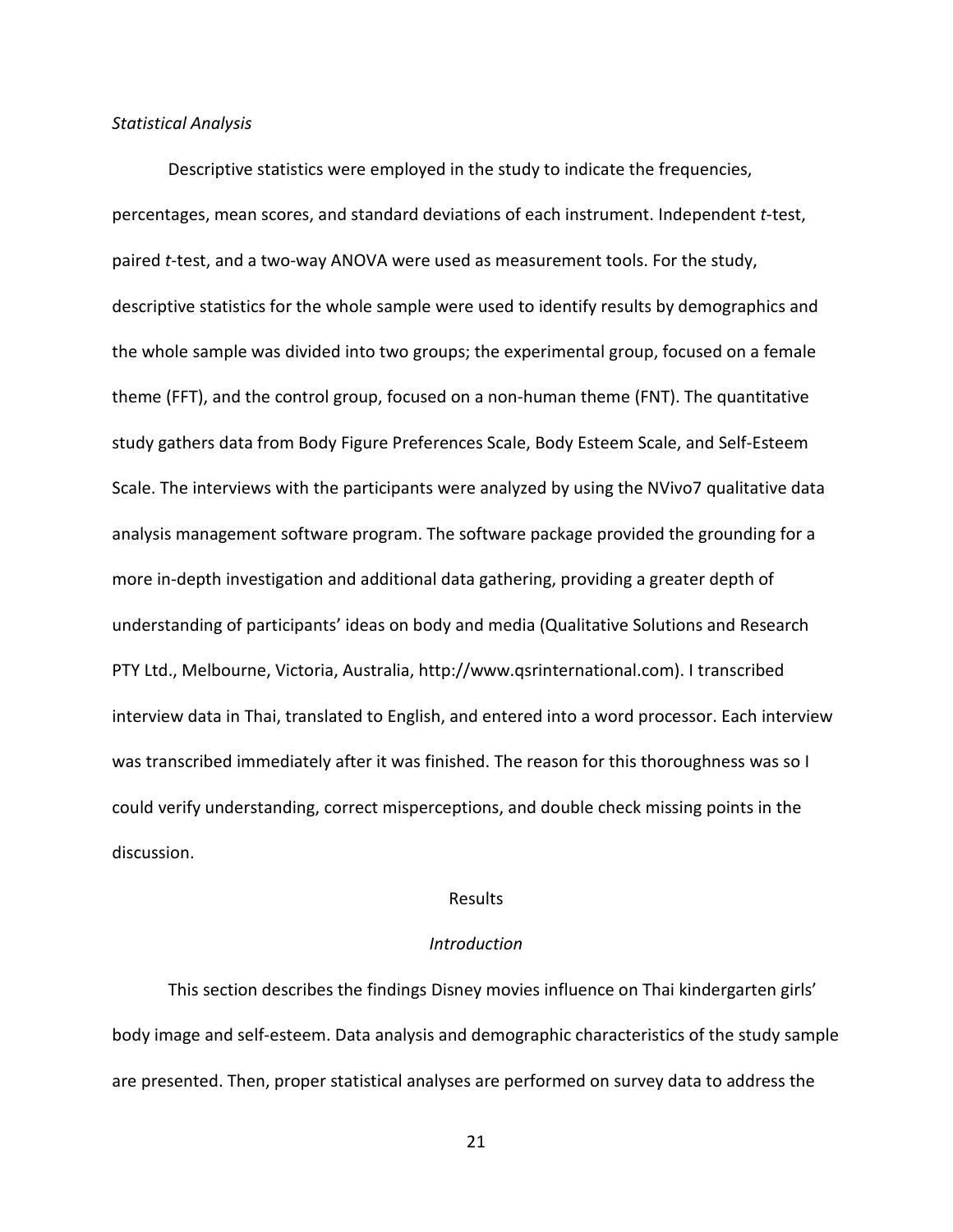### *Statistical Analysis*

Descriptive statistics were employed in the study to indicate the frequencies, percentages, mean scores, and standard deviations of each instrument. Independent *t*-test, paired *t*-test, and a two-way ANOVA were used as measurement tools. For the study, descriptive statistics for the whole sample were used to identify results by demographics and the whole sample was divided into two groups; the experimental group, focused on a female theme (FFT), and the control group, focused on a non-human theme (FNT). The quantitative study gathers data from Body Figure Preferences Scale, Body Esteem Scale, and Self-Esteem Scale. The interviews with the participants were analyzed by using the NVivo7 qualitative data analysis management software program. The software package provided the grounding for a more in-depth investigation and additional data gathering, providing a greater depth of understanding of participants' ideas on body and media (Qualitative Solutions and Research PTY Ltd., Melbourne, Victoria, Australia, [http://www.qsrinternational.com\)](http://www.qsrinternational.com/). I transcribed interview data in Thai, translated to English, and entered into a word processor. Each interview was transcribed immediately after it was finished. The reason for this thoroughness was so I could verify understanding, correct misperceptions, and double check missing points in the discussion.

## Results

### *Introduction*

This section describes the findings Disney movies influence on Thai kindergarten girls' body image and self-esteem. Data analysis and demographic characteristics of the study sample are presented. Then, proper statistical analyses are performed on survey data to address the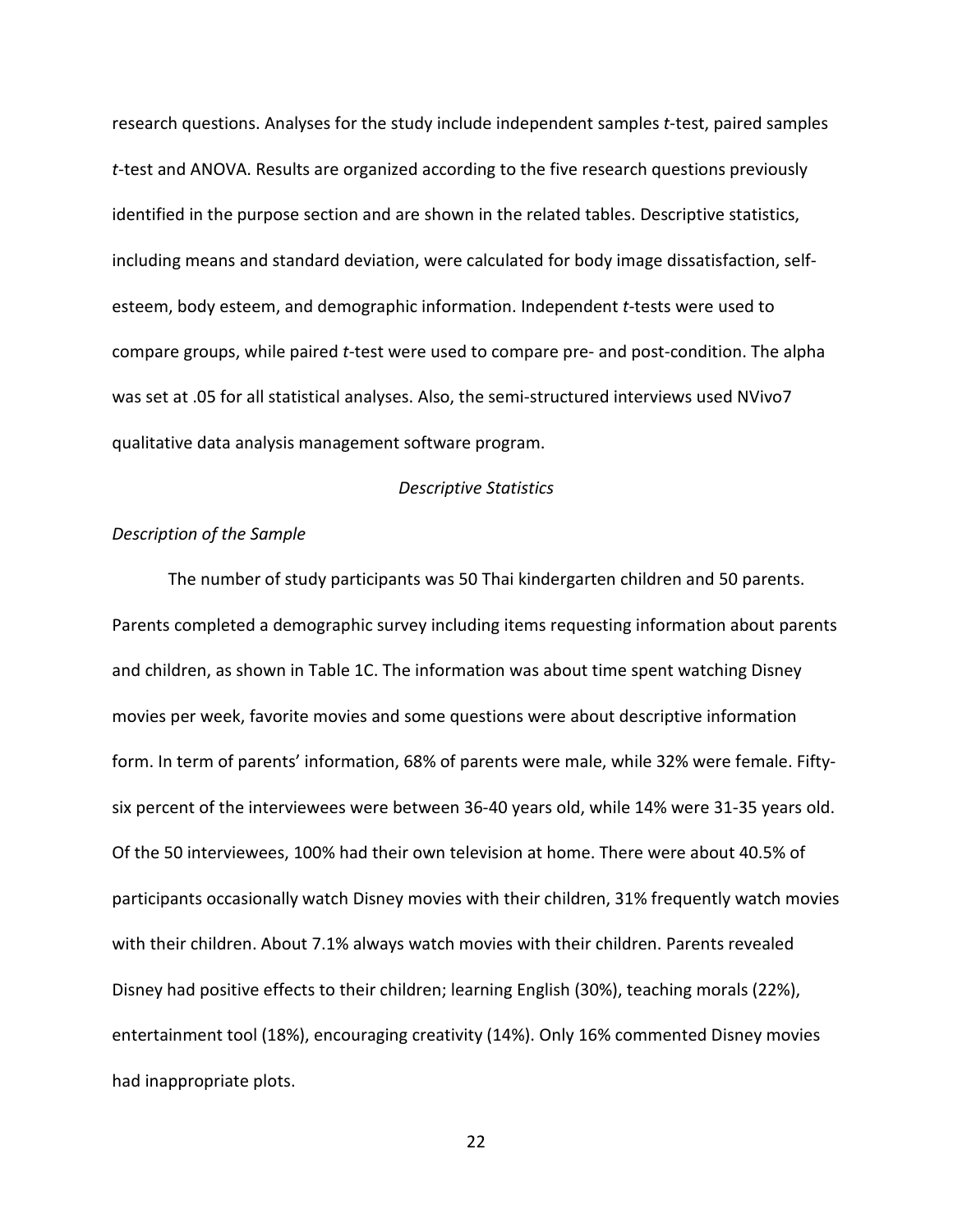research questions. Analyses for the study include independent samples *t*-test, paired samples *t*-test and ANOVA. Results are organized according to the five research questions previously identified in the purpose section and are shown in the related tables. Descriptive statistics, including means and standard deviation, were calculated for body image dissatisfaction, selfesteem, body esteem, and demographic information. Independent *t*-tests were used to compare groups, while paired *t*-test were used to compare pre- and post-condition. The alpha was set at .05 for all statistical analyses. Also, the semi-structured interviews used NVivo7 qualitative data analysis management software program.

### *Descriptive Statistics*

### *Description of the Sample*

The number of study participants was 50 Thai kindergarten children and 50 parents. Parents completed a demographic survey including items requesting information about parents and children, as shown in Table 1C. The information was about time spent watching Disney movies per week, favorite movies and some questions were about descriptive information form. In term of parents' information, 68% of parents were male, while 32% were female. Fiftysix percent of the interviewees were between 36-40 years old, while 14% were 31-35 years old. Of the 50 interviewees, 100% had their own television at home. There were about 40.5% of participants occasionally watch Disney movies with their children, 31% frequently watch movies with their children. About 7.1% always watch movies with their children. Parents revealed Disney had positive effects to their children; learning English (30%), teaching morals (22%), entertainment tool (18%), encouraging creativity (14%). Only 16% commented Disney movies had inappropriate plots.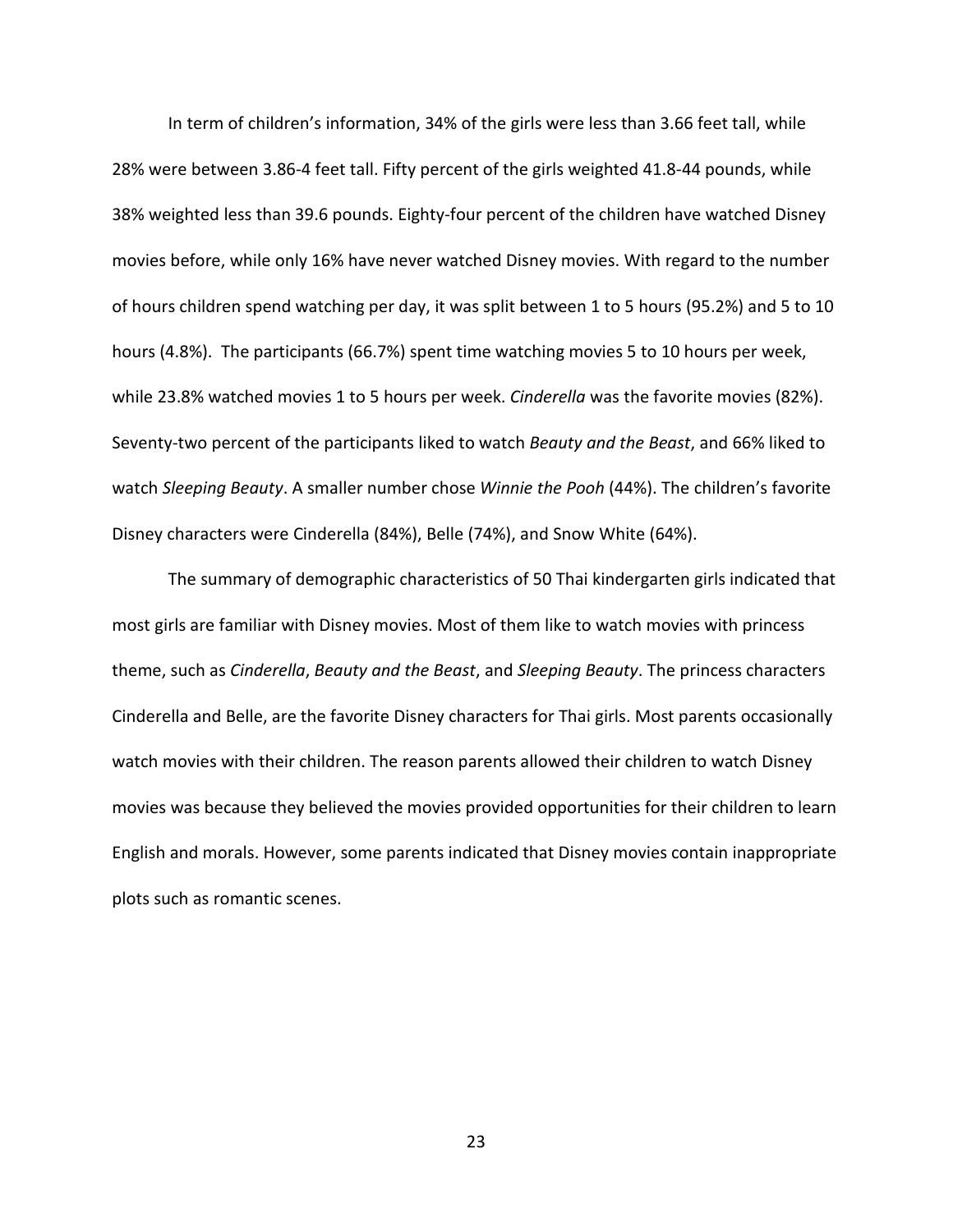In term of children's information, 34% of the girls were less than 3.66 feet tall, while 28% were between 3.86-4 feet tall. Fifty percent of the girls weighted 41.8-44 pounds, while 38% weighted less than 39.6 pounds. Eighty-four percent of the children have watched Disney movies before, while only 16% have never watched Disney movies. With regard to the number of hours children spend watching per day, it was split between 1 to 5 hours (95.2%) and 5 to 10 hours (4.8%). The participants (66.7%) spent time watching movies 5 to 10 hours per week, while 23.8% watched movies 1 to 5 hours per week. *Cinderella* was the favorite movies (82%). Seventy-two percent of the participants liked to watch *Beauty and the Beast*, and 66% liked to watch *Sleeping Beauty*. A smaller number chose *Winnie the Pooh* (44%). The children's favorite Disney characters were Cinderella (84%), Belle (74%), and Snow White (64%).

The summary of demographic characteristics of 50 Thai kindergarten girls indicated that most girls are familiar with Disney movies. Most of them like to watch movies with princess theme, such as *Cinderella*, *Beauty and the Beast*, and *Sleeping Beauty*. The princess characters Cinderella and Belle, are the favorite Disney characters for Thai girls. Most parents occasionally watch movies with their children. The reason parents allowed their children to watch Disney movies was because they believed the movies provided opportunities for their children to learn English and morals. However, some parents indicated that Disney movies contain inappropriate plots such as romantic scenes.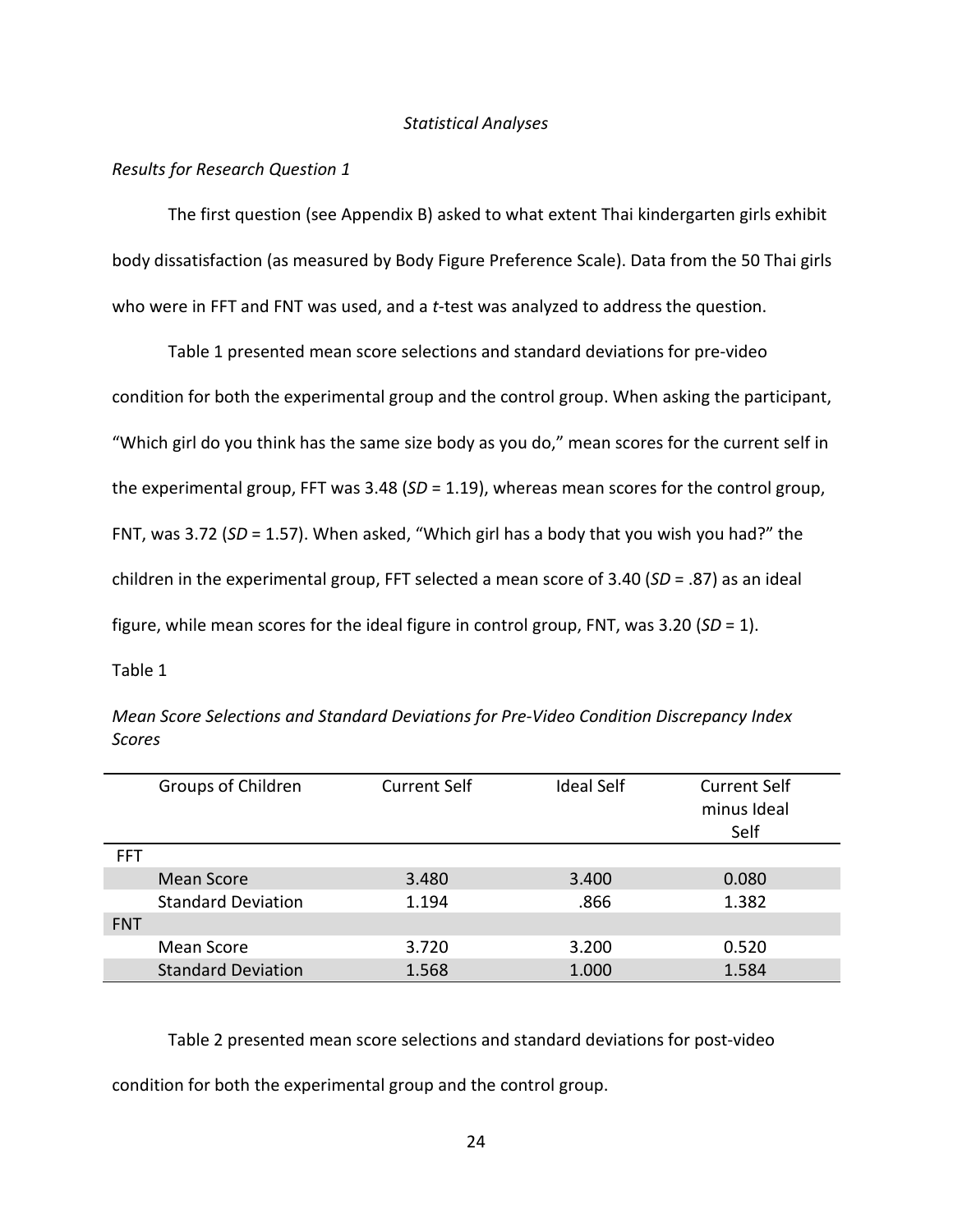### *Statistical Analyses*

### <span id="page-30-0"></span>*Results for Research Question 1*

The first question (see Appendix B) asked to what extent Thai kindergarten girls exhibit body dissatisfaction (as measured by Body Figure Preference Scale). Data from the 50 Thai girls who were in FFT and FNT was used, and a *t*-test was analyzed to address the question.

Table 1 presented mean score selections and standard deviations for pre-video condition for both the experimental group and the control group. When asking the participant, "Which girl do you think has the same size body as you do," mean scores for the current self in the experimental group, FFT was 3.48 (*SD* = 1.19), whereas mean scores for the control group, FNT, was 3.72 (*SD* = 1.57). When asked, "Which girl has a body that you wish you had?" the children in the experimental group, FFT selected a mean score of 3.40 (*SD* = .87) as an ideal figure, while mean scores for the ideal figure in control group, FNT, was 3.20 (*SD* = 1).

Table 1

|            | Groups of Children        | <b>Current Self</b> | <b>Ideal Self</b> | <b>Current Self</b><br>minus Ideal<br>Self |
|------------|---------------------------|---------------------|-------------------|--------------------------------------------|
| <b>FFT</b> |                           |                     |                   |                                            |
|            | <b>Mean Score</b>         | 3.480               | 3.400             | 0.080                                      |
|            | <b>Standard Deviation</b> | 1.194               | .866              | 1.382                                      |
| <b>FNT</b> |                           |                     |                   |                                            |
|            | Mean Score                | 3.720               | 3.200             | 0.520                                      |
|            | <b>Standard Deviation</b> | 1.568               | 1.000             | 1.584                                      |

*Mean Score Selections and Standard Deviations for Pre-Video Condition Discrepancy Index Scores*

Table 2 presented mean score selections and standard deviations for post-video

condition for both the experimental group and the control group.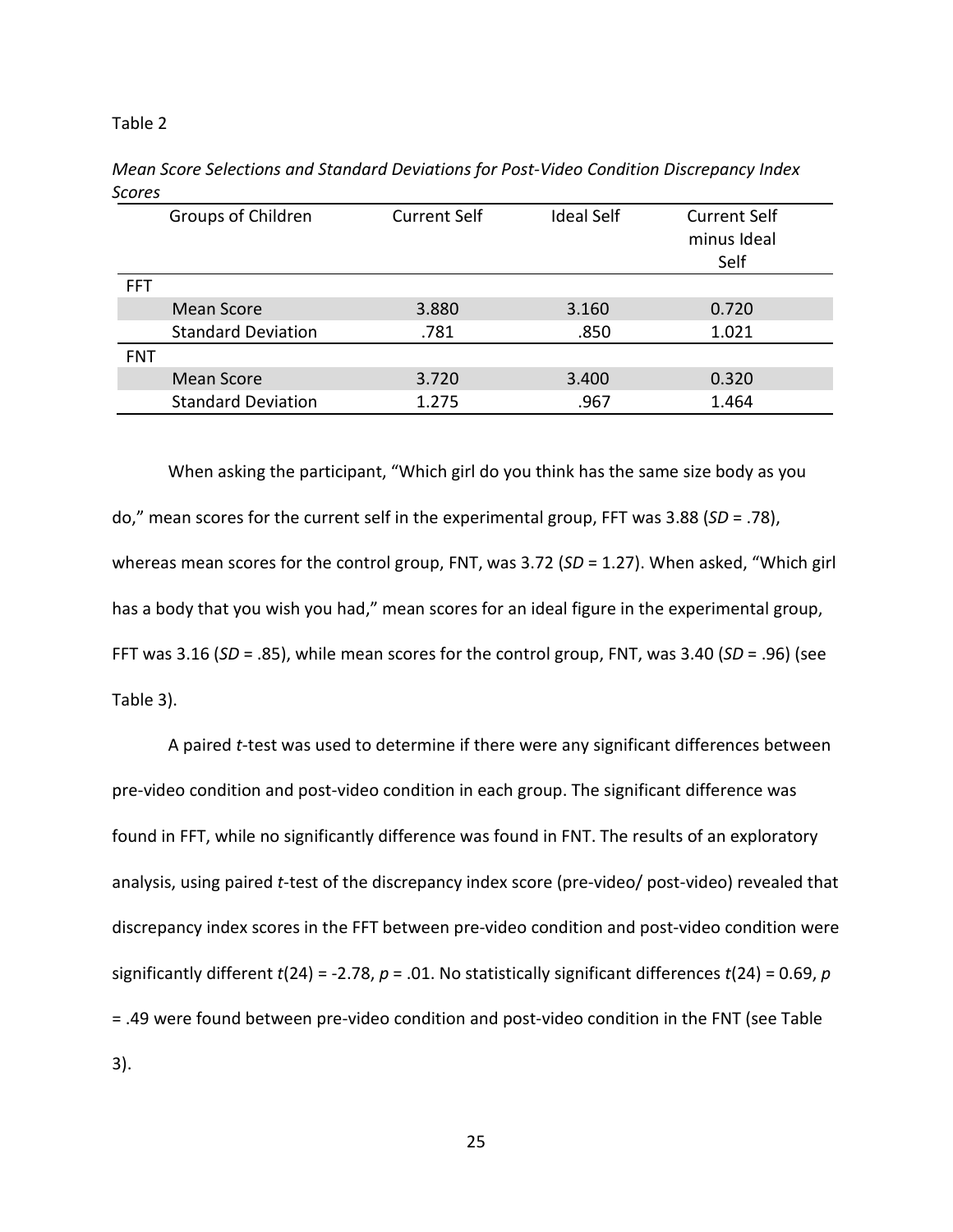#### Table 2

|            | Groups of Children        | <b>Current Self</b> | <b>Ideal Self</b> | <b>Current Self</b><br>minus Ideal<br>Self |
|------------|---------------------------|---------------------|-------------------|--------------------------------------------|
| <b>FFT</b> |                           |                     |                   |                                            |
|            | <b>Mean Score</b>         | 3.880               | 3.160             | 0.720                                      |
|            | <b>Standard Deviation</b> | .781                | .850              | 1.021                                      |
| <b>FNT</b> |                           |                     |                   |                                            |
|            | Mean Score                | 3.720               | 3.400             | 0.320                                      |
|            | <b>Standard Deviation</b> | 1.275               | .967              | 1.464                                      |

*Mean Score Selections and Standard Deviations for Post-Video Condition Discrepancy Index Scores*

When asking the participant, "Which girl do you think has the same size body as you do," mean scores for the current self in the experimental group, FFT was 3.88 (*SD* = .78), whereas mean scores for the control group, FNT, was 3.72 (SD = 1.27). When asked, "Which girl has a body that you wish you had," mean scores for an ideal figure in the experimental group, FFT was 3.16 (*SD* = .85), while mean scores for the control group, FNT, was 3.40 (*SD* = .96) (see Table 3).

A paired *t*-test was used to determine if there were any significant differences between pre-video condition and post-video condition in each group. The significant difference was found in FFT, while no significantly difference was found in FNT. The results of an exploratory analysis, using paired *t*-test of the discrepancy index score (pre-video/ post-video) revealed that discrepancy index scores in the FFT between pre-video condition and post-video condition were significantly different  $t(24) = -2.78$ ,  $p = .01$ . No statistically significant differences  $t(24) = 0.69$ ,  $p$ = .49 were found between pre-video condition and post-video condition in the FNT (see Table 3).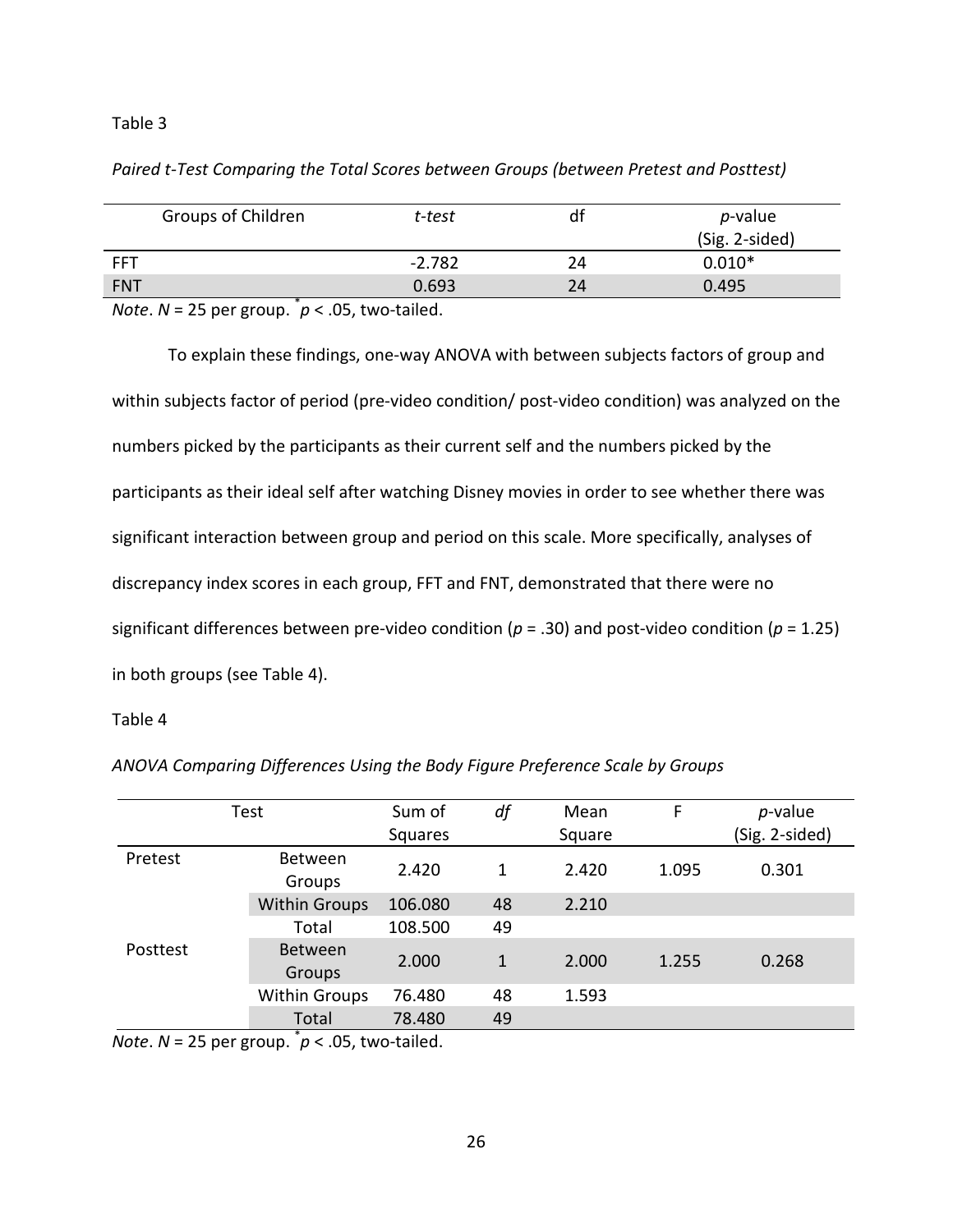## Table 3

## *Paired t-Test Comparing the Total Scores between Groups (between Pretest and Posttest)*

| Groups of Children                                                                                                                              | t-test   | df | $p$ -value<br>(Sig. 2-sided) |
|-------------------------------------------------------------------------------------------------------------------------------------------------|----------|----|------------------------------|
| <b>FFT</b>                                                                                                                                      | $-2.782$ | 24 | $0.010*$                     |
| <b>FNT</b>                                                                                                                                      | 0.693    | 24 | 0.495                        |
| $\mathbf{A} \mathbf{I}$ , and $\mathbf{A} \mathbf{F}$ , and $\mathbf{A} \mathbf{F}$ , and $\mathbf{A} \mathbf{F}$ , and $\mathbf{A} \mathbf{F}$ |          |    |                              |

*Note*. *N* = 25 per group. \* *p* < .05, two-tailed.

To explain these findings, one-way ANOVA with between subjects factors of group and within subjects factor of period (pre-video condition/ post-video condition) was analyzed on the numbers picked by the participants as their current self and the numbers picked by the participants as their ideal self after watching Disney movies in order to see whether there was significant interaction between group and period on this scale. More specifically, analyses of discrepancy index scores in each group, FFT and FNT, demonstrated that there were no significant differences between pre-video condition (*p* = .30) and post-video condition (*p* = 1.25) in both groups (see Table 4).

### Table 4

|          | Test                            | Sum of         | df | Mean   | F     | $p$ -value     |
|----------|---------------------------------|----------------|----|--------|-------|----------------|
|          |                                 | <b>Squares</b> |    | Square |       | (Sig. 2-sided) |
| Pretest  | Between<br>Groups               | 2.420          | 1  | 2.420  | 1.095 | 0.301          |
|          | <b>Within Groups</b>            | 106.080        | 48 | 2.210  |       |                |
|          | Total                           | 108.500        | 49 |        |       |                |
| Posttest | <b>Between</b><br><b>Groups</b> | 2.000          | 1  | 2.000  | 1.255 | 0.268          |
|          | <b>Within Groups</b>            | 76.480         | 48 | 1.593  |       |                |
|          | Total                           | 78.480         | 49 |        |       |                |
|          | $\ast$                          |                |    |        |       |                |

*ANOVA Comparing Differences Using the Body Figure Preference Scale by Groups* 

*Note*.  $N = 25$  per group.  $p < .05$ , two-tailed.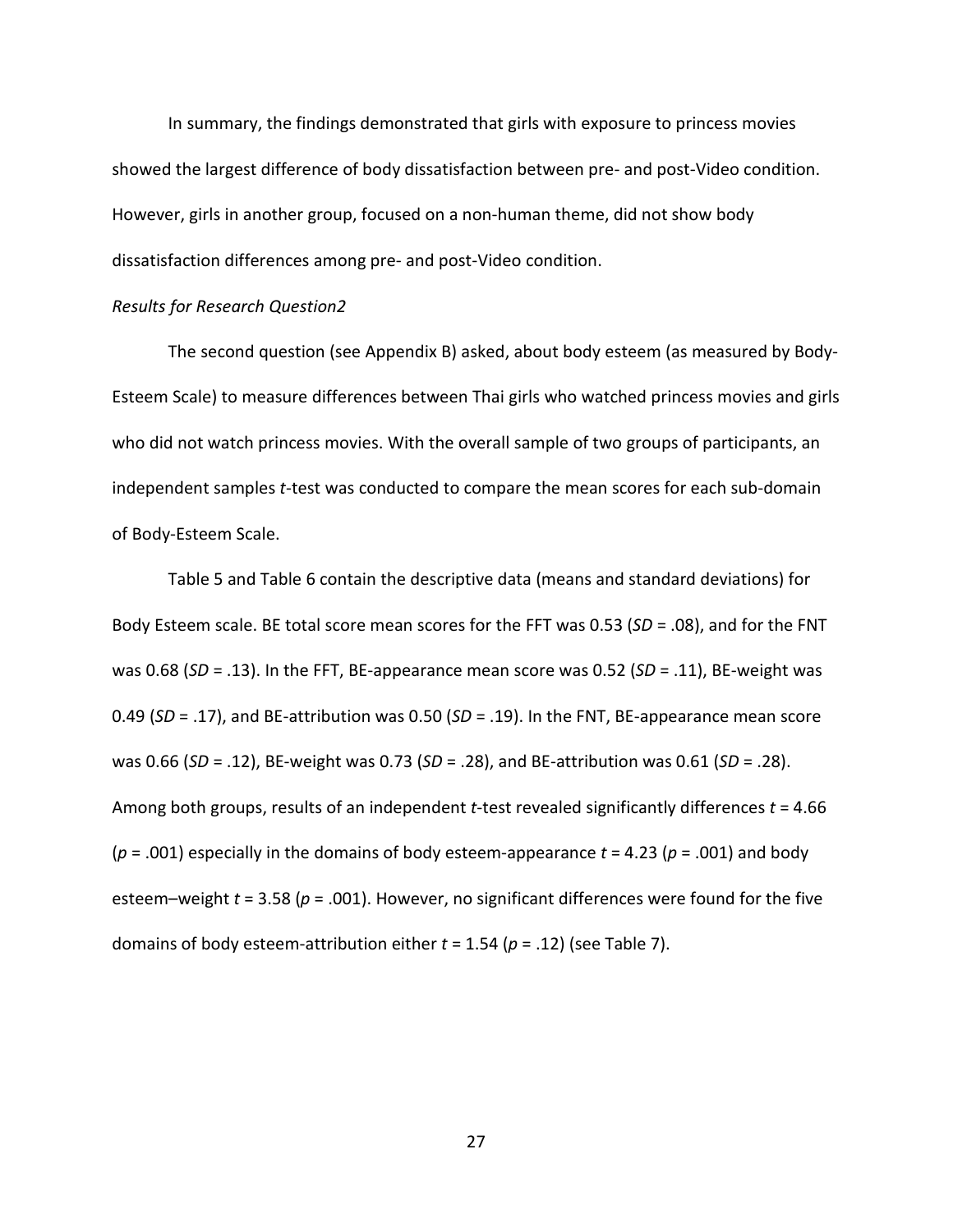In summary, the findings demonstrated that girls with exposure to princess movies showed the largest difference of body dissatisfaction between pre- and post-Video condition. However, girls in another group, focused on a non-human theme, did not show body dissatisfaction differences among pre- and post-Video condition.

### *Results for Research Question2*

The second question (see Appendix B) asked, about body esteem (as measured by Body-Esteem Scale) to measure differences between Thai girls who watched princess movies and girls who did not watch princess movies. With the overall sample of two groups of participants, an independent samples *t*-test was conducted to compare the mean scores for each sub-domain of Body-Esteem Scale.

Table 5 and Table 6 contain the descriptive data (means and standard deviations) for Body Esteem scale. BE total score mean scores for the FFT was 0.53 (*SD* = .08), and for the FNT was 0.68 (*SD* = .13). In the FFT, BE-appearance mean score was 0.52 (*SD* = .11), BE-weight was 0.49 (*SD* = .17), and BE-attribution was 0.50 (*SD* = .19). In the FNT, BE-appearance mean score was 0.66 (*SD* = .12), BE-weight was 0.73 (*SD* = .28), and BE-attribution was 0.61 (*SD* = .28). Among both groups, results of an independent *t*-test revealed significantly differences *t* = 4.66  $(p = .001)$  especially in the domains of body esteem-appearance  $t = 4.23 (p = .001)$  and body esteem–weight *t* = 3.58 (*p* = .001). However, no significant differences were found for the five domains of body esteem-attribution either *t* = 1.54 (*p* = .12) (see Table 7).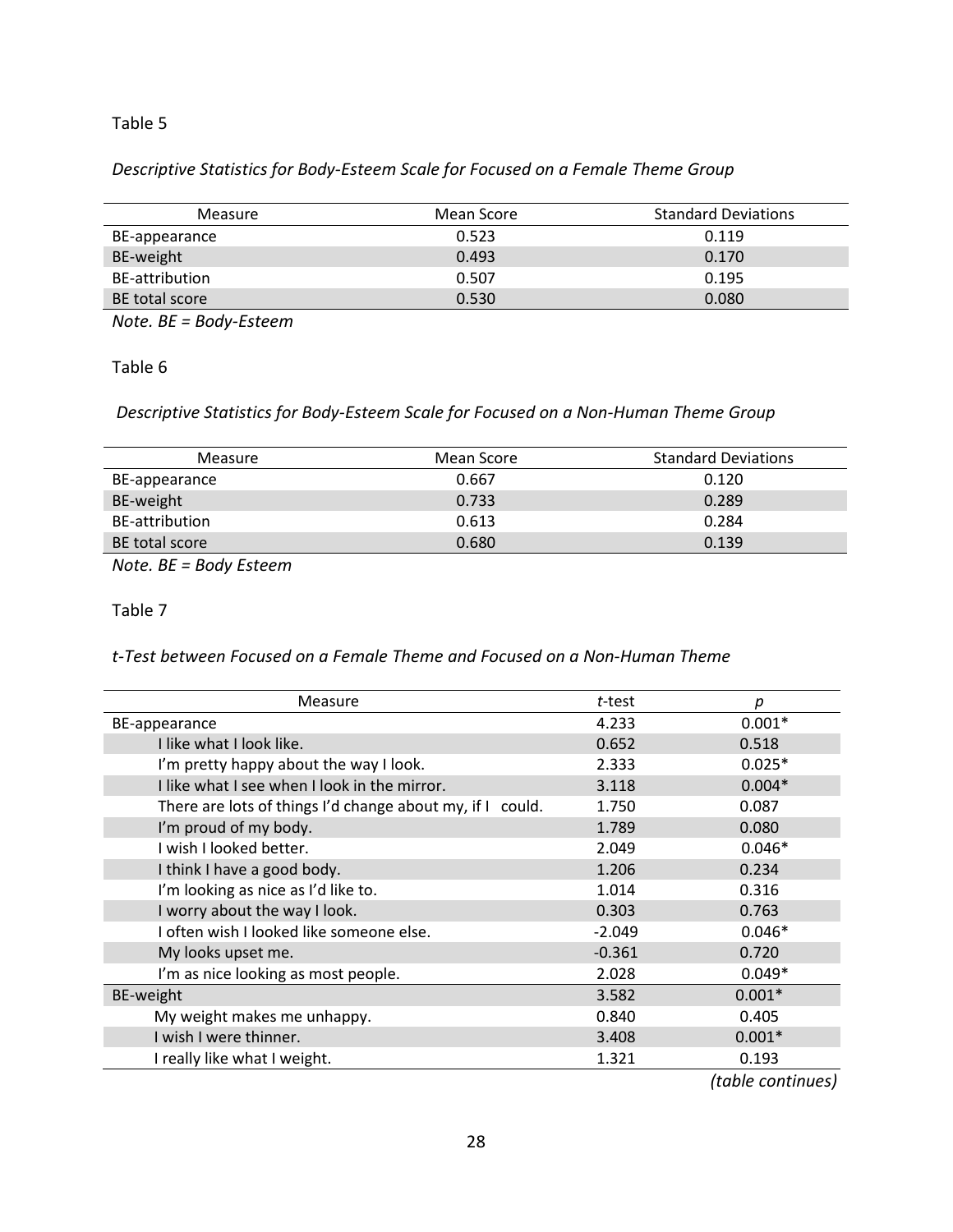## Table 5

# *Descriptive Statistics for Body-Esteem Scale for Focused on a Female Theme Group*

| Measure        | Mean Score | <b>Standard Deviations</b> |
|----------------|------------|----------------------------|
| BE-appearance  | 0.523      | 0.119                      |
| BE-weight      | 0.493      | 0.170                      |
| BE-attribution | 0.507      | 0.195                      |
| BE total score | 0.530      | 0.080                      |
|                |            |                            |

*Note. BE = Body-Esteem*

Table 6

*Descriptive Statistics for Body-Esteem Scale for Focused on a Non-Human Theme Group*

| Measure        | Mean Score | <b>Standard Deviations</b> |
|----------------|------------|----------------------------|
| BE-appearance  | 0.667      | 0.120                      |
| BE-weight      | 0.733      | 0.289                      |
| BE-attribution | 0.613      | 0.284                      |
| BE total score | 0.680      | 0.139                      |

*Note. BE = Body Esteem*

Table 7

*t-Test between Focused on a Female Theme and Focused on a Non-Human Theme*

| Measure                                                   | t-test   | р        |
|-----------------------------------------------------------|----------|----------|
| BE-appearance                                             | 4.233    | $0.001*$ |
| I like what I look like.                                  | 0.652    | 0.518    |
| I'm pretty happy about the way I look.                    | 2.333    | $0.025*$ |
| I like what I see when I look in the mirror.              | 3.118    | $0.004*$ |
| There are lots of things I'd change about my, if I could. | 1.750    | 0.087    |
| I'm proud of my body.                                     | 1.789    | 0.080    |
| I wish I looked better.                                   | 2.049    | $0.046*$ |
| I think I have a good body.                               | 1.206    | 0.234    |
| I'm looking as nice as I'd like to.                       | 1.014    | 0.316    |
| I worry about the way I look.                             | 0.303    | 0.763    |
| I often wish I looked like someone else.                  | $-2.049$ | $0.046*$ |
| My looks upset me.                                        | $-0.361$ | 0.720    |
| I'm as nice looking as most people.                       | 2.028    | $0.049*$ |
| BE-weight                                                 | 3.582    | $0.001*$ |
| My weight makes me unhappy.                               | 0.840    | 0.405    |
| I wish I were thinner.                                    | 3.408    | $0.001*$ |
| I really like what I weight.                              | 1.321    | 0.193    |

 *(table continues)*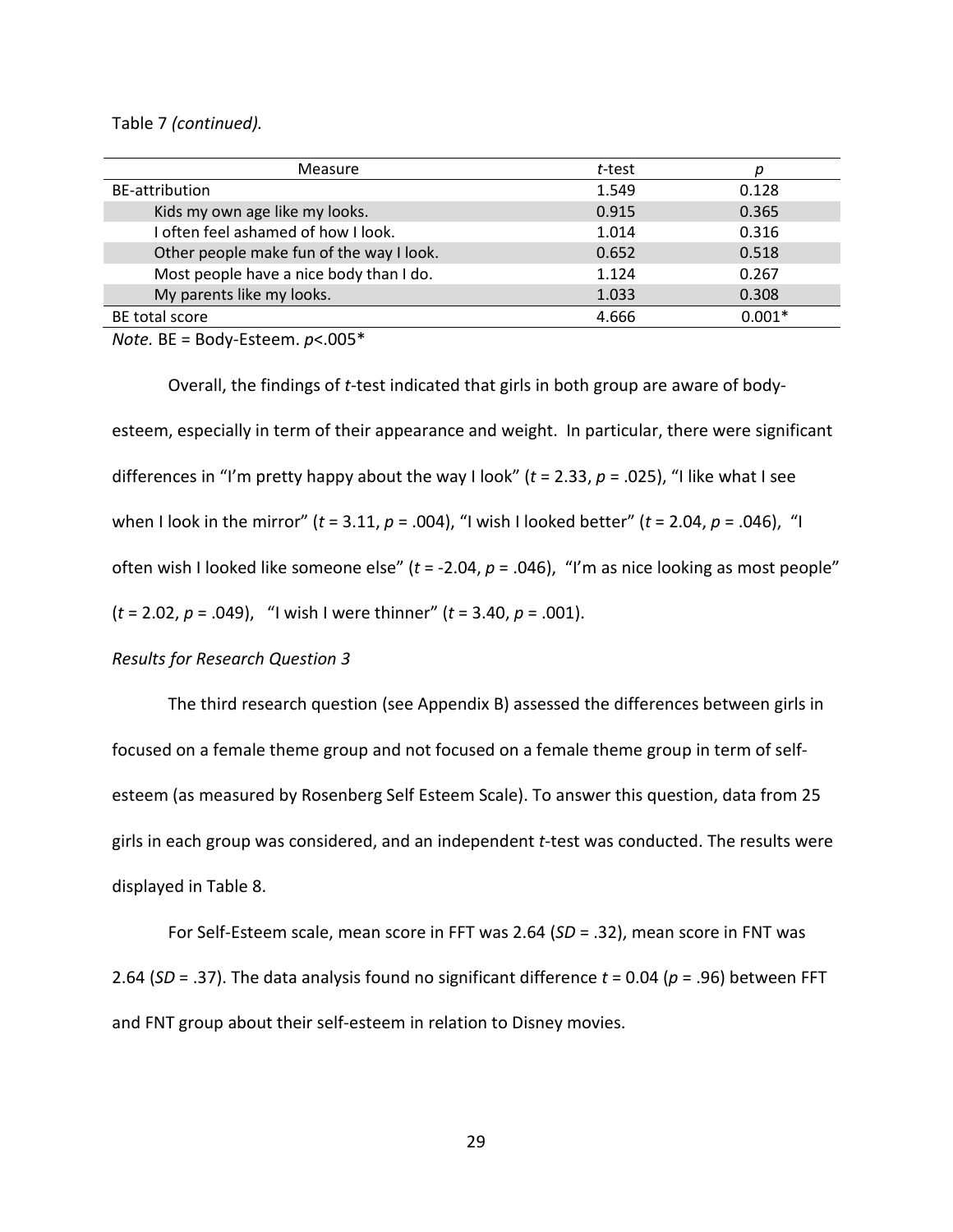### Table 7 *(continued).*

| t-test |          |
|--------|----------|
| 1.549  | 0.128    |
| 0.915  | 0.365    |
| 1.014  | 0.316    |
| 0.652  | 0.518    |
| 1.124  | 0.267    |
| 1.033  | 0.308    |
| 4.666  | $0.001*$ |
|        |          |

*Note.* BE = Body-Esteem. *p*<.005\*

Overall, the findings of *t*-test indicated that girls in both group are aware of bodyesteem, especially in term of their appearance and weight. In particular, there were significant differences in "I'm pretty happy about the way I look" (*t* = 2.33, *p* = .025), "I like what I see when I look in the mirror" (*t* = 3.11, *p* = .004), "I wish I looked better" (*t* = 2.04, *p* = .046), "I often wish I looked like someone else" (*t* = -2.04, *p* = .046), "I'm as nice looking as most people" (*t* = 2.02, *p* = .049), "I wish I were thinner" (*t* = 3.40, *p* = .001).

## *Results for Research Question 3*

The third research question (see Appendix B) assessed the differences between girls in focused on a female theme group and not focused on a female theme group in term of selfesteem (as measured by Rosenberg Self Esteem Scale). To answer this question, data from 25 girls in each group was considered, and an independent *t*-test was conducted. The results were displayed in Table 8.

For Self-Esteem scale, mean score in FFT was 2.64 (*SD* = .32), mean score in FNT was 2.64 (*SD* = .37). The data analysis found no significant difference *t* = 0.04 (*p* = .96) between FFT and FNT group about their self-esteem in relation to Disney movies.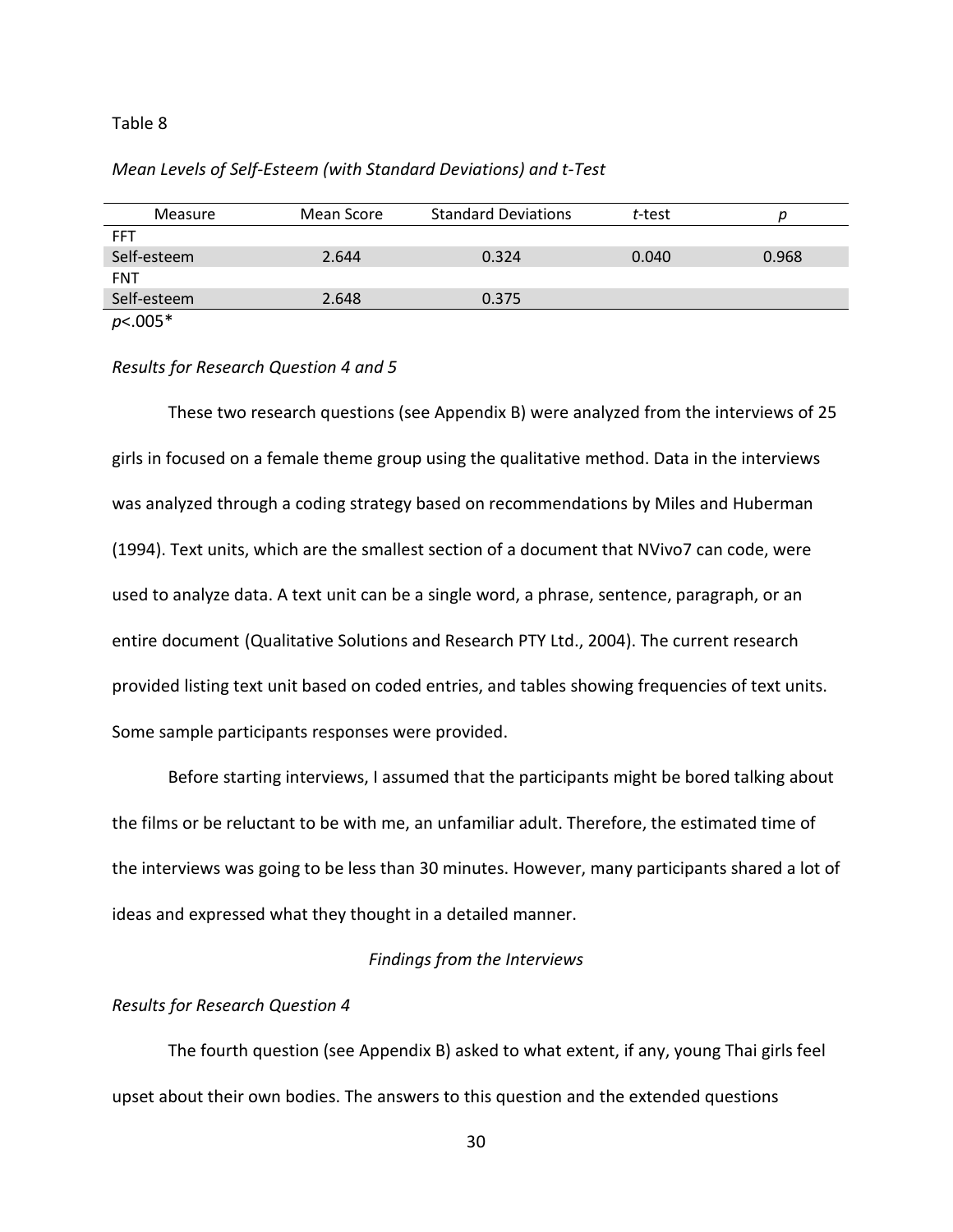#### Table 8

| Mean Levels of Self-Esteem (with Standard Deviations) and t-Test |  |
|------------------------------------------------------------------|--|
|                                                                  |  |

| Measure     | Mean Score | <b>Standard Deviations</b> | t-test |       |
|-------------|------------|----------------------------|--------|-------|
| <b>FFT</b>  |            |                            |        |       |
| Self-esteem | 2.644      | 0.324                      | 0.040  | 0.968 |
| <b>FNT</b>  |            |                            |        |       |
| Self-esteem | 2.648      | 0.375                      |        |       |
| $p<.005*$   |            |                            |        |       |

## *Results for Research Question 4 and 5*

These two research questions (see Appendix B) were analyzed from the interviews of 25 girls in focused on a female theme group using the qualitative method. Data in the interviews was analyzed through a coding strategy based on recommendations by Miles and Huberman (1994). Text units, which are the smallest section of a document that NVivo7 can code, were used to analyze data. A text unit can be a single word, a phrase, sentence, paragraph, or an entire document (Qualitative Solutions and Research PTY Ltd., 2004). The current research provided listing text unit based on coded entries, and tables showing frequencies of text units. Some sample participants responses were provided.

Before starting interviews, I assumed that the participants might be bored talking about the films or be reluctant to be with me, an unfamiliar adult. Therefore, the estimated time of the interviews was going to be less than 30 minutes. However, many participants shared a lot of ideas and expressed what they thought in a detailed manner.

## *Findings from the Interviews*

### *Results for Research Question 4*

The fourth question (see Appendix B) asked to what extent, if any, young Thai girls feel upset about their own bodies. The answers to this question and the extended questions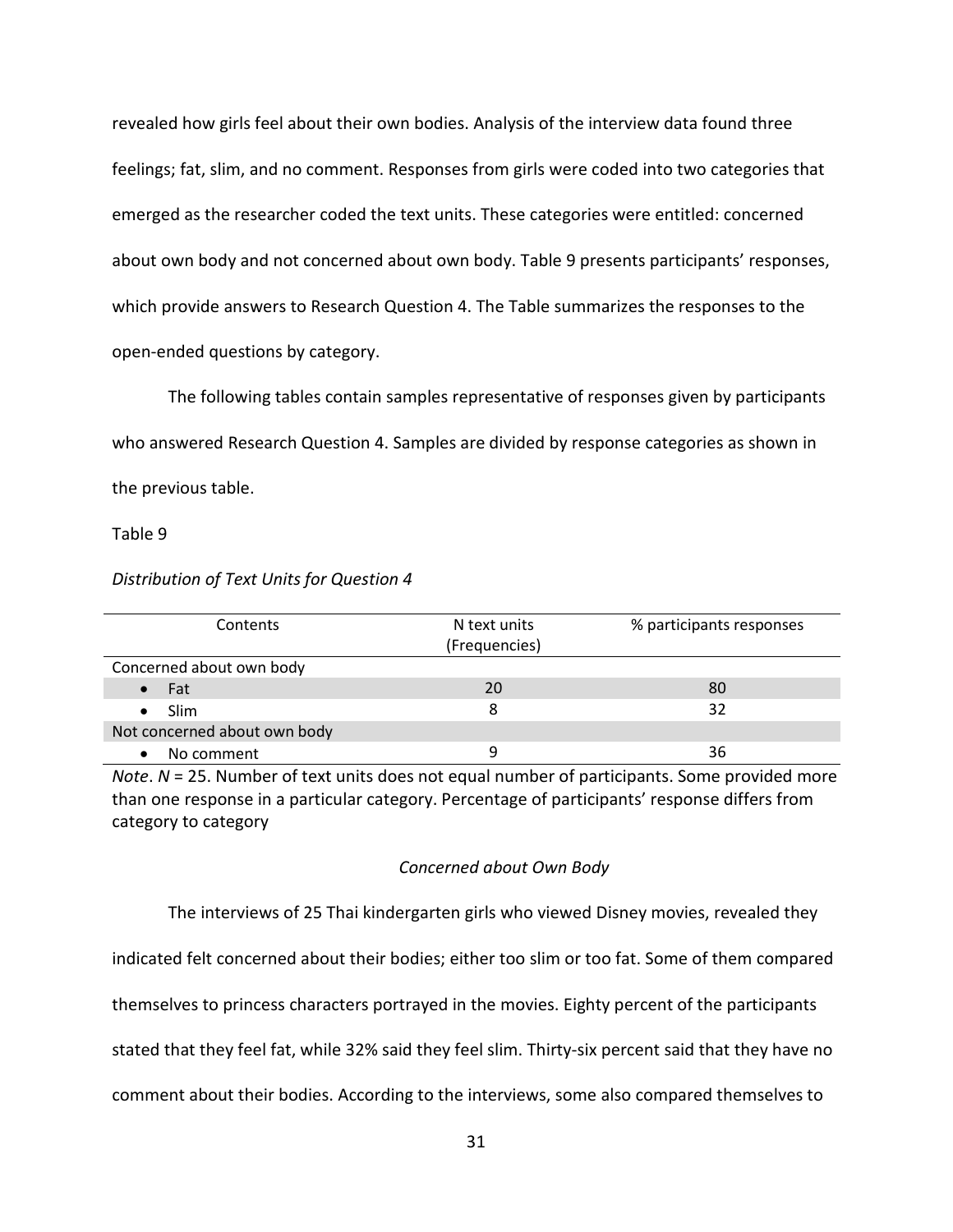revealed how girls feel about their own bodies. Analysis of the interview data found three feelings; fat, slim, and no comment. Responses from girls were coded into two categories that emerged as the researcher coded the text units. These categories were entitled: concerned about own body and not concerned about own body. Table 9 presents participants' responses, which provide answers to Research Question 4. The Table summarizes the responses to the open-ended questions by category.

The following tables contain samples representative of responses given by participants who answered Research Question 4. Samples are divided by response categories as shown in the previous table.

Table 9

## *Distribution of Text Units for Question 4*

| Contents                     | N text units  | % participants responses |
|------------------------------|---------------|--------------------------|
|                              | (Frequencies) |                          |
| Concerned about own body     |               |                          |
| Fat                          | 20            | 80                       |
| <b>Slim</b>                  |               | 32                       |
| Not concerned about own body |               |                          |
| No comment                   |               | 36                       |

*Note*. *N* = 25. Number of text units does not equal number of participants. Some provided more than one response in a particular category. Percentage of participants' response differs from category to category

# *Concerned about Own Body*

The interviews of 25 Thai kindergarten girls who viewed Disney movies, revealed they

indicated felt concerned about their bodies; either too slim or too fat. Some of them compared

themselves to princess characters portrayed in the movies. Eighty percent of the participants

stated that they feel fat, while 32% said they feel slim. Thirty-six percent said that they have no

comment about their bodies. According to the interviews, some also compared themselves to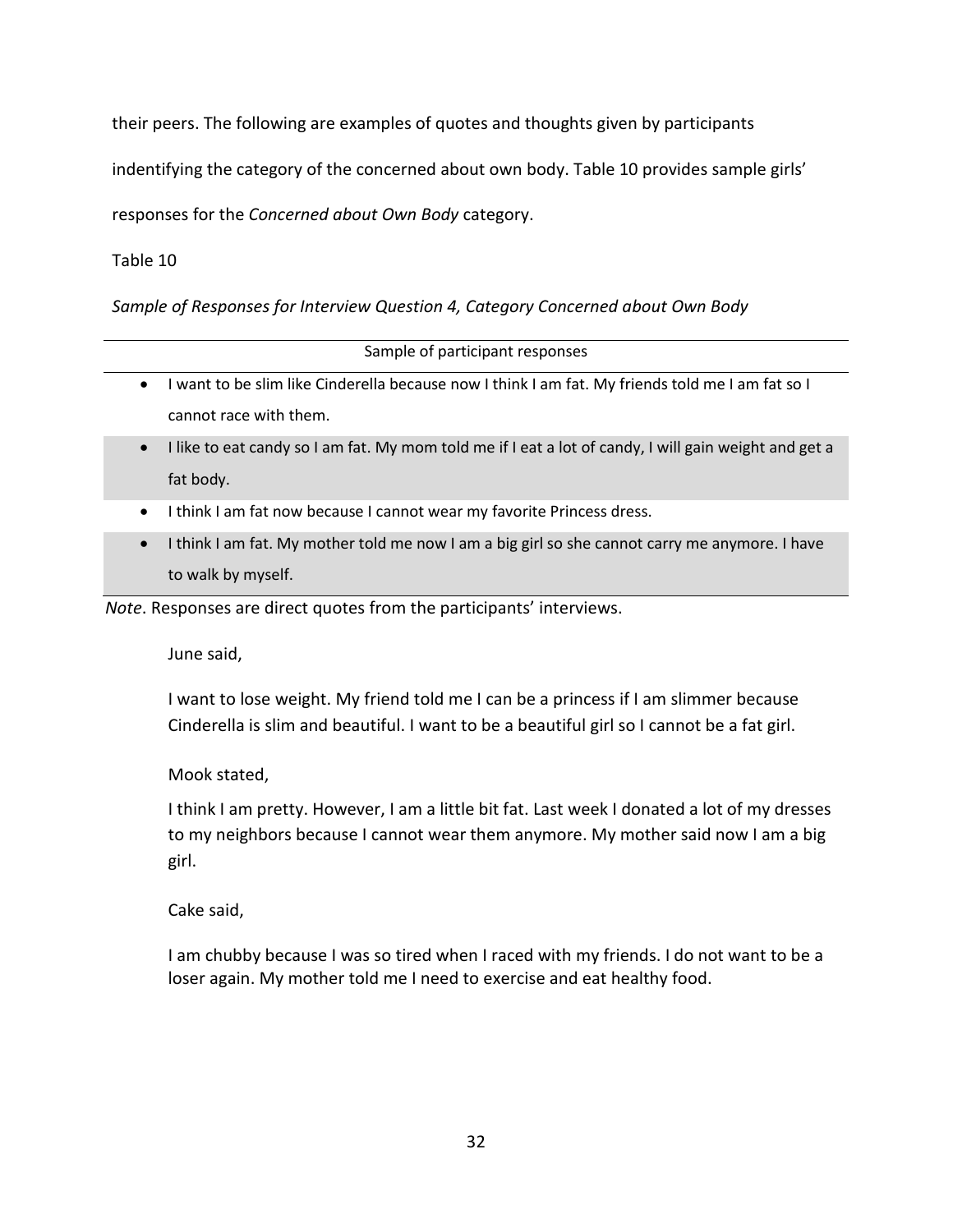their peers. The following are examples of quotes and thoughts given by participants

indentifying the category of the concerned about own body. Table 10 provides sample girls'

responses for the *Concerned about Own Body* category.

Table 10

*Sample of Responses for Interview Question 4, Category Concerned about Own Body*

|           | Sample of participant responses                                                                  |
|-----------|--------------------------------------------------------------------------------------------------|
| $\bullet$ | I want to be slim like Cinderella because now I think I am fat. My friends told me I am fat so I |

cannot race with them.

- I like to eat candy so I am fat. My mom told me if I eat a lot of candy, I will gain weight and get a fat body.
- I think I am fat now because I cannot wear my favorite Princess dress.
- I think I am fat. My mother told me now I am a big girl so she cannot carry me anymore. I have to walk by myself.

*Note*. Responses are direct quotes from the participants' interviews.

June said,

I want to lose weight. My friend told me I can be a princess if I am slimmer because Cinderella is slim and beautiful. I want to be a beautiful girl so I cannot be a fat girl.

Mook stated,

I think I am pretty. However, I am a little bit fat. Last week I donated a lot of my dresses to my neighbors because I cannot wear them anymore. My mother said now I am a big girl.

Cake said,

I am chubby because I was so tired when I raced with my friends. I do not want to be a loser again. My mother told me I need to exercise and eat healthy food.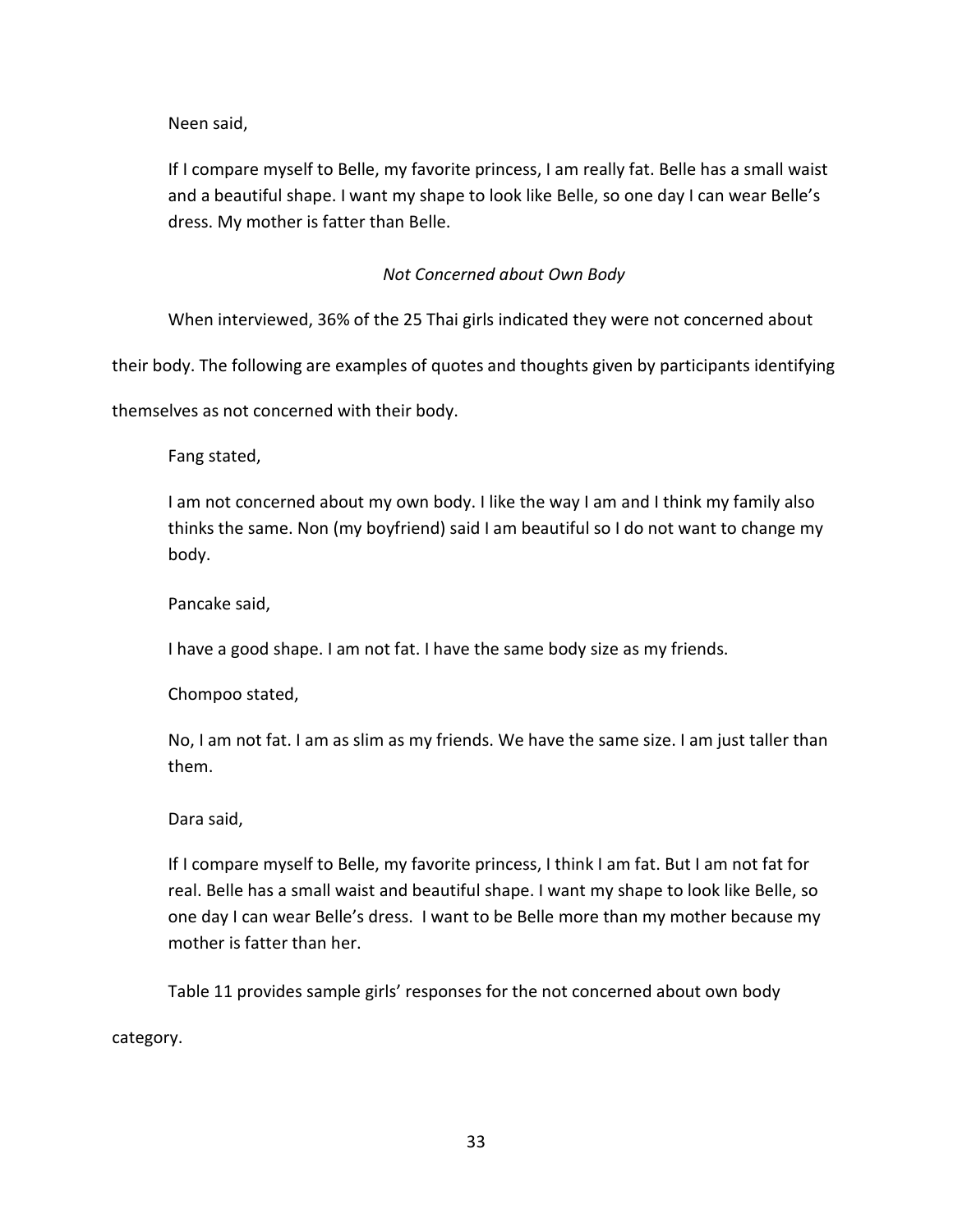Neen said,

If I compare myself to Belle, my favorite princess, I am really fat. Belle has a small waist and a beautiful shape. I want my shape to look like Belle, so one day I can wear Belle's dress. My mother is fatter than Belle.

# *Not Concerned about Own Body*

When interviewed, 36% of the 25 Thai girls indicated they were not concerned about

their body. The following are examples of quotes and thoughts given by participants identifying

themselves as not concerned with their body.

Fang stated,

I am not concerned about my own body. I like the way I am and I think my family also thinks the same. Non (my boyfriend) said I am beautiful so I do not want to change my body.

Pancake said,

I have a good shape. I am not fat. I have the same body size as my friends.

Chompoo stated,

No, I am not fat. I am as slim as my friends. We have the same size. I am just taller than them.

## Dara said,

If I compare myself to Belle, my favorite princess, I think I am fat. But I am not fat for real. Belle has a small waist and beautiful shape. I want my shape to look like Belle, so one day I can wear Belle's dress. I want to be Belle more than my mother because my mother is fatter than her.

Table 11 provides sample girls' responses for the not concerned about own body

category.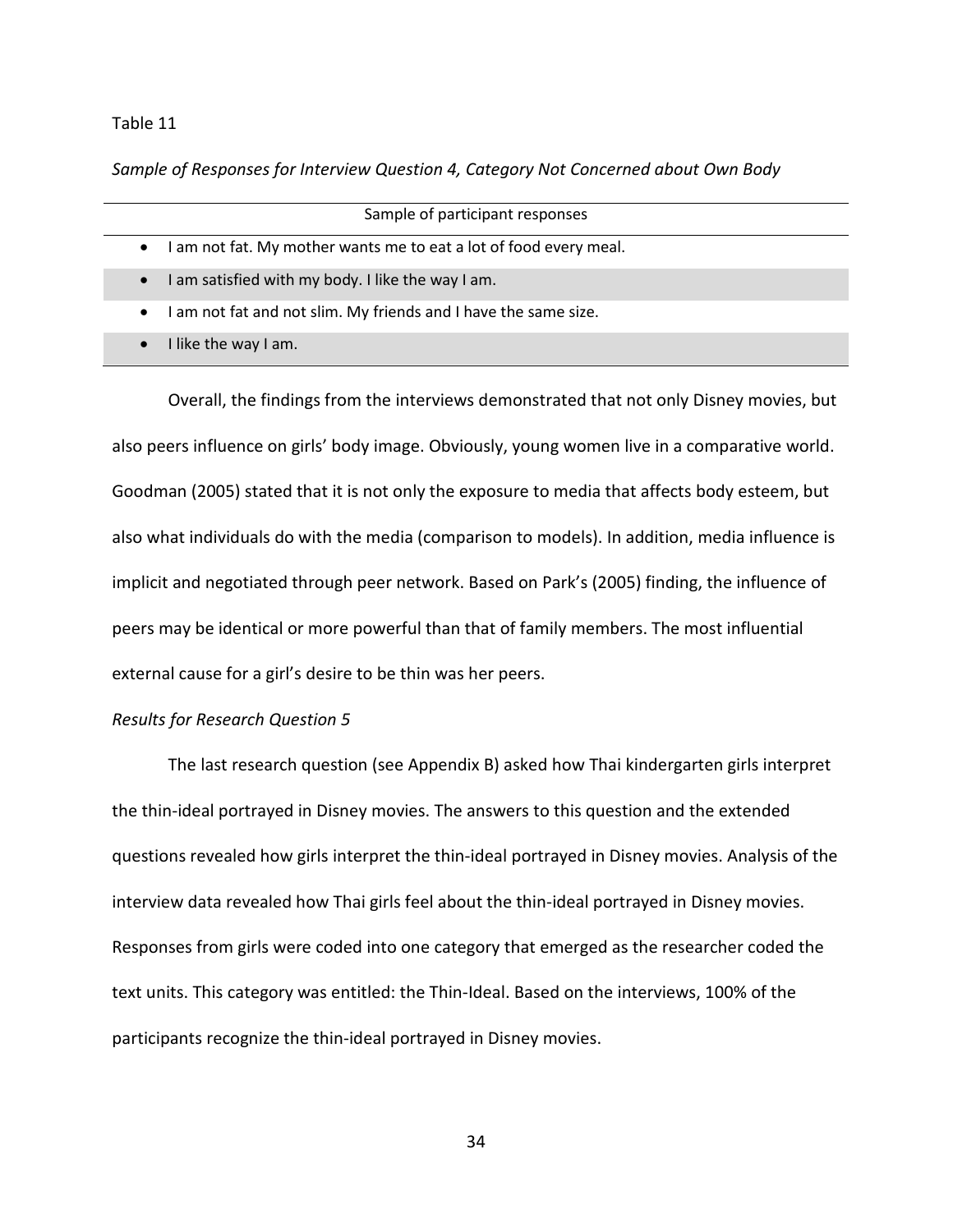## Table 11

*Sample of Responses for Interview Question 4, Category Not Concerned about Own Body*

| Sample of participant responses                                 |
|-----------------------------------------------------------------|
| am not fat. My mother wants me to eat a lot of food every meal. |
| am satisfied with my body. I like the way I am.                 |
| am not fat and not slim. My friends and I have the same size.   |

• I like the way I am.

Overall, the findings from the interviews demonstrated that not only Disney movies, but also peers influence on girls' body image. Obviously, young women live in a comparative world. Goodman (2005) stated that it is not only the exposure to media that affects body esteem, but also what individuals do with the media (comparison to models). In addition, media influence is implicit and negotiated through peer network. Based on Park's (2005) finding, the influence of peers may be identical or more powerful than that of family members. The most influential external cause for a girl's desire to be thin was her peers.

## *Results for Research Question 5*

The last research question (see Appendix B) asked how Thai kindergarten girls interpret the thin-ideal portrayed in Disney movies. The answers to this question and the extended questions revealed how girls interpret the thin-ideal portrayed in Disney movies. Analysis of the interview data revealed how Thai girls feel about the thin-ideal portrayed in Disney movies. Responses from girls were coded into one category that emerged as the researcher coded the text units. This category was entitled: the Thin-Ideal. Based on the interviews, 100% of the participants recognize the thin-ideal portrayed in Disney movies.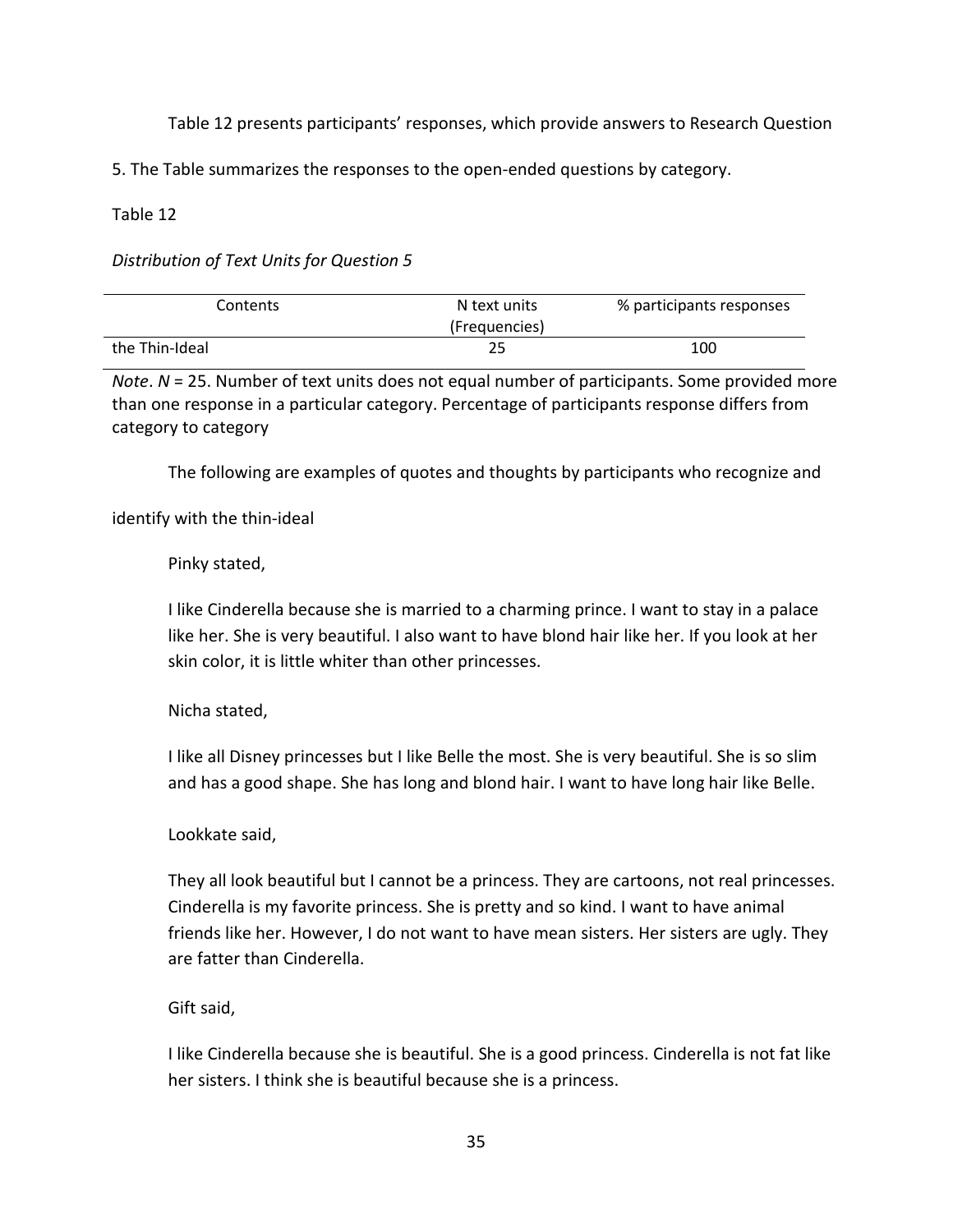Table 12 presents participants' responses, which provide answers to Research Question

5. The Table summarizes the responses to the open-ended questions by category.

Table 12

*Distribution of Text Units for Question 5*

| Contents       | N text units<br>(Frequencies) | % participants responses |
|----------------|-------------------------------|--------------------------|
| the Thin-Ideal |                               | 100                      |

*Note*. *N* = 25. Number of text units does not equal number of participants. Some provided more than one response in a particular category. Percentage of participants response differs from category to category

The following are examples of quotes and thoughts by participants who recognize and

identify with the thin-ideal

# Pinky stated,

I like Cinderella because she is married to a charming prince. I want to stay in a palace like her. She is very beautiful. I also want to have blond hair like her. If you look at her skin color, it is little whiter than other princesses.

# Nicha stated,

I like all Disney princesses but I like Belle the most. She is very beautiful. She is so slim and has a good shape. She has long and blond hair. I want to have long hair like Belle.

# Lookkate said,

They all look beautiful but I cannot be a princess. They are cartoons, not real princesses. Cinderella is my favorite princess. She is pretty and so kind. I want to have animal friends like her. However, I do not want to have mean sisters. Her sisters are ugly. They are fatter than Cinderella.

# Gift said,

I like Cinderella because she is beautiful. She is a good princess. Cinderella is not fat like her sisters. I think she is beautiful because she is a princess.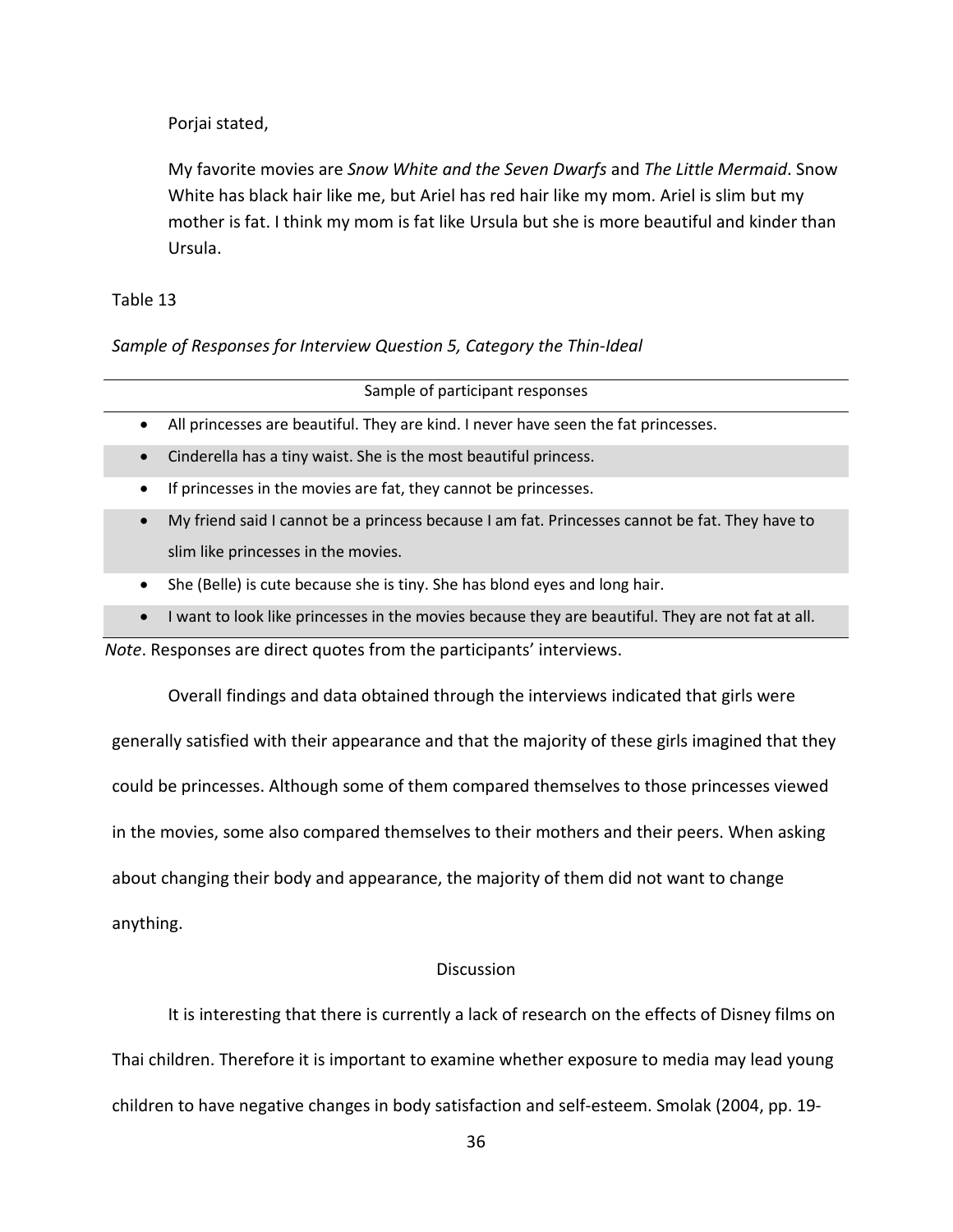Porjai stated,

My favorite movies are *Snow White and the Seven Dwarfs* and *The Little Mermaid*. Snow White has black hair like me, but Ariel has red hair like my mom. Ariel is slim but my mother is fat. I think my mom is fat like Ursula but she is more beautiful and kinder than Ursula.

## Table 13

*Sample of Responses for Interview Question 5, Category the Thin-Ideal*

|           | Sample of participant responses                                                                                                       |
|-----------|---------------------------------------------------------------------------------------------------------------------------------------|
| $\bullet$ | All princesses are beautiful. They are kind. I never have seen the fat princesses.                                                    |
| $\bullet$ | Cinderella has a tiny waist. She is the most beautiful princess.                                                                      |
| ٠         | If princesses in the movies are fat, they cannot be princesses.                                                                       |
| $\bullet$ | My friend said I cannot be a princess because I am fat. Princesses cannot be fat. They have to<br>slim like princesses in the movies. |
|           | She (Belle) is cute because she is tiny. She has blond eyes and long hair.                                                            |

• I want to look like princesses in the movies because they are beautiful. They are not fat at all.

*Note*. Responses are direct quotes from the participants' interviews.

Overall findings and data obtained through the interviews indicated that girls were

generally satisfied with their appearance and that the majority of these girls imagined that they could be princesses. Although some of them compared themselves to those princesses viewed in the movies, some also compared themselves to their mothers and their peers. When asking

about changing their body and appearance, the majority of them did not want to change

anything.

# **Discussion**

It is interesting that there is currently a lack of research on the effects of Disney films on Thai children. Therefore it is important to examine whether exposure to media may lead young children to have negative changes in body satisfaction and self-esteem. Smolak (2004, pp. 19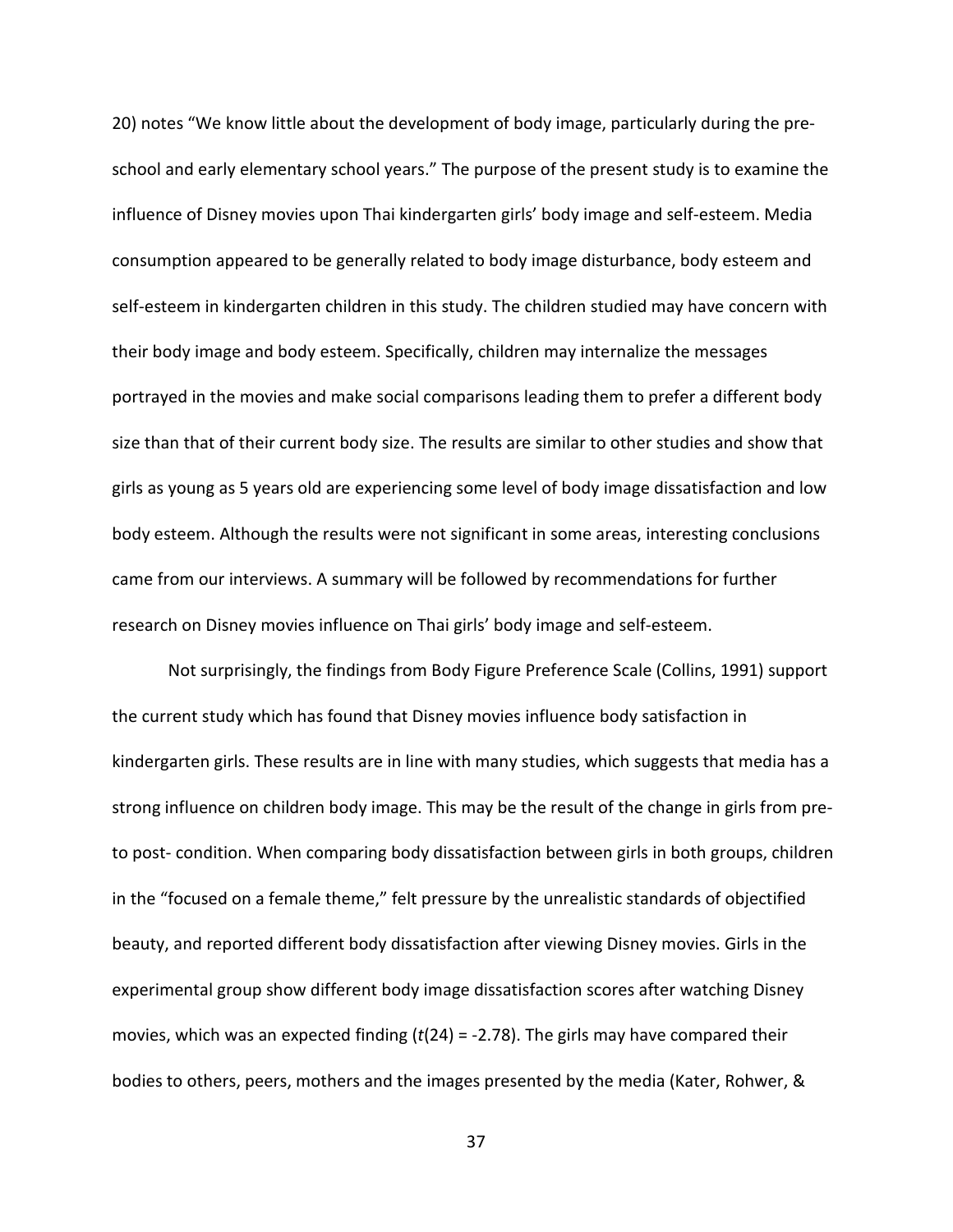20) notes "We know little about the development of body image, particularly during the preschool and early elementary school years." The purpose of the present study is to examine the influence of Disney movies upon Thai kindergarten girls' body image and self-esteem. Media consumption appeared to be generally related to body image disturbance, body esteem and self-esteem in kindergarten children in this study. The children studied may have concern with their body image and body esteem. Specifically, children may internalize the messages portrayed in the movies and make social comparisons leading them to prefer a different body size than that of their current body size. The results are similar to other studies and show that girls as young as 5 years old are experiencing some level of body image dissatisfaction and low body esteem. Although the results were not significant in some areas, interesting conclusions came from our interviews. A summary will be followed by recommendations for further research on Disney movies influence on Thai girls' body image and self-esteem.

Not surprisingly, the findings from Body Figure Preference Scale (Collins, 1991) support the current study which has found that Disney movies influence body satisfaction in kindergarten girls. These results are in line with many studies, which suggests that media has a strong influence on children body image. This may be the result of the change in girls from preto post- condition. When comparing body dissatisfaction between girls in both groups, children in the "focused on a female theme," felt pressure by the unrealistic standards of objectified beauty, and reported different body dissatisfaction after viewing Disney movies. Girls in the experimental group show different body image dissatisfaction scores after watching Disney movies, which was an expected finding (*t*(24) = -2.78). The girls may have compared their bodies to others, peers, mothers and the images presented by the media (Kater, Rohwer, &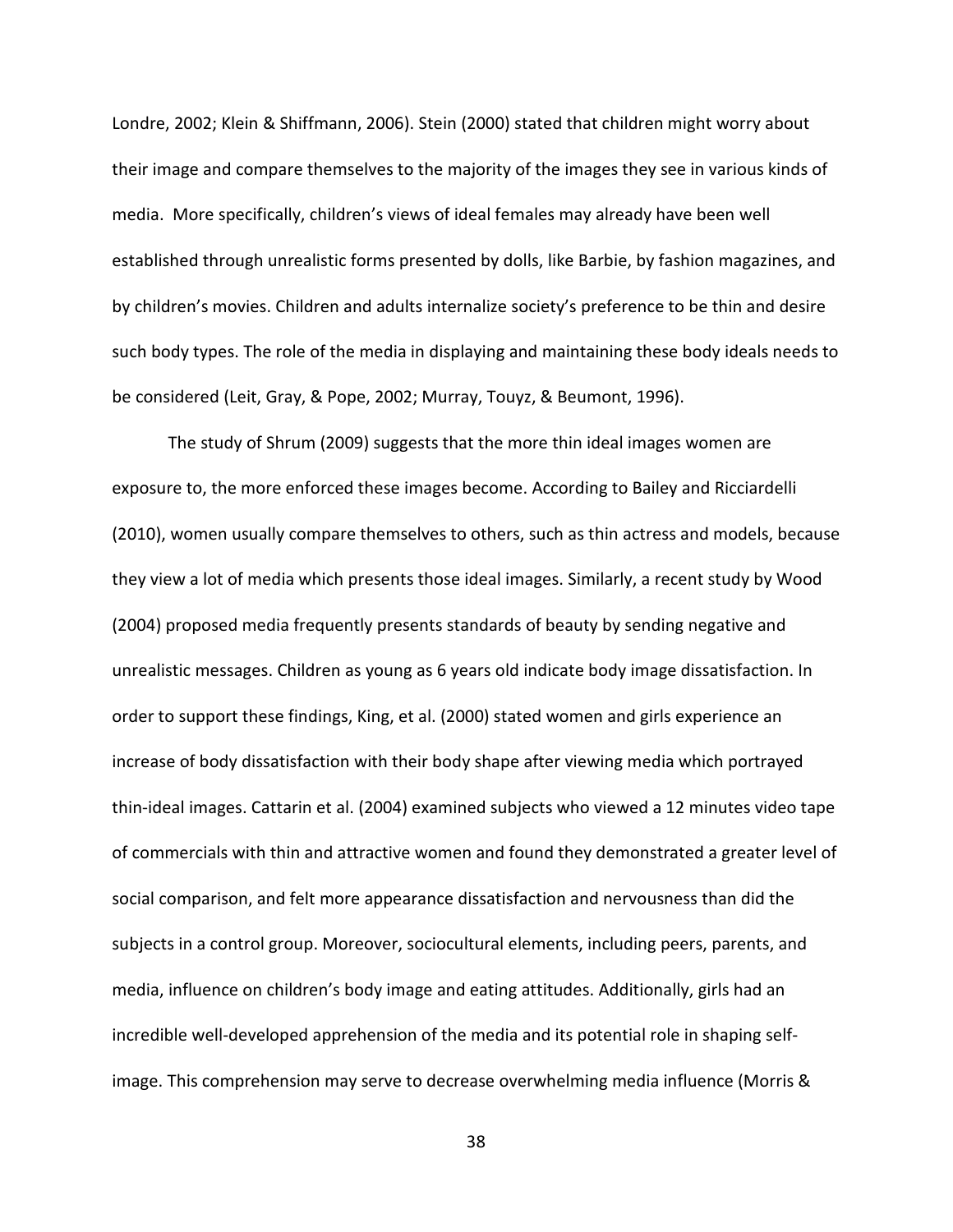Londre, 2002; Klein & Shiffmann, 2006). Stein (2000) stated that children might worry about their image and compare themselves to the majority of the images they see in various kinds of media. More specifically, children's views of ideal females may already have been well established through unrealistic forms presented by dolls, like Barbie, by fashion magazines, and by children's movies. Children and adults internalize society's preference to be thin and desire such body types. The role of the media in displaying and maintaining these body ideals needs to be considered (Leit, Gray, & Pope, 2002; Murray, Touyz, & Beumont, 1996).

The study of Shrum (2009) suggests that the more thin ideal images women are exposure to, the more enforced these images become. According to Bailey and Ricciardelli (2010), women usually compare themselves to others, such as thin actress and models, because they view a lot of media which presents those ideal images. Similarly, a recent study by Wood (2004) proposed media frequently presents standards of beauty by sending negative and unrealistic messages. Children as young as 6 years old indicate body image dissatisfaction. In order to support these findings, King, et al. (2000) stated women and girls experience an increase of body dissatisfaction with their body shape after viewing media which portrayed thin-ideal images. Cattarin et al. (2004) examined subjects who viewed a 12 minutes video tape of commercials with thin and attractive women and found they demonstrated a greater level of social comparison, and felt more appearance dissatisfaction and nervousness than did the subjects in a control group. Moreover, sociocultural elements, including peers, parents, and media, influence on children's body image and eating attitudes. Additionally, girls had an incredible well-developed apprehension of the media and its potential role in shaping selfimage. This comprehension may serve to decrease overwhelming media influence (Morris &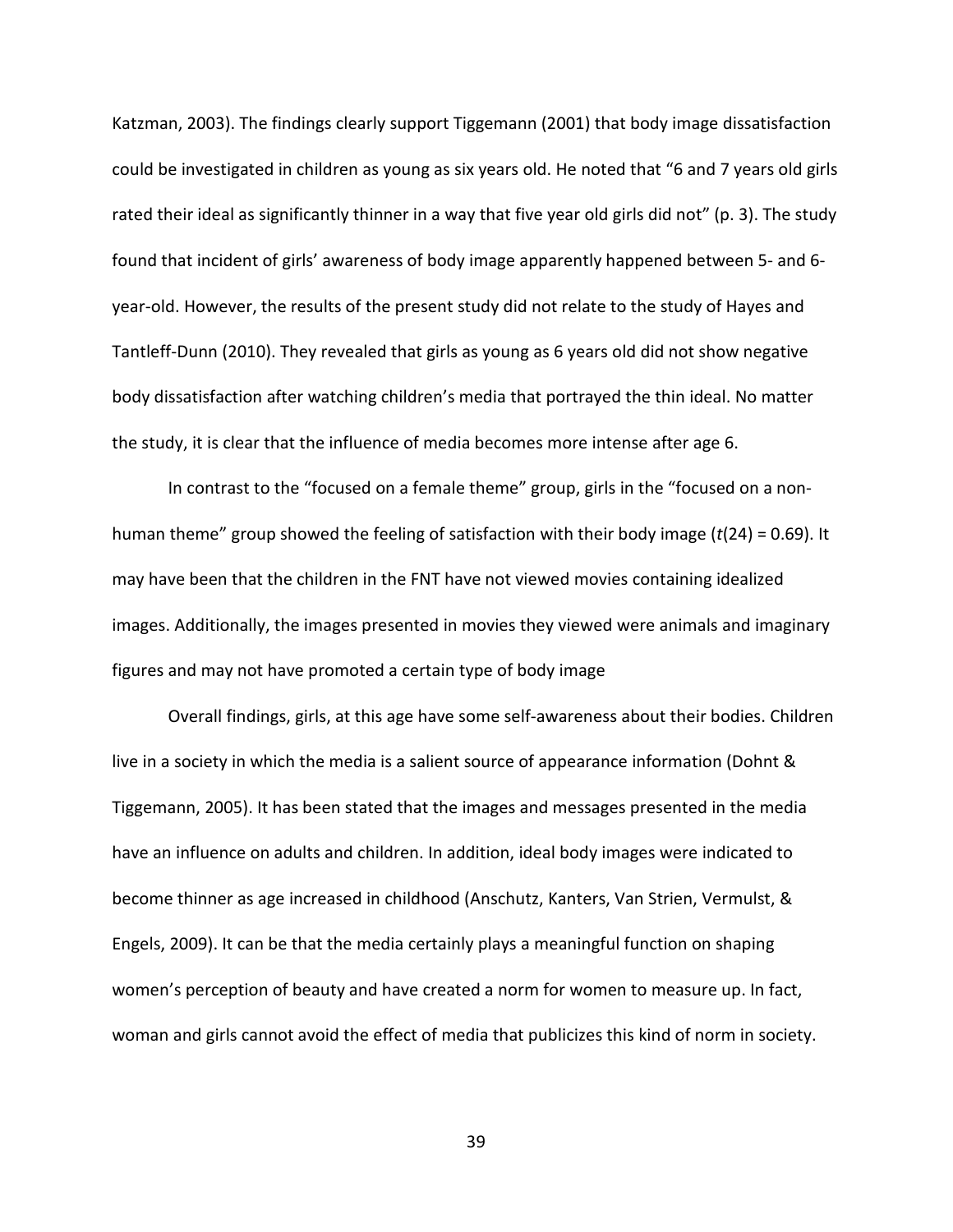Katzman, 2003). The findings clearly support Tiggemann (2001) that body image dissatisfaction could be investigated in children as young as six years old. He noted that "6 and 7 years old girls rated their ideal as significantly thinner in a way that five year old girls did not" (p. 3). The study found that incident of girls' awareness of body image apparently happened between 5- and 6 year-old. However, the results of the present study did not relate to the study of Hayes and Tantleff-Dunn (2010). They revealed that girls as young as 6 years old did not show negative body dissatisfaction after watching children's media that portrayed the thin ideal. No matter the study, it is clear that the influence of media becomes more intense after age 6.

In contrast to the "focused on a female theme" group, girls in the "focused on a nonhuman theme" group showed the feeling of satisfaction with their body image (*t*(24) = 0.69). It may have been that the children in the FNT have not viewed movies containing idealized images. Additionally, the images presented in movies they viewed were animals and imaginary figures and may not have promoted a certain type of body image

Overall findings, girls, at this age have some self-awareness about their bodies. Children live in a society in which the media is a salient source of appearance information (Dohnt & Tiggemann, 2005). It has been stated that the images and messages presented in the media have an influence on adults and children. In addition, ideal body images were indicated to become thinner as age increased in childhood (Anschutz, Kanters, Van Strien, Vermulst, & Engels, 2009). It can be that the media certainly plays a meaningful function on shaping women's perception of beauty and have created a norm for women to measure up. In fact, woman and girls cannot avoid the effect of media that publicizes this kind of norm in society.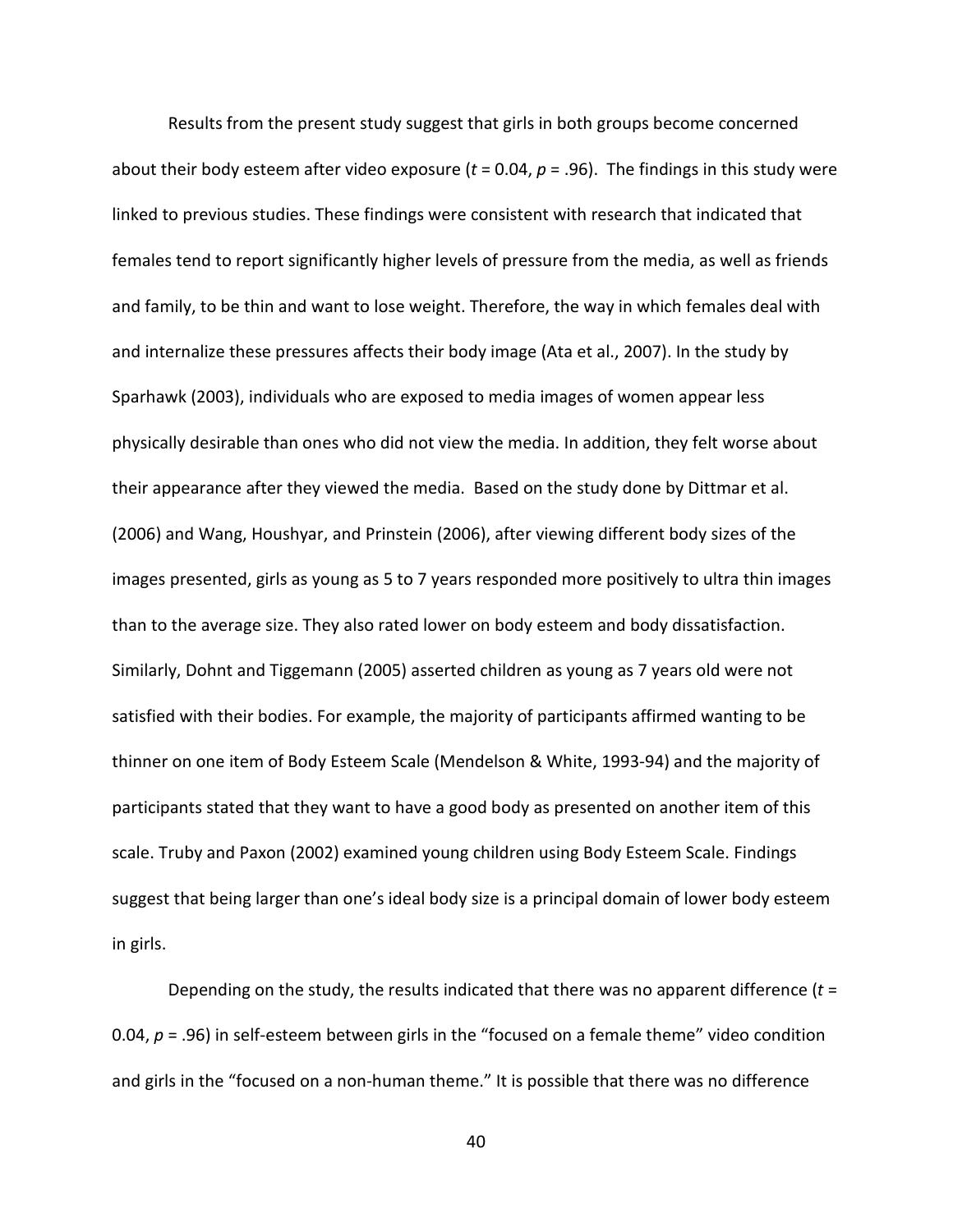Results from the present study suggest that girls in both groups become concerned about their body esteem after video exposure (*t* = 0.04, *p* = .96). The findings in this study were linked to previous studies. These findings were consistent with research that indicated that females tend to report significantly higher levels of pressure from the media, as well as friends and family, to be thin and want to lose weight. Therefore, the way in which females deal with and internalize these pressures affects their body image (Ata et al., 2007). In the study by Sparhawk (2003), individuals who are exposed to media images of women appear less physically desirable than ones who did not view the media. In addition, they felt worse about their appearance after they viewed the media. Based on the study done by Dittmar et al. (2006) and Wang, Houshyar, and Prinstein (2006), after viewing different body sizes of the images presented, girls as young as 5 to 7 years responded more positively to ultra thin images than to the average size. They also rated lower on body esteem and body dissatisfaction. Similarly, Dohnt and Tiggemann (2005) asserted children as young as 7 years old were not satisfied with their bodies. For example, the majority of participants affirmed wanting to be thinner on one item of Body Esteem Scale (Mendelson & White, 1993-94) and the majority of participants stated that they want to have a good body as presented on another item of this scale. Truby and Paxon (2002) examined young children using Body Esteem Scale. Findings suggest that being larger than one's ideal body size is a principal domain of lower body esteem in girls.

Depending on the study, the results indicated that there was no apparent difference (*t* = 0.04, *p* = .96) in self-esteem between girls in the "focused on a female theme" video condition and girls in the "focused on a non-human theme." It is possible that there was no difference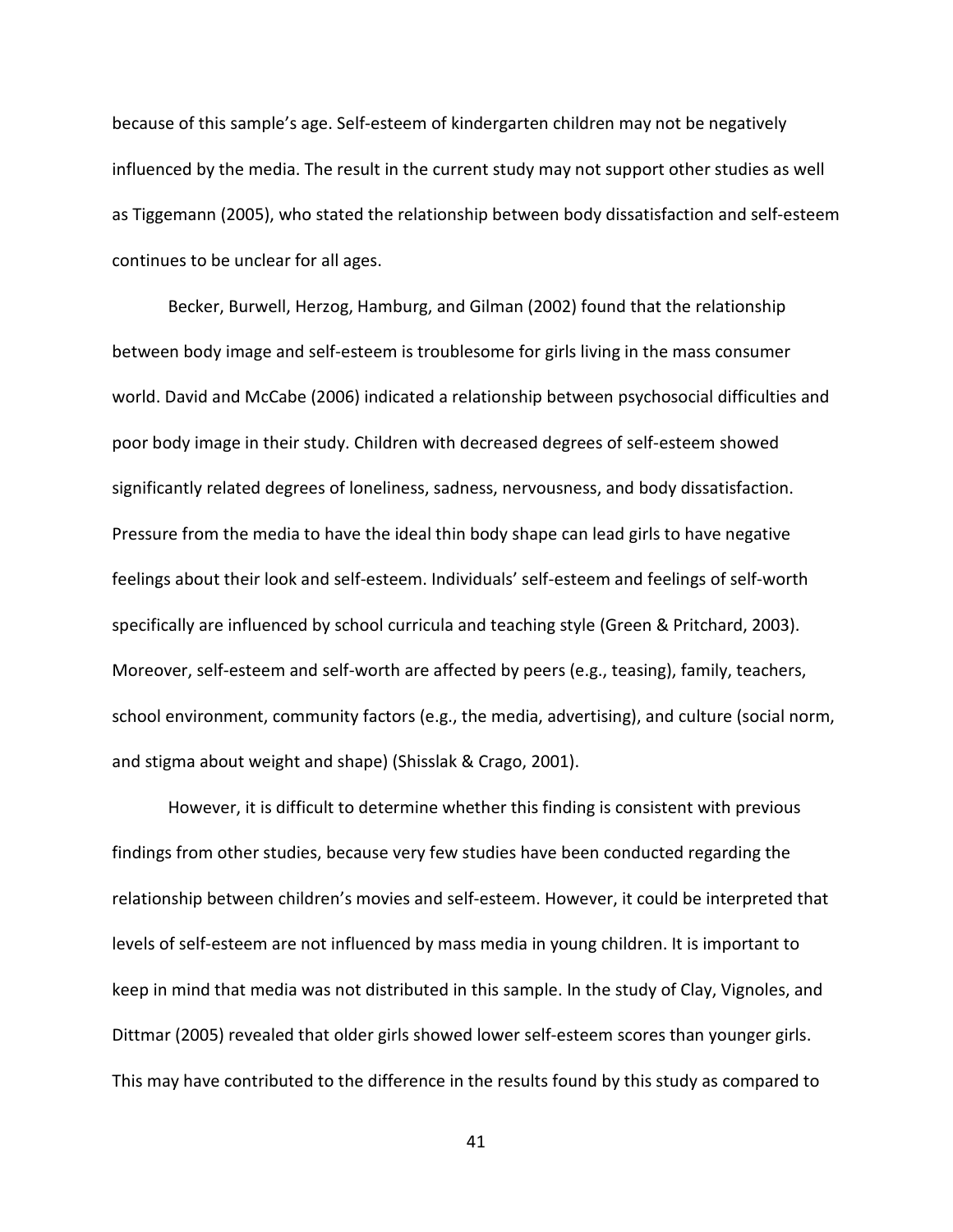because of this sample's age. Self-esteem of kindergarten children may not be negatively influenced by the media. The result in the current study may not support other studies as well as Tiggemann (2005), who stated the relationship between body dissatisfaction and self-esteem continues to be unclear for all ages.

Becker, Burwell, Herzog, Hamburg, and Gilman (2002) found that the relationship between body image and self-esteem is troublesome for girls living in the mass consumer world. David and McCabe (2006) indicated a relationship between psychosocial difficulties and poor body image in their study. Children with decreased degrees of self-esteem showed significantly related degrees of loneliness, sadness, nervousness, and body dissatisfaction. Pressure from the media to have the ideal thin body shape can lead girls to have negative feelings about their look and self-esteem. Individuals' self-esteem and feelings of self-worth specifically are influenced by school curricula and teaching style (Green & Pritchard, 2003). Moreover, self-esteem and self-worth are affected by peers (e.g., teasing), family, teachers, school environment, community factors (e.g., the media, advertising), and culture (social norm, and stigma about weight and shape) (Shisslak & Crago, 2001).

However, it is difficult to determine whether this finding is consistent with previous findings from other studies, because very few studies have been conducted regarding the relationship between children's movies and self-esteem. However, it could be interpreted that levels of self-esteem are not influenced by mass media in young children. It is important to keep in mind that media was not distributed in this sample. In the study of Clay, Vignoles, and Dittmar (2005) revealed that older girls showed lower self-esteem scores than younger girls. This may have contributed to the difference in the results found by this study as compared to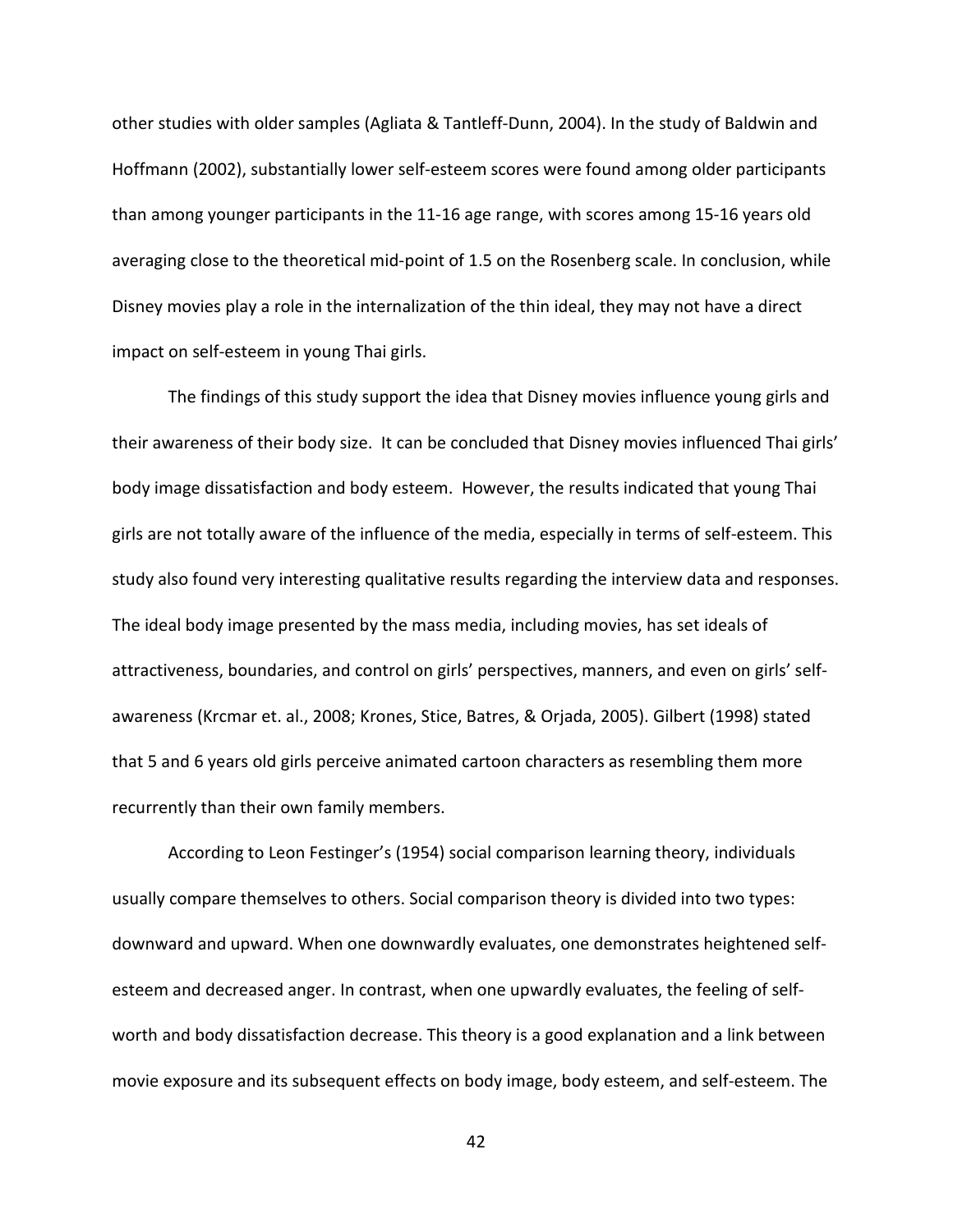other studies with older samples (Agliata & Tantleff-Dunn, 2004). In the study of Baldwin and Hoffmann (2002), substantially lower self-esteem scores were found among older participants than among younger participants in the 11-16 age range, with scores among 15-16 years old averaging close to the theoretical mid-point of 1.5 on the Rosenberg scale. In conclusion, while Disney movies play a role in the internalization of the thin ideal, they may not have a direct impact on self-esteem in young Thai girls.

The findings of this study support the idea that Disney movies influence young girls and their awareness of their body size. It can be concluded that Disney movies influenced Thai girls' body image dissatisfaction and body esteem. However, the results indicated that young Thai girls are not totally aware of the influence of the media, especially in terms of self-esteem. This study also found very interesting qualitative results regarding the interview data and responses. The ideal body image presented by the mass media, including movies, has set ideals of attractiveness, boundaries, and control on girls' perspectives, manners, and even on girls' selfawareness (Krcmar et. al., 2008; Krones, Stice, Batres, & Orjada, 2005). Gilbert (1998) stated that 5 and 6 years old girls perceive animated cartoon characters as resembling them more recurrently than their own family members.

According to Leon Festinger's (1954) social comparison learning theory, individuals usually compare themselves to others. Social comparison theory is divided into two types: downward and upward. When one downwardly evaluates, one demonstrates heightened selfesteem and decreased anger. In contrast, when one upwardly evaluates, the feeling of selfworth and body dissatisfaction decrease. This theory is a good explanation and a link between movie exposure and its subsequent effects on body image, body esteem, and self-esteem. The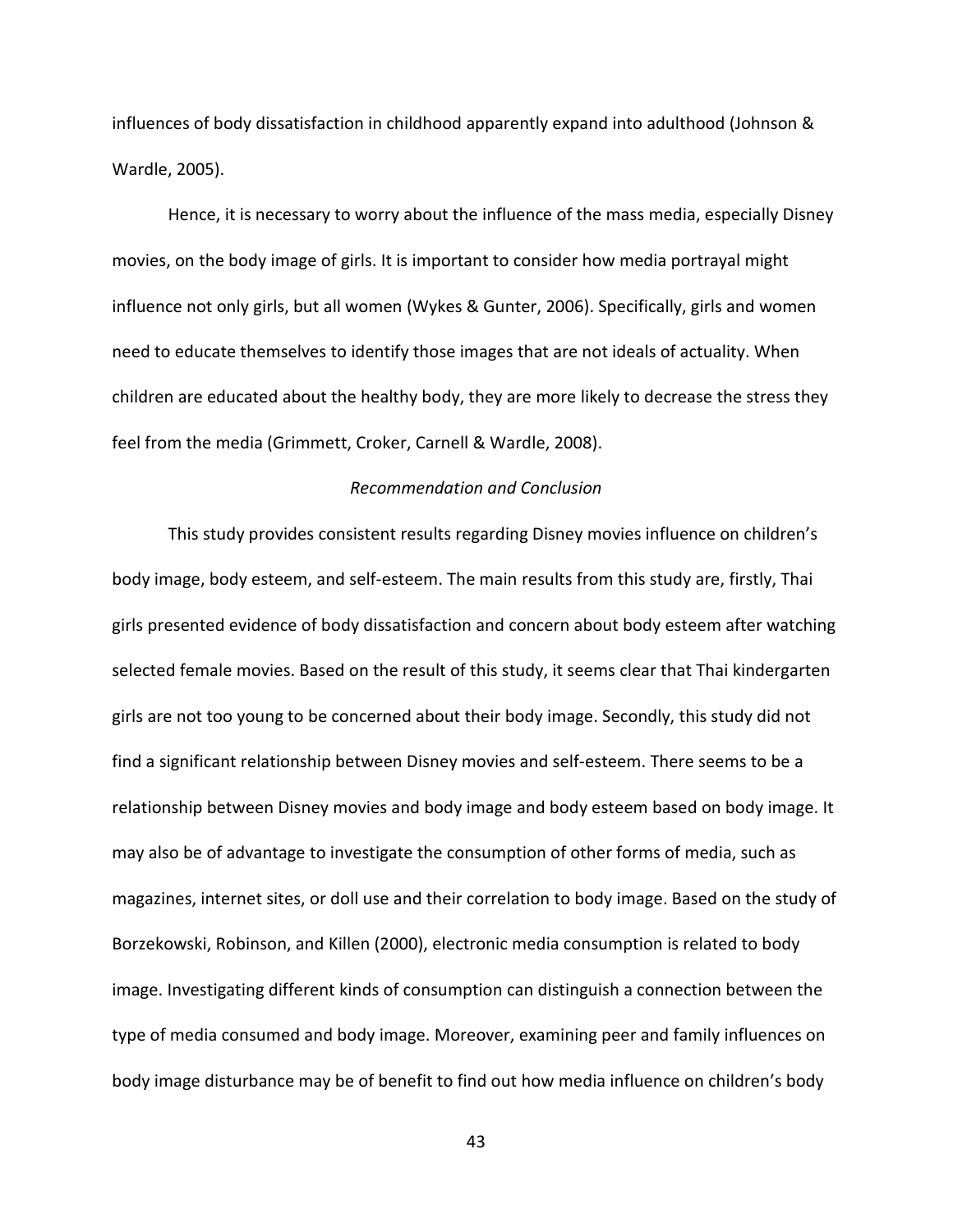influences of body dissatisfaction in childhood apparently expand into adulthood (Johnson & Wardle, 2005).

Hence, it is necessary to worry about the influence of the mass media, especially Disney movies, on the body image of girls. It is important to consider how media portrayal might influence not only girls, but all women (Wykes & Gunter, 2006). Specifically, girls and women need to educate themselves to identify those images that are not ideals of actuality. When children are educated about the healthy body, they are more likely to decrease the stress they feel from the media (Grimmett, Croker, Carnell & Wardle, 2008).

## *Recommendation and Conclusion*

This study provides consistent results regarding Disney movies influence on children's body image, body esteem, and self-esteem. The main results from this study are, firstly, Thai girls presented evidence of body dissatisfaction and concern about body esteem after watching selected female movies. Based on the result of this study, it seems clear that Thai kindergarten girls are not too young to be concerned about their body image. Secondly, this study did not find a significant relationship between Disney movies and self-esteem. There seems to be a relationship between Disney movies and body image and body esteem based on body image. It may also be of advantage to investigate the consumption of other forms of media, such as magazines, internet sites, or doll use and their correlation to body image. Based on the study of Borzekowski, Robinson, and Killen (2000), electronic media consumption is related to body image. Investigating different kinds of consumption can distinguish a connection between the type of media consumed and body image. Moreover, examining peer and family influences on body image disturbance may be of benefit to find out how media influence on children's body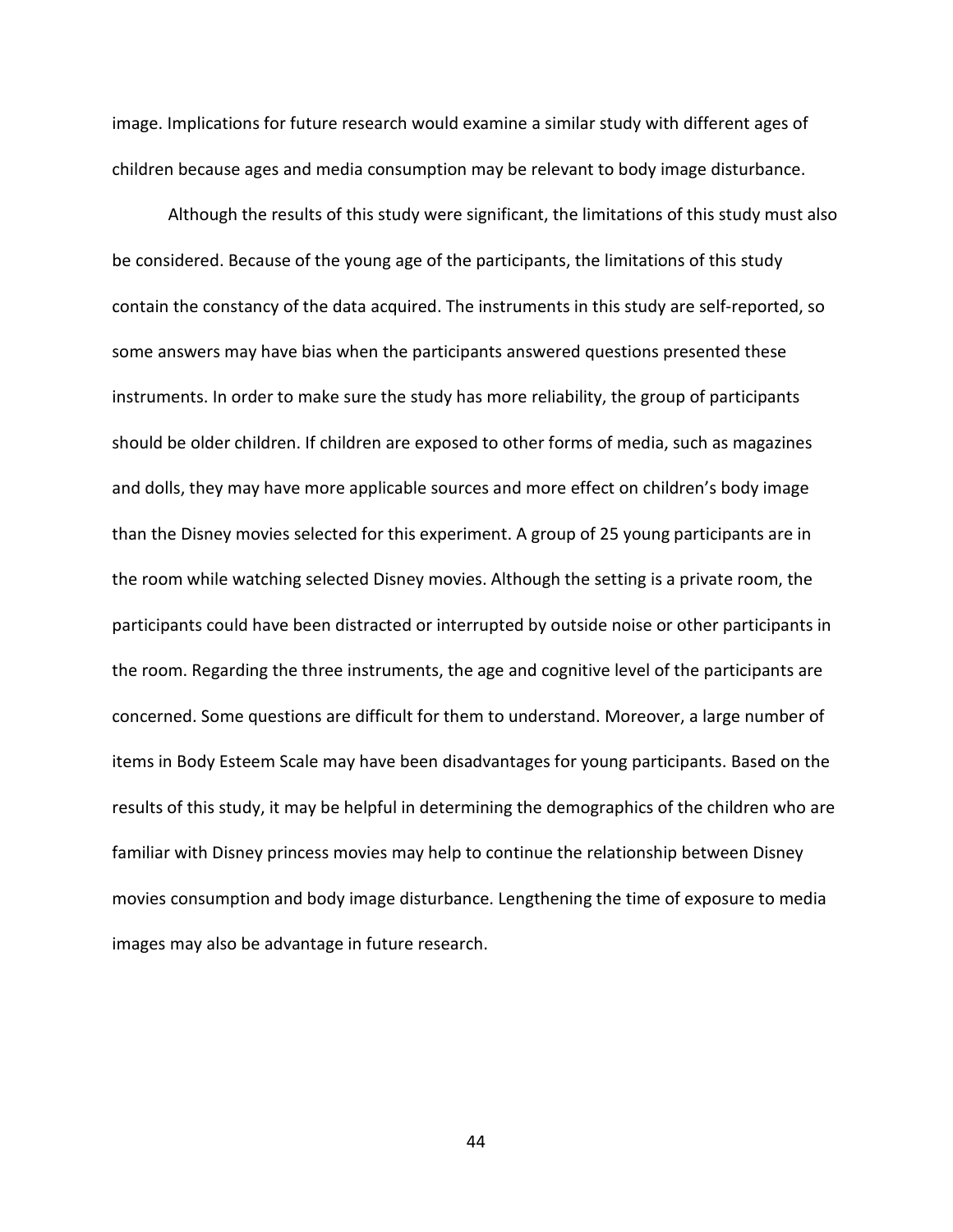image. Implications for future research would examine a similar study with different ages of children because ages and media consumption may be relevant to body image disturbance.

Although the results of this study were significant, the limitations of this study must also be considered. Because of the young age of the participants, the limitations of this study contain the constancy of the data acquired. The instruments in this study are self-reported, so some answers may have bias when the participants answered questions presented these instruments. In order to make sure the study has more reliability, the group of participants should be older children. If children are exposed to other forms of media, such as magazines and dolls, they may have more applicable sources and more effect on children's body image than the Disney movies selected for this experiment. A group of 25 young participants are in the room while watching selected Disney movies. Although the setting is a private room, the participants could have been distracted or interrupted by outside noise or other participants in the room. Regarding the three instruments, the age and cognitive level of the participants are concerned. Some questions are difficult for them to understand. Moreover, a large number of items in Body Esteem Scale may have been disadvantages for young participants. Based on the results of this study, it may be helpful in determining the demographics of the children who are familiar with Disney princess movies may help to continue the relationship between Disney movies consumption and body image disturbance. Lengthening the time of exposure to media images may also be advantage in future research.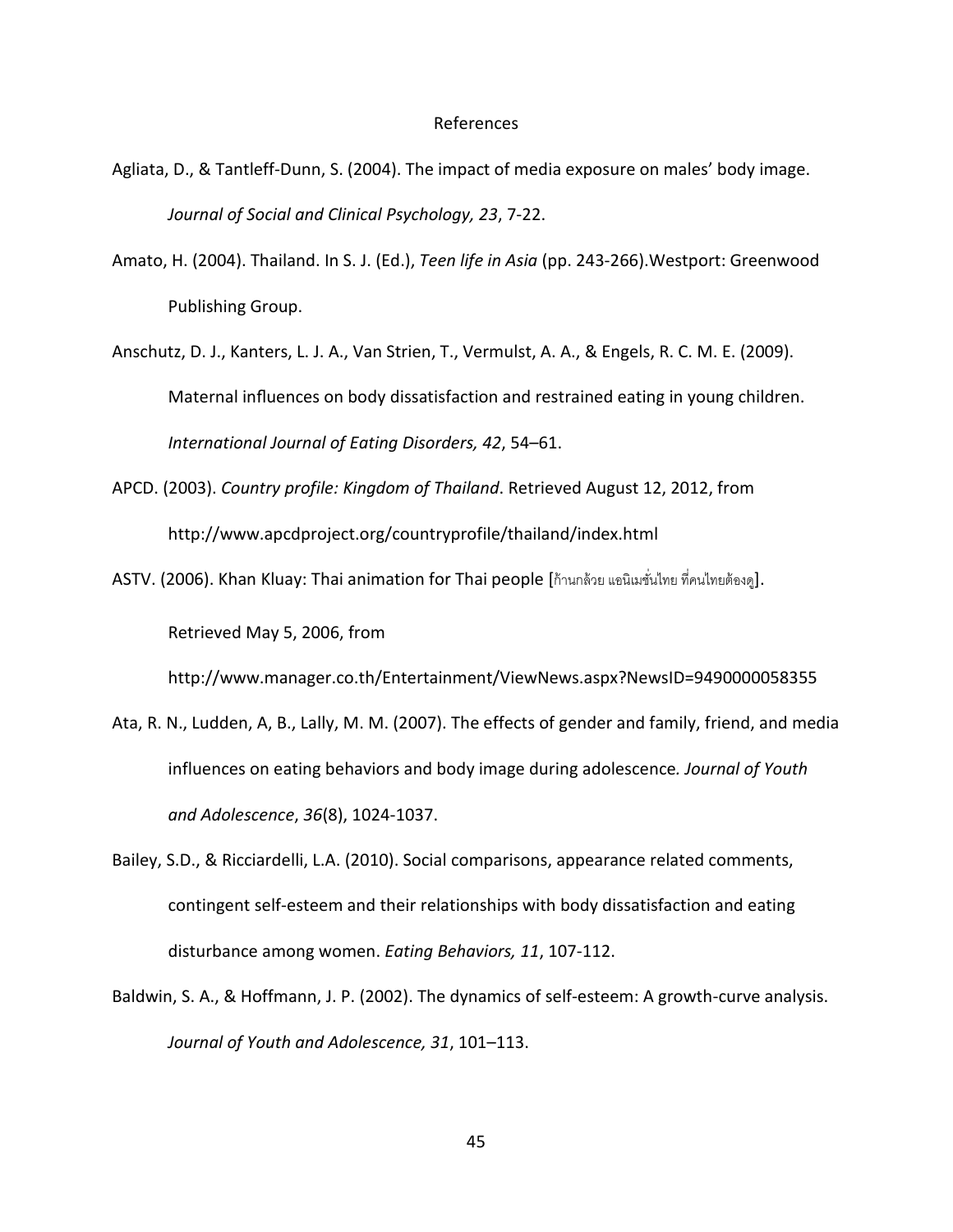### References

- Agliata, D., & Tantleff-Dunn, S. (2004). The impact of media exposure on males' body image. *Journal of Social and Clinical Psychology, 23*, 7-22.
- Amato, H. (2004). Thailand. In S. J. (Ed.), *Teen life in Asia* (pp. 243-266).Westport: Greenwood Publishing Group.
- Anschutz, D. J., Kanters, L. J. A., Van Strien, T., Vermulst, A. A., & Engels, R. C. M. E. (2009). Maternal influences on body dissatisfaction and restrained eating in young children. *International Journal of Eating Disorders, 42*, 54–61.
- APCD. (2003). *Country profile: Kingdom of Thailand*. Retrieved August 12, 2012, from <http://www.apcdproject.org/countryprofile/thailand/index.html>
- ASTV. (2006). Khan Kluay: Thai animation for Thai people [ก้านกล้วย แอนิเมชั่นไทย ที่คนไทยต้องดู]. Retrieved May 5, 2006, from

<http://www.manager.co.th/Entertainment/ViewNews.aspx?NewsID=9490000058355>

- Ata, R. N., Ludden, A, B., Lally, M. M. (2007). The effects of gender and family, friend, and media influences on eating behaviors and body image during adolescence*. Journal of Youth and Adolescence*, *36*(8), 1024-1037.
- Bailey, S.D., & Ricciardelli, L.A. (2010). Social comparisons, appearance related comments, contingent self-esteem and their relationships with body dissatisfaction and eating disturbance among women. *Eating Behaviors, 11*, 107-112.
- Baldwin, S. A., & Hoffmann, J. P. (2002). The dynamics of self-esteem: A growth-curve analysis. *Journal of Youth and Adolescence, 31*, 101–113.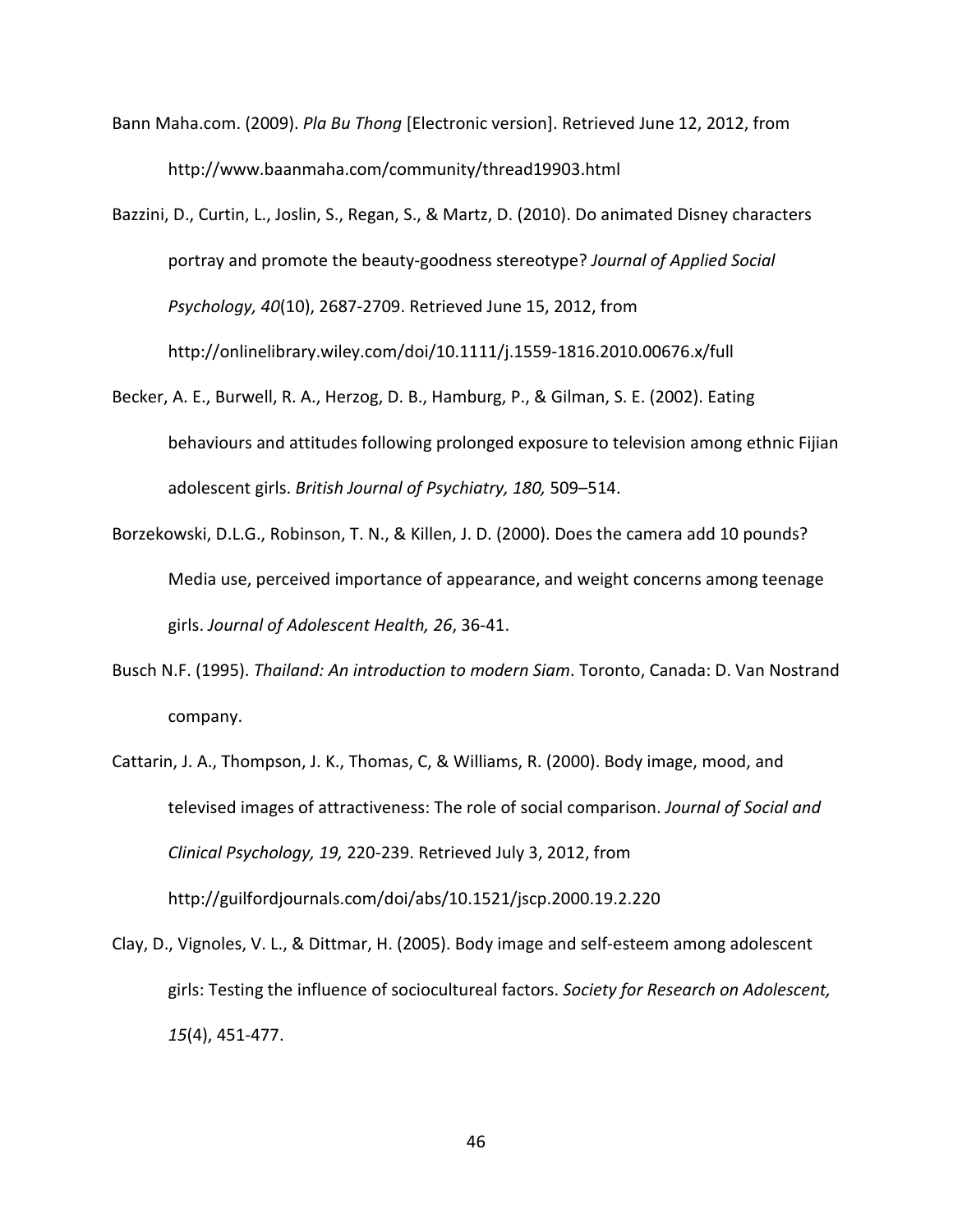- Bann Maha.com. (2009). *Pla Bu Thong* [Electronic version]. Retrieved June 12, 2012, from <http://www.baanmaha.com/community/thread19903.html>
- Bazzini, D., Curtin, L., Joslin, S., Regan, S., & Martz, D. (2010). Do animated Disney characters portray and promote the beauty-goodness stereotype? *Journal of Applied Social Psychology, 40*(10), 2687-2709. Retrieved June 15, 2012, from <http://onlinelibrary.wiley.com/doi/10.1111/j.1559-1816.2010.00676.x/full>
- Becker, A. E., Burwell, R. A., Herzog, D. B., Hamburg, P., & Gilman, S. E. (2002). Eating behaviours and attitudes following prolonged exposure to television among ethnic Fijian adolescent girls. *British Journal of Psychiatry, 180,* 509–514.
- Borzekowski, D.L.G., Robinson, T. N., & Killen, J. D. (2000). Does the camera add 10 pounds? Media use, perceived importance of appearance, and weight concerns among teenage girls. *Journal of Adolescent Health, 26*, 36-41.
- Busch N.F. (1995). *Thailand: An introduction to modern Siam*. Toronto, Canada: D. Van Nostrand company.
- Cattarin, J. A., Thompson, J. K., Thomas, C, & Williams, R. (2000). Body image, mood, and televised images of attractiveness: The role of social comparison. *Journal of Social and Clinical Psychology, 19,* 220-239. Retrieved July 3, 2012, from <http://guilfordjournals.com/doi/abs/10.1521/jscp.2000.19.2.220>
- Clay, D., Vignoles, V. L., & Dittmar, H. (2005). Body image and self-esteem among adolescent girls: Testing the influence of sociocultureal factors. *Society for Research on Adolescent, 15*(4), 451-477.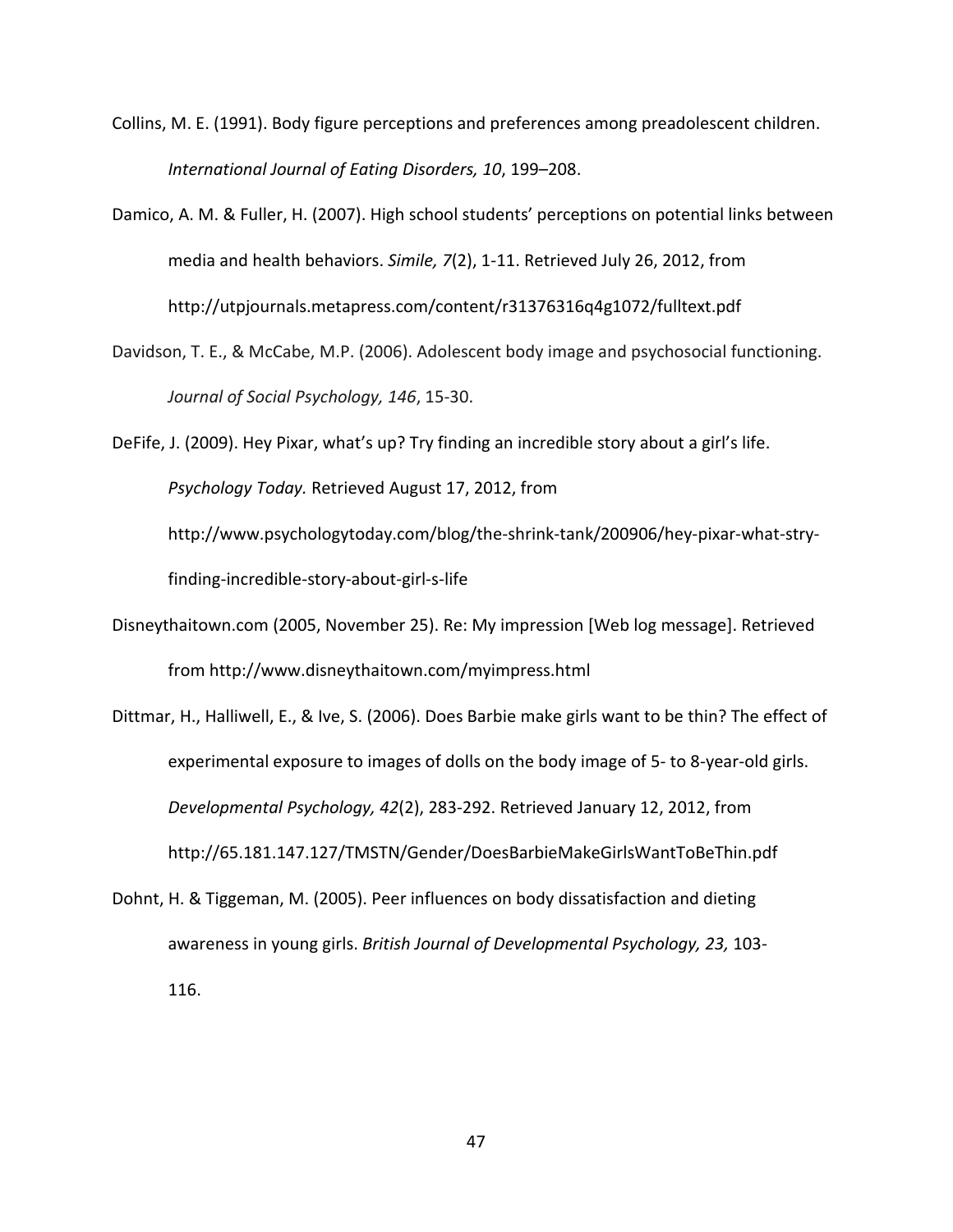- Collins, M. E. (1991). Body figure perceptions and preferences among preadolescent children. *International Journal of Eating Disorders, 10*, 199–208.
- Damico, A. M. & Fuller, H. (2007). High school students' perceptions on potential links between media and health behaviors. *Simile, 7*(2), 1-11. Retrieved July 26, 2012, from <http://utpjournals.metapress.com/content/r31376316q4g1072/fulltext.pdf>
- Davidson, T. E., & McCabe, M.P. (2006). Adolescent body image and psychosocial functioning. *Journal of Social Psychology, 146*, 15-30.
- DeFife, J. (2009). Hey Pixar, what's up? Try finding an incredible story about a girl's life. *Psychology Today.* Retrieved August 17, 2012, from [http://www.psychologytoday.com/blog/the-shrink-tank/200906/hey-pixar-what-stry](http://www.psychologytoday.com/blog/the-shrink-tank/200906/hey-pixar-what-stry-finding-incredible-story-about-girl-s-life)[finding-incredible-story-about-girl-s-life](http://www.psychologytoday.com/blog/the-shrink-tank/200906/hey-pixar-what-stry-finding-incredible-story-about-girl-s-life)
- Disneythaitown.com (2005, November 25). Re: My impression [Web log message]. Retrieved from<http://www.disneythaitown.com/myimpress.html>
- Dittmar, H., Halliwell, E., & Ive, S. (2006). Does Barbie make girls want to be thin? The effect of experimental exposure to images of dolls on the body image of 5- to 8-year-old girls. *Developmental Psychology, 42*(2), 283-292. Retrieved January 12, 2012, from <http://65.181.147.127/TMSTN/Gender/DoesBarbieMakeGirlsWantToBeThin.pdf>
- Dohnt, H. & Tiggeman, M. (2005). Peer influences on body dissatisfaction and dieting awareness in young girls. *British Journal of Developmental Psychology, 23,* 103- 116.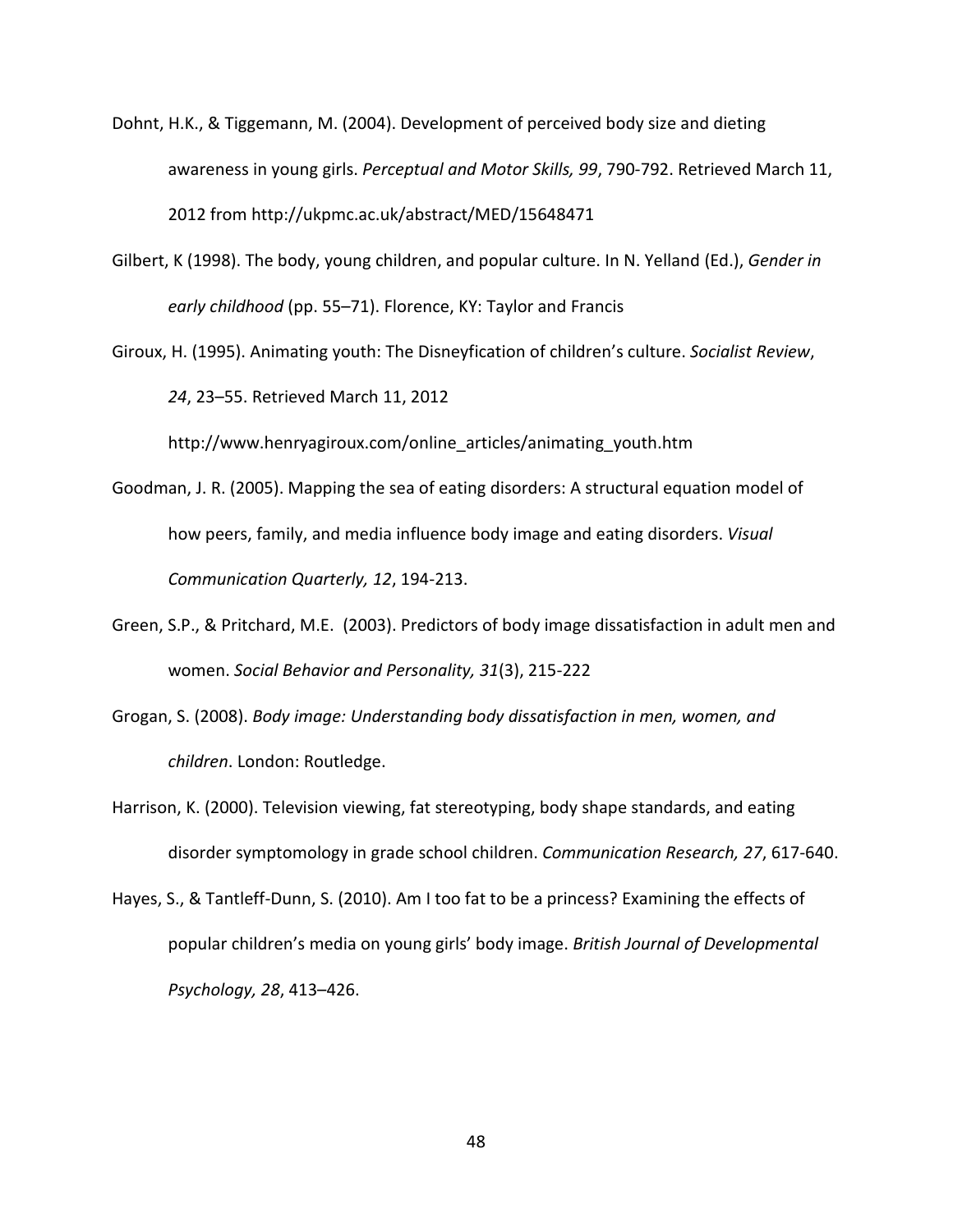- Dohnt, H.K., & Tiggemann, M. (2004). Development of perceived body size and dieting awareness in young girls. *Perceptual and Motor Skills, 99*, 790-792. Retrieved March 11, 2012 from <http://ukpmc.ac.uk/abstract/MED/15648471>
- Gilbert, K (1998). The body, young children, and popular culture. In N. Yelland (Ed.), *Gender in early childhood* (pp. 55–71). Florence, KY: Taylor and Francis
- Giroux, H. (1995). Animating youth: The Disneyfication of children's culture. *Socialist Review*, *24*, 23–55. Retrieved March 11, 2012

[http://www.henryagiroux.com/online\\_articles/animating\\_youth.htm](http://www.henryagiroux.com/online_articles/animating_youth.htm)

- Goodman, J. R. (2005). Mapping the sea of eating disorders: A structural equation model of how peers, family, and media influence body image and eating disorders. *Visual Communication Quarterly, 12*, 194-213.
- Green, S.P., & Pritchard, M.E. (2003). Predictors of body image dissatisfaction in adult men and women. *Social Behavior and Personality, 31*(3), 215-222
- Grogan, S. (2008). *Body image: Understanding body dissatisfaction in men, women, and children*. London: Routledge.
- Harrison, K. (2000). Television viewing, fat stereotyping, body shape standards, and eating disorder symptomology in grade school children. *Communication Research, 27*, 617-640.
- Hayes, S., & Tantleff-Dunn, S. (2010). Am I too fat to be a princess? Examining the effects of popular children's media on young girls' body image. *British Journal of Developmental Psychology, 28*, 413–426.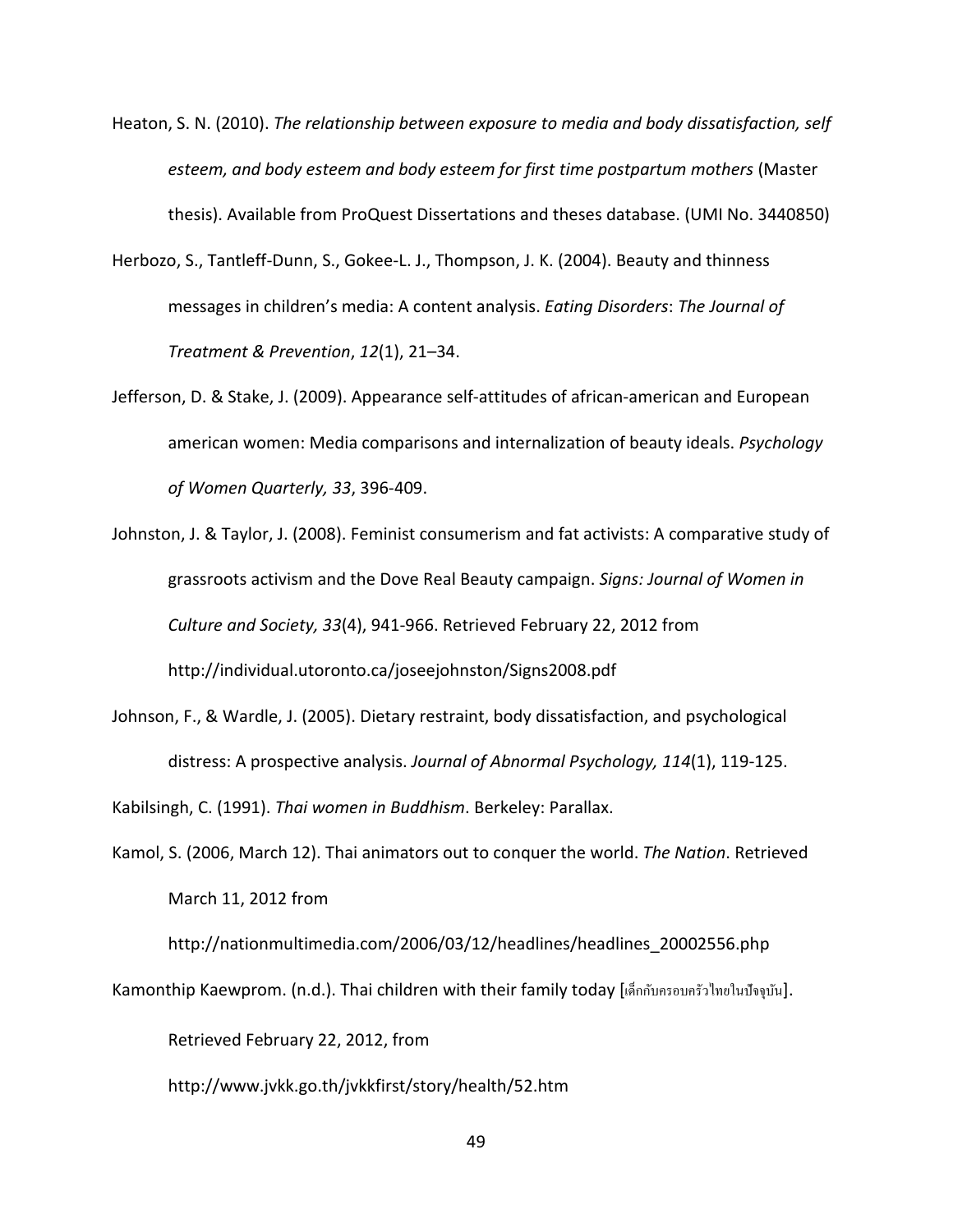- Heaton, S. N. (2010). *The relationship between exposure to media and body dissatisfaction, self esteem, and body esteem and body esteem for first time postpartum mothers* (Master thesis). Available from ProQuest Dissertations and theses database. (UMI No. 3440850)
- Herbozo, S., Tantleff-Dunn, S., Gokee-L. J., Thompson, J. K. (2004). Beauty and thinness messages in children's media: A content analysis. *Eating Disorders*: *The Journal of Treatment & Prevention*, *12*(1), 21–34.
- Jefferson, D. & Stake, J. (2009). Appearance self-attitudes of african-american and European american women: Media comparisons and internalization of beauty ideals. *Psychology of Women Quarterly, 33*, 396-409.
- Johnston, J. & Taylor, J. (2008). Feminist consumerism and fat activists: A comparative study of grassroots activism and the Dove Real Beauty campaign. *Signs: Journal of Women in Culture and Society, 33*(4), 941-966. Retrieved February 22, 2012 from <http://individual.utoronto.ca/joseejohnston/Signs2008.pdf>
- Johnson, F., & Wardle, J. (2005). Dietary restraint, body dissatisfaction, and psychological distress: A prospective analysis. *Journal of Abnormal Psychology, 114*(1), 119-125.

Kabilsingh, C. (1991). *Thai women in Buddhism*. Berkeley: Parallax.

Kamol, S. (2006, March 12). Thai animators out to conquer the world. *The Nation*. Retrieved March 11, 2012 from

[http://nationmultimedia.com/2006/03/12/headlines/headlines\\_20002556.php](http://nationmultimedia.com/2006/03/12/headlines/headlines_20002556.php)

Kamonthip Kaewprom. (n.d.). Thai children with their family today [เด็กกับครอบครัวไทยในปัจจุบัน].

Retrieved February 22, 2012, from

<http://www.jvkk.go.th/jvkkfirst/story/health/52.htm>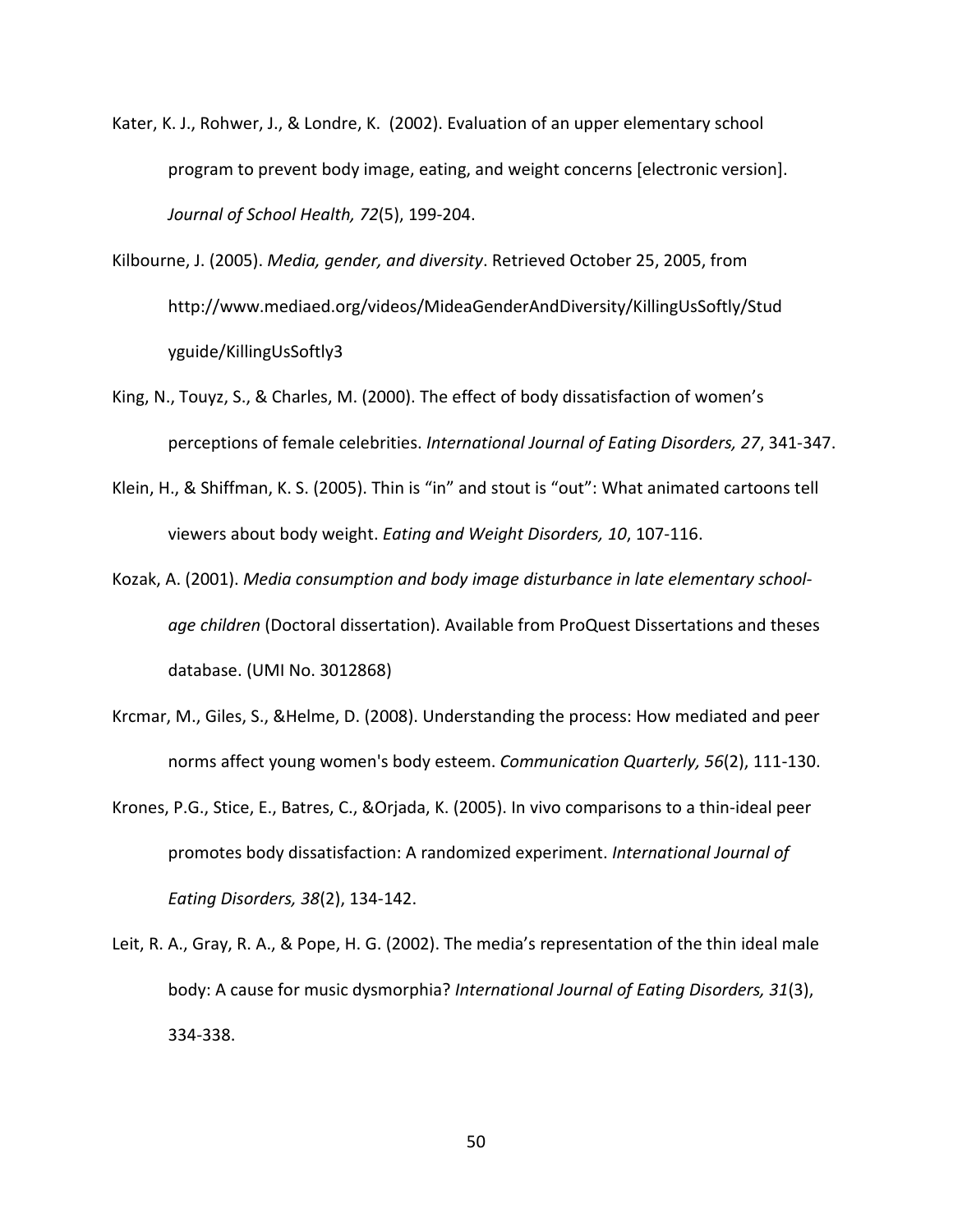- Kater, K. J., Rohwer, J., & Londre, K. (2002). Evaluation of an upper elementary school program to prevent body image, eating, and weight concerns [electronic version]. *Journal of School Health, 72*(5), 199-204.
- Kilbourne, J. (2005). *Media, gender, and diversity*. Retrieved October 25, 2005, from http://www.mediaed.org/videos/MideaGenderAndDiversity/KillingUsSoftly/Stud yguide/KillingUsSoftly3
- King, N., Touyz, S., & Charles, M. (2000). The effect of body dissatisfaction of women's perceptions of female celebrities. *International Journal of Eating Disorders, 27*, 341-347.
- Klein, H., & Shiffman, K. S. (2005). Thin is "in" and stout is "out": What animated cartoons tell viewers about body weight. *Eating and Weight Disorders, 10*, 107-116.
- Kozak, A. (2001). *Media consumption and body image disturbance in late elementary schoolage children* (Doctoral dissertation). Available from ProQuest Dissertations and theses database. (UMI No. 3012868)
- Krcmar, M., Giles, S., &Helme, D. (2008). Understanding the process: How mediated and peer norms affect young women's body esteem. *Communication Quarterly, 56*(2), 111-130.
- Krones, P.G., Stice, E., Batres, C., &Orjada, K. (2005). In vivo comparisons to a thin-ideal peer promotes body dissatisfaction: A randomized experiment. *International Journal of Eating Disorders, 38*(2), 134-142.
- Leit, R. A., Gray, R. A., & Pope, H. G. (2002). The media's representation of the thin ideal male body: A cause for music dysmorphia? *International Journal of Eating Disorders, 31*(3), 334-338.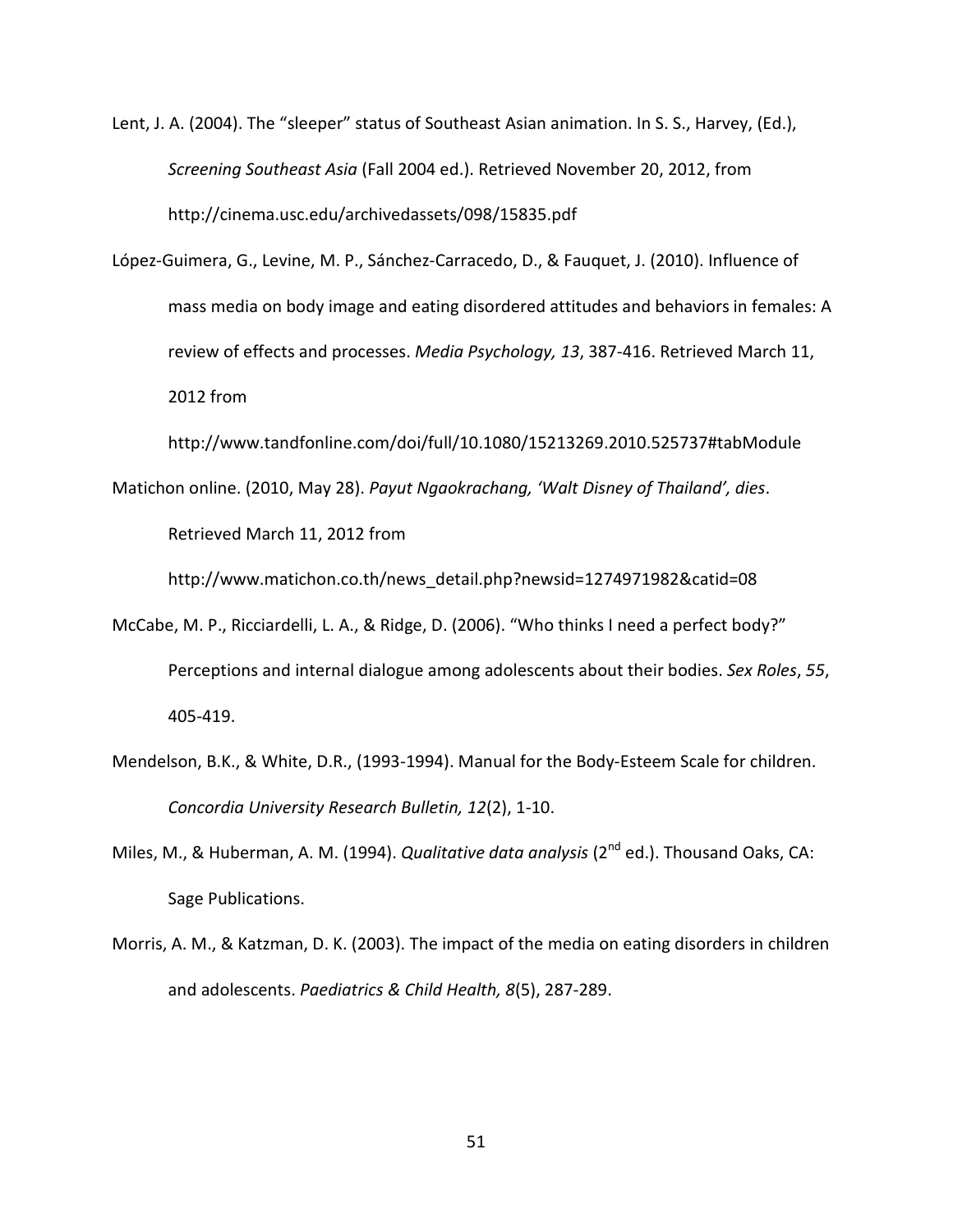Lent, J. A. (2004). The "sleeper" status of Southeast Asian animation. In S. S., Harvey, (Ed.), *Screening Southeast Asia* (Fall 2004 ed.). Retrieved November 20, 2012, from <http://cinema.usc.edu/archivedassets/098/15835.pdf>

López-Guimera, G., Levine, M. P., Sánchez-Carracedo, D., & Fauquet, J. (2010). Influence of mass media on body image and eating disordered attitudes and behaviors in females: A review of effects and processes. *Media Psychology, 13*, 387-416. Retrieved March 11, 2012 from

<http://www.tandfonline.com/doi/full/10.1080/15213269.2010.525737#tabModule>

Matichon online. (2010, May 28). *Payut Ngaokrachang, 'Walt Disney of Thailand', dies*. Retrieved March 11, 2012 from

[http://www.matichon.co.th/news\\_detail.php?newsid=1274971982&catid=08](http://www.matichon.co.th/news_detail.php?newsid=1274971982&catid=08)

- McCabe, M. P., Ricciardelli, L. A., & Ridge, D. (2006). "Who thinks I need a perfect body?" Perceptions and internal dialogue among adolescents about their bodies. *Sex Roles*, *55*, 405-419.
- Mendelson, B.K., & White, D.R., (1993-1994). Manual for the Body-Esteem Scale for children. *Concordia University Research Bulletin, 12*(2), 1-10.
- Miles, M., & Huberman, A. M. (1994). *Qualitative data analysis* (2<sup>nd</sup> ed.). Thousand Oaks. CA: Sage Publications.
- Morris, A. M., & Katzman, D. K. (2003). The impact of the media on eating disorders in children and adolescents. *Paediatrics & Child Health, 8*(5), 287-289.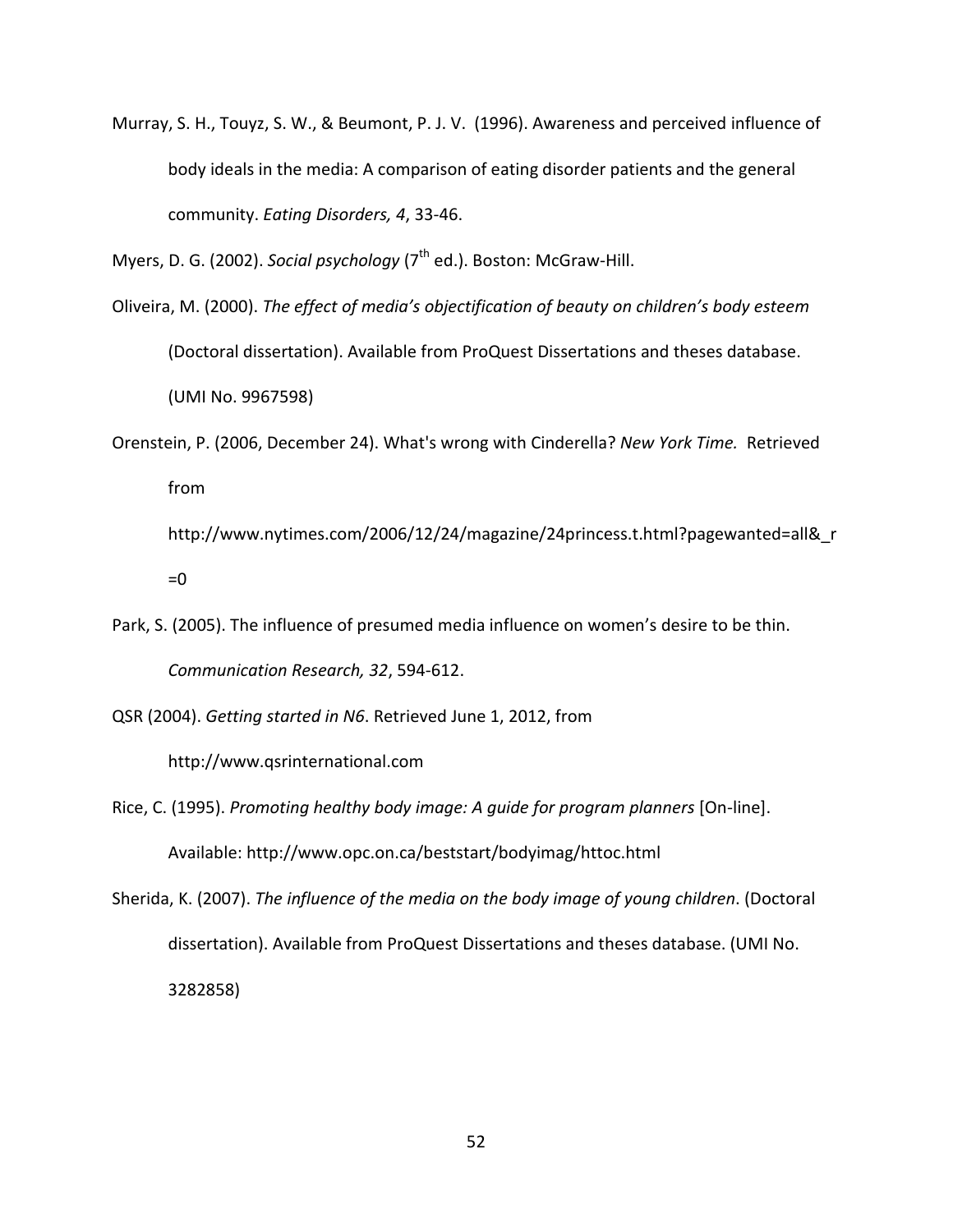Murray, S. H., Touyz, S. W., & Beumont, P. J. V. (1996). Awareness and perceived influence of body ideals in the media: A comparison of eating disorder patients and the general community. *Eating Disorders, 4*, 33-46.

Myers, D. G. (2002). *Social psychology* (7<sup>th</sup> ed.). Boston: McGraw-Hill.

- Oliveira, M. (2000). *The effect of media's objectification of beauty on children's body esteem* (Doctoral dissertation). Available from ProQuest Dissertations and theses database. (UMI No. 9967598)
- Orenstein, P. (2006, December 24). What's wrong with Cinderella? *New York Time.* Retrieved from [http://www.nytimes.com/2006/12/24/magazine/24princess.t.html?pagewanted=all&\\_r](http://www.nytimes.com/2006/12/24/magazine/24princess.t.html?pagewanted=all&_r=0)

 $=0$ 

Park, S. (2005). The influence of presumed media influence on women's desire to be thin. *Communication Research, 32*, 594-612.

QSR (2004). *Getting started in N6*. Retrieved June 1, 2012, from

[http://www.qsrinternational.com](http://www.qsrinternational.com/)

- Rice, C. (1995). *Promoting healthy body image: A guide for program planners* [On-line]. Available:<http://www.opc.on.ca/beststart/bodyimag/httoc.html>
- Sherida, K. (2007). *The influence of the media on the body image of young children*. (Doctoral dissertation). Available from ProQuest Dissertations and theses database. (UMI No. 3282858)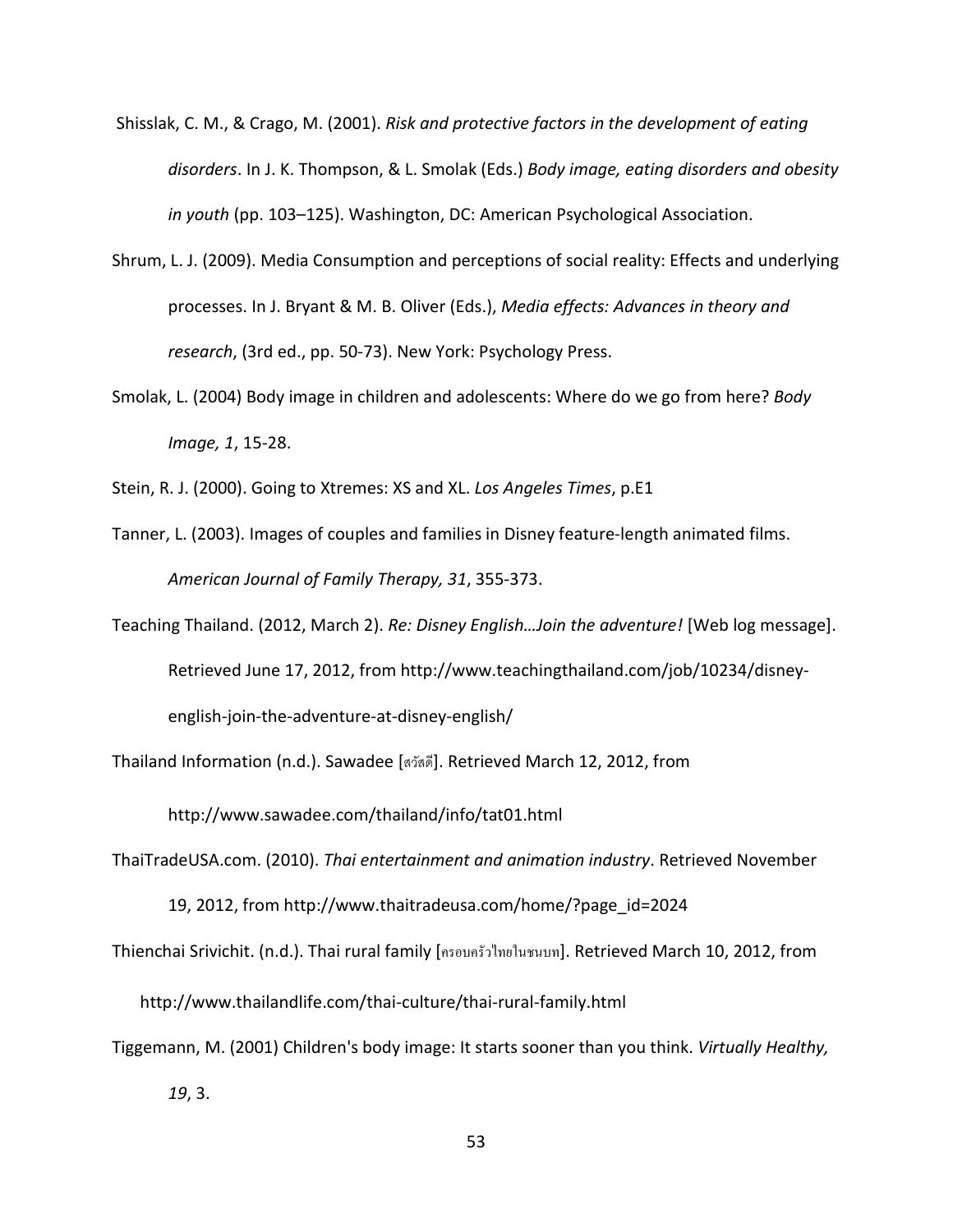- Shisslak, C. M., & Crago, M. (2001). *Risk and protective factors in the development of eating disorders*. In J. K. Thompson, & L. Smolak (Eds.) *Body image, eating disorders and obesity in youth* (pp. 103–125). Washington, DC: American Psychological Association.
- Shrum, L. J. (2009). Media Consumption and perceptions of social reality: Effects and underlying processes. In J. Bryant & M. B. Oliver (Eds.), *Media effects: Advances in theory and research*, (3rd ed., pp. 50-73). New York: Psychology Press.
- Smolak, L. (2004) Body image in children and adolescents: Where do we go from here? *Body Image, 1*, 15-28.
- Stein, R. J. (2000). Going to Xtremes: XS and XL. *Los Angeles Times*, p.E1
- Tanner, L. (2003). Images of couples and families in Disney feature-length animated films. *American Journal of Family Therapy, 31*, 355-373.
- Teaching Thailand. (2012, March 2). *Re: Disney English…Join the adventure!* [Web log message]. Retrieved June 17, 2012, from [http://www.teachingthailand.com/job/10234/disney](http://www.teachingthailand.com/job/10234/disney-english-join-the-adventure-at-disney-english/)[english-join-the-adventure-at-disney-english/](http://www.teachingthailand.com/job/10234/disney-english-join-the-adventure-at-disney-english/)
- Thailand Information (n.d.). Sawadee [สวัสดี]. Retrieved March 12, 2012, from

<http://www.sawadee.com/thailand/info/tat01.html>

ThaiTradeUSA.com. (2010). *Thai entertainment and animation industry*. Retrieved November

19, 2012, from [http://www.thaitradeusa.com/home/?page\\_id=2024](http://www.thaitradeusa.com/home/?page_id=2024)

Thienchai Srivichit. (n.d.). Thai rural family [ครอบครัวไทยในชนบท]. Retrieved March 10, 2012, from

<http://www.thailandlife.com/thai-culture/thai-rural-family.html>

Tiggemann, M. (2001) Children's body image: It starts sooner than you think. *Virtually Healthy, 19*, 3.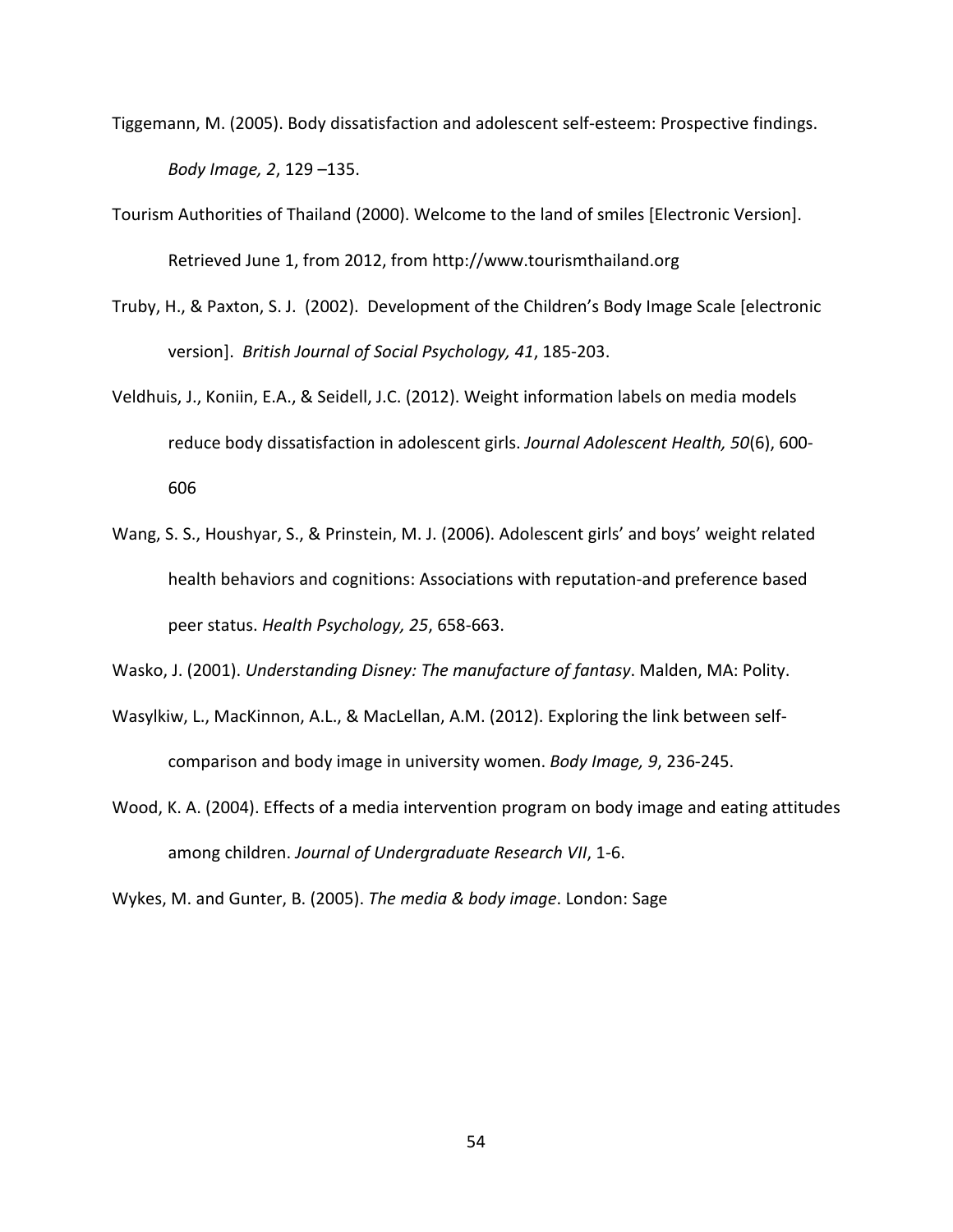- Tiggemann, M. (2005). Body dissatisfaction and adolescent self-esteem: Prospective findings. *Body Image, 2*, 129 –135.
- Tourism Authorities of Thailand (2000). Welcome to the land of smiles [Electronic Version]. Retrieved June 1, from 2012, fro[m http://www.tourismthailand.org](http://www.tourismthailand.org/)
- Truby, H., & Paxton, S. J. (2002). Development of the Children's Body Image Scale [electronic version]. *British Journal of Social Psychology, 41*, 185-203.
- Veldhuis, J., Koniin, E.A., & Seidell, J.C. (2012). Weight information labels on media models reduce body dissatisfaction in adolescent girls. *Journal Adolescent Health, 50*(6), 600- 606
- Wang, S. S., Houshyar, S., & Prinstein, M. J. (2006). Adolescent girls' and boys' weight related health behaviors and cognitions: Associations with reputation-and preference based peer status. *Health Psychology, 25*, 658-663.
- Wasko, J. (2001). *Understanding Disney: The manufacture of fantasy*. Malden, MA: Polity.
- Wasylkiw, L., MacKinnon, A.L., & MacLellan, A.M. (2012). Exploring the link between selfcomparison and body image in university women. *Body Image, 9*, 236-245.
- Wood, K. A. (2004). Effects of a media intervention program on body image and eating attitudes among children. *Journal of Undergraduate Research VII*, 1-6.

Wykes, M. and Gunter, B. (2005). *The media & body image*. London: Sage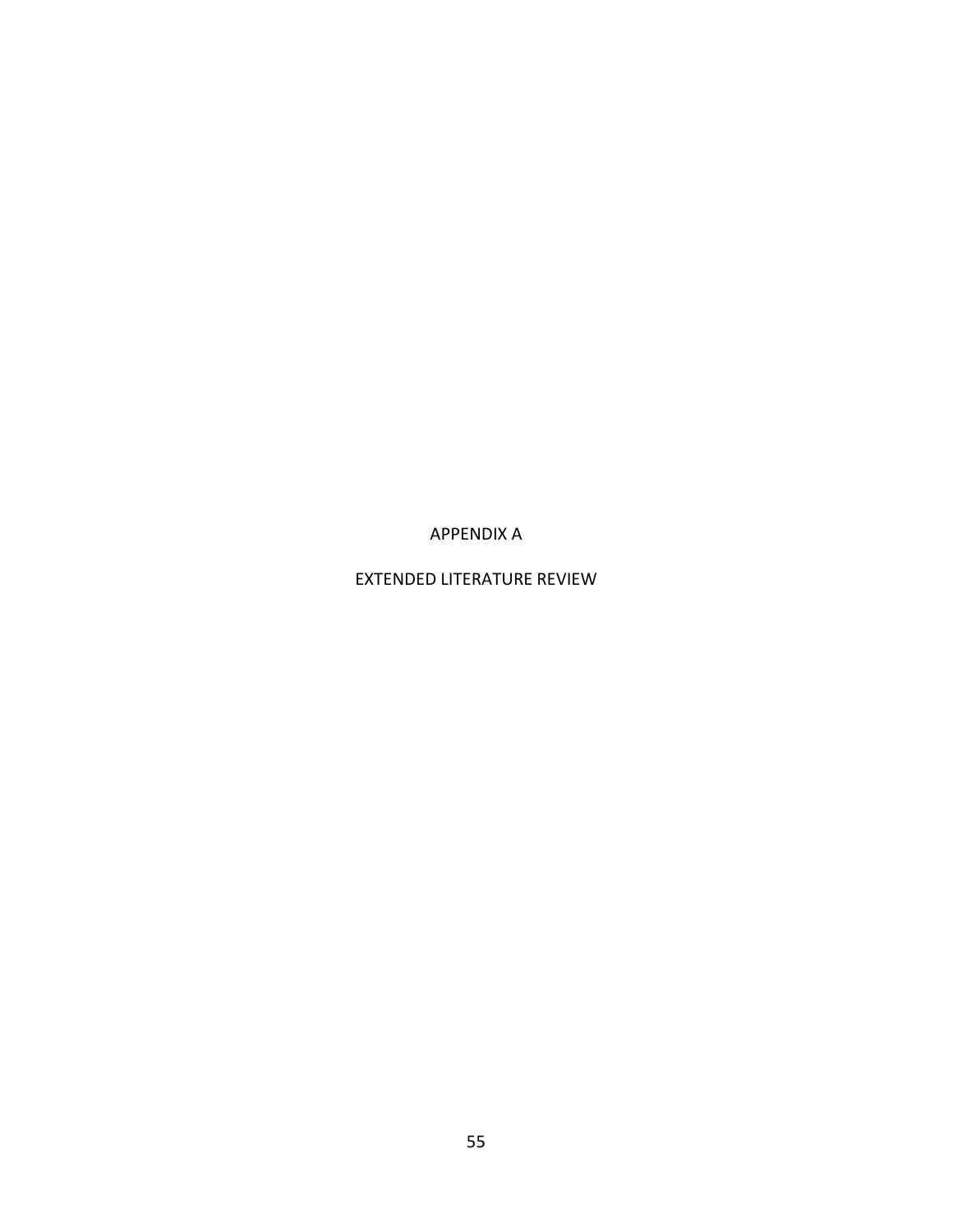APPENDIX A

EXTENDED LITERATURE REVIEW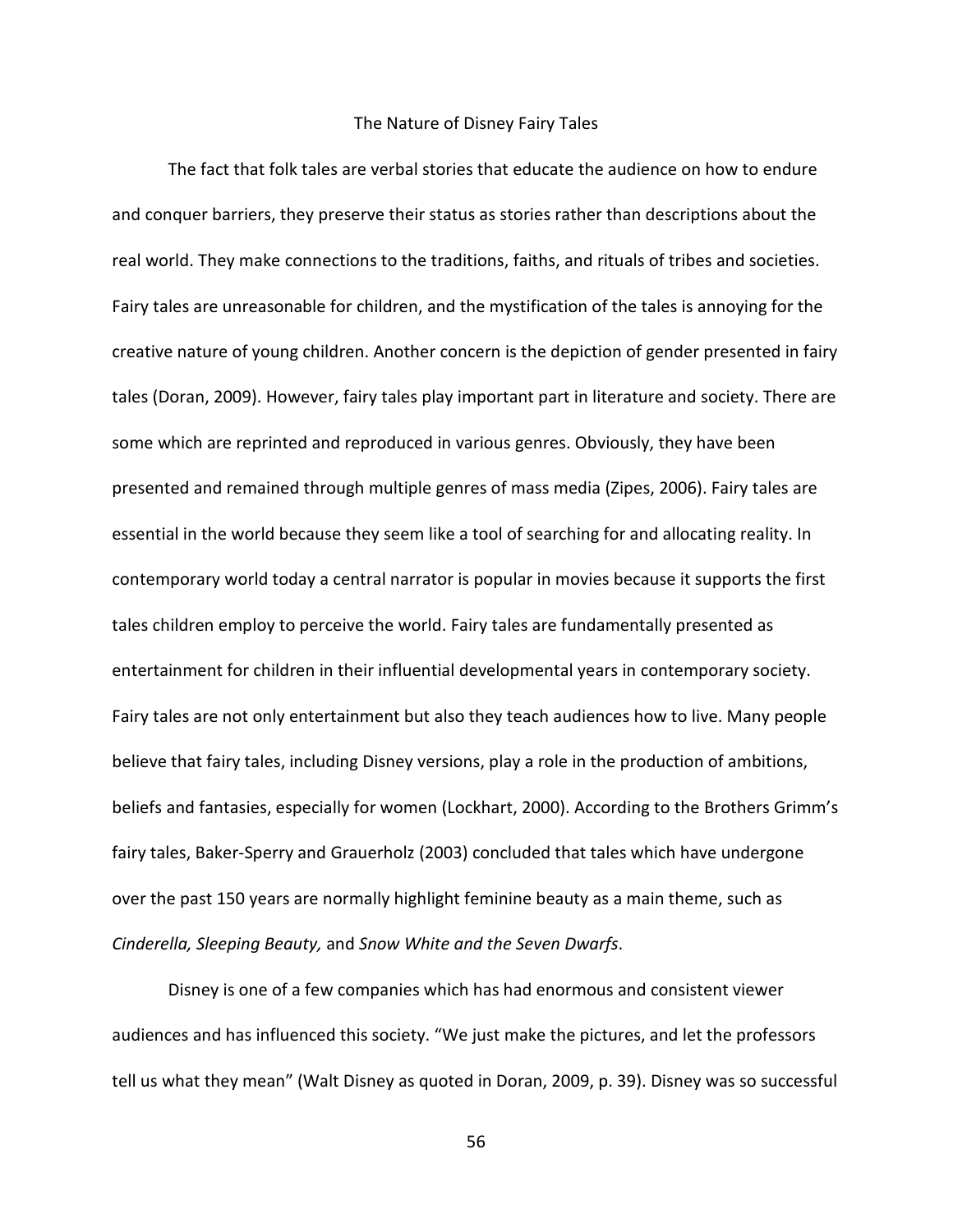#### The Nature of Disney Fairy Tales

The fact that folk tales are verbal stories that educate the audience on how to endure and conquer barriers, they preserve their status as stories rather than descriptions about the real world. They make connections to the traditions, faiths, and rituals of tribes and societies. Fairy tales are unreasonable for children, and the mystification of the tales is annoying for the creative nature of young children. Another concern is the depiction of gender presented in fairy tales (Doran, 2009). However, fairy tales play important part in literature and society. There are some which are reprinted and reproduced in various genres. Obviously, they have been presented and remained through multiple genres of mass media (Zipes, 2006). Fairy tales are essential in the world because they seem like a tool of searching for and allocating reality. In contemporary world today a central narrator is popular in movies because it supports the first tales children employ to perceive the world. Fairy tales are fundamentally presented as entertainment for children in their influential developmental years in contemporary society. Fairy tales are not only entertainment but also they teach audiences how to live. Many people believe that fairy tales, including Disney versions, play a role in the production of ambitions, beliefs and fantasies, especially for women (Lockhart, 2000). According to the Brothers Grimm's fairy tales, Baker-Sperry and Grauerholz (2003) concluded that tales which have undergone over the past 150 years are normally highlight feminine beauty as a main theme, such as *Cinderella, Sleeping Beauty,* and *Snow White and the Seven Dwarfs*.

Disney is one of a few companies which has had enormous and consistent viewer audiences and has influenced this society. "We just make the pictures, and let the professors tell us what they mean" (Walt Disney as quoted in Doran, 2009, p. 39). Disney was so successful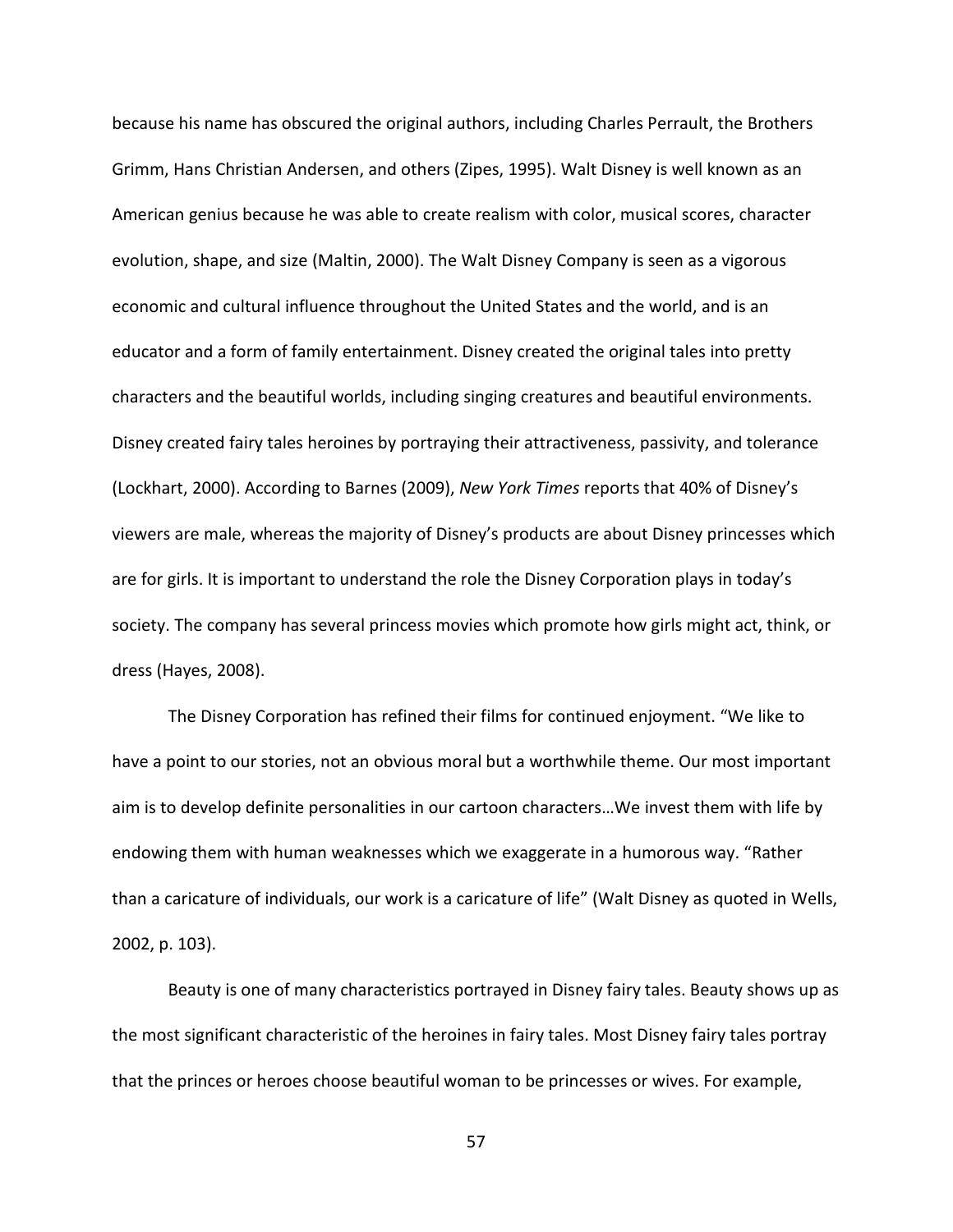because his name has obscured the original authors, including Charles Perrault, the Brothers Grimm, Hans Christian Andersen, and others (Zipes, 1995). Walt Disney is well known as an American genius because he was able to create realism with color, musical scores, character evolution, shape, and size (Maltin, 2000). The Walt Disney Company is seen as a vigorous economic and cultural influence throughout the United States and the world, and is an educator and a form of family entertainment. Disney created the original tales into pretty characters and the beautiful worlds, including singing creatures and beautiful environments. Disney created fairy tales heroines by portraying their attractiveness, passivity, and tolerance (Lockhart, 2000). According to Barnes (2009), *New York Times* reports that 40% of Disney's viewers are male, whereas the majority of Disney's products are about Disney princesses which are for girls. It is important to understand the role the Disney Corporation plays in today's society. The company has several princess movies which promote how girls might act, think, or dress (Hayes, 2008).

The Disney Corporation has refined their films for continued enjoyment. "We like to have a point to our stories, not an obvious moral but a worthwhile theme. Our most important aim is to develop definite personalities in our cartoon characters…We invest them with life by endowing them with human weaknesses which we exaggerate in a humorous way. "Rather than a caricature of individuals, our work is a caricature of life" (Walt Disney as quoted in Wells, 2002, p. 103).

Beauty is one of many characteristics portrayed in Disney fairy tales. Beauty shows up as the most significant characteristic of the heroines in fairy tales. Most Disney fairy tales portray that the princes or heroes choose beautiful woman to be princesses or wives. For example,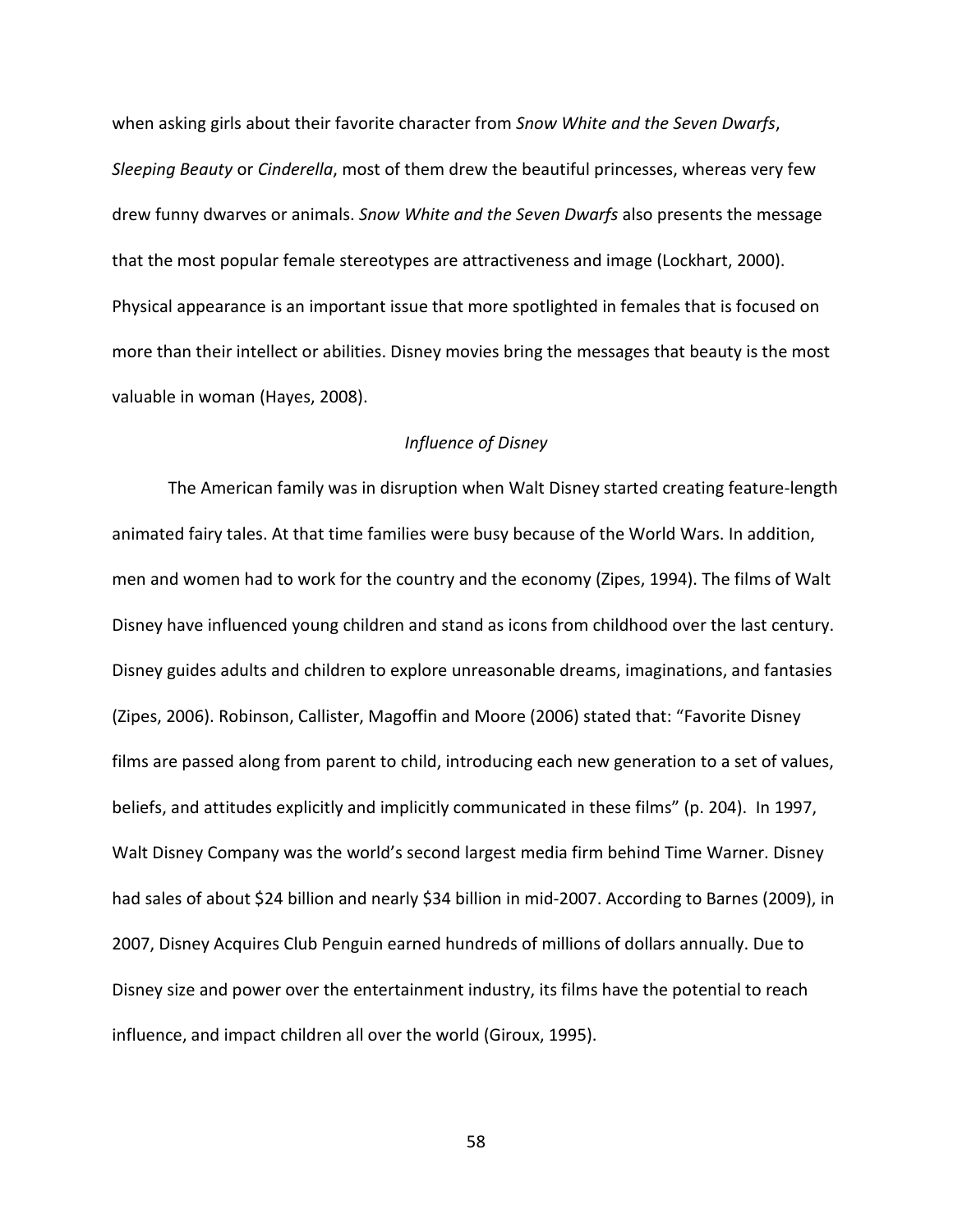when asking girls about their favorite character from *Snow White and the Seven Dwarfs*, *Sleeping Beauty* or *Cinderella*, most of them drew the beautiful princesses, whereas very few drew funny dwarves or animals. *Snow White and the Seven Dwarfs* also presents the message that the most popular female stereotypes are attractiveness and image (Lockhart, 2000). Physical appearance is an important issue that more spotlighted in females that is focused on more than their intellect or abilities. Disney movies bring the messages that beauty is the most valuable in woman (Hayes, 2008).

### *Influence of Disney*

The American family was in disruption when Walt Disney started creating feature-length animated fairy tales. At that time families were busy because of the World Wars. In addition, men and women had to work for the country and the economy (Zipes, 1994). The films of Walt Disney have influenced young children and stand as icons from childhood over the last century. Disney guides adults and children to explore unreasonable dreams, imaginations, and fantasies (Zipes, 2006). Robinson, Callister, Magoffin and Moore (2006) stated that: "Favorite Disney films are passed along from parent to child, introducing each new generation to a set of values, beliefs, and attitudes explicitly and implicitly communicated in these films" (p. 204). In 1997, Walt Disney Company was the world's second largest media firm behind Time Warner. Disney had sales of about \$24 billion and nearly \$34 billion in mid-2007. According to Barnes (2009), in 2007, Disney Acquires Club Penguin earned hundreds of millions of dollars annually. Due to Disney size and power over the entertainment industry, its films have the potential to reach influence, and impact children all over the world (Giroux, 1995).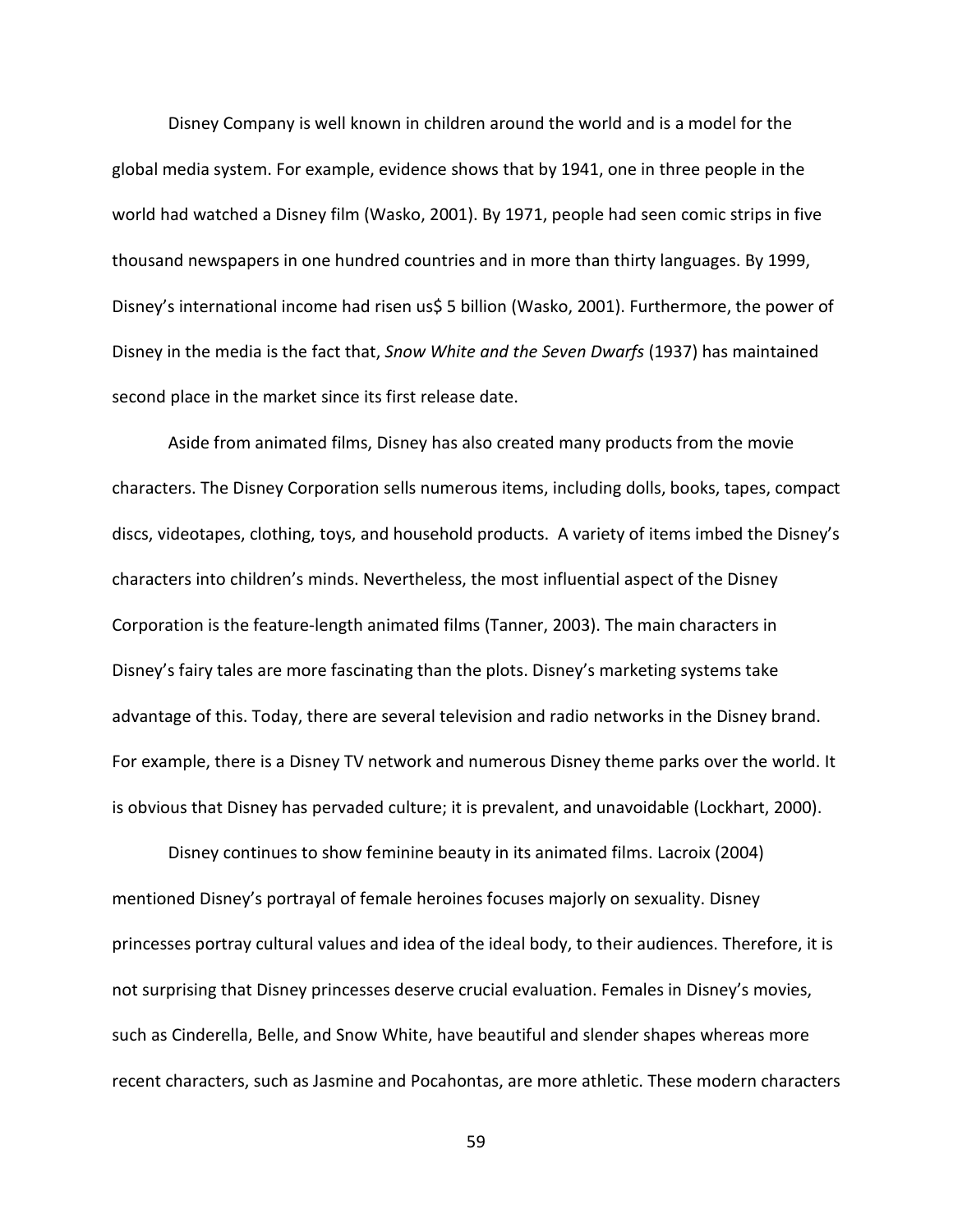Disney Company is well known in children around the world and is a model for the global media system. For example, evidence shows that by 1941, one in three people in the world had watched a Disney film (Wasko, 2001). By 1971, people had seen comic strips in five thousand newspapers in one hundred countries and in more than thirty languages. By 1999, Disney's international income had risen us\$ 5 billion (Wasko, 2001). Furthermore, the power of Disney in the media is the fact that, *Snow White and the Seven Dwarfs* (1937) has maintained second place in the market since its first release date.

Aside from animated films, Disney has also created many products from the movie characters. The Disney Corporation sells numerous items, including dolls, books, tapes, compact discs, videotapes, clothing, toys, and household products. A variety of items imbed the Disney's characters into children's minds. Nevertheless, the most influential aspect of the Disney Corporation is the feature-length animated films (Tanner, 2003). The main characters in Disney's fairy tales are more fascinating than the plots. Disney's marketing systems take advantage of this. Today, there are several television and radio networks in the Disney brand. For example, there is a Disney TV network and numerous Disney theme parks over the world. It is obvious that Disney has pervaded culture; it is prevalent, and unavoidable (Lockhart, 2000).

Disney continues to show feminine beauty in its animated films. Lacroix (2004) mentioned Disney's portrayal of female heroines focuses majorly on sexuality. Disney princesses portray cultural values and idea of the ideal body, to their audiences. Therefore, it is not surprising that Disney princesses deserve crucial evaluation. Females in Disney's movies, such as Cinderella, Belle, and Snow White, have beautiful and slender shapes whereas more recent characters, such as Jasmine and Pocahontas, are more athletic. These modern characters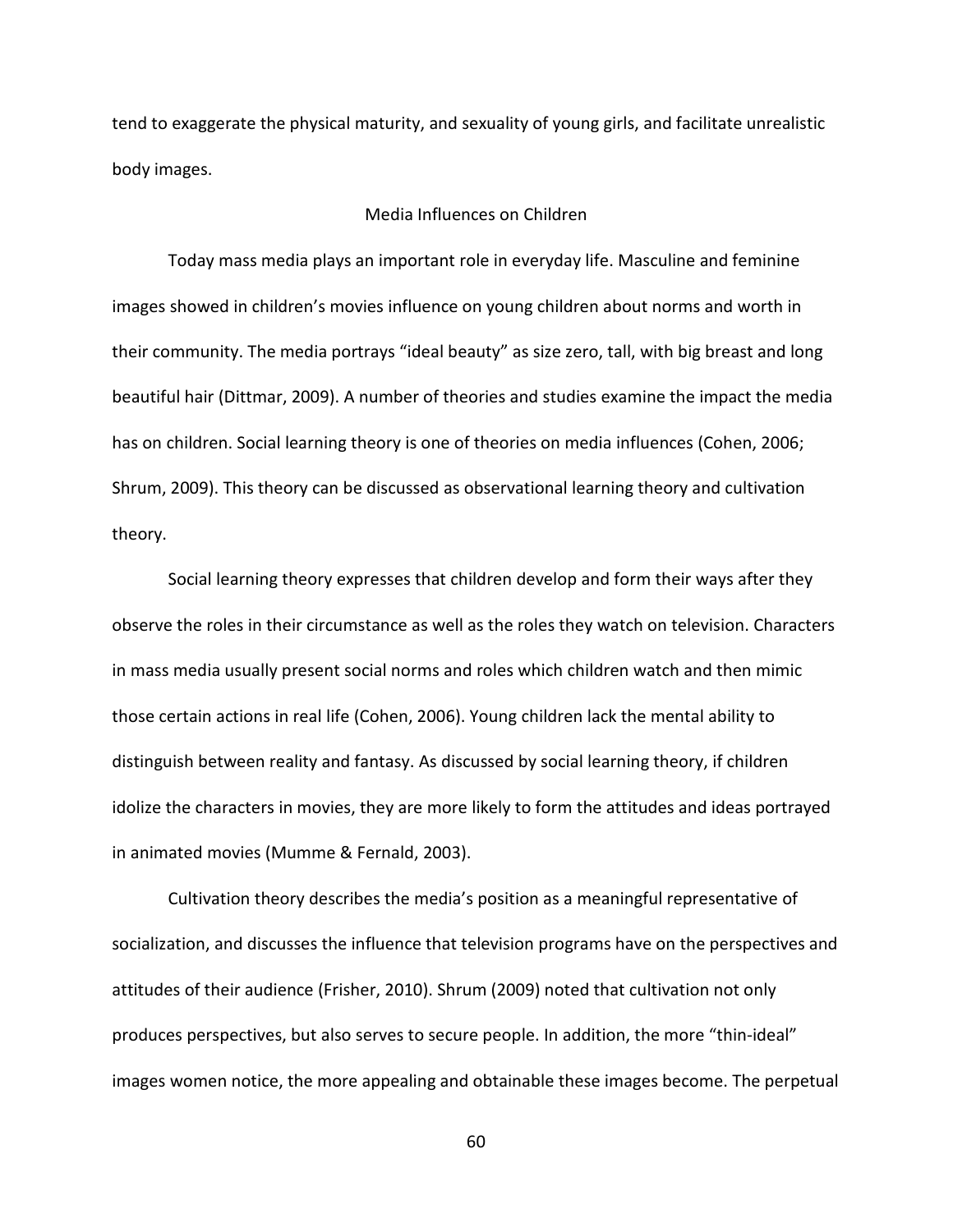tend to exaggerate the physical maturity, and sexuality of young girls, and facilitate unrealistic body images.

## Media Influences on Children

Today mass media plays an important role in everyday life. Masculine and feminine images showed in children's movies influence on young children about norms and worth in their community. The media portrays "ideal beauty" as size zero, tall, with big breast and long beautiful hair (Dittmar, 2009). A number of theories and studies examine the impact the media has on children. Social learning theory is one of theories on media influences (Cohen, 2006; Shrum, 2009). This theory can be discussed as observational learning theory and cultivation theory.

Social learning theory expresses that children develop and form their ways after they observe the roles in their circumstance as well as the roles they watch on television. Characters in mass media usually present social norms and roles which children watch and then mimic those certain actions in real life (Cohen, 2006). Young children lack the mental ability to distinguish between reality and fantasy. As discussed by social learning theory, if children idolize the characters in movies, they are more likely to form the attitudes and ideas portrayed in animated movies (Mumme & Fernald, 2003).

Cultivation theory describes the media's position as a meaningful representative of socialization, and discusses the influence that television programs have on the perspectives and attitudes of their audience (Frisher, 2010). Shrum (2009) noted that cultivation not only produces perspectives, but also serves to secure people. In addition, the more "thin-ideal" images women notice, the more appealing and obtainable these images become. The perpetual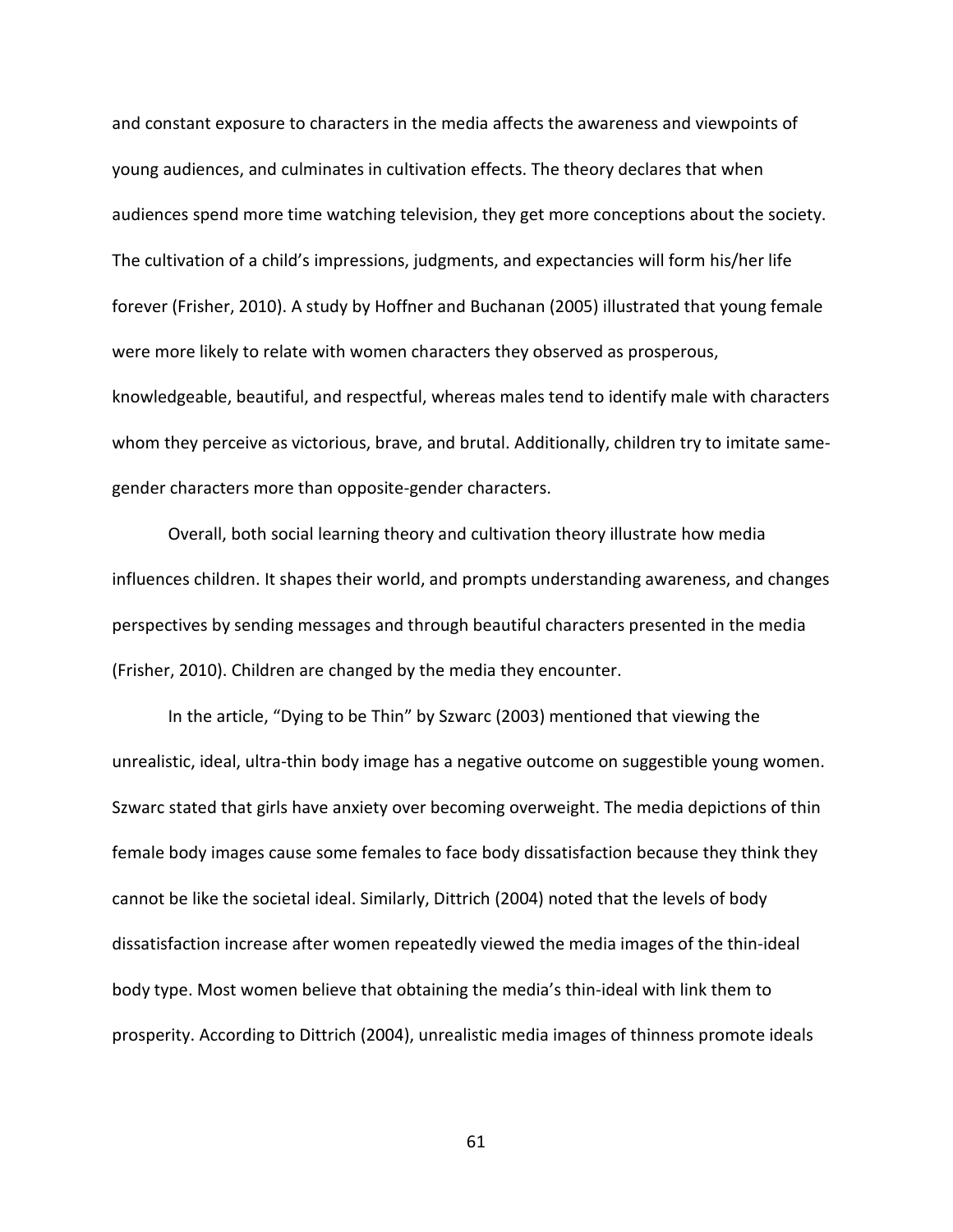and constant exposure to characters in the media affects the awareness and viewpoints of young audiences, and culminates in cultivation effects. The theory declares that when audiences spend more time watching television, they get more conceptions about the society. The cultivation of a child's impressions, judgments, and expectancies will form his/her life forever (Frisher, 2010). A study by Hoffner and Buchanan (2005) illustrated that young female were more likely to relate with women characters they observed as prosperous, knowledgeable, beautiful, and respectful, whereas males tend to identify male with characters whom they perceive as victorious, brave, and brutal. Additionally, children try to imitate samegender characters more than opposite-gender characters.

Overall, both social learning theory and cultivation theory illustrate how media influences children. It shapes their world, and prompts understanding awareness, and changes perspectives by sending messages and through beautiful characters presented in the media (Frisher, 2010). Children are changed by the media they encounter.

In the article, "Dying to be Thin" by Szwarc (2003) mentioned that viewing the unrealistic, ideal, ultra-thin body image has a negative outcome on suggestible young women. Szwarc stated that girls have anxiety over becoming overweight. The media depictions of thin female body images cause some females to face body dissatisfaction because they think they cannot be like the societal ideal. Similarly, Dittrich (2004) noted that the levels of body dissatisfaction increase after women repeatedly viewed the media images of the thin-ideal body type. Most women believe that obtaining the media's thin-ideal with link them to prosperity. According to Dittrich (2004), unrealistic media images of thinness promote ideals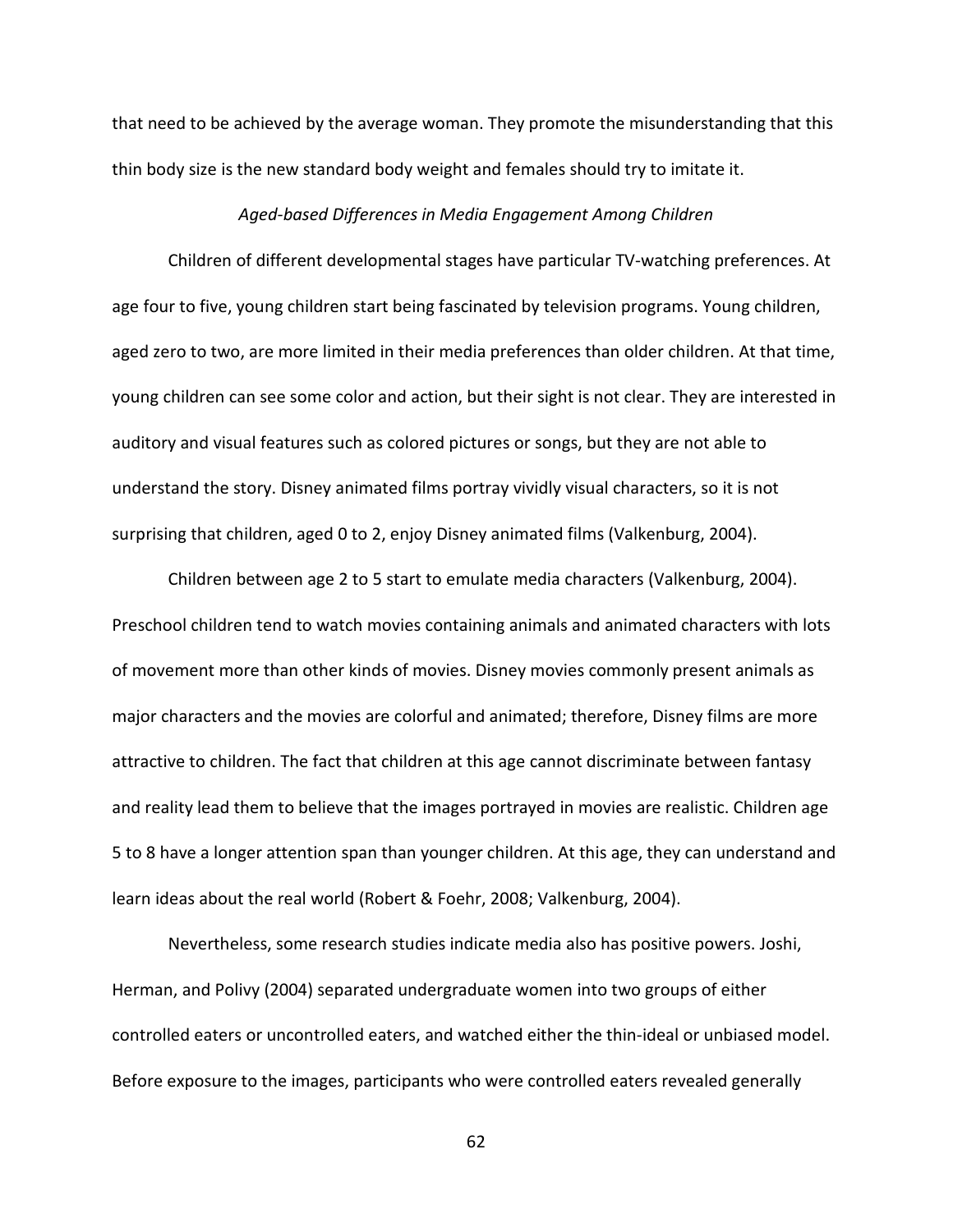that need to be achieved by the average woman. They promote the misunderstanding that this thin body size is the new standard body weight and females should try to imitate it.

### *Aged-based Differences in Media Engagement Among Children*

Children of different developmental stages have particular TV-watching preferences. At age four to five, young children start being fascinated by television programs. Young children, aged zero to two, are more limited in their media preferences than older children. At that time, young children can see some color and action, but their sight is not clear. They are interested in auditory and visual features such as colored pictures or songs, but they are not able to understand the story. Disney animated films portray vividly visual characters, so it is not surprising that children, aged 0 to 2, enjoy Disney animated films (Valkenburg, 2004).

Children between age 2 to 5 start to emulate media characters (Valkenburg, 2004). Preschool children tend to watch movies containing animals and animated characters with lots of movement more than other kinds of movies. Disney movies commonly present animals as major characters and the movies are colorful and animated; therefore, Disney films are more attractive to children. The fact that children at this age cannot discriminate between fantasy and reality lead them to believe that the images portrayed in movies are realistic. Children age 5 to 8 have a longer attention span than younger children. At this age, they can understand and learn ideas about the real world (Robert & Foehr, 2008; Valkenburg, 2004).

Nevertheless, some research studies indicate media also has positive powers. Joshi, Herman, and Polivy (2004) separated undergraduate women into two groups of either controlled eaters or uncontrolled eaters, and watched either the thin-ideal or unbiased model. Before exposure to the images, participants who were controlled eaters revealed generally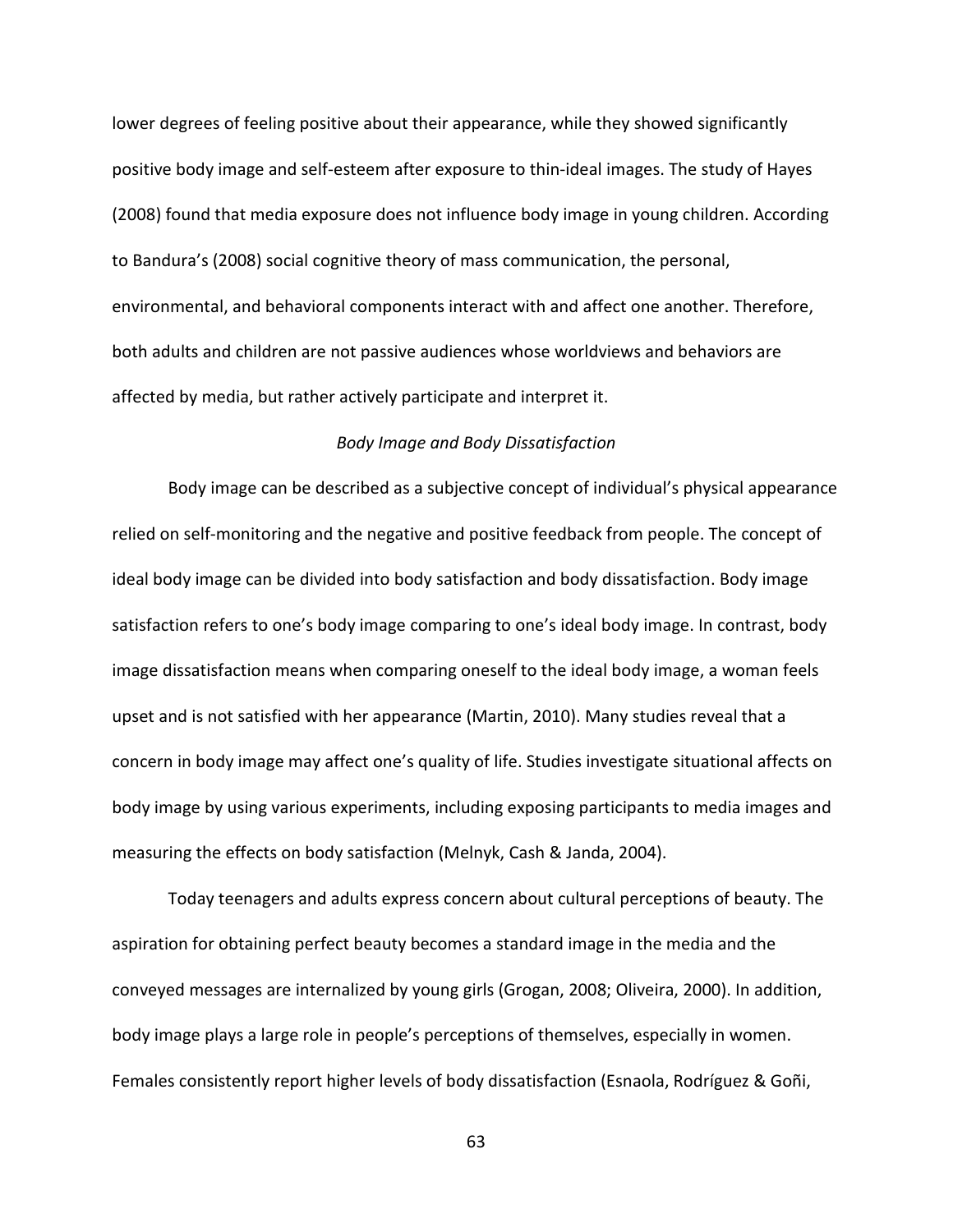lower degrees of feeling positive about their appearance, while they showed significantly positive body image and self-esteem after exposure to thin-ideal images. The study of Hayes (2008) found that media exposure does not influence body image in young children. According to Bandura's (2008) social cognitive theory of mass communication, the personal, environmental, and behavioral components interact with and affect one another. Therefore, both adults and children are not passive audiences whose worldviews and behaviors are affected by media, but rather actively participate and interpret it.

#### *Body Image and Body Dissatisfaction*

Body image can be described as a subjective concept of individual's physical appearance relied on self-monitoring and the negative and positive feedback from people. The concept of ideal body image can be divided into body satisfaction and body dissatisfaction. Body image satisfaction refers to one's body image comparing to one's ideal body image. In contrast, body image dissatisfaction means when comparing oneself to the ideal body image, a woman feels upset and is not satisfied with her appearance (Martin, 2010). Many studies reveal that a concern in body image may affect one's quality of life. Studies investigate situational affects on body image by using various experiments, including exposing participants to media images and measuring the effects on body satisfaction (Melnyk, Cash & Janda, 2004).

Today teenagers and adults express concern about cultural perceptions of beauty. The aspiration for obtaining perfect beauty becomes a standard image in the media and the conveyed messages are internalized by young girls (Grogan, 2008; Oliveira, 2000). In addition, body image plays a large role in people's perceptions of themselves, especially in women. Females consistently report higher levels of body dissatisfaction (Esnaola, Rodríguez & Goñi,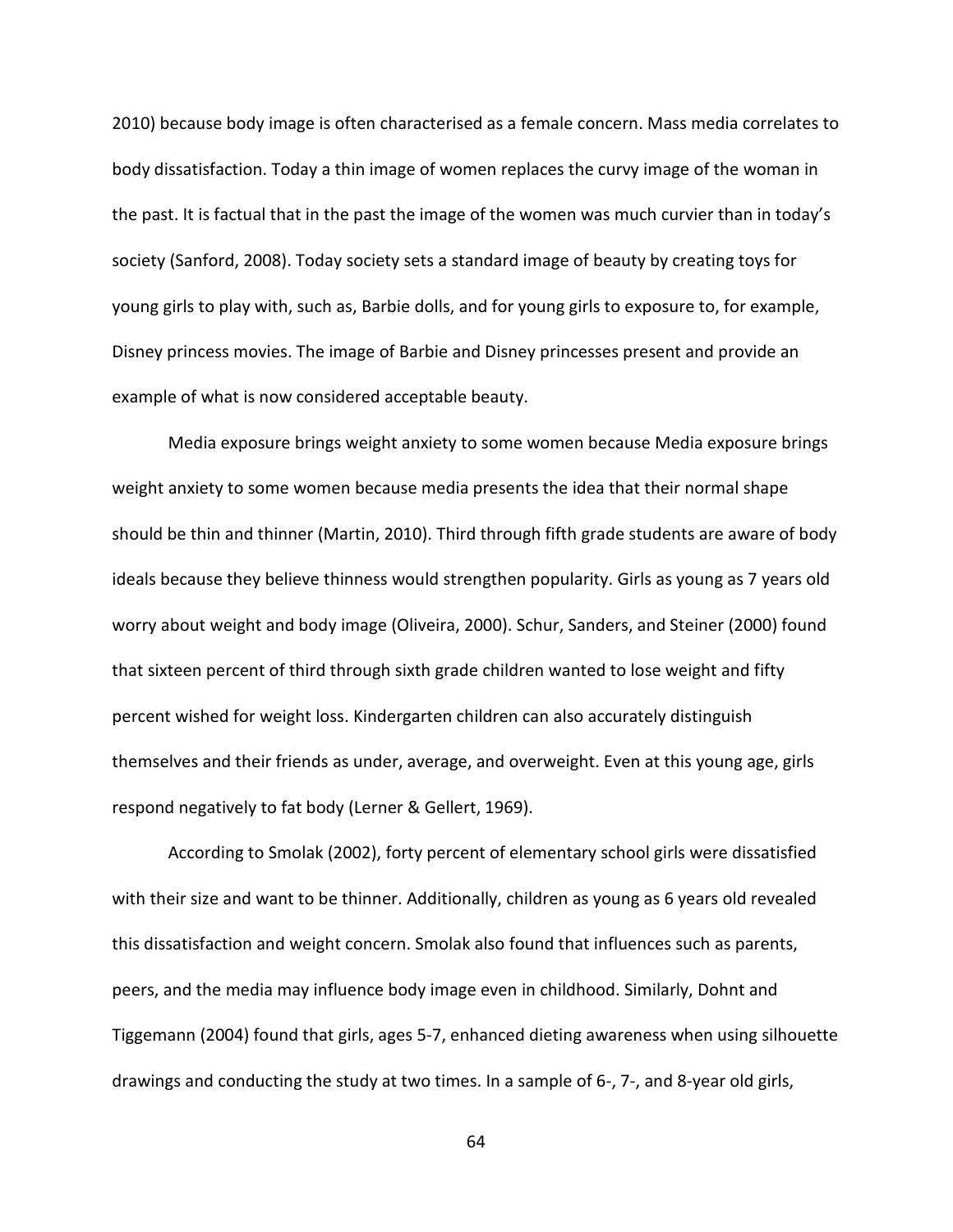2010) because body image is often characterised as a female concern. Mass media correlates to body dissatisfaction. Today a thin image of women replaces the curvy image of the woman in the past. It is factual that in the past the image of the women was much curvier than in today's society (Sanford, 2008). Today society sets a standard image of beauty by creating toys for young girls to play with, such as, Barbie dolls, and for young girls to exposure to, for example, Disney princess movies. The image of Barbie and Disney princesses present and provide an example of what is now considered acceptable beauty.

Media exposure brings weight anxiety to some women because Media exposure brings weight anxiety to some women because media presents the idea that their normal shape should be thin and thinner (Martin, 2010). Third through fifth grade students are aware of body ideals because they believe thinness would strengthen popularity. Girls as young as 7 years old worry about weight and body image (Oliveira, 2000). Schur, Sanders, and Steiner (2000) found that sixteen percent of third through sixth grade children wanted to lose weight and fifty percent wished for weight loss. Kindergarten children can also accurately distinguish themselves and their friends as under, average, and overweight. Even at this young age, girls respond negatively to fat body (Lerner & Gellert, 1969).

According to Smolak (2002), forty percent of elementary school girls were dissatisfied with their size and want to be thinner. Additionally, children as young as 6 years old revealed this dissatisfaction and weight concern. Smolak also found that influences such as parents, peers, and the media may influence body image even in childhood. Similarly, Dohnt and Tiggemann (2004) found that girls, ages 5-7, enhanced dieting awareness when using silhouette drawings and conducting the study at two times. In a sample of 6-, 7-, and 8-year old girls,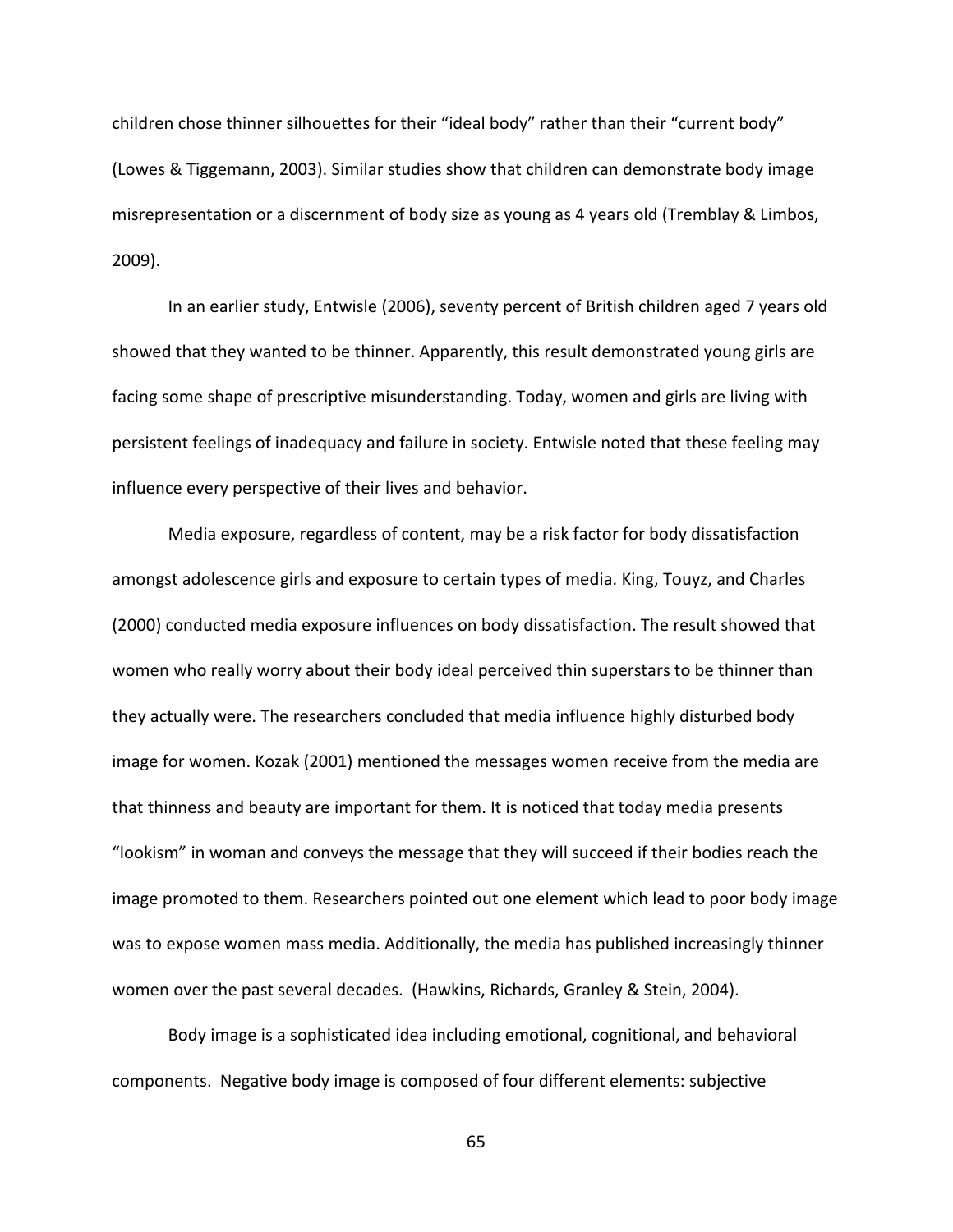children chose thinner silhouettes for their "ideal body" rather than their "current body" (Lowes & Tiggemann, 2003). Similar studies show that children can demonstrate body image misrepresentation or a discernment of body size as young as 4 years old (Tremblay & Limbos, 2009).

In an earlier study, Entwisle (2006), seventy percent of British children aged 7 years old showed that they wanted to be thinner. Apparently, this result demonstrated young girls are facing some shape of prescriptive misunderstanding. Today, women and girls are living with persistent feelings of inadequacy and failure in society. Entwisle noted that these feeling may influence every perspective of their lives and behavior.

Media exposure, regardless of content, may be a risk factor for body dissatisfaction amongst adolescence girls and exposure to certain types of media. King, Touyz, and Charles (2000) conducted media exposure influences on body dissatisfaction. The result showed that women who really worry about their body ideal perceived thin superstars to be thinner than they actually were. The researchers concluded that media influence highly disturbed body image for women. Kozak (2001) mentioned the messages women receive from the media are that thinness and beauty are important for them. It is noticed that today media presents "lookism" in woman and conveys the message that they will succeed if their bodies reach the image promoted to them. Researchers pointed out one element which lead to poor body image was to expose women mass media. Additionally, the media has published increasingly thinner women over the past several decades. (Hawkins, Richards, Granley & Stein, 2004).

Body image is a sophisticated idea including emotional, cognitional, and behavioral components. Negative body image is composed of four different elements: subjective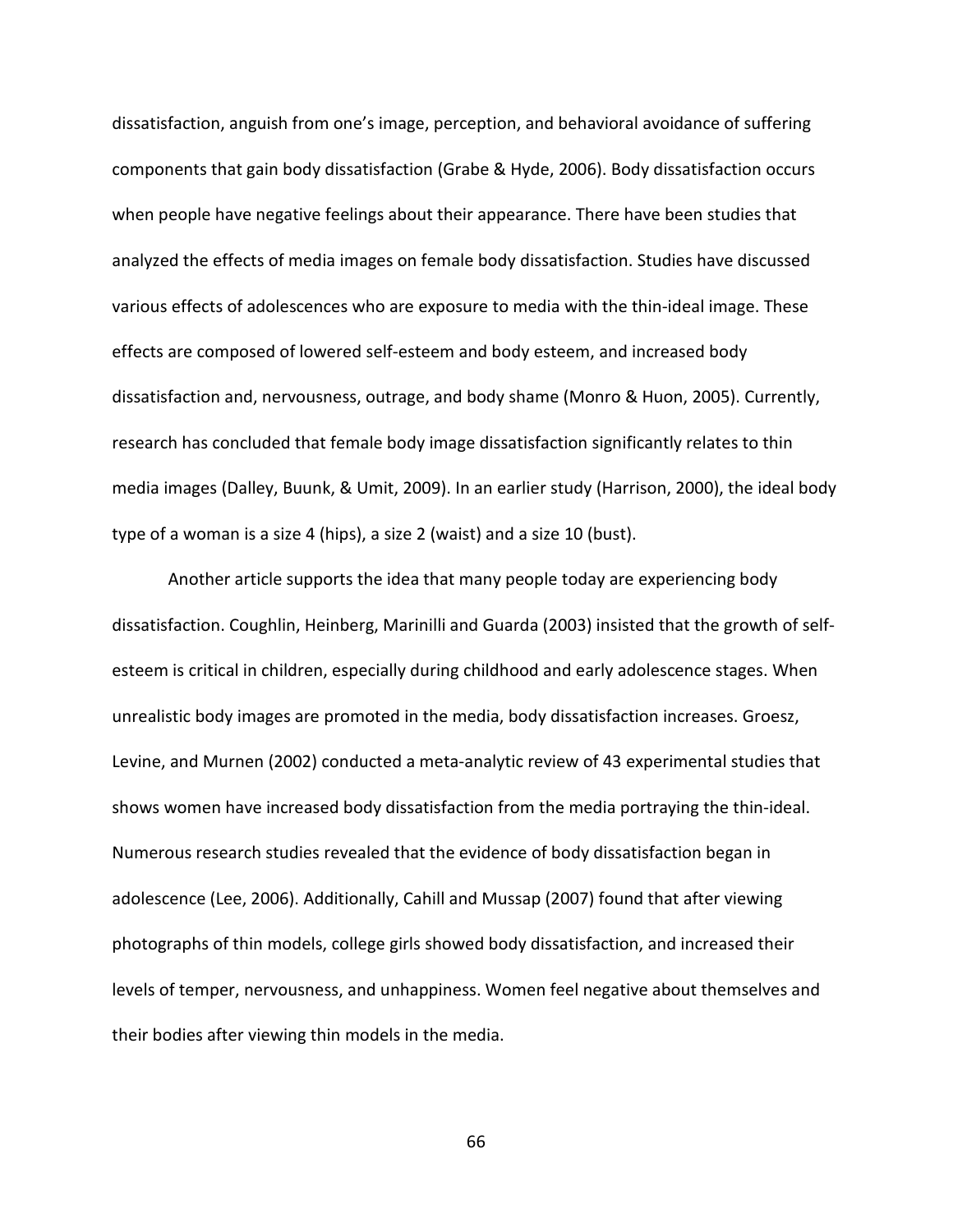dissatisfaction, anguish from one's image, perception, and behavioral avoidance of suffering components that gain body dissatisfaction (Grabe & Hyde, 2006). Body dissatisfaction occurs when people have negative feelings about their appearance. There have been studies that analyzed the effects of media images on female body dissatisfaction. Studies have discussed various effects of adolescences who are exposure to media with the thin-ideal image. These effects are composed of lowered self-esteem and body esteem, and increased body dissatisfaction and, nervousness, outrage, and body shame (Monro & Huon, 2005). Currently, research has concluded that female body image dissatisfaction significantly relates to thin media images (Dalley, Buunk, & Umit, 2009). In an earlier study (Harrison, 2000), the ideal body type of a woman is a size 4 (hips), a size 2 (waist) and a size 10 (bust).

Another article supports the idea that many people today are experiencing body dissatisfaction. Coughlin, Heinberg, Marinilli and Guarda (2003) insisted that the growth of selfesteem is critical in children, especially during childhood and early adolescence stages. When unrealistic body images are promoted in the media, body dissatisfaction increases. Groesz, Levine, and Murnen (2002) conducted a meta-analytic review of 43 experimental studies that shows women have increased body dissatisfaction from the media portraying the thin-ideal. Numerous research studies revealed that the evidence of body dissatisfaction began in adolescence (Lee, 2006). Additionally, Cahill and Mussap (2007) found that after viewing photographs of thin models, college girls showed body dissatisfaction, and increased their levels of temper, nervousness, and unhappiness. Women feel negative about themselves and their bodies after viewing thin models in the media.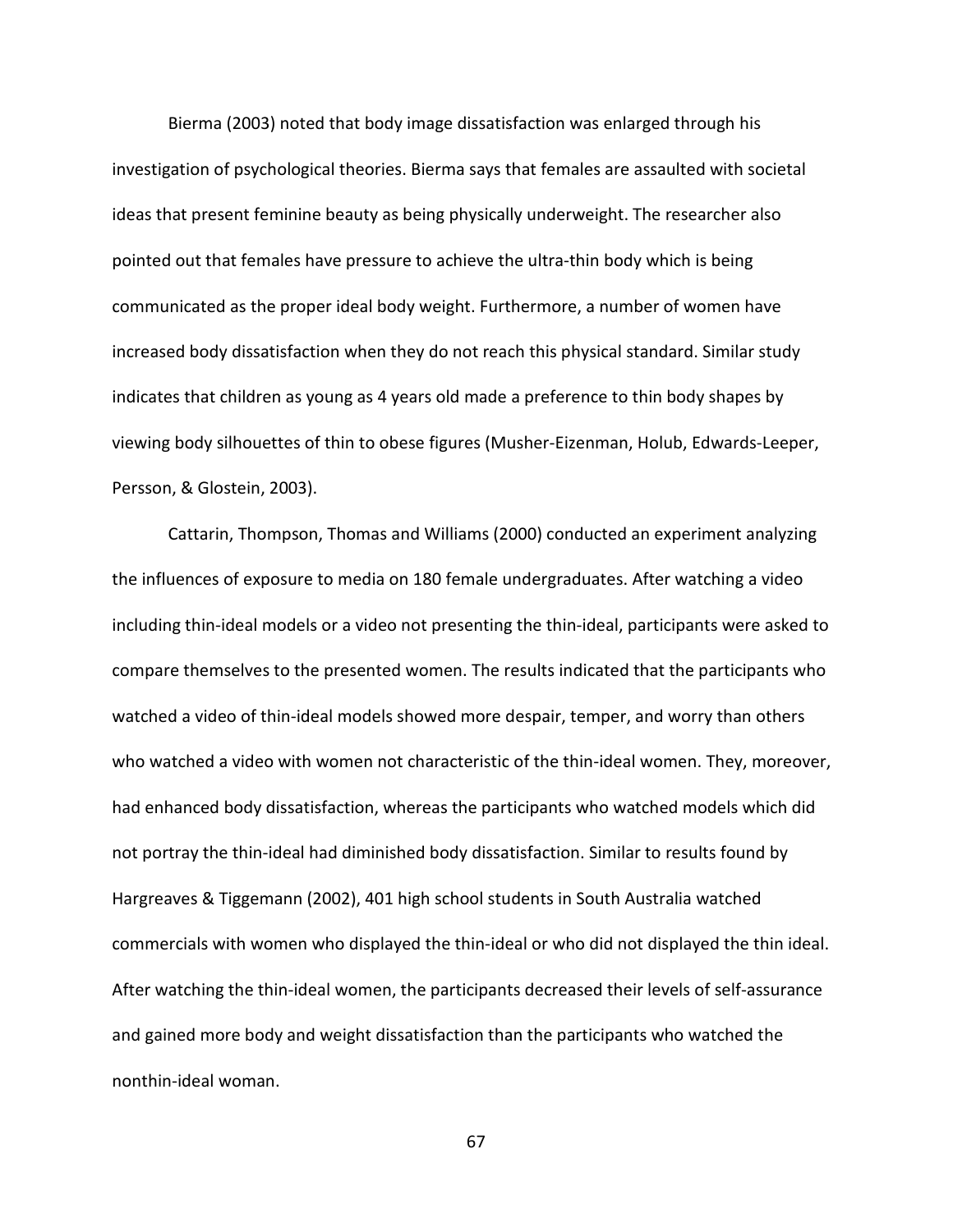Bierma (2003) noted that body image dissatisfaction was enlarged through his investigation of psychological theories. Bierma says that females are assaulted with societal ideas that present feminine beauty as being physically underweight. The researcher also pointed out that females have pressure to achieve the ultra-thin body which is being communicated as the proper ideal body weight. Furthermore, a number of women have increased body dissatisfaction when they do not reach this physical standard. Similar study indicates that children as young as 4 years old made a preference to thin body shapes by viewing body silhouettes of thin to obese figures (Musher-Eizenman, Holub, Edwards-Leeper, Persson, & Glostein, 2003).

Cattarin, Thompson, Thomas and Williams (2000) conducted an experiment analyzing the influences of exposure to media on 180 female undergraduates. After watching a video including thin-ideal models or a video not presenting the thin-ideal, participants were asked to compare themselves to the presented women. The results indicated that the participants who watched a video of thin-ideal models showed more despair, temper, and worry than others who watched a video with women not characteristic of the thin-ideal women. They, moreover, had enhanced body dissatisfaction, whereas the participants who watched models which did not portray the thin-ideal had diminished body dissatisfaction. Similar to results found by Hargreaves & Tiggemann (2002), 401 high school students in South Australia watched commercials with women who displayed the thin-ideal or who did not displayed the thin ideal. After watching the thin-ideal women, the participants decreased their levels of self-assurance and gained more body and weight dissatisfaction than the participants who watched the nonthin-ideal woman.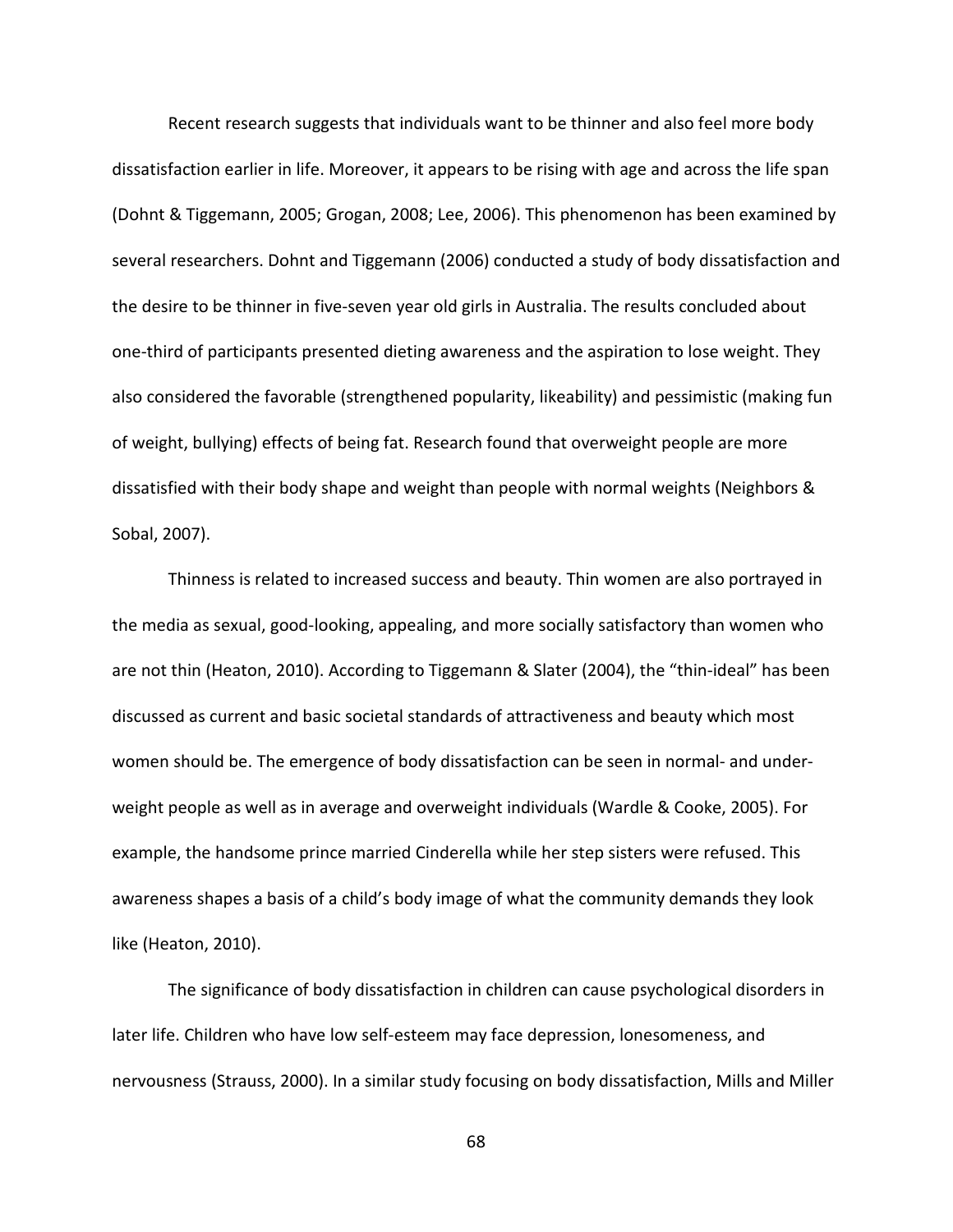Recent research suggests that individuals want to be thinner and also feel more body dissatisfaction earlier in life. Moreover, it appears to be rising with age and across the life span (Dohnt & Tiggemann, 2005; Grogan, 2008; Lee, 2006). This phenomenon has been examined by several researchers. Dohnt and Tiggemann (2006) conducted a study of body dissatisfaction and the desire to be thinner in five-seven year old girls in Australia. The results concluded about one-third of participants presented dieting awareness and the aspiration to lose weight. They also considered the favorable (strengthened popularity, likeability) and pessimistic (making fun of weight, bullying) effects of being fat. Research found that overweight people are more dissatisfied with their body shape and weight than people with normal weights (Neighbors & Sobal, 2007).

Thinness is related to increased success and beauty. Thin women are also portrayed in the media as sexual, good-looking, appealing, and more socially satisfactory than women who are not thin (Heaton, 2010). According to Tiggemann & Slater (2004), the "thin-ideal" has been discussed as current and basic societal standards of attractiveness and beauty which most women should be. The emergence of body dissatisfaction can be seen in normal- and underweight people as well as in average and overweight individuals (Wardle & Cooke, 2005). For example, the handsome prince married Cinderella while her step sisters were refused. This awareness shapes a basis of a child's body image of what the community demands they look like (Heaton, 2010).

The significance of body dissatisfaction in children can cause psychological disorders in later life. Children who have low self-esteem may face depression, lonesomeness, and nervousness (Strauss, 2000). In a similar study focusing on body dissatisfaction, Mills and Miller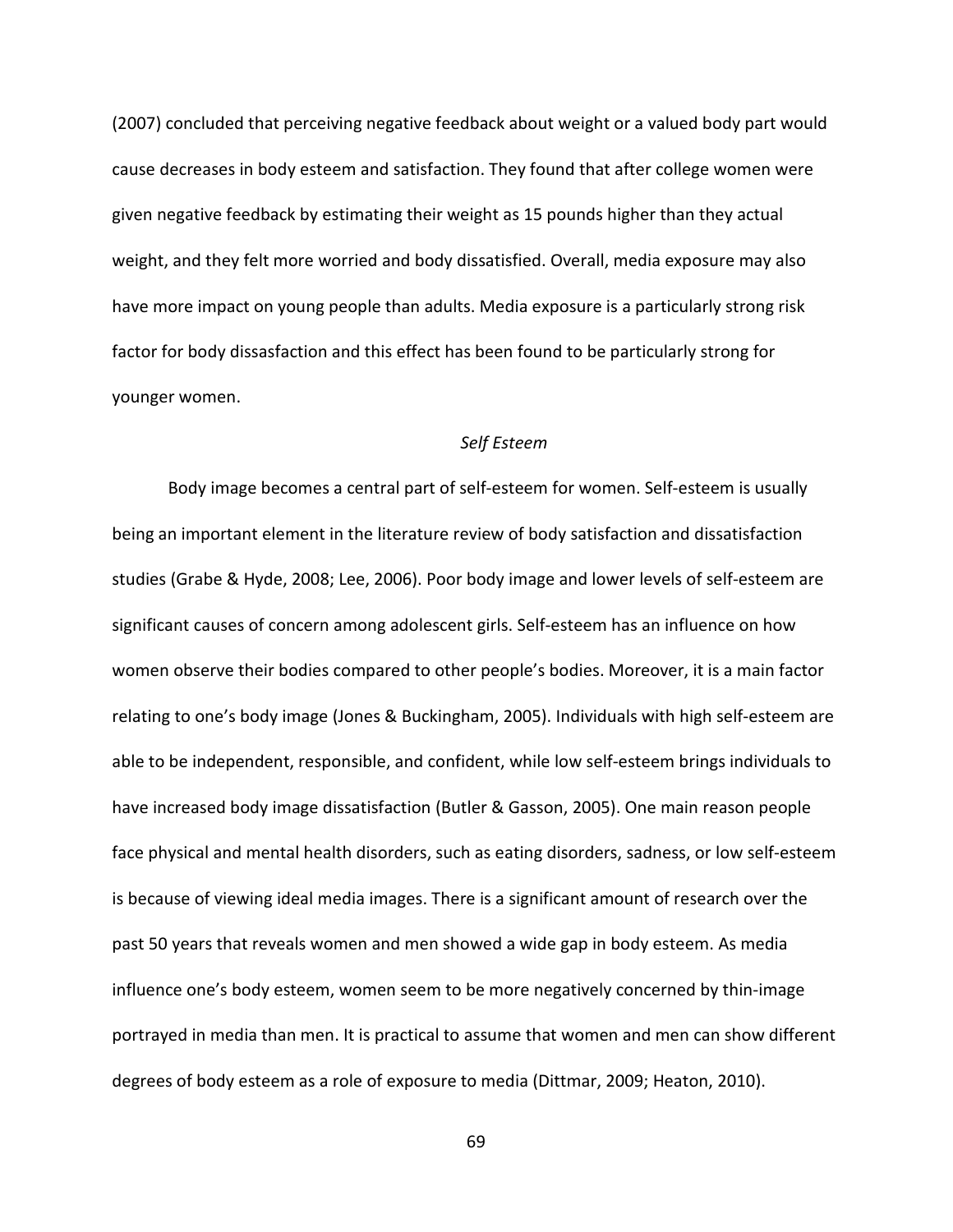(2007) concluded that perceiving negative feedback about weight or a valued body part would cause decreases in body esteem and satisfaction. They found that after college women were given negative feedback by estimating their weight as 15 pounds higher than they actual weight, and they felt more worried and body dissatisfied. Overall, media exposure may also have more impact on young people than adults. Media exposure is a particularly strong risk factor for body dissasfaction and this effect has been found to be particularly strong for younger women.

### *Self Esteem*

Body image becomes a central part of self-esteem for women. Self-esteem is usually being an important element in the literature review of body satisfaction and dissatisfaction studies (Grabe & Hyde, 2008; Lee, 2006). Poor body image and lower levels of self-esteem are significant causes of concern among adolescent girls. Self-esteem has an influence on how women observe their bodies compared to other people's bodies. Moreover, it is a main factor relating to one's body image (Jones & Buckingham, 2005). Individuals with high self-esteem are able to be independent, responsible, and confident, while low self-esteem brings individuals to have increased body image dissatisfaction (Butler & Gasson, 2005). One main reason people face physical and mental health disorders, such as eating disorders, sadness, or low self-esteem is because of viewing ideal media images. There is a significant amount of research over the past 50 years that reveals women and men showed a wide gap in body esteem. As media influence one's body esteem, women seem to be more negatively concerned by thin-image portrayed in media than men. It is practical to assume that women and men can show different degrees of body esteem as a role of exposure to media (Dittmar, 2009; Heaton, 2010).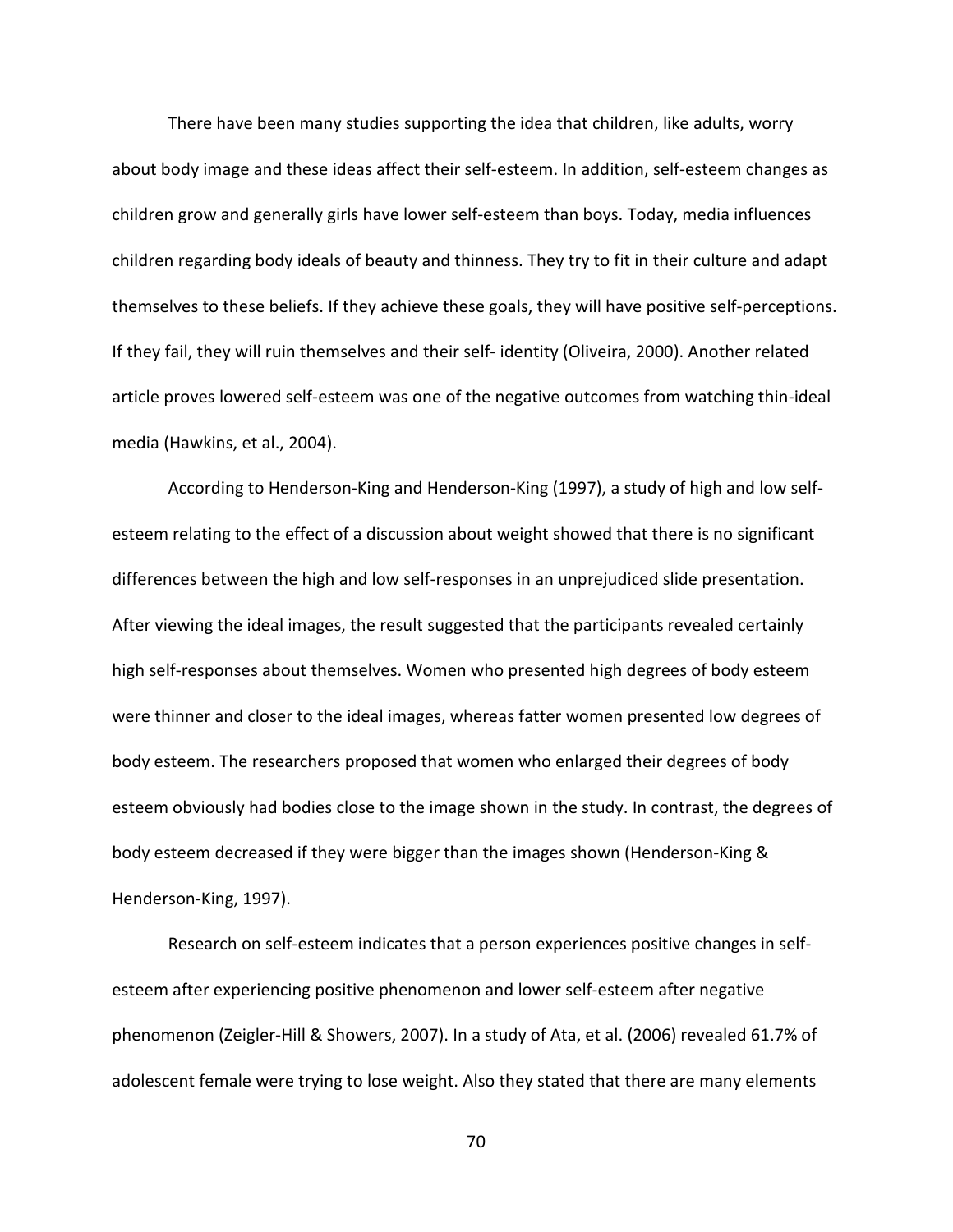There have been many studies supporting the idea that children, like adults, worry about body image and these ideas affect their self-esteem. In addition, self-esteem changes as children grow and generally girls have lower self-esteem than boys. Today, media influences children regarding body ideals of beauty and thinness. They try to fit in their culture and adapt themselves to these beliefs. If they achieve these goals, they will have positive self-perceptions. If they fail, they will ruin themselves and their self- identity (Oliveira, 2000). Another related article proves lowered self-esteem was one of the negative outcomes from watching thin-ideal media (Hawkins, et al., 2004).

According to Henderson-King and Henderson-King (1997), a study of high and low selfesteem relating to the effect of a discussion about weight showed that there is no significant differences between the high and low self-responses in an unprejudiced slide presentation. After viewing the ideal images, the result suggested that the participants revealed certainly high self-responses about themselves. Women who presented high degrees of body esteem were thinner and closer to the ideal images, whereas fatter women presented low degrees of body esteem. The researchers proposed that women who enlarged their degrees of body esteem obviously had bodies close to the image shown in the study. In contrast, the degrees of body esteem decreased if they were bigger than the images shown (Henderson-King & Henderson-King, 1997).

Research on self-esteem indicates that a person experiences positive changes in selfesteem after experiencing positive phenomenon and lower self-esteem after negative phenomenon (Zeigler-Hill & Showers, 2007). In a study of Ata, et al. (2006) revealed 61.7% of adolescent female were trying to lose weight. Also they stated that there are many elements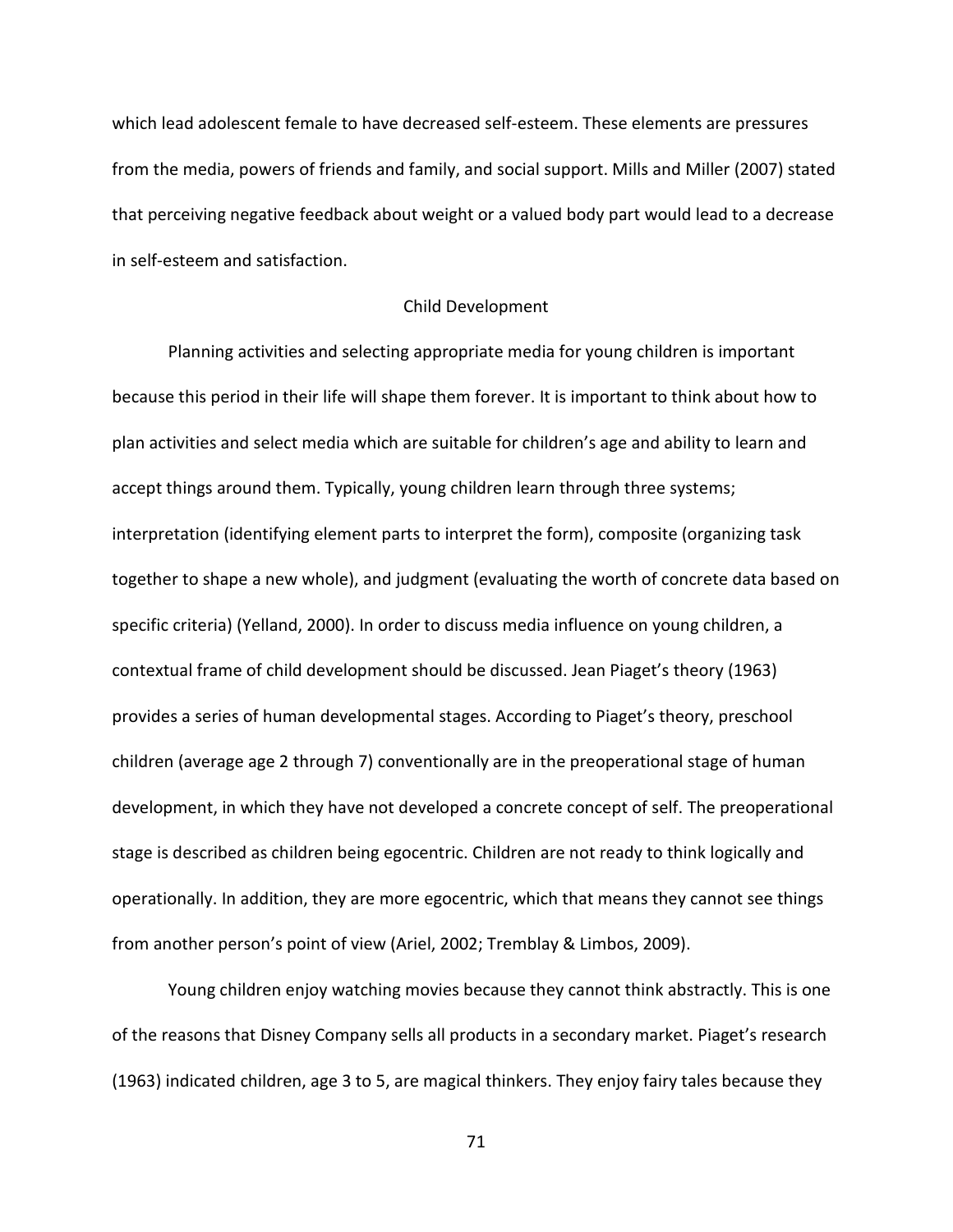which lead adolescent female to have decreased self-esteem. These elements are pressures from the media, powers of friends and family, and social support. Mills and Miller (2007) stated that perceiving negative feedback about weight or a valued body part would lead to a decrease in self-esteem and satisfaction.

### Child Development

Planning activities and selecting appropriate media for young children is important because this period in their life will shape them forever. It is important to think about how to plan activities and select media which are suitable for children's age and ability to learn and accept things around them. Typically, young children learn through three systems; interpretation (identifying element parts to interpret the form), composite (organizing task together to shape a new whole), and judgment (evaluating the worth of concrete data based on specific criteria) (Yelland, 2000). In order to discuss media influence on young children, a contextual frame of child development should be discussed. Jean Piaget's theory (1963) provides a series of human developmental stages. According to Piaget's theory, preschool children (average age 2 through 7) conventionally are in the preoperational stage of human development, in which they have not developed a concrete concept of self. The preoperational stage is described as children being egocentric. Children are not ready to think logically and operationally. In addition, they are more egocentric, which that means they cannot see things from another person's point of view (Ariel, 2002; Tremblay & Limbos, 2009).

Young children enjoy watching movies because they cannot think abstractly. This is one of the reasons that Disney Company sells all products in a secondary market. Piaget's research (1963) indicated children, age 3 to 5, are magical thinkers. They enjoy fairy tales because they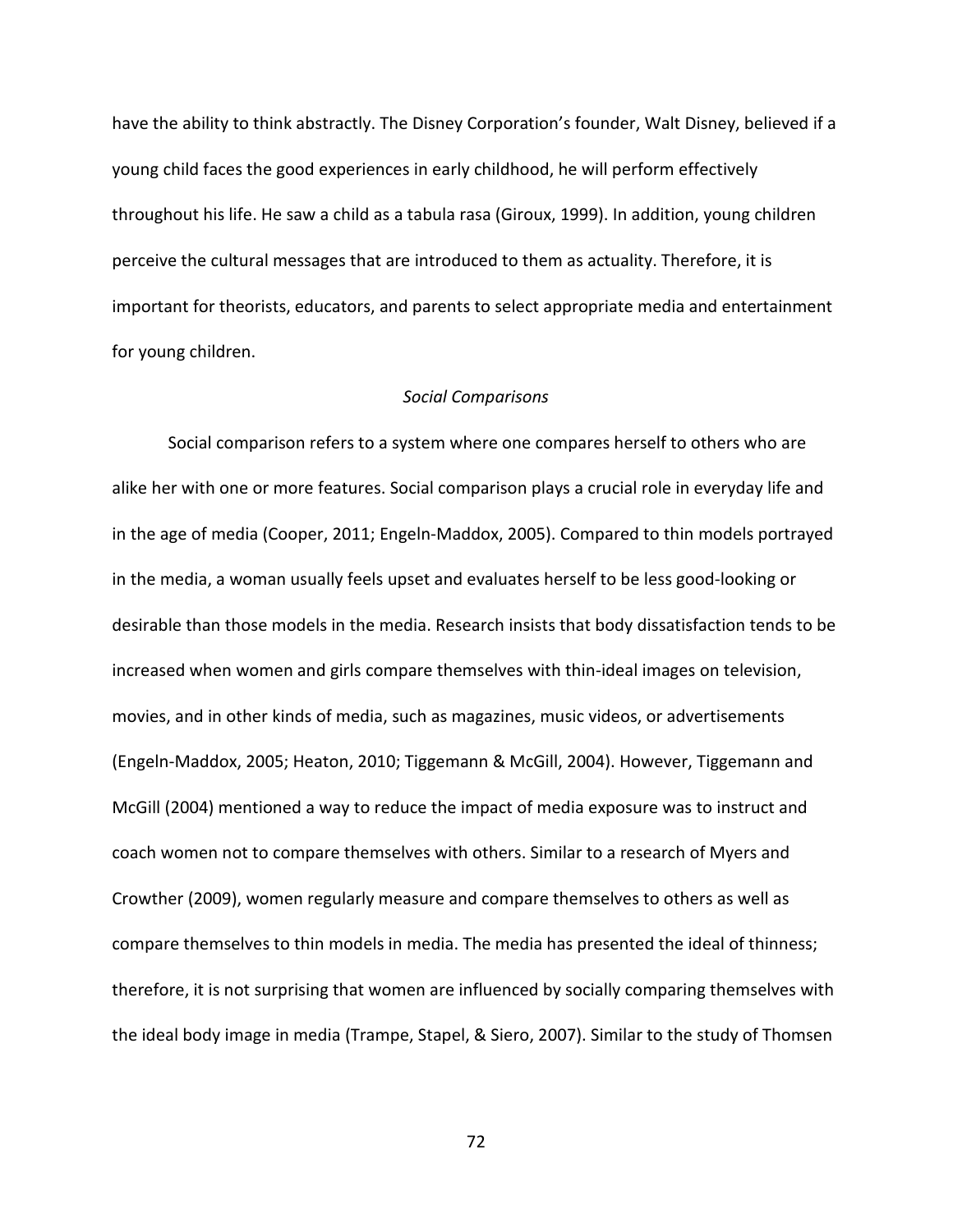have the ability to think abstractly. The Disney Corporation's founder, Walt Disney, believed if a young child faces the good experiences in early childhood, he will perform effectively throughout his life. He saw a child as a tabula rasa (Giroux, 1999). In addition, young children perceive the cultural messages that are introduced to them as actuality. Therefore, it is important for theorists, educators, and parents to select appropriate media and entertainment for young children.

### *Social Comparisons*

Social comparison refers to a system where one compares herself to others who are alike her with one or more features. Social comparison plays a crucial role in everyday life and in the age of media (Cooper, 2011; Engeln-Maddox, 2005). Compared to thin models portrayed in the media, a woman usually feels upset and evaluates herself to be less good-looking or desirable than those models in the media. Research insists that body dissatisfaction tends to be increased when women and girls compare themselves with thin-ideal images on television, movies, and in other kinds of media, such as magazines, music videos, or advertisements (Engeln-Maddox, 2005; Heaton, 2010; Tiggemann & McGill, 2004). However, Tiggemann and McGill (2004) mentioned a way to reduce the impact of media exposure was to instruct and coach women not to compare themselves with others. Similar to a research of Myers and Crowther (2009), women regularly measure and compare themselves to others as well as compare themselves to thin models in media. The media has presented the ideal of thinness; therefore, it is not surprising that women are influenced by socially comparing themselves with the ideal body image in media (Trampe, Stapel, & Siero, 2007). Similar to the study of Thomsen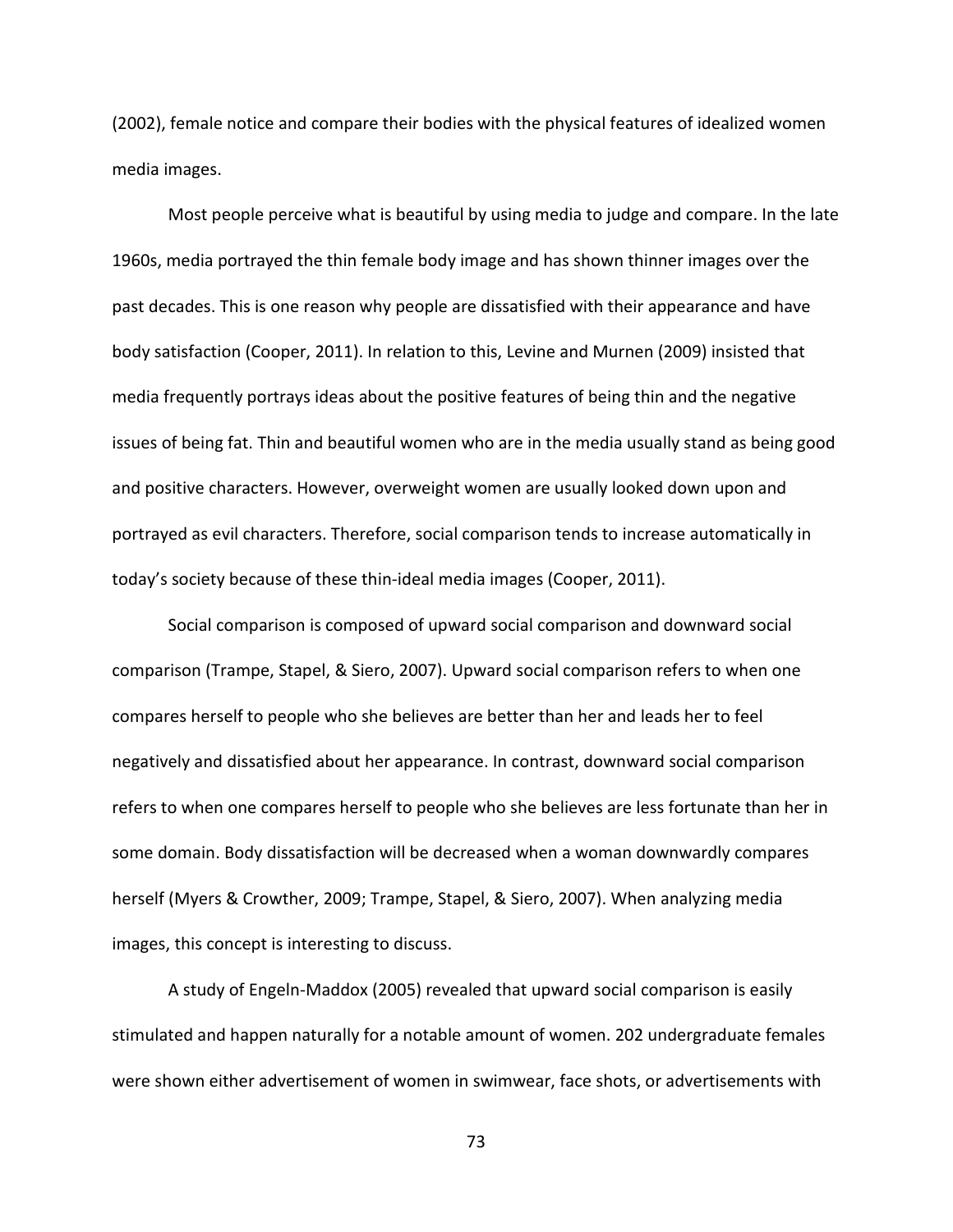(2002), female notice and compare their bodies with the physical features of idealized women media images.

Most people perceive what is beautiful by using media to judge and compare. In the late 1960s, media portrayed the thin female body image and has shown thinner images over the past decades. This is one reason why people are dissatisfied with their appearance and have body satisfaction (Cooper, 2011). In relation to this, Levine and Murnen (2009) insisted that media frequently portrays ideas about the positive features of being thin and the negative issues of being fat. Thin and beautiful women who are in the media usually stand as being good and positive characters. However, overweight women are usually looked down upon and portrayed as evil characters. Therefore, social comparison tends to increase automatically in today's society because of these thin-ideal media images (Cooper, 2011).

Social comparison is composed of upward social comparison and downward social comparison (Trampe, Stapel, & Siero, 2007). Upward social comparison refers to when one compares herself to people who she believes are better than her and leads her to feel negatively and dissatisfied about her appearance. In contrast, downward social comparison refers to when one compares herself to people who she believes are less fortunate than her in some domain. Body dissatisfaction will be decreased when a woman downwardly compares herself (Myers & Crowther, 2009; Trampe, Stapel, & Siero, 2007). When analyzing media images, this concept is interesting to discuss.

A study of Engeln-Maddox (2005) revealed that upward social comparison is easily stimulated and happen naturally for a notable amount of women. 202 undergraduate females were shown either advertisement of women in swimwear, face shots, or advertisements with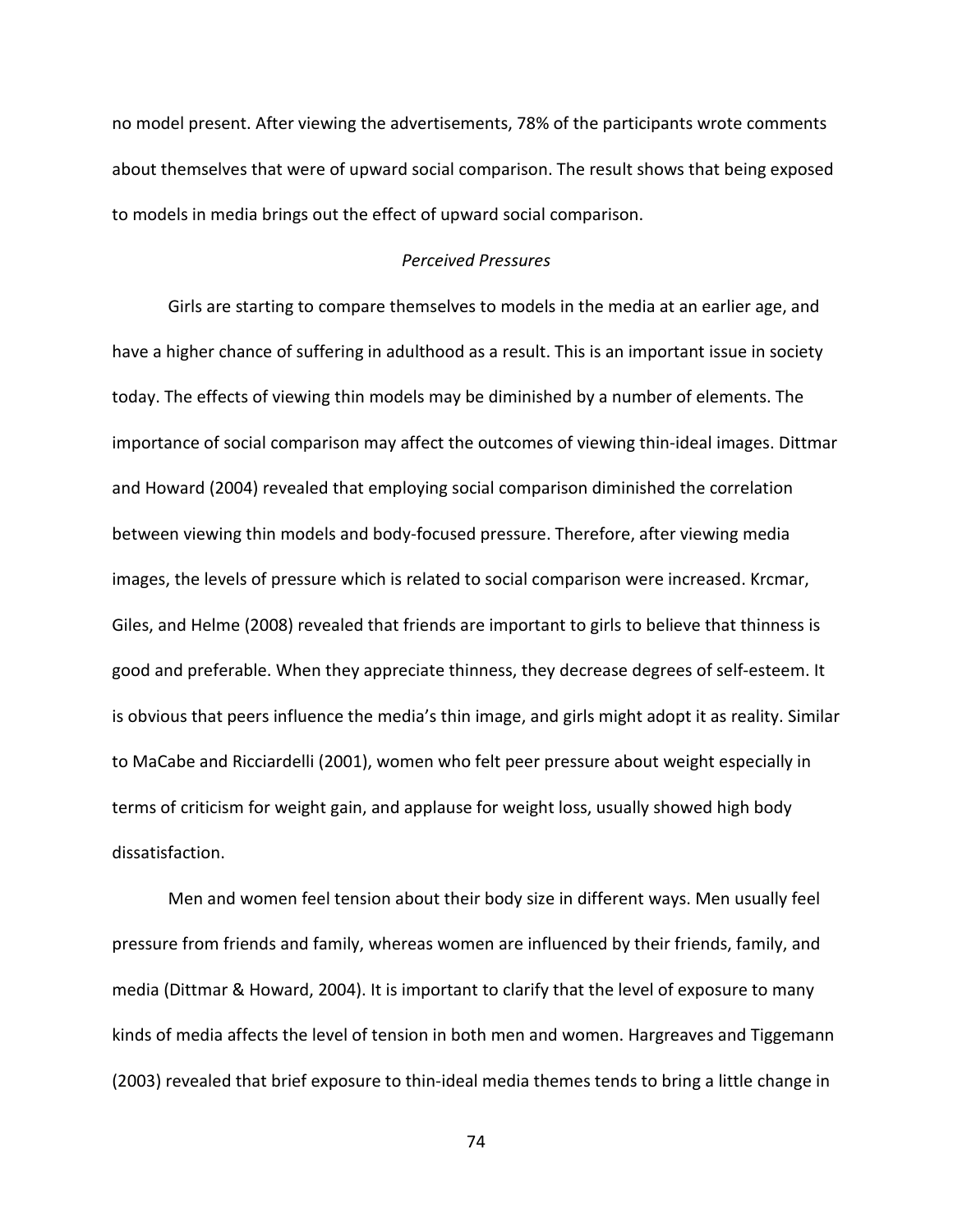no model present. After viewing the advertisements, 78% of the participants wrote comments about themselves that were of upward social comparison. The result shows that being exposed to models in media brings out the effect of upward social comparison.

### *Perceived Pressures*

Girls are starting to compare themselves to models in the media at an earlier age, and have a higher chance of suffering in adulthood as a result. This is an important issue in society today. The effects of viewing thin models may be diminished by a number of elements. The importance of social comparison may affect the outcomes of viewing thin-ideal images. Dittmar and Howard (2004) revealed that employing social comparison diminished the correlation between viewing thin models and body-focused pressure. Therefore, after viewing media images, the levels of pressure which is related to social comparison were increased. Krcmar, Giles, and Helme (2008) revealed that friends are important to girls to believe that thinness is good and preferable. When they appreciate thinness, they decrease degrees of self-esteem. It is obvious that peers influence the media's thin image, and girls might adopt it as reality. Similar to MaCabe and Ricciardelli (2001), women who felt peer pressure about weight especially in terms of criticism for weight gain, and applause for weight loss, usually showed high body dissatisfaction.

Men and women feel tension about their body size in different ways. Men usually feel pressure from friends and family, whereas women are influenced by their friends, family, and media (Dittmar & Howard, 2004). It is important to clarify that the level of exposure to many kinds of media affects the level of tension in both men and women. Hargreaves and Tiggemann (2003) revealed that brief exposure to thin-ideal media themes tends to bring a little change in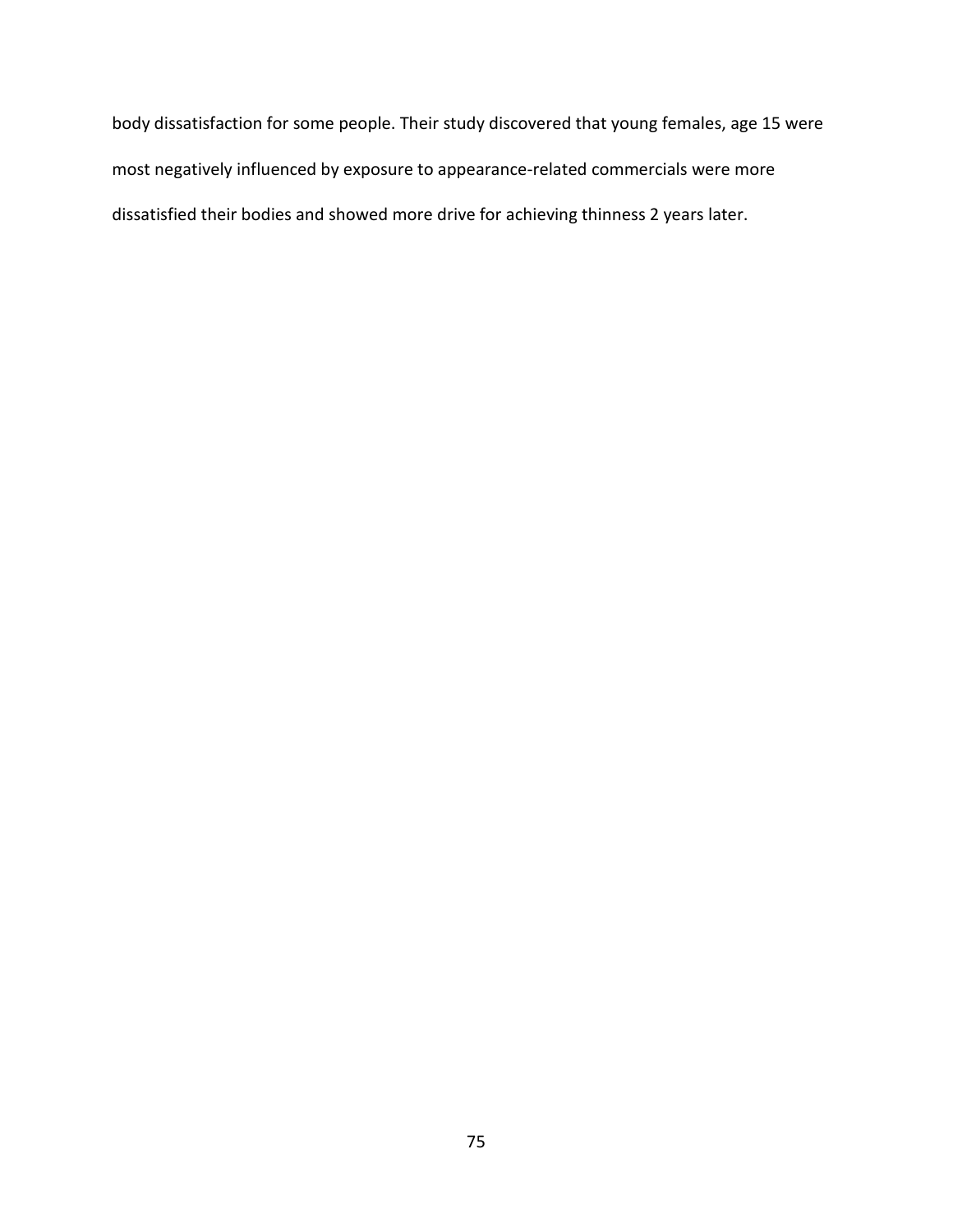body dissatisfaction for some people. Their study discovered that young females, age 15 were most negatively influenced by exposure to appearance-related commercials were more dissatisfied their bodies and showed more drive for achieving thinness 2 years later.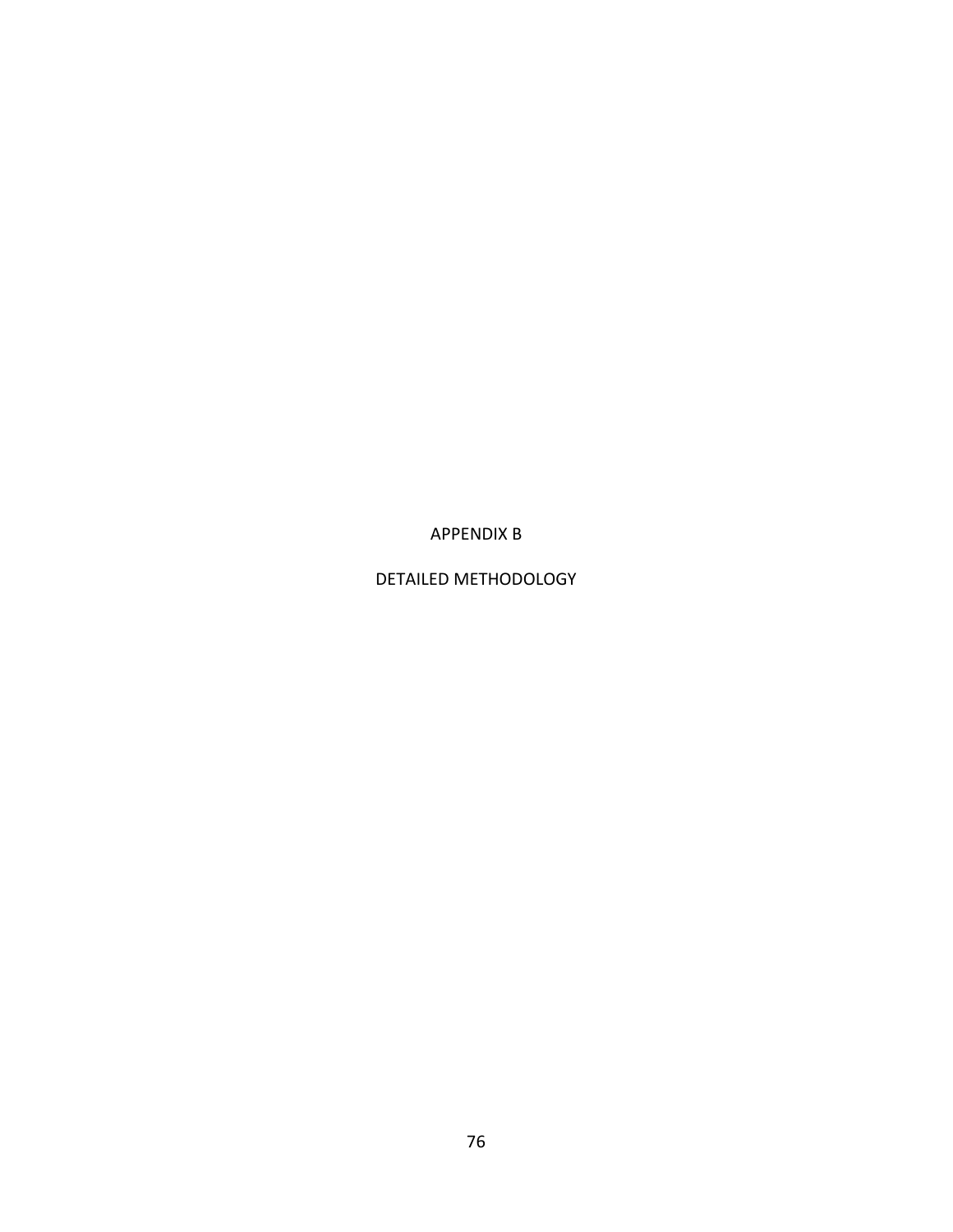APPENDIX B

DETAILED METHODOLOGY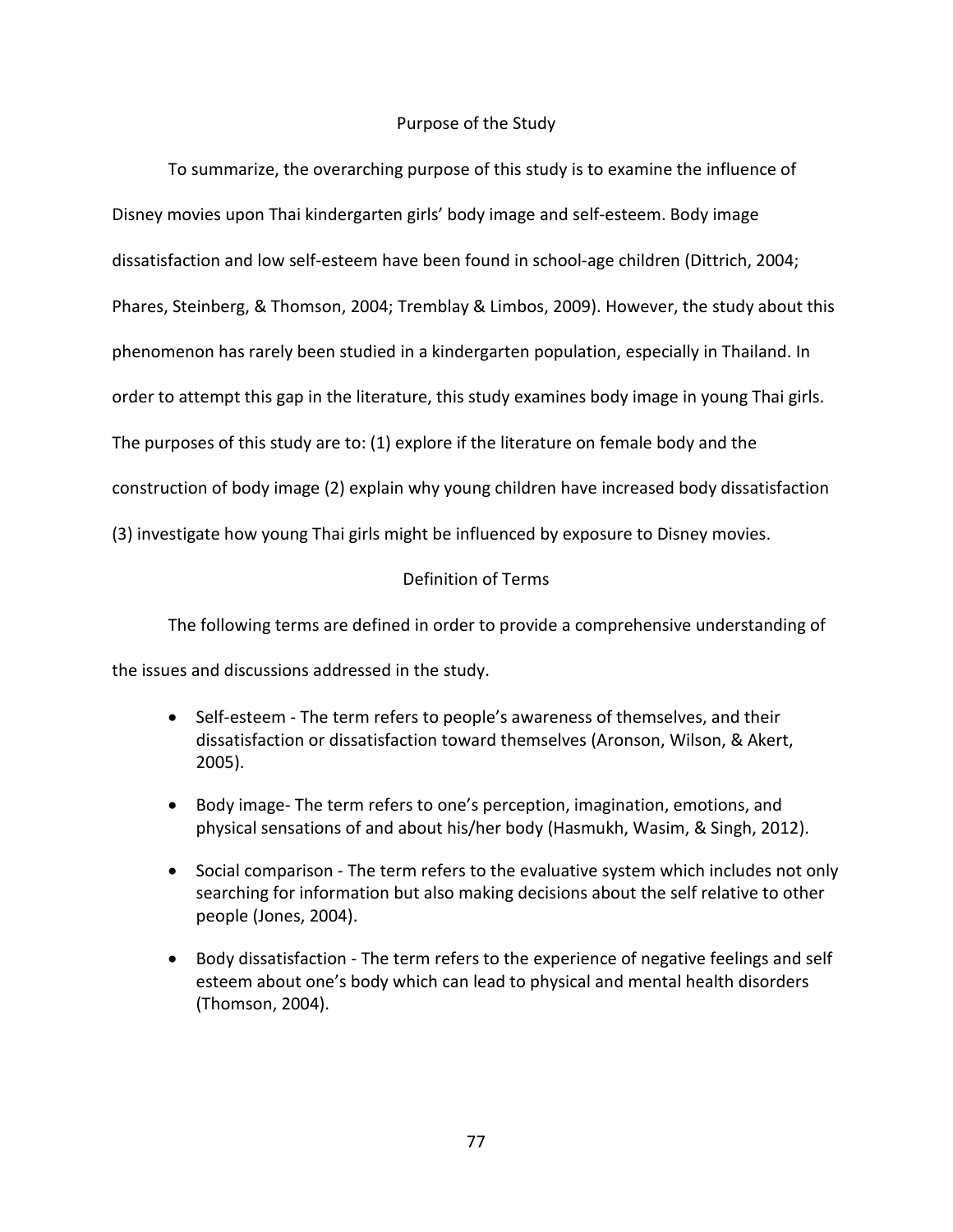### Purpose of the Study

To summarize, the overarching purpose of this study is to examine the influence of Disney movies upon Thai kindergarten girls' body image and self-esteem. Body image dissatisfaction and low self-esteem have been found in school-age children (Dittrich, 2004; Phares, Steinberg, & Thomson, 2004; Tremblay & Limbos, 2009). However, the study about this phenomenon has rarely been studied in a kindergarten population, especially in Thailand. In order to attempt this gap in the literature, this study examines body image in young Thai girls. The purposes of this study are to: (1) explore if the literature on female body and the construction of body image (2) explain why young children have increased body dissatisfaction (3) investigate how young Thai girls might be influenced by exposure to Disney movies.

### Definition of Terms

The following terms are defined in order to provide a comprehensive understanding of

the issues and discussions addressed in the study.

- Self-esteem The term refers to people's awareness of themselves, and their dissatisfaction or dissatisfaction toward themselves (Aronson, Wilson, & Akert, 2005).
- Body image- The term refers to one's perception, imagination, emotions, and physical sensations of and about his/her body (Hasmukh, Wasim, & Singh, 2012).
- Social comparison The term refers to the evaluative system which includes not only searching for information but also making decisions about the self relative to other people (Jones, 2004).
- Body dissatisfaction The term refers to the experience of negative feelings and self esteem about one's body which can lead to physical and mental health disorders (Thomson, 2004).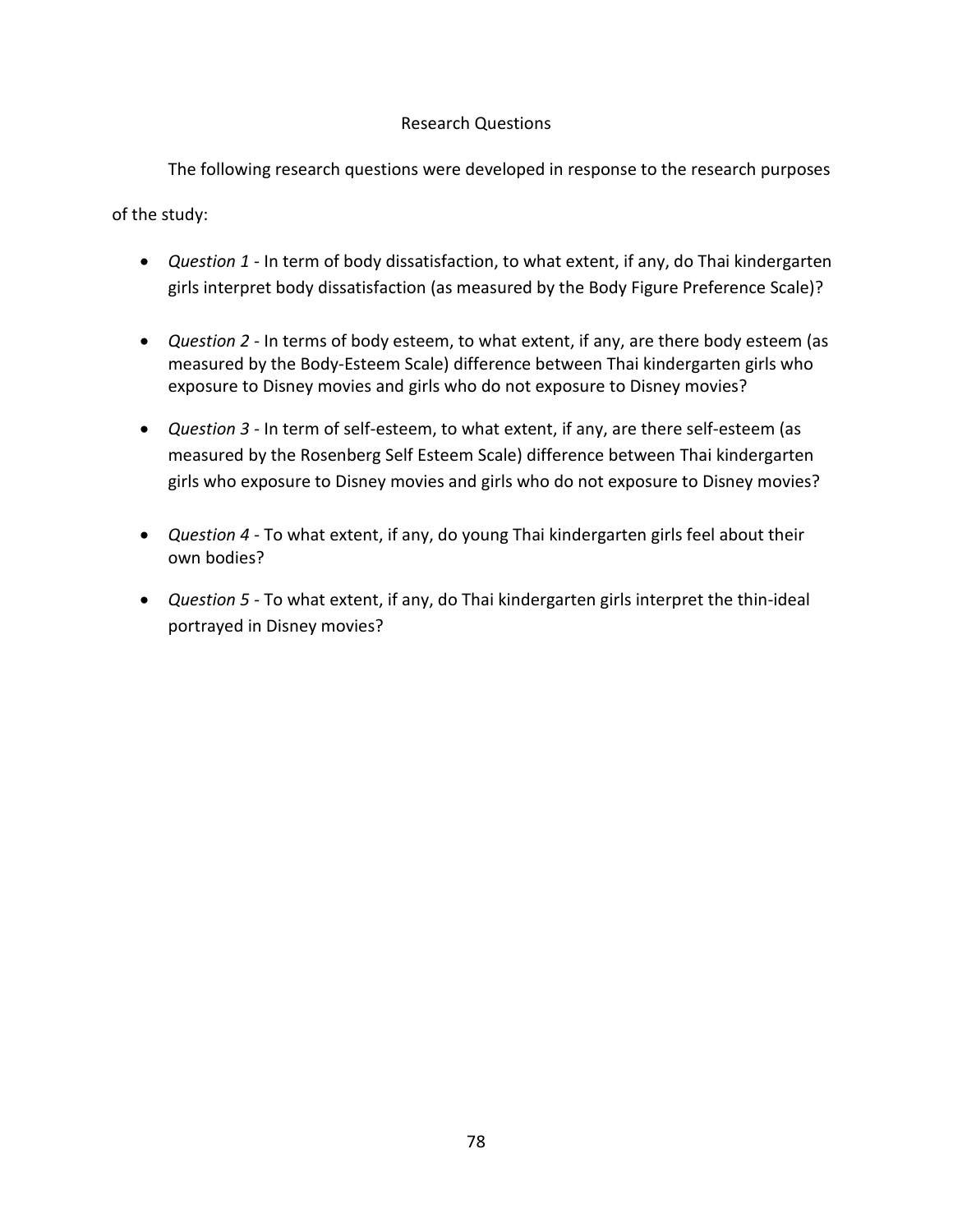# Research Questions

The following research questions were developed in response to the research purposes

of the study:

- *Question 1* In term of body dissatisfaction, to what extent, if any, do Thai kindergarten girls interpret body dissatisfaction (as measured by the Body Figure Preference Scale)?
- *Question 2 -* In terms of body esteem, to what extent, if any, are there body esteem (as measured by the Body-Esteem Scale) difference between Thai kindergarten girls who exposure to Disney movies and girls who do not exposure to Disney movies?
- *Question 3 -* In term of self-esteem, to what extent, if any, are there self-esteem (as measured by the Rosenberg Self Esteem Scale) difference between Thai kindergarten girls who exposure to Disney movies and girls who do not exposure to Disney movies?
- *Question 4 -* To what extent, if any, do young Thai kindergarten girls feel about their own bodies?
- *Question 5 -* To what extent, if any, do Thai kindergarten girls interpret the thin-ideal portrayed in Disney movies?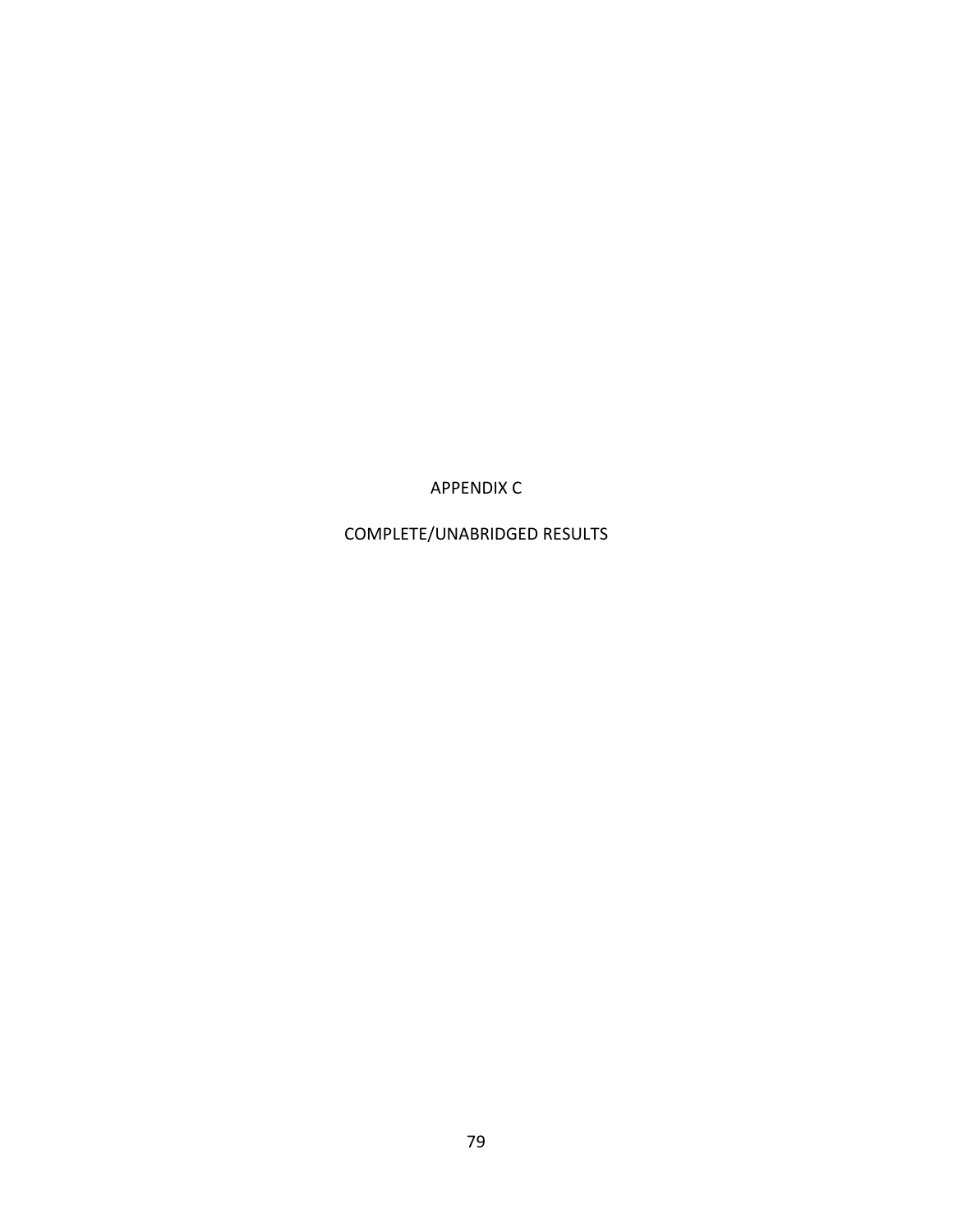APPENDIX C

COMPLETE/UNABRIDGED RESULTS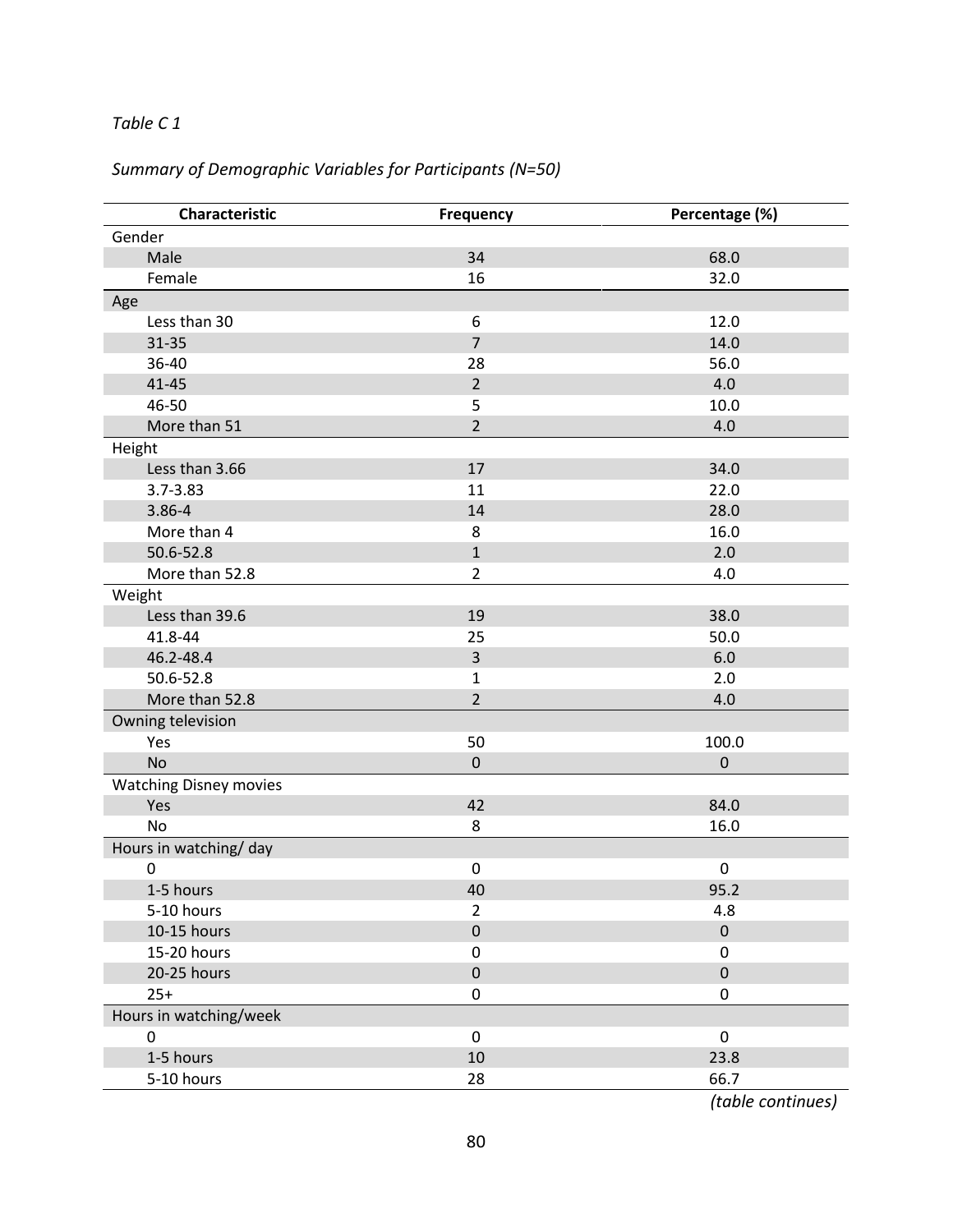# *Table C 1*

# *Summary of Demographic Variables for Participants (N=50)*

|                               | Characteristic | Frequency      | Percentage (%)   |  |
|-------------------------------|----------------|----------------|------------------|--|
| Gender                        |                |                |                  |  |
|                               | Male           | 34             | 68.0             |  |
|                               | Female         | 16             | 32.0             |  |
| Age                           |                |                |                  |  |
|                               | Less than 30   | 6              | 12.0             |  |
|                               | $31 - 35$      | $\overline{7}$ | 14.0             |  |
|                               | 36-40          | 28             | 56.0             |  |
|                               | $41 - 45$      | $\overline{2}$ | 4.0              |  |
|                               | 46-50          | 5              | 10.0             |  |
|                               | More than 51   | $\overline{2}$ | 4.0              |  |
| Height                        |                |                |                  |  |
|                               | Less than 3.66 | 17             | 34.0             |  |
|                               | $3.7 - 3.83$   | 11             | 22.0             |  |
|                               | 3.86-4         | 14             | 28.0             |  |
|                               | More than 4    | 8              | 16.0             |  |
|                               | 50.6-52.8      | $\mathbf{1}$   | 2.0              |  |
|                               | More than 52.8 | $\overline{2}$ | 4.0              |  |
| Weight                        |                |                |                  |  |
|                               | Less than 39.6 | 19             | 38.0             |  |
|                               | 41.8-44        | 25             | 50.0             |  |
|                               | 46.2-48.4      | 3              | 6.0              |  |
|                               | 50.6-52.8      | $\mathbf{1}$   | 2.0              |  |
|                               | More than 52.8 | $\overline{2}$ | 4.0              |  |
| Owning television             |                |                |                  |  |
|                               | Yes            | 50             | 100.0            |  |
|                               | <b>No</b>      | $\pmb{0}$      | $\boldsymbol{0}$ |  |
| <b>Watching Disney movies</b> |                |                |                  |  |
|                               | Yes            | 42             | 84.0             |  |
|                               | <b>No</b>      | 8              | 16.0             |  |
| Hours in watching/day         |                |                |                  |  |
|                               | 0              | $\pmb{0}$      | 0                |  |
|                               | 1-5 hours      | 40             | 95.2             |  |
|                               | 5-10 hours     | $\overline{2}$ | 4.8              |  |
|                               | 10-15 hours    | $\pmb{0}$      | $\pmb{0}$        |  |
|                               | 15-20 hours    | $\mathbf 0$    | $\boldsymbol{0}$ |  |
|                               | 20-25 hours    | $\pmb{0}$      | $\pmb{0}$        |  |
|                               | $25+$          | $\mathbf 0$    | 0                |  |
| Hours in watching/week        |                |                |                  |  |
|                               | $\mathbf 0$    | $\mathbf 0$    | $\pmb{0}$        |  |
|                               | 1-5 hours      | 10             | 23.8             |  |
|                               | 5-10 hours     | 28             | 66.7             |  |

 *(table continues)*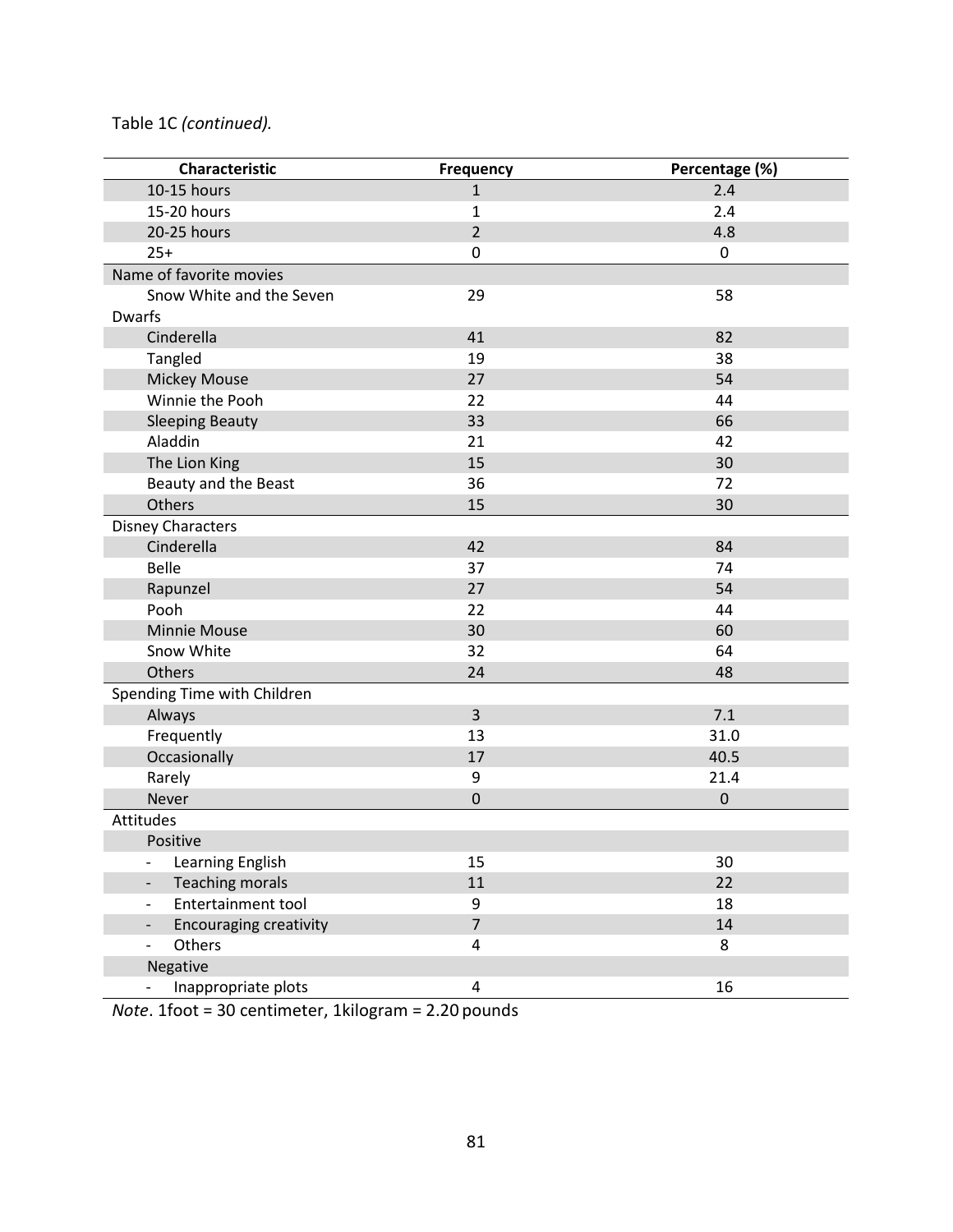# Table 1C *(continued).*

| Characteristic                                            | Frequency               | Percentage (%)   |  |
|-----------------------------------------------------------|-------------------------|------------------|--|
| 10-15 hours                                               | $\mathbf 1$             | 2.4              |  |
| 15-20 hours                                               | 1                       | 2.4              |  |
| 20-25 hours                                               | $\overline{2}$          | 4.8              |  |
| $25+$                                                     | $\mathbf 0$             | $\pmb{0}$        |  |
| Name of favorite movies                                   |                         |                  |  |
| Snow White and the Seven                                  | 29                      | 58               |  |
| <b>Dwarfs</b>                                             |                         |                  |  |
| Cinderella                                                | 41                      | 82               |  |
| Tangled                                                   | 19                      | 38               |  |
| <b>Mickey Mouse</b>                                       | 27                      | 54               |  |
| Winnie the Pooh                                           | 22                      | 44               |  |
| <b>Sleeping Beauty</b>                                    | 33                      | 66               |  |
| Aladdin                                                   | 21                      | 42               |  |
| The Lion King                                             | 15                      | 30               |  |
| Beauty and the Beast                                      | 36                      | 72               |  |
| Others                                                    | 15                      | 30               |  |
| <b>Disney Characters</b>                                  |                         |                  |  |
| Cinderella                                                | 42                      | 84               |  |
| <b>Belle</b>                                              | 37                      | 74               |  |
| Rapunzel                                                  | 27                      | 54               |  |
| Pooh                                                      | 22                      | 44               |  |
| <b>Minnie Mouse</b>                                       | 30                      | 60               |  |
| Snow White                                                | 32                      | 64               |  |
| Others                                                    | 24                      | 48               |  |
| Spending Time with Children                               |                         |                  |  |
| Always                                                    | $\overline{3}$          | 7.1              |  |
| Frequently                                                | 13                      | 31.0             |  |
| Occasionally                                              | 17                      | 40.5             |  |
| Rarely                                                    | $\boldsymbol{9}$        | 21.4             |  |
| Never                                                     | $\mathbf 0$             | $\boldsymbol{0}$ |  |
| Attitudes                                                 |                         |                  |  |
| Positive                                                  |                         |                  |  |
| Learning English<br>$\overline{\phantom{a}}$              | 15                      | 30               |  |
| <b>Teaching morals</b><br>$\overline{\phantom{a}}$        | 11                      | 22               |  |
| Entertainment tool<br>$\overline{\phantom{0}}$            | 9                       | 18               |  |
| <b>Encouraging creativity</b><br>$\overline{\phantom{0}}$ | $\overline{7}$          | $14\,$           |  |
| Others<br>$\overline{\phantom{0}}$                        | 4                       | 8                |  |
| Negative                                                  |                         |                  |  |
| Inappropriate plots                                       | $\overline{\mathbf{4}}$ | 16               |  |

*Note*. 1foot = 30 centimeter, 1kilogram = 2.20 pounds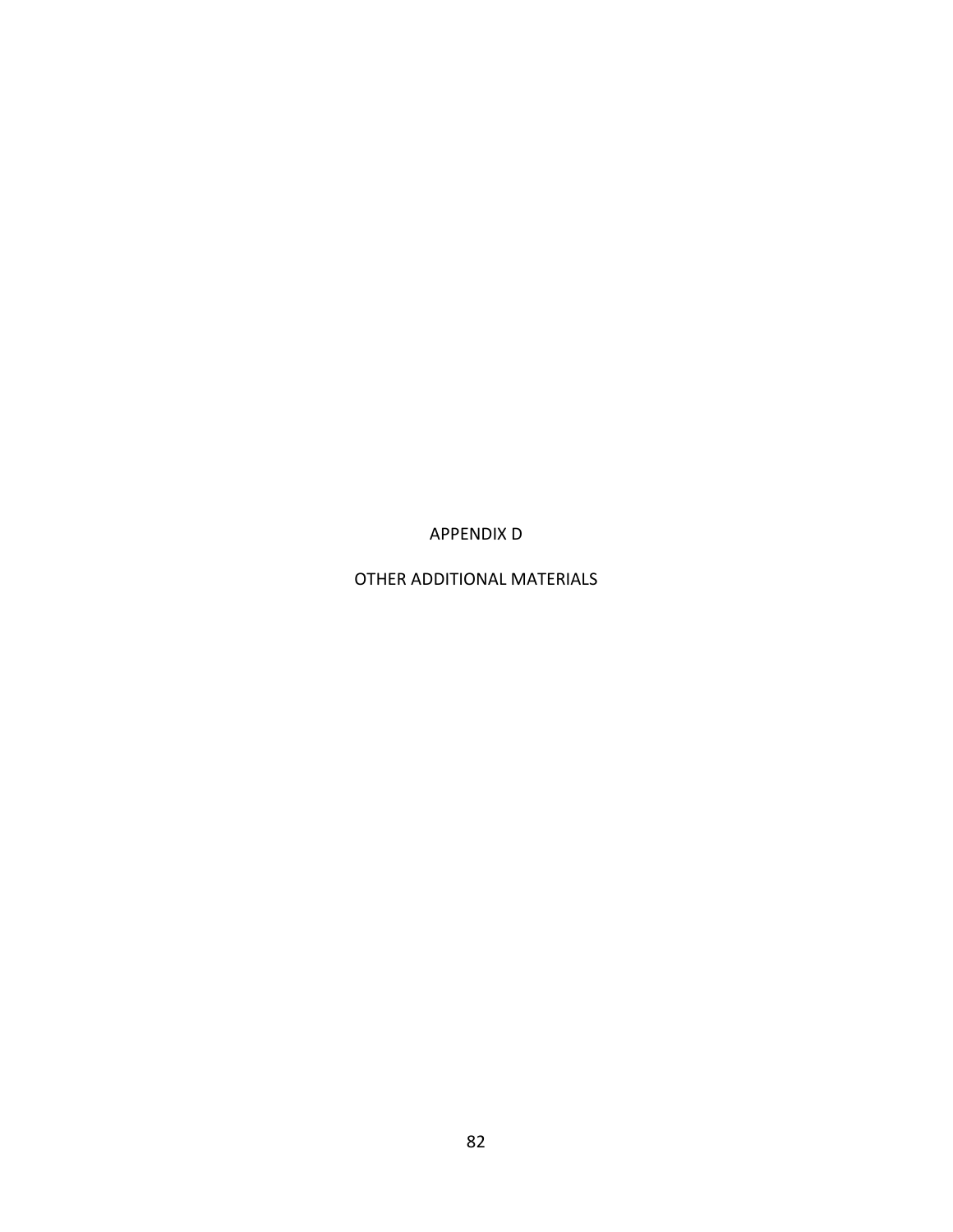APPENDIX D

OTHER ADDITIONAL MATERIALS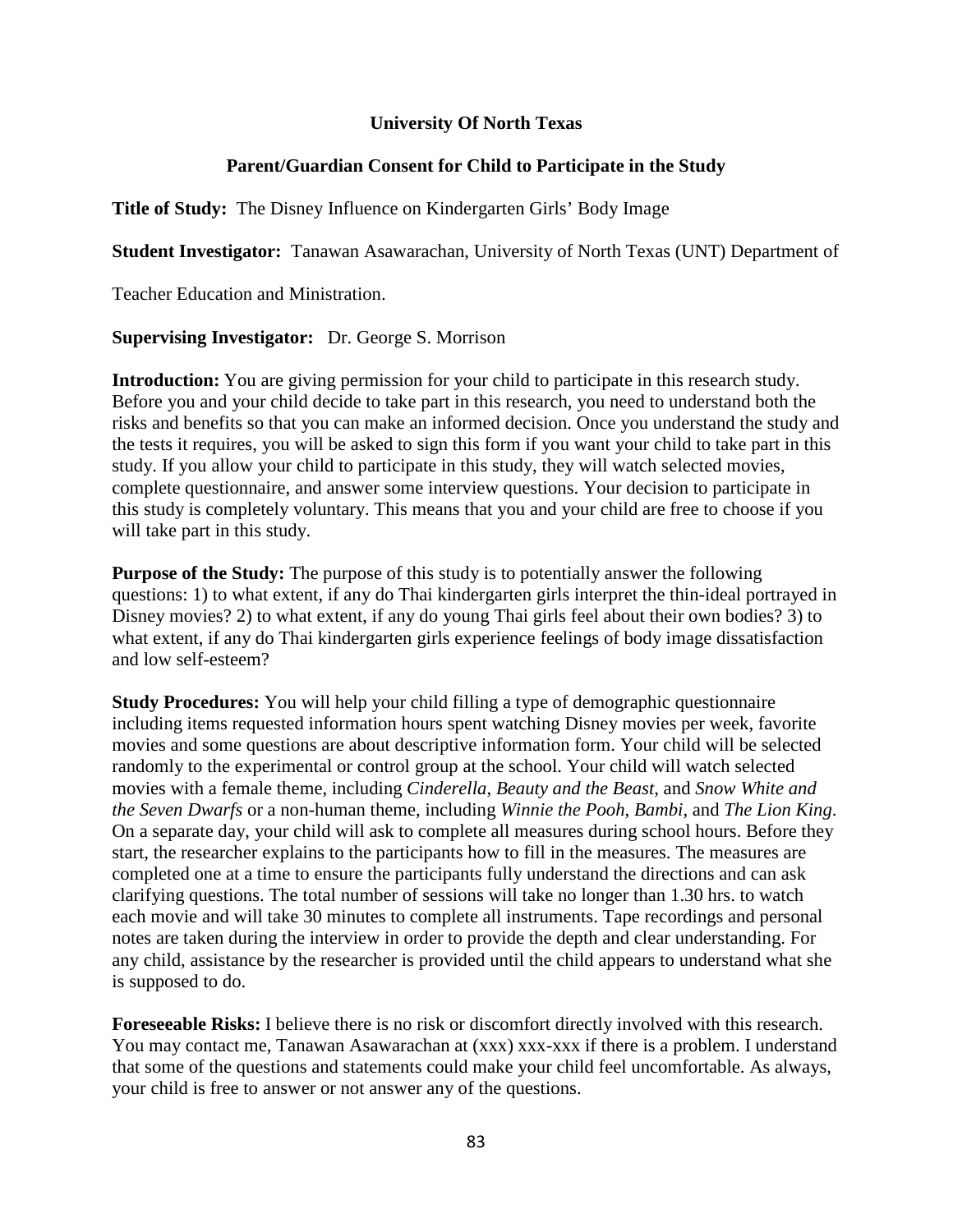# **University Of North Texas**

# **Parent/Guardian Consent for Child to Participate in the Study**

**Title of Study:** The Disney Influence on Kindergarten Girls' Body Image

**Student Investigator:** Tanawan Asawarachan, University of North Texas (UNT) Department of

Teacher Education and Ministration.

**Supervising Investigator:** Dr. George S. Morrison

**Introduction:** You are giving permission for your child to participate in this research study. Before you and your child decide to take part in this research, you need to understand both the risks and benefits so that you can make an informed decision. Once you understand the study and the tests it requires, you will be asked to sign this form if you want your child to take part in this study. If you allow your child to participate in this study, they will watch selected movies, complete questionnaire, and answer some interview questions. Your decision to participate in this study is completely voluntary. This means that you and your child are free to choose if you will take part in this study.

**Purpose of the Study:** The purpose of this study is to potentially answer the following questions: 1) to what extent, if any do Thai kindergarten girls interpret the thin-ideal portrayed in Disney movies? 2) to what extent, if any do young Thai girls feel about their own bodies? 3) to what extent, if any do Thai kindergarten girls experience feelings of body image dissatisfaction and low self-esteem?

**Study Procedures:** You will help your child filling a type of demographic questionnaire including items requested information hours spent watching Disney movies per week, favorite movies and some questions are about descriptive information form. Your child will be selected randomly to the experimental or control group at the school. Your child will watch selected movies with a female theme, including *Cinderella*, *Beauty and the Beast*, and *Snow White and the Seven Dwarfs* or a non-human theme, including *Winnie the Pooh*, *Bambi*, and *The Lion King*. On a separate day, your child will ask to complete all measures during school hours. Before they start, the researcher explains to the participants how to fill in the measures. The measures are completed one at a time to ensure the participants fully understand the directions and can ask clarifying questions. The total number of sessions will take no longer than 1.30 hrs. to watch each movie and will take 30 minutes to complete all instruments. Tape recordings and personal notes are taken during the interview in order to provide the depth and clear understanding. For any child, assistance by the researcher is provided until the child appears to understand what she is supposed to do.

**Foreseeable Risks:** I believe there is no risk or discomfort directly involved with this research. You may contact me, Tanawan Asawarachan at (xxx) xxx-xxx if there is a problem. I understand that some of the questions and statements could make your child feel uncomfortable. As always, your child is free to answer or not answer any of the questions.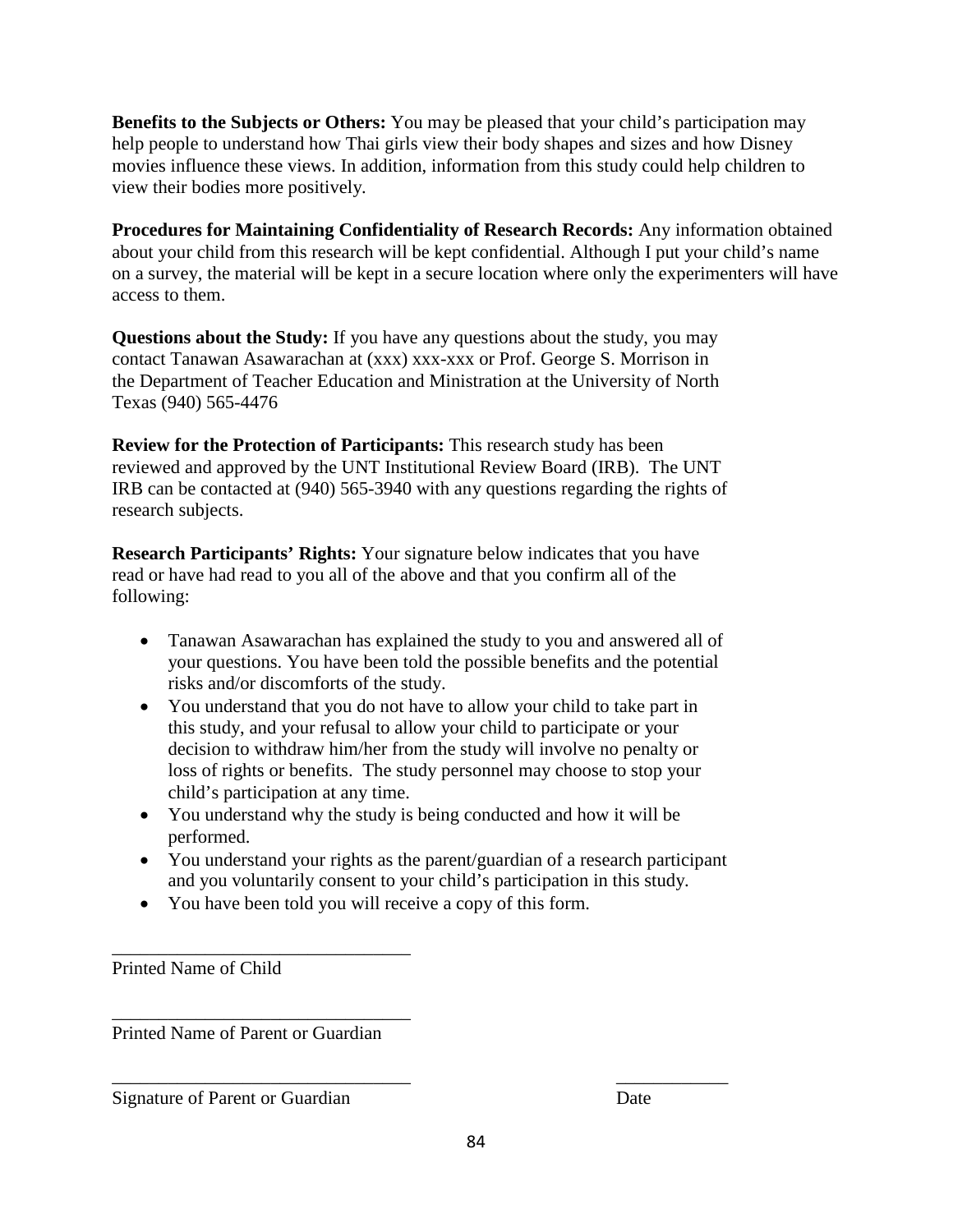**Benefits to the Subjects or Others:** You may be pleased that your child's participation may help people to understand how Thai girls view their body shapes and sizes and how Disney movies influence these views. In addition, information from this study could help children to view their bodies more positively.

**Procedures for Maintaining Confidentiality of Research Records:** Any information obtained about your child from this research will be kept confidential. Although I put your child's name on a survey, the material will be kept in a secure location where only the experimenters will have access to them.

**Questions about the Study:** If you have any questions about the study, you may contact Tanawan Asawarachan at (xxx) xxx-xxx or Prof. George S. Morrison in the Department of Teacher Education and Ministration at the University of North Texas (940) 565-4476

**Review for the Protection of Participants:** This research study has been reviewed and approved by the UNT Institutional Review Board (IRB). The UNT IRB can be contacted at (940) 565-3940 with any questions regarding the rights of research subjects.

**Research Participants' Rights:** Your signature below indicates that you have read or have had read to you all of the above and that you confirm all of the following:

- Tanawan Asawarachan has explained the study to you and answered all of your questions. You have been told the possible benefits and the potential risks and/or discomforts of the study.
- You understand that you do not have to allow your child to take part in this study, and your refusal to allow your child to participate or your decision to withdraw him/her from the study will involve no penalty or loss of rights or benefits. The study personnel may choose to stop your child's participation at any time.
- You understand why the study is being conducted and how it will be performed.
- You understand your rights as the parent/guardian of a research participant and you voluntarily consent to your child's participation in this study.
- You have been told you will receive a copy of this form.

\_\_\_\_\_\_\_\_\_\_\_\_\_\_\_\_\_\_\_\_\_\_\_\_\_\_\_\_\_\_\_\_ Printed Name of Child

Printed Name of Parent or Guardian

\_\_\_\_\_\_\_\_\_\_\_\_\_\_\_\_\_\_\_\_\_\_\_\_\_\_\_\_\_\_\_\_

\_\_\_\_\_\_\_\_\_\_\_\_\_\_\_\_\_\_\_\_\_\_\_\_\_\_\_\_\_\_\_\_ \_\_\_\_\_\_\_\_\_\_\_\_ Signature of Parent or Guardian Date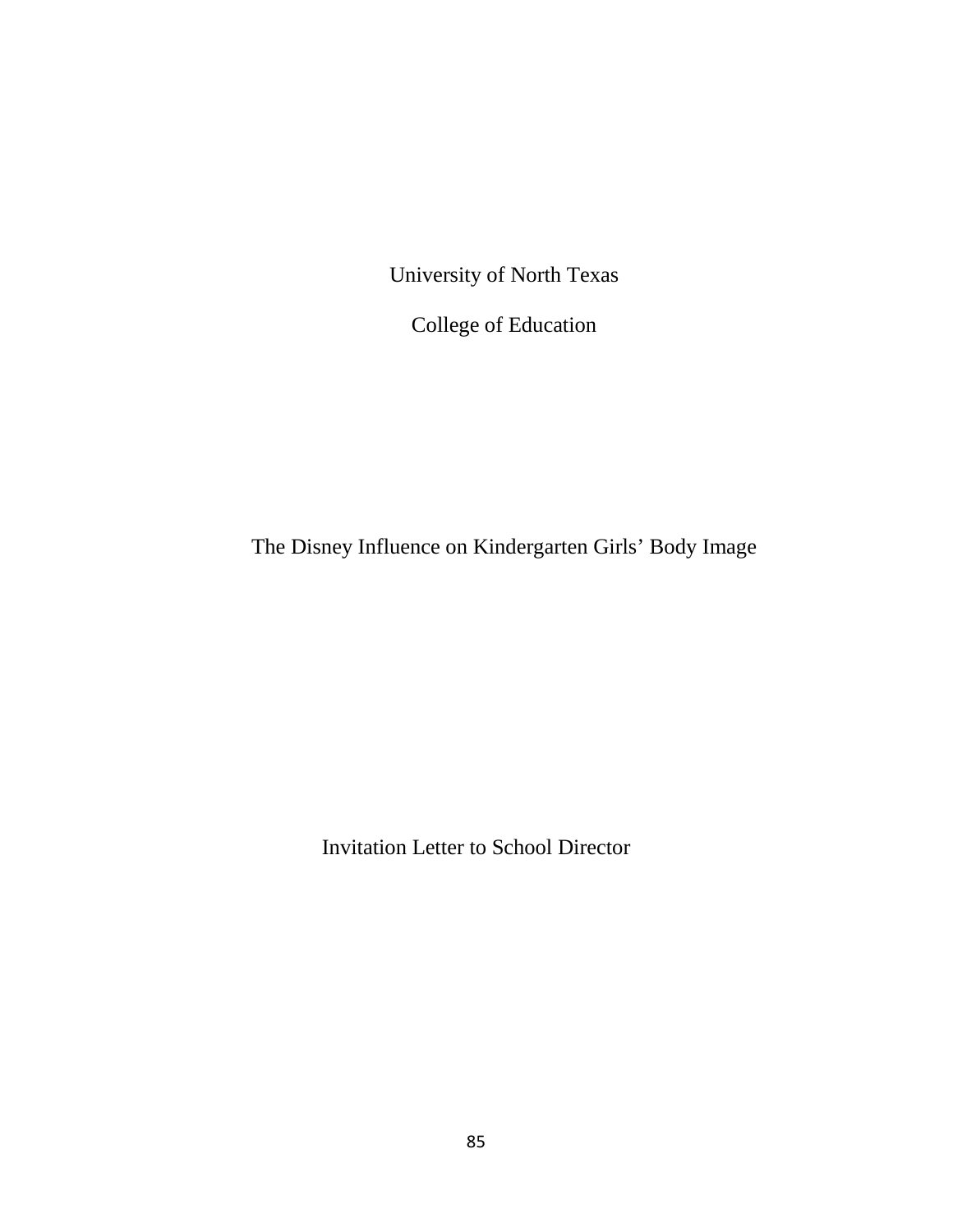University of North Texas

College of Education

The Disney Influence on Kindergarten Girls' Body Image

Invitation Letter to School Director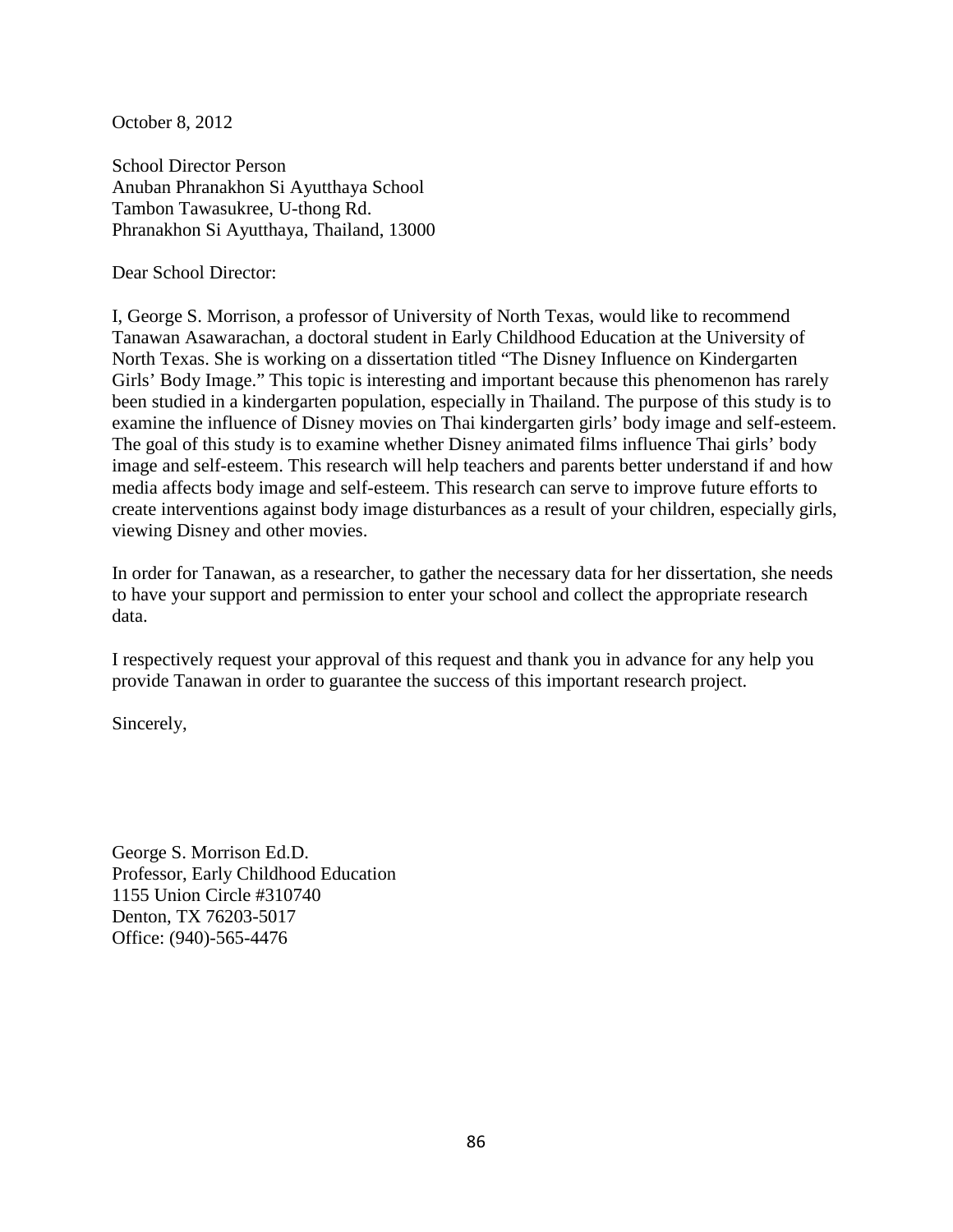October 8, 2012

School Director Person Anuban Phranakhon Si Ayutthaya School Tambon Tawasukree, U-thong Rd. Phranakhon Si Ayutthaya, Thailand, 13000

Dear School Director:

I, George S. Morrison, a professor of University of North Texas, would like to recommend Tanawan Asawarachan, a doctoral student in Early Childhood Education at the University of North Texas. She is working on a dissertation titled "The Disney Influence on Kindergarten Girls' Body Image." This topic is interesting and important because this phenomenon has rarely been studied in a kindergarten population, especially in Thailand. The purpose of this study is to examine the influence of Disney movies on Thai kindergarten girls' body image and self-esteem. The goal of this study is to examine whether Disney animated films influence Thai girls' body image and self-esteem. This research will help teachers and parents better understand if and how media affects body image and self-esteem. This research can serve to improve future efforts to create interventions against body image disturbances as a result of your children, especially girls, viewing Disney and other movies.

In order for Tanawan, as a researcher, to gather the necessary data for her dissertation, she needs to have your support and permission to enter your school and collect the appropriate research data.

I respectively request your approval of this request and thank you in advance for any help you provide Tanawan in order to guarantee the success of this important research project.

Sincerely,

George S. Morrison Ed.D. Professor, Early Childhood Education 1155 Union Circle #310740 Denton, TX 76203-5017 Office: (940)-565-4476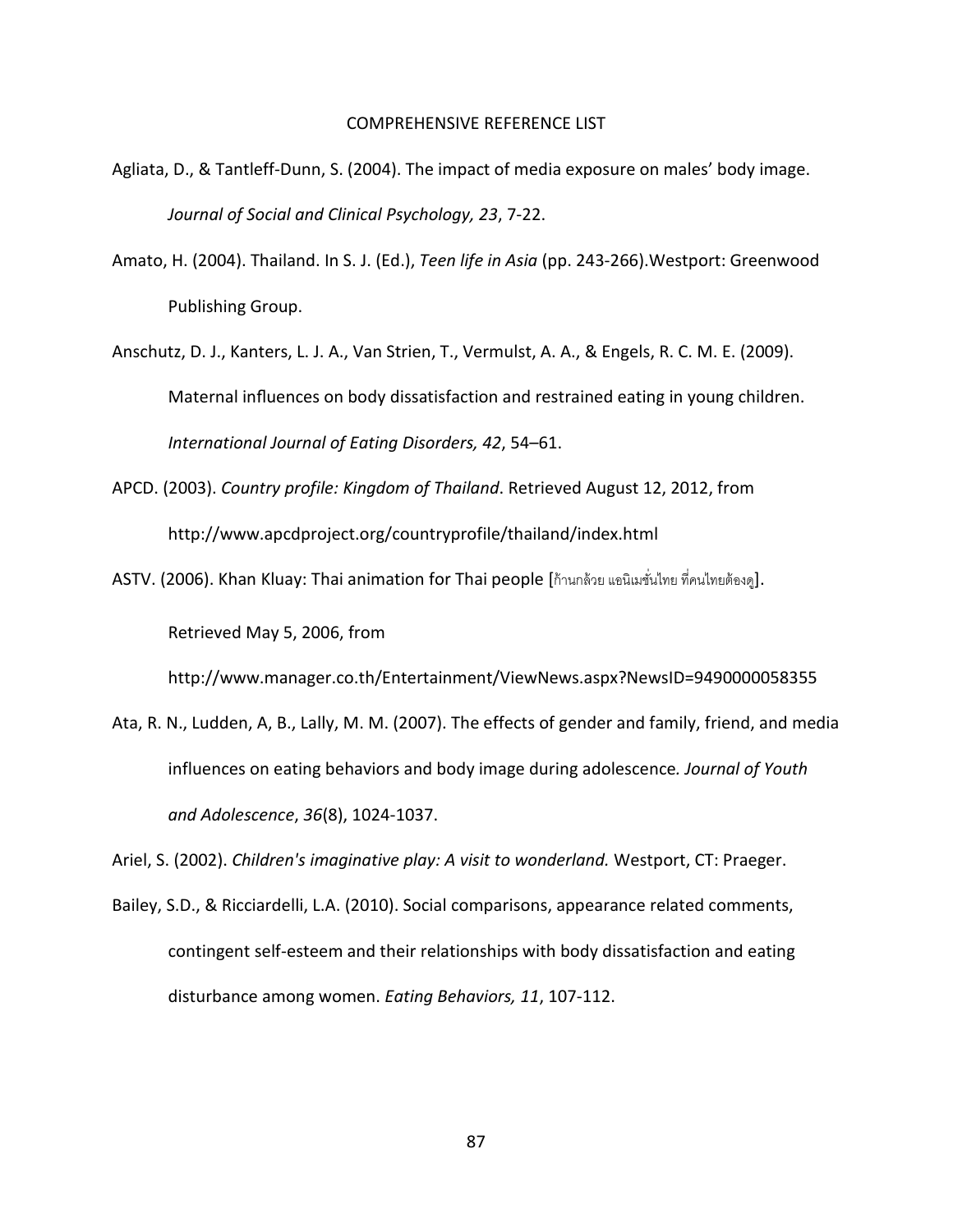#### COMPREHENSIVE REFERENCE LIST

- Agliata, D., & Tantleff-Dunn, S. (2004). The impact of media exposure on males' body image. *Journal of Social and Clinical Psychology, 23*, 7-22.
- Amato, H. (2004). Thailand. In S. J. (Ed.), *Teen life in Asia* (pp. 243-266).Westport: Greenwood Publishing Group.
- Anschutz, D. J., Kanters, L. J. A., Van Strien, T., Vermulst, A. A., & Engels, R. C. M. E. (2009). Maternal influences on body dissatisfaction and restrained eating in young children. *International Journal of Eating Disorders, 42*, 54–61.
- APCD. (2003). *Country profile: Kingdom of Thailand*. Retrieved August 12, 2012, from <http://www.apcdproject.org/countryprofile/thailand/index.html>
- ASTV. (2006). Khan Kluay: Thai animation for Thai people [ก้านกล้วย แอนิเมชั่นไทย ที่คนไทยต้องดู]. Retrieved May 5, 2006, from

<http://www.manager.co.th/Entertainment/ViewNews.aspx?NewsID=9490000058355>

Ata, R. N., Ludden, A, B., Lally, M. M. (2007). The effects of gender and family, friend, and media influences on eating behaviors and body image during adolescence*. Journal of Youth and Adolescence*, *36*(8), 1024-1037.

Ariel, S. (2002). *Children's imaginative play: A visit to wonderland.* Westport, CT: Praeger.

Bailey, S.D., & Ricciardelli, L.A. (2010). Social comparisons, appearance related comments, contingent self-esteem and their relationships with body dissatisfaction and eating disturbance among women. *Eating Behaviors, 11*, 107-112.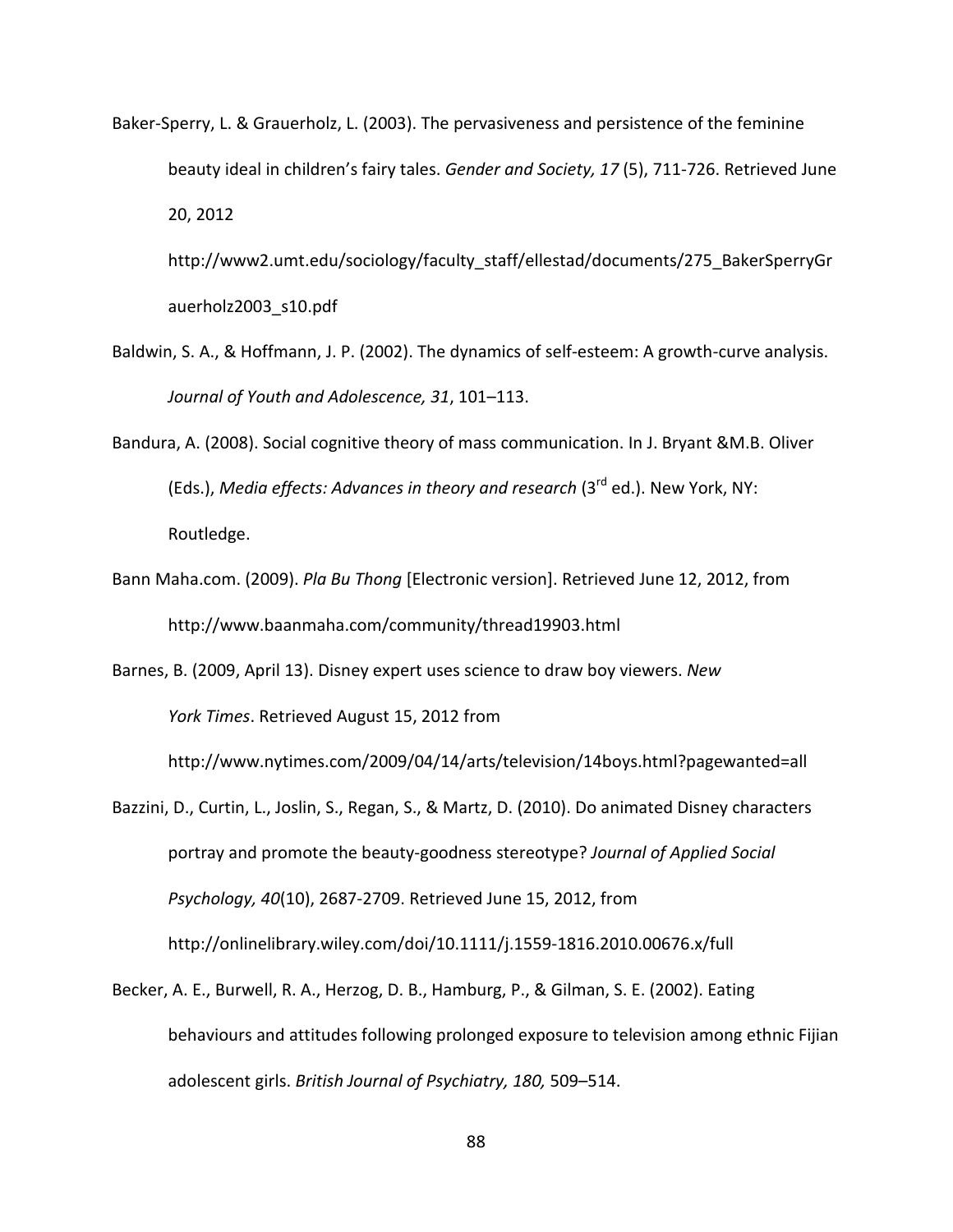Baker-Sperry, L. & Grauerholz, L. (2003). The pervasiveness and persistence of the feminine beauty ideal in children's fairy tales. *Gender and Society, 17* (5), 711-726. Retrieved June 20, 2012

[http://www2.umt.edu/sociology/faculty\\_staff/ellestad/documents/275\\_BakerSperryGr](http://www2.umt.edu/sociology/faculty_staff/ellestad/documents/275_BakerSperryGrauerholz2003_s10.pdf) [auerholz2003\\_s10.pdf](http://www2.umt.edu/sociology/faculty_staff/ellestad/documents/275_BakerSperryGrauerholz2003_s10.pdf)

- Baldwin, S. A., & Hoffmann, J. P. (2002). The dynamics of self-esteem: A growth-curve analysis. *Journal of Youth and Adolescence, 31*, 101–113.
- Bandura, A. (2008). Social cognitive theory of mass communication. In J. Bryant &M.B. Oliver (Eds.), *Media effects: Advances in theory and research* (3rd ed.). New York, NY: Routledge.
- Bann Maha.com. (2009). *Pla Bu Thong* [Electronic version]. Retrieved June 12, 2012, from <http://www.baanmaha.com/community/thread19903.html>

Barnes, B. (2009, April 13). Disney expert uses science to draw boy viewers. *New York Times*. Retrieved August 15, 2012 from

<http://www.nytimes.com/2009/04/14/arts/television/14boys.html?pagewanted=all>

- Bazzini, D., Curtin, L., Joslin, S., Regan, S., & Martz, D. (2010). Do animated Disney characters portray and promote the beauty-goodness stereotype? *Journal of Applied Social Psychology, 40*(10), 2687-2709. Retrieved June 15, 2012, from <http://onlinelibrary.wiley.com/doi/10.1111/j.1559-1816.2010.00676.x/full>
- Becker, A. E., Burwell, R. A., Herzog, D. B., Hamburg, P., & Gilman, S. E. (2002). Eating behaviours and attitudes following prolonged exposure to television among ethnic Fijian adolescent girls. *British Journal of Psychiatry, 180,* 509–514.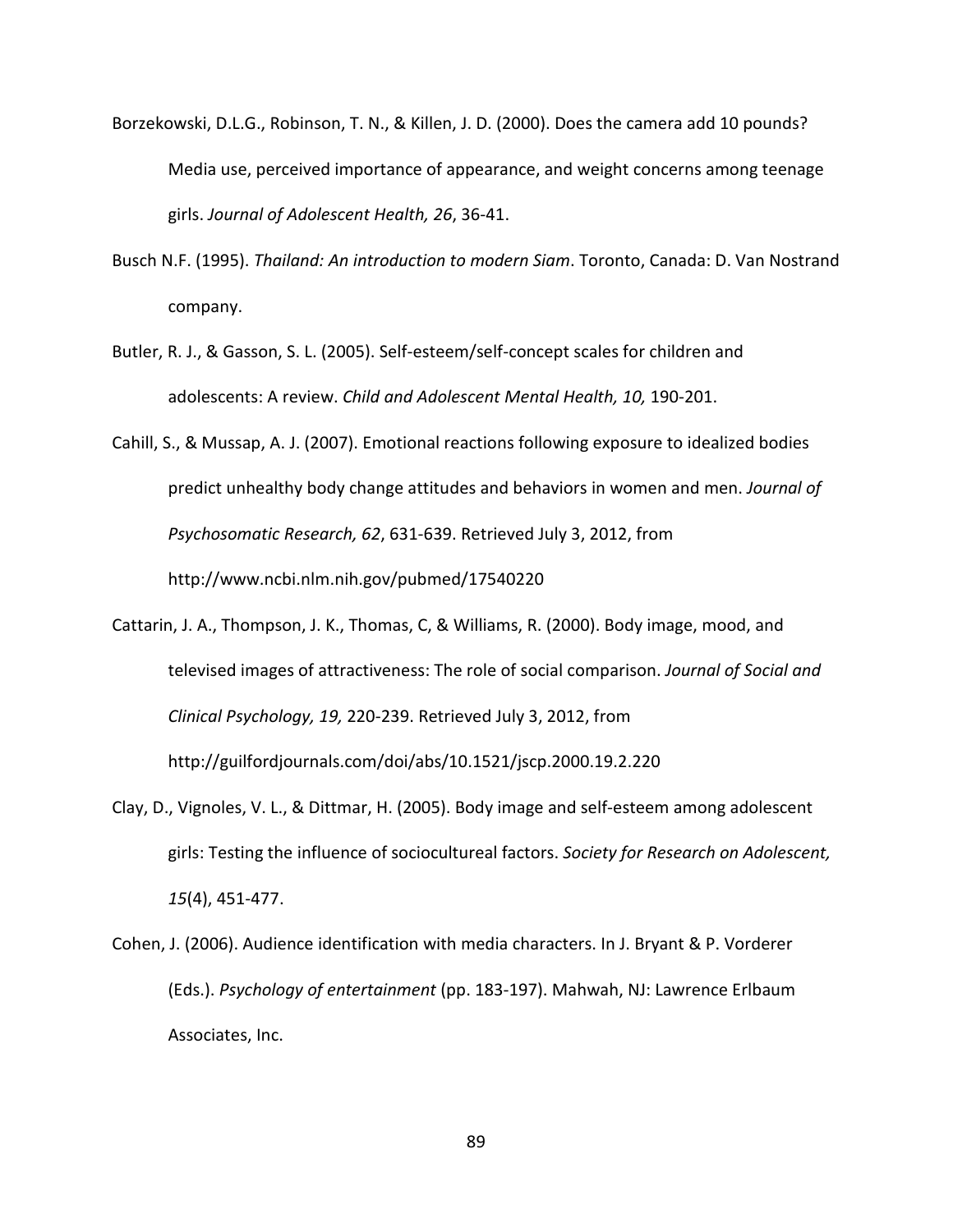- Borzekowski, D.L.G., Robinson, T. N., & Killen, J. D. (2000). Does the camera add 10 pounds? Media use, perceived importance of appearance, and weight concerns among teenage girls. *Journal of Adolescent Health, 26*, 36-41.
- Busch N.F. (1995). *Thailand: An introduction to modern Siam*. Toronto, Canada: D. Van Nostrand company.
- Butler, R. J., & Gasson, S. L. (2005). Self-esteem/self-concept scales for children and adolescents: A review. *Child and Adolescent Mental Health, 10,* 190-201.
- Cahill, S., & Mussap, A. J. (2007). Emotional reactions following exposure to idealized bodies predict unhealthy body change attitudes and behaviors in women and men. *Journal of Psychosomatic Research, 62*, 631-639. Retrieved July 3, 2012, from <http://www.ncbi.nlm.nih.gov/pubmed/17540220>
- Cattarin, J. A., Thompson, J. K., Thomas, C, & Williams, R. (2000). Body image, mood, and televised images of attractiveness: The role of social comparison. *Journal of Social and Clinical Psychology, 19,* 220-239. Retrieved July 3, 2012, from <http://guilfordjournals.com/doi/abs/10.1521/jscp.2000.19.2.220>
- Clay, D., Vignoles, V. L., & Dittmar, H. (2005). Body image and self-esteem among adolescent girls: Testing the influence of sociocultureal factors. *Society for Research on Adolescent, 15*(4), 451-477.
- Cohen, J. (2006). Audience identification with media characters. In J. Bryant & P. Vorderer (Eds.). *Psychology of entertainment* (pp. 183-197). Mahwah, NJ: Lawrence Erlbaum Associates, Inc.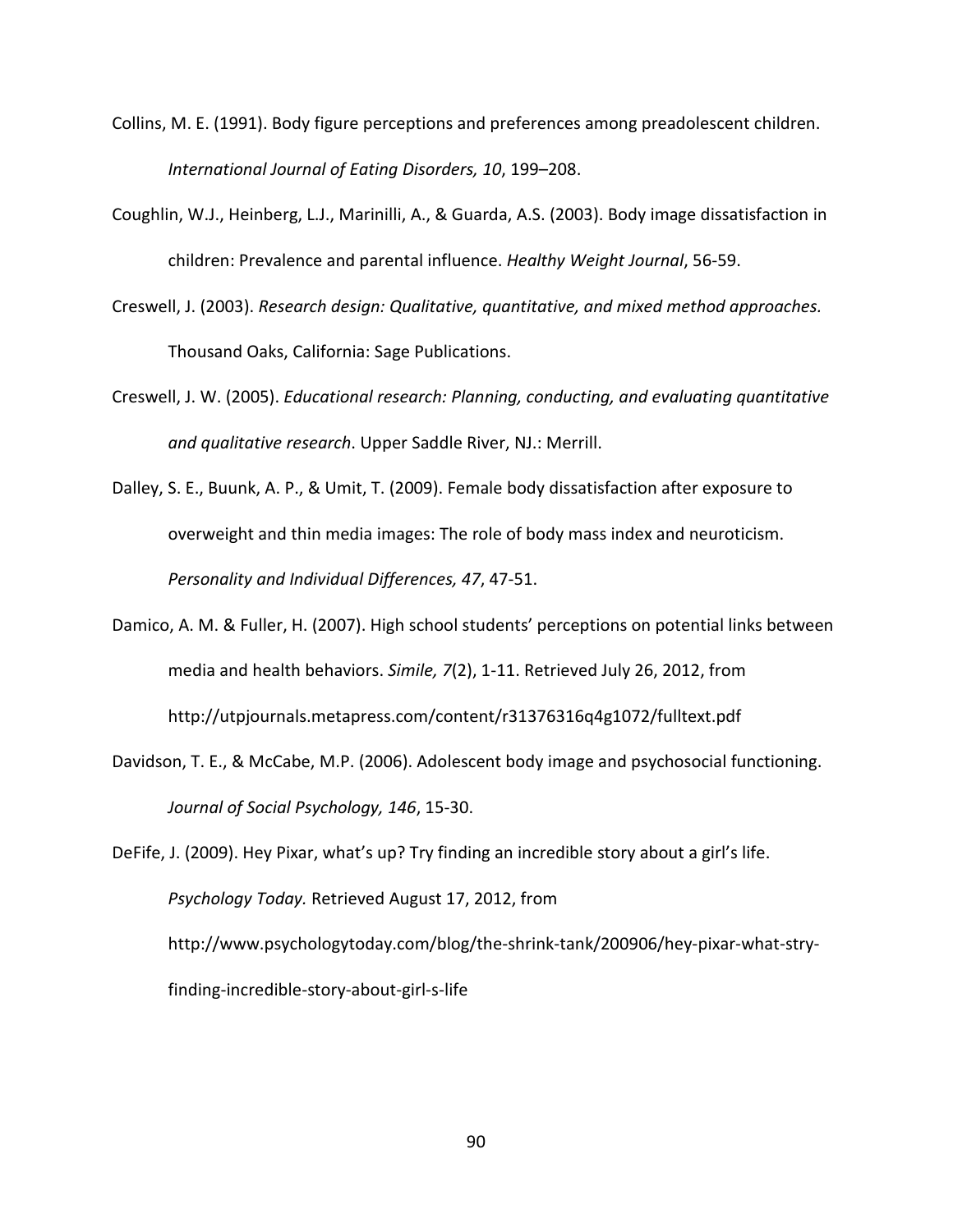- Collins, M. E. (1991). Body figure perceptions and preferences among preadolescent children. *International Journal of Eating Disorders, 10*, 199–208.
- Coughlin, W.J., Heinberg, L.J., Marinilli, A., & Guarda, A.S. (2003). Body image dissatisfaction in children: Prevalence and parental influence. *Healthy Weight Journal*, 56-59.
- Creswell, J. (2003). *Research design: Qualitative, quantitative, and mixed method approaches.*  Thousand Oaks, California: Sage Publications.
- Creswell, J. W. (2005). *Educational research: Planning, conducting, and evaluating quantitative and qualitative research*. Upper Saddle River, NJ.: Merrill.
- Dalley, S. E., Buunk, A. P., & Umit, T. (2009). Female body dissatisfaction after exposure to overweight and thin media images: The role of body mass index and neuroticism. *Personality and Individual Differences, 47*, 47-51.
- Damico, A. M. & Fuller, H. (2007). High school students' perceptions on potential links between media and health behaviors. *Simile, 7*(2), 1-11. Retrieved July 26, 2012, from <http://utpjournals.metapress.com/content/r31376316q4g1072/fulltext.pdf>
- Davidson, T. E., & McCabe, M.P. (2006). Adolescent body image and psychosocial functioning. *Journal of Social Psychology, 146*, 15-30.

DeFife, J. (2009). Hey Pixar, what's up? Try finding an incredible story about a girl's life. *Psychology Today.* Retrieved August 17, 2012, from [http://www.psychologytoday.com/blog/the-shrink-tank/200906/hey-pixar-what-stry](http://www.psychologytoday.com/blog/the-shrink-tank/200906/hey-pixar-what-stry-finding-incredible-story-about-girl-s-life)[finding-incredible-story-about-girl-s-life](http://www.psychologytoday.com/blog/the-shrink-tank/200906/hey-pixar-what-stry-finding-incredible-story-about-girl-s-life)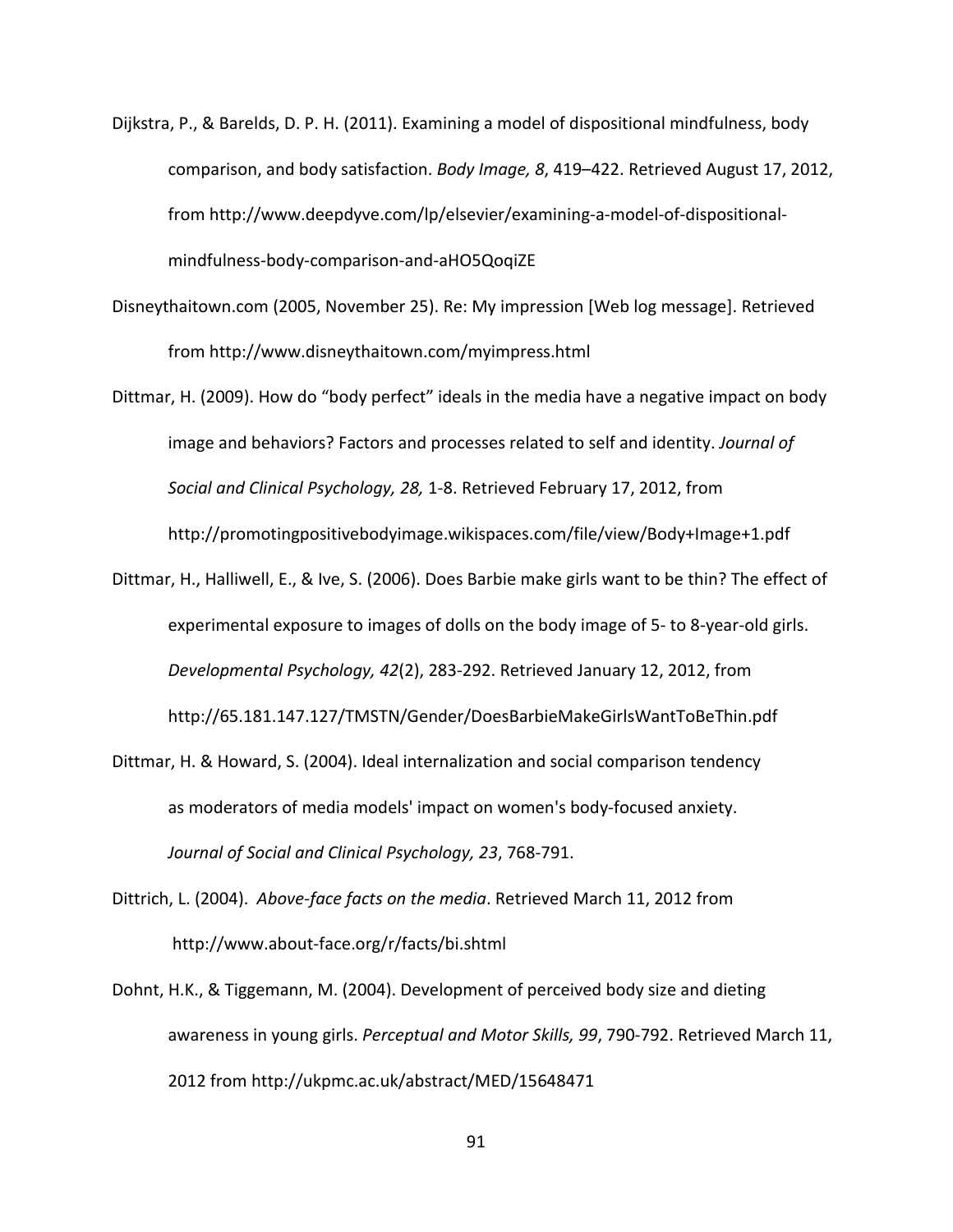- Dijkstra, P., & Barelds, D. P. H. (2011). Examining a model of dispositional mindfulness, body comparison, and body satisfaction. *Body Image, 8*, 419–422. Retrieved August 17, 2012, from [http://www.deepdyve.com/lp/elsevier/examining-a-model-of-dispositional](http://www.deepdyve.com/lp/elsevier/examining-a-model-of-dispositional-mindfulness-body-comparison-and-aHO5QoqiZE)[mindfulness-body-comparison-and-aHO5QoqiZE](http://www.deepdyve.com/lp/elsevier/examining-a-model-of-dispositional-mindfulness-body-comparison-and-aHO5QoqiZE)
- Disneythaitown.com (2005, November 25). Re: My impression [Web log message]. Retrieved from<http://www.disneythaitown.com/myimpress.html>
- Dittmar, H. (2009). How do "body perfect" ideals in the media have a negative impact on body image and behaviors? Factors and processes related to self and identity. *Journal of Social and Clinical Psychology, 28,* 1-8. Retrieved February 17, 2012, from <http://promotingpositivebodyimage.wikispaces.com/file/view/Body+Image+1.pdf>
- Dittmar, H., Halliwell, E., & Ive, S. (2006). Does Barbie make girls want to be thin? The effect of experimental exposure to images of dolls on the body image of 5- to 8-year-old girls. *Developmental Psychology, 42*(2), 283-292. Retrieved January 12, 2012, from <http://65.181.147.127/TMSTN/Gender/DoesBarbieMakeGirlsWantToBeThin.pdf>
- Dittmar, H. & Howard, S. (2004). Ideal internalization and social comparison tendency as moderators of media models' impact on women's body-focused anxiety. *Journal of Social and Clinical Psychology, 23*, 768-791.
- Dittrich, L. (2004). *Above-face facts on the media*. Retrieved March 11, 2012 from <http://www.about-face.org/r/facts/bi.shtml>
- Dohnt, H.K., & Tiggemann, M. (2004). Development of perceived body size and dieting awareness in young girls. *Perceptual and Motor Skills, 99*, 790-792. Retrieved March 11, 2012 from <http://ukpmc.ac.uk/abstract/MED/15648471>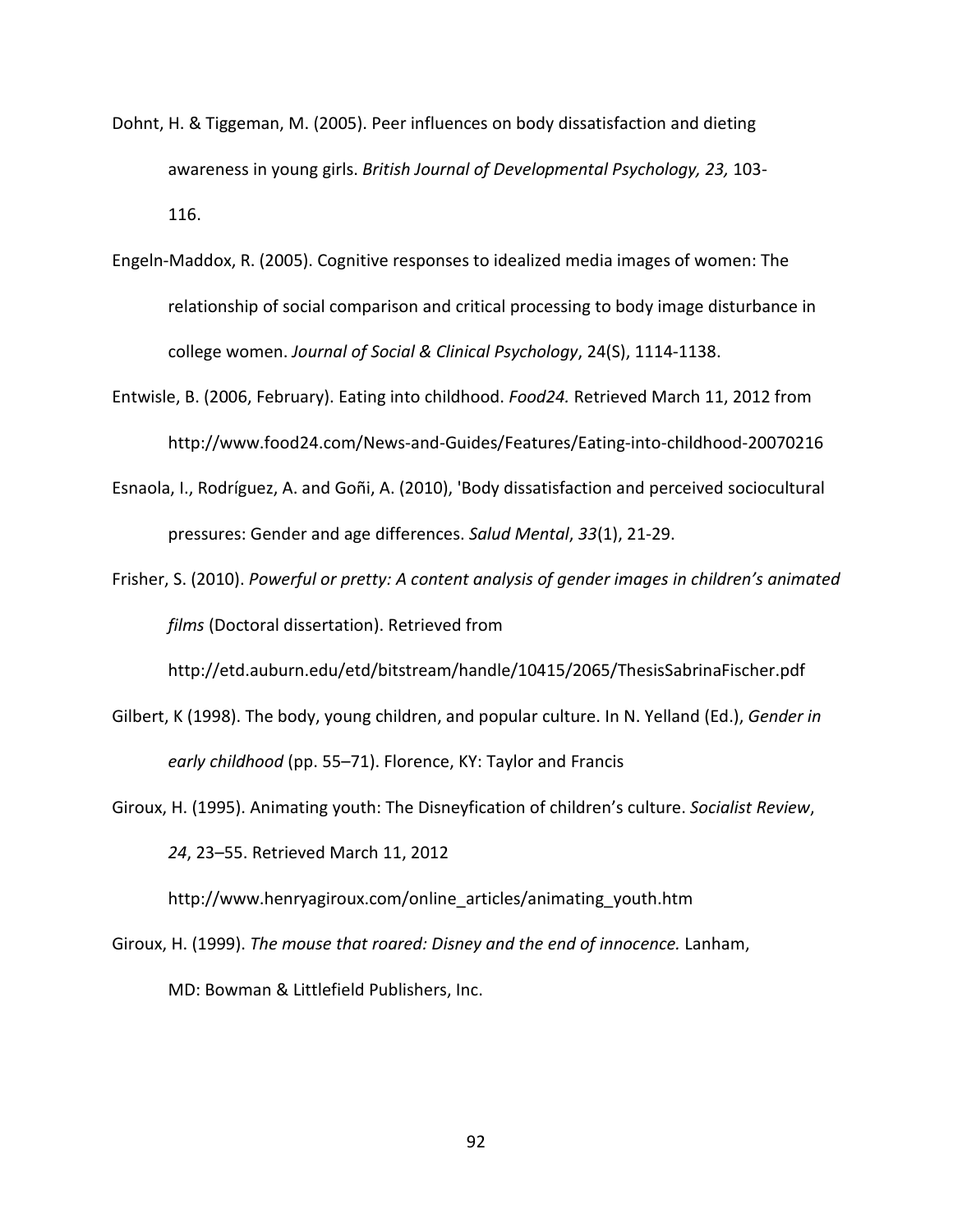- Dohnt, H. & Tiggeman, M. (2005). Peer influences on body dissatisfaction and dieting awareness in young girls. *British Journal of Developmental Psychology, 23,* 103- 116.
- Engeln-Maddox, R. (2005). Cognitive responses to idealized media images of women: The relationship of social comparison and critical processing to body image disturbance in college women. *Journal of Social & Clinical Psychology*, 24(S), 1114-1138.
- Entwisle, B. (2006, February). Eating into childhood. *Food24.* Retrieved March 11, 2012 from <http://www.food24.com/News-and-Guides/Features/Eating-into-childhood-20070216>
- Esnaola, I., Rodríguez, A. and Goñi, A. (2010), 'Body dissatisfaction and perceived sociocultural pressures: Gender and age differences. *Salud Mental*, *33*(1), 21-29.
- Frisher, S. (2010). *Powerful or pretty: A content analysis of gender images in children's animated films* (Doctoral dissertation). Retrieved from

http://etd.auburn.edu/etd/bitstream/handle/10415/2065/ThesisSabrinaFischer.pdf

- Gilbert, K (1998). The body, young children, and popular culture. In N. Yelland (Ed.), *Gender in early childhood* (pp. 55–71). Florence, KY: Taylor and Francis
- Giroux, H. (1995). Animating youth: The Disneyfication of children's culture. *Socialist Review*, *24*, 23–55. Retrieved March 11, 2012

[http://www.henryagiroux.com/online\\_articles/animating\\_youth.htm](http://www.henryagiroux.com/online_articles/animating_youth.htm)

Giroux, H. (1999). *The mouse that roared: Disney and the end of innocence.* Lanham, MD: Bowman & Littlefield Publishers, Inc.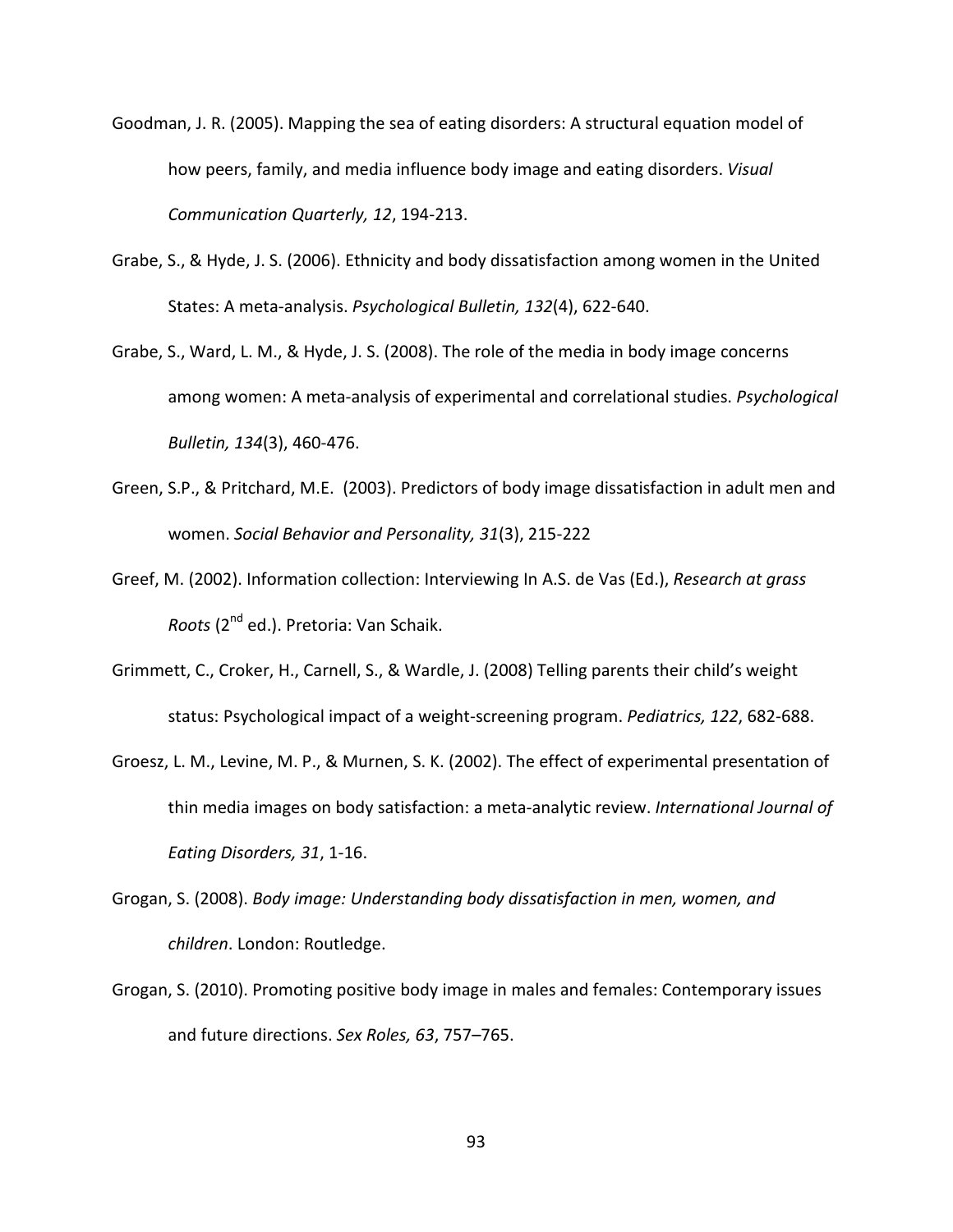Goodman, J. R. (2005). Mapping the sea of eating disorders: A structural equation model of how peers, family, and media influence body image and eating disorders. *Visual Communication Quarterly, 12*, 194-213.

- Grabe, S., & Hyde, J. S. (2006). Ethnicity and body dissatisfaction among women in the United States: A meta-analysis. *Psychological Bulletin, 132*(4), 622-640.
- Grabe, S., Ward, L. M., & Hyde, J. S. (2008). The role of the media in body image concerns among women: A meta-analysis of experimental and correlational studies. *Psychological Bulletin, 134*(3), 460-476.
- Green, S.P., & Pritchard, M.E. (2003). Predictors of body image dissatisfaction in adult men and women. *Social Behavior and Personality, 31*(3), 215-222
- Greef, M. (2002). Information collection: Interviewing In A.S. de Vas (Ed.), *Research at grass Roots* (2nd ed.). Pretoria: Van Schaik.
- Grimmett, C., Croker, H., Carnell, S., & Wardle, J. (2008) Telling parents their child's weight status: Psychological impact of a weight-screening program. *Pediatrics, 122*, 682-688.
- Groesz, L. M., Levine, M. P., & Murnen, S. K. (2002). The effect of experimental presentation of thin media images on body satisfaction: a meta-analytic review. *International Journal of Eating Disorders, 31*, 1-16.
- Grogan, S. (2008). *Body image: Understanding body dissatisfaction in men, women, and children*. London: Routledge.
- Grogan, S. (2010). Promoting positive body image in males and females: Contemporary issues and future directions. *Sex Roles, 63*, 757–765.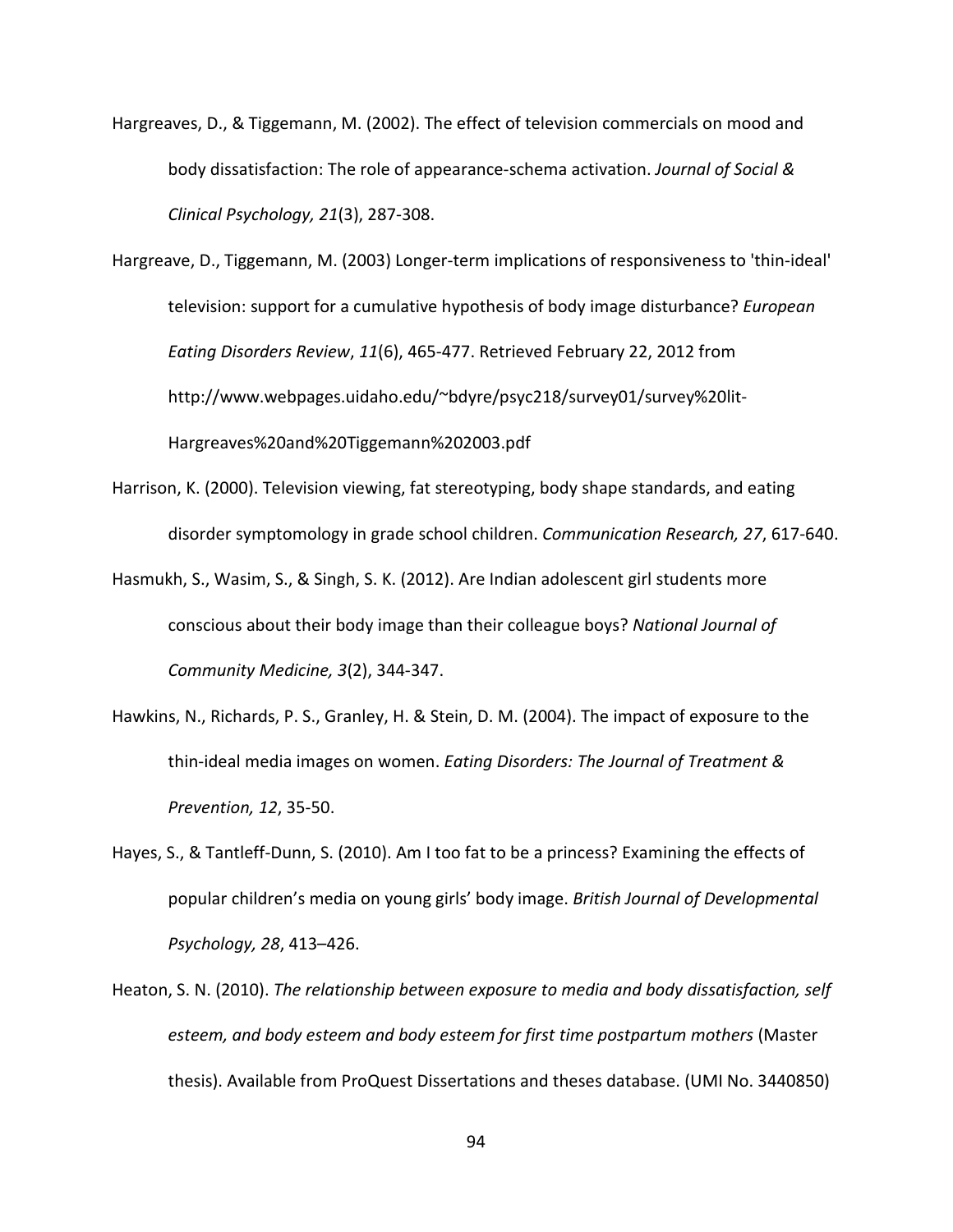Hargreaves, D., & Tiggemann, M. (2002). The effect of television commercials on mood and body dissatisfaction: The role of appearance-schema activation. *Journal of Social & Clinical Psychology, 21*(3), 287-308.

Hargreave, D., Tiggemann, M. (2003) Longer-term implications of responsiveness to 'thin-ideal' television: support for a cumulative hypothesis of body image disturbance? *European Eating Disorders Review*, *11*(6), 465-477. Retrieved February 22, 2012 from [http://www.webpages.uidaho.edu/~bdyre/psyc218/survey01/survey%20lit-](http://www.webpages.uidaho.edu/~bdyre/psyc218/survey01/survey%20lit-Hargreaves%20and%20Tiggemann%202003.pdf)[Hargreaves%20and%20Tiggemann%202003.pdf](http://www.webpages.uidaho.edu/~bdyre/psyc218/survey01/survey%20lit-Hargreaves%20and%20Tiggemann%202003.pdf)

- Harrison, K. (2000). Television viewing, fat stereotyping, body shape standards, and eating disorder symptomology in grade school children. *Communication Research, 27*, 617-640.
- Hasmukh, S., Wasim, S., & Singh, S. K. (2012). Are Indian adolescent girl students more conscious about their body image than their colleague boys? *National Journal of Community Medicine, 3*(2), 344-347.
- Hawkins, N., Richards, P. S., Granley, H. & Stein, D. M. (2004). The impact of exposure to the thin-ideal media images on women. *Eating Disorders: The Journal of Treatment & Prevention, 12*, 35-50.
- Hayes, S., & Tantleff-Dunn, S. (2010). Am I too fat to be a princess? Examining the effects of popular children's media on young girls' body image. *British Journal of Developmental Psychology, 28*, 413–426.
- Heaton, S. N. (2010). *The relationship between exposure to media and body dissatisfaction, self esteem, and body esteem and body esteem for first time postpartum mothers* (Master thesis). Available from ProQuest Dissertations and theses database. (UMI No. 3440850)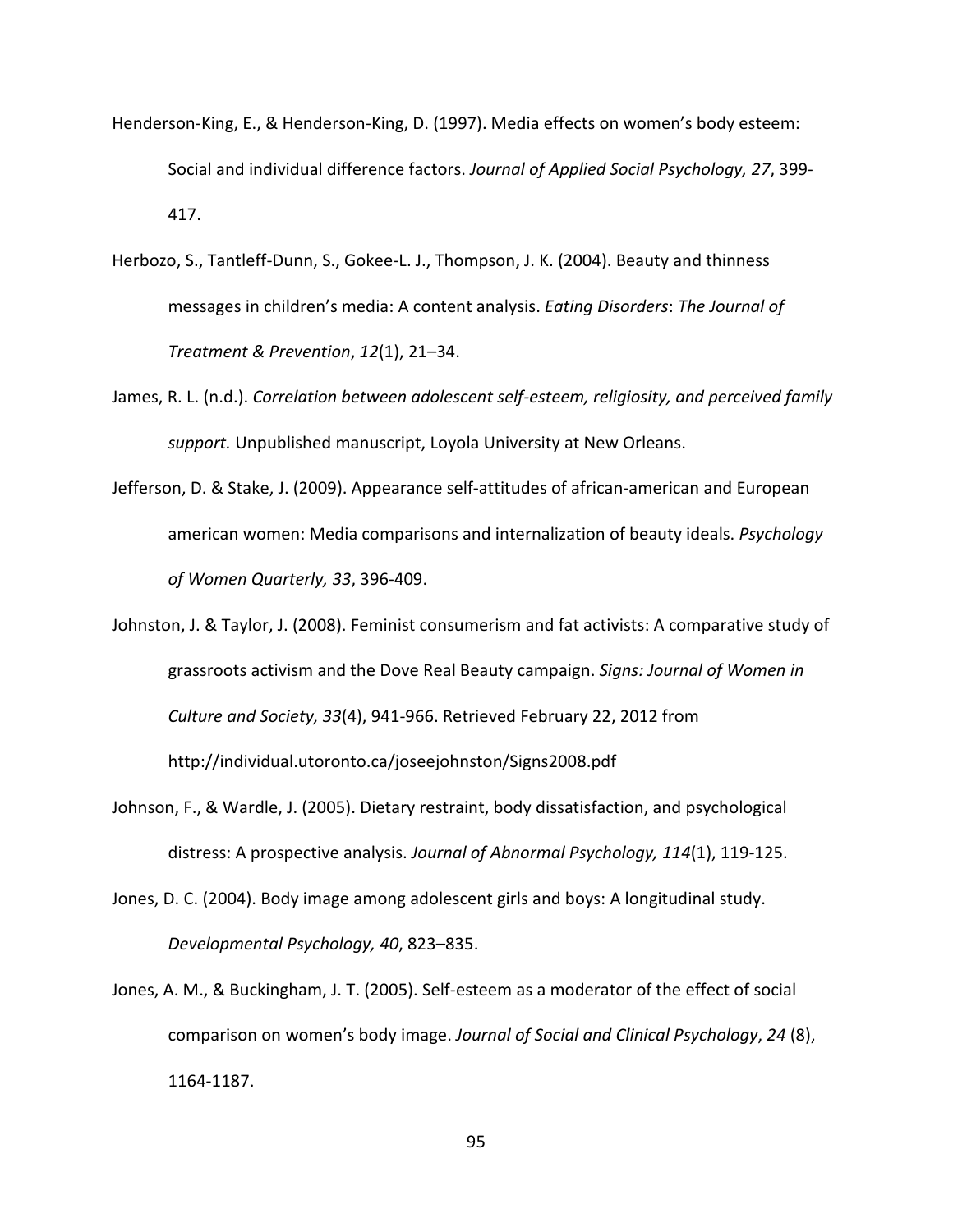- Henderson-King, E., & Henderson-King, D. (1997). Media effects on women's body esteem: Social and individual difference factors. *Journal of Applied Social Psychology, 27*, 399- 417.
- Herbozo, S., Tantleff-Dunn, S., Gokee-L. J., Thompson, J. K. (2004). Beauty and thinness messages in children's media: A content analysis. *Eating Disorders*: *The Journal of Treatment & Prevention*, *12*(1), 21–34.
- James, R. L. (n.d.). *Correlation between adolescent self-esteem, religiosity, and perceived family support.* Unpublished manuscript, Loyola University at New Orleans.
- Jefferson, D. & Stake, J. (2009). Appearance self-attitudes of african-american and European american women: Media comparisons and internalization of beauty ideals. *Psychology of Women Quarterly, 33*, 396-409.
- Johnston, J. & Taylor, J. (2008). Feminist consumerism and fat activists: A comparative study of grassroots activism and the Dove Real Beauty campaign. *Signs: Journal of Women in Culture and Society, 33*(4), 941-966. Retrieved February 22, 2012 from <http://individual.utoronto.ca/joseejohnston/Signs2008.pdf>
- Johnson, F., & Wardle, J. (2005). Dietary restraint, body dissatisfaction, and psychological distress: A prospective analysis. *Journal of Abnormal Psychology, 114*(1), 119-125.
- Jones, D. C. (2004). Body image among adolescent girls and boys: A longitudinal study. *Developmental Psychology, 40*, 823–835.
- Jones, A. M., & Buckingham, J. T. (2005). Self-esteem as a moderator of the effect of social comparison on women's body image. *Journal of Social and Clinical Psychology*, *24* (8), 1164-1187.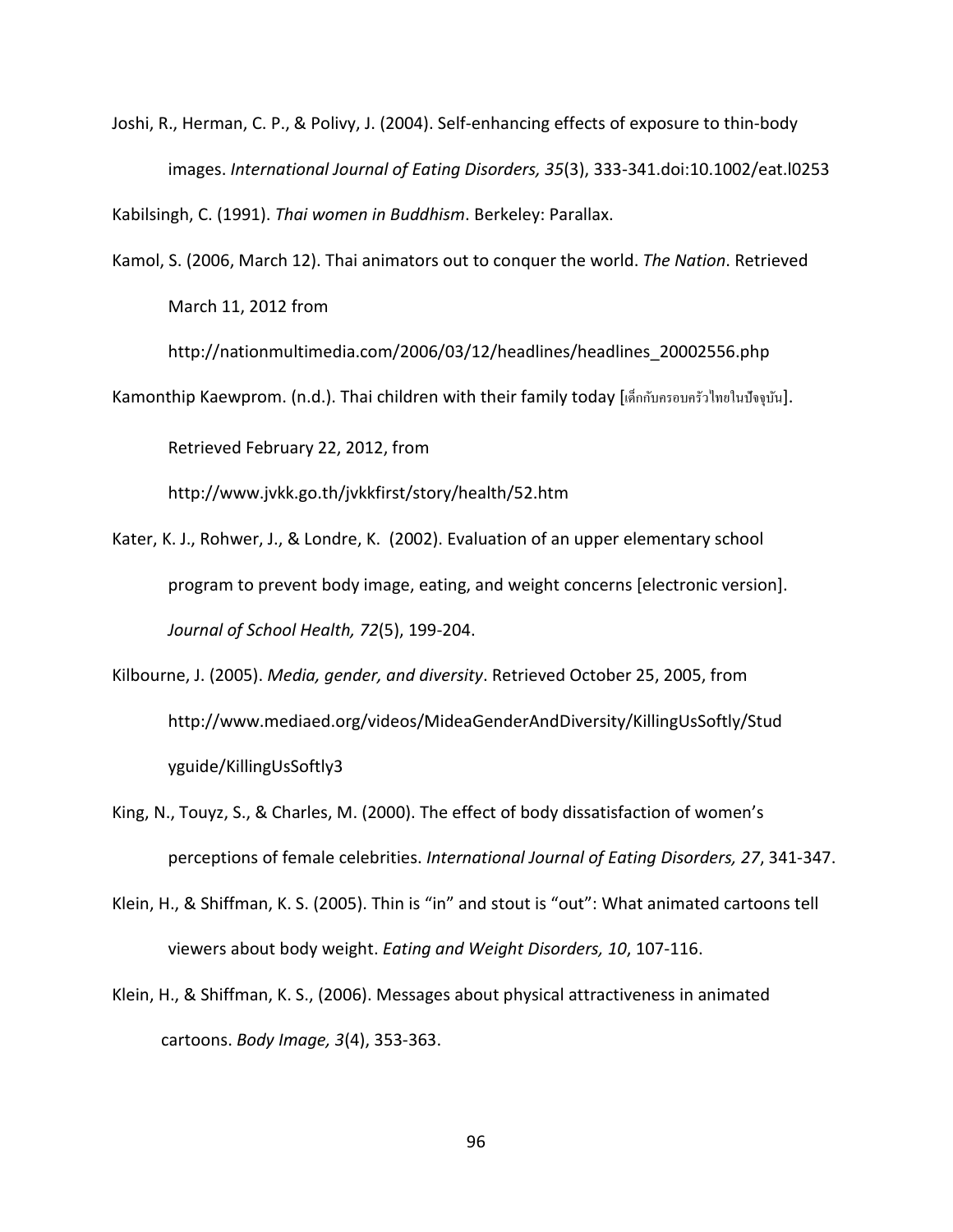Joshi, R., Herman, C. P., & Polivy, J. (2004). Self-enhancing effects of exposure to thin-body images. *International Journal of Eating Disorders, 35*(3), 333-341.doi:10.1002/eat.l0253

Kabilsingh, C. (1991). *Thai women in Buddhism*. Berkeley: Parallax.

Kamol, S. (2006, March 12). Thai animators out to conquer the world. *The Nation*. Retrieved March 11, 2012 from

[http://nationmultimedia.com/2006/03/12/headlines/headlines\\_20002556.php](http://nationmultimedia.com/2006/03/12/headlines/headlines_20002556.php)

Kamonthip Kaewprom. (n.d.). Thai children with their family today [เด็กกับครอบครัวไทยในปัจจุบัน].

Retrieved February 22, 2012, from

<http://www.jvkk.go.th/jvkkfirst/story/health/52.htm>

- Kater, K. J., Rohwer, J., & Londre, K. (2002). Evaluation of an upper elementary school program to prevent body image, eating, and weight concerns [electronic version]. *Journal of School Health, 72*(5), 199-204.
- Kilbourne, J. (2005). *Media, gender, and diversity*. Retrieved October 25, 2005, from http://www.mediaed.org/videos/MideaGenderAndDiversity/KillingUsSoftly/Stud yguide/KillingUsSoftly3
- King, N., Touyz, S., & Charles, M. (2000). The effect of body dissatisfaction of women's perceptions of female celebrities. *International Journal of Eating Disorders, 27*, 341-347.
- Klein, H., & Shiffman, K. S. (2005). Thin is "in" and stout is "out": What animated cartoons tell viewers about body weight. *Eating and Weight Disorders, 10*, 107-116.
- Klein, H., & Shiffman, K. S., (2006). Messages about physical attractiveness in animated cartoons. *Body Image, 3*(4), 353-363.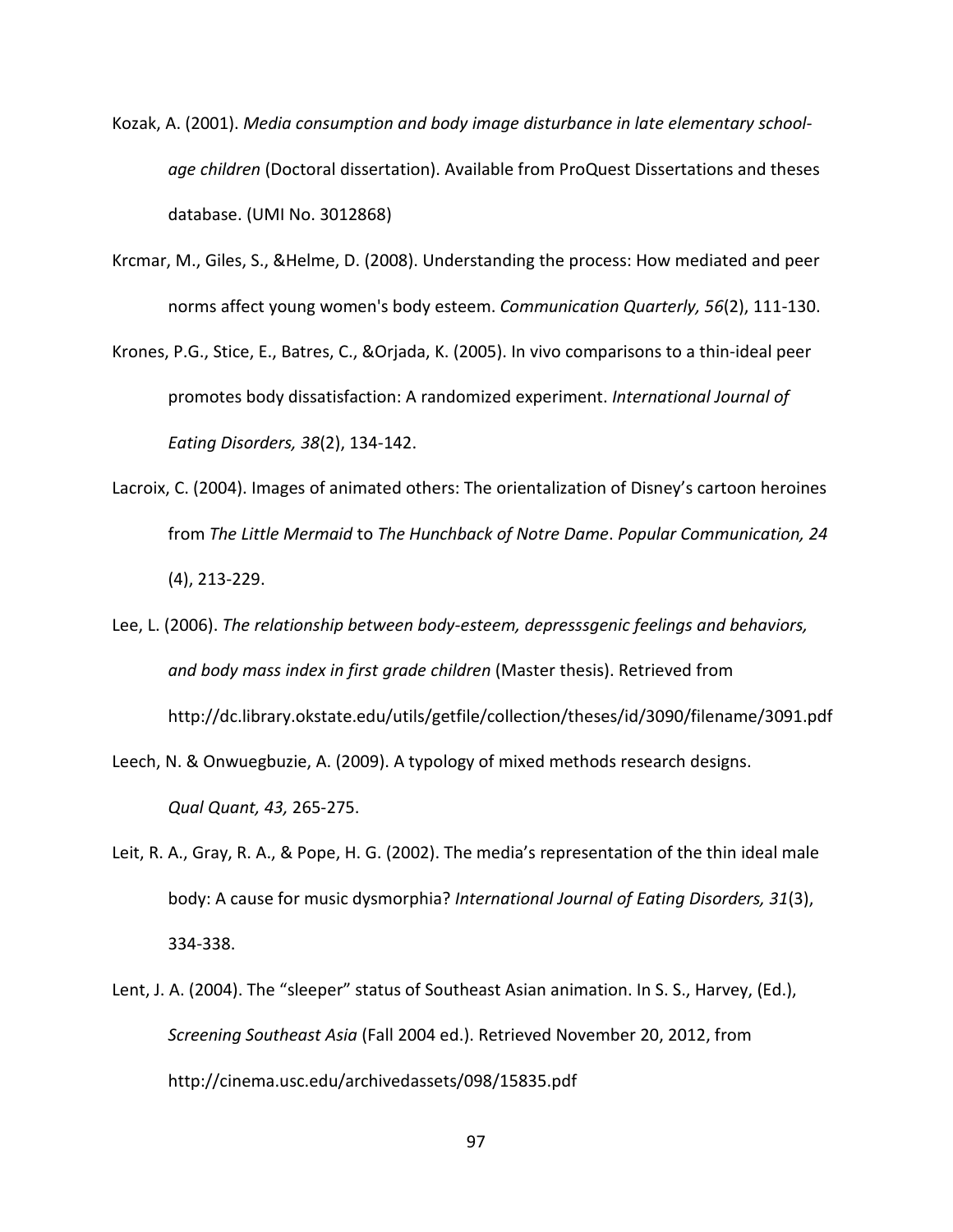- Kozak, A. (2001). *Media consumption and body image disturbance in late elementary schoolage children* (Doctoral dissertation). Available from ProQuest Dissertations and theses database. (UMI No. 3012868)
- Krcmar, M., Giles, S., &Helme, D. (2008). Understanding the process: How mediated and peer norms affect young women's body esteem. *Communication Quarterly, 56*(2), 111-130.
- Krones, P.G., Stice, E., Batres, C., &Orjada, K. (2005). In vivo comparisons to a thin-ideal peer promotes body dissatisfaction: A randomized experiment. *International Journal of Eating Disorders, 38*(2), 134-142.
- Lacroix, C. (2004). Images of animated others: The orientalization of Disney's cartoon heroines from *The Little Mermaid* to *The Hunchback of Notre Dame*. *Popular Communication, 24*  (4), 213-229.
- Lee, L. (2006). *The relationship between body-esteem, depresssgenic feelings and behaviors, and body mass index in first grade children* (Master thesis). Retrieved from <http://dc.library.okstate.edu/utils/getfile/collection/theses/id/3090/filename/3091.pdf>
- Leech, N. & Onwuegbuzie, A. (2009). A typology of mixed methods research designs. *Qual Quant, 43,* 265-275.
- Leit, R. A., Gray, R. A., & Pope, H. G. (2002). The media's representation of the thin ideal male body: A cause for music dysmorphia? *International Journal of Eating Disorders, 31*(3), 334-338.
- Lent, J. A. (2004). The "sleeper" status of Southeast Asian animation. In S. S., Harvey, (Ed.), *Screening Southeast Asia* (Fall 2004 ed.). Retrieved November 20, 2012, from <http://cinema.usc.edu/archivedassets/098/15835.pdf>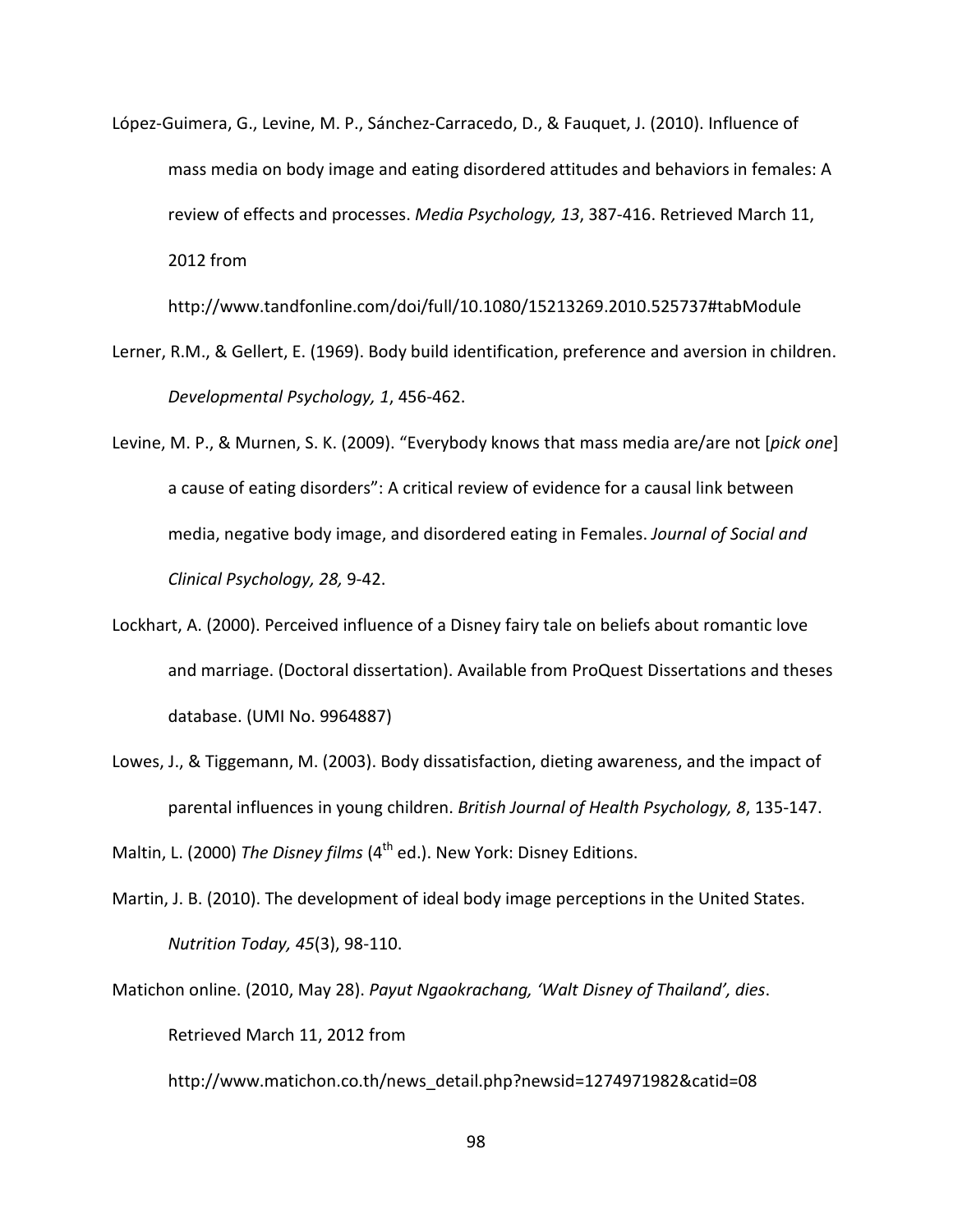López-Guimera, G., Levine, M. P., Sánchez-Carracedo, D., & Fauquet, J. (2010). Influence of mass media on body image and eating disordered attitudes and behaviors in females: A review of effects and processes. *Media Psychology, 13*, 387-416. Retrieved March 11, 2012 from

<http://www.tandfonline.com/doi/full/10.1080/15213269.2010.525737#tabModule>

- Lerner, R.M., & Gellert, E. (1969). Body build identification, preference and aversion in children. *Developmental Psychology, 1*, 456-462.
- Levine, M. P., & Murnen, S. K. (2009). "Everybody knows that mass media are/are not [*pick one*] a cause of eating disorders": A critical review of evidence for a causal link between media, negative body image, and disordered eating in Females. *Journal of Social and Clinical Psychology, 28,* 9-42.
- Lockhart, A. (2000). Perceived influence of a Disney fairy tale on beliefs about romantic love and marriage. (Doctoral dissertation). Available from ProQuest Dissertations and theses database. (UMI No. 9964887)
- Lowes, J., & Tiggemann, M. (2003). Body dissatisfaction, dieting awareness, and the impact of parental influences in young children. *British Journal of Health Psychology, 8*, 135-147.

Maltin, L. (2000) *The Disney films* (4<sup>th</sup> ed.). New York: Disney Editions.

- Martin, J. B. (2010). The development of ideal body image perceptions in the United States. *Nutrition Today, 45*(3), 98-110.
- Matichon online. (2010, May 28). *Payut Ngaokrachang, 'Walt Disney of Thailand', dies*. Retrieved March 11, 2012 from

[http://www.matichon.co.th/news\\_detail.php?newsid=1274971982&catid=08](http://www.matichon.co.th/news_detail.php?newsid=1274971982&catid=08)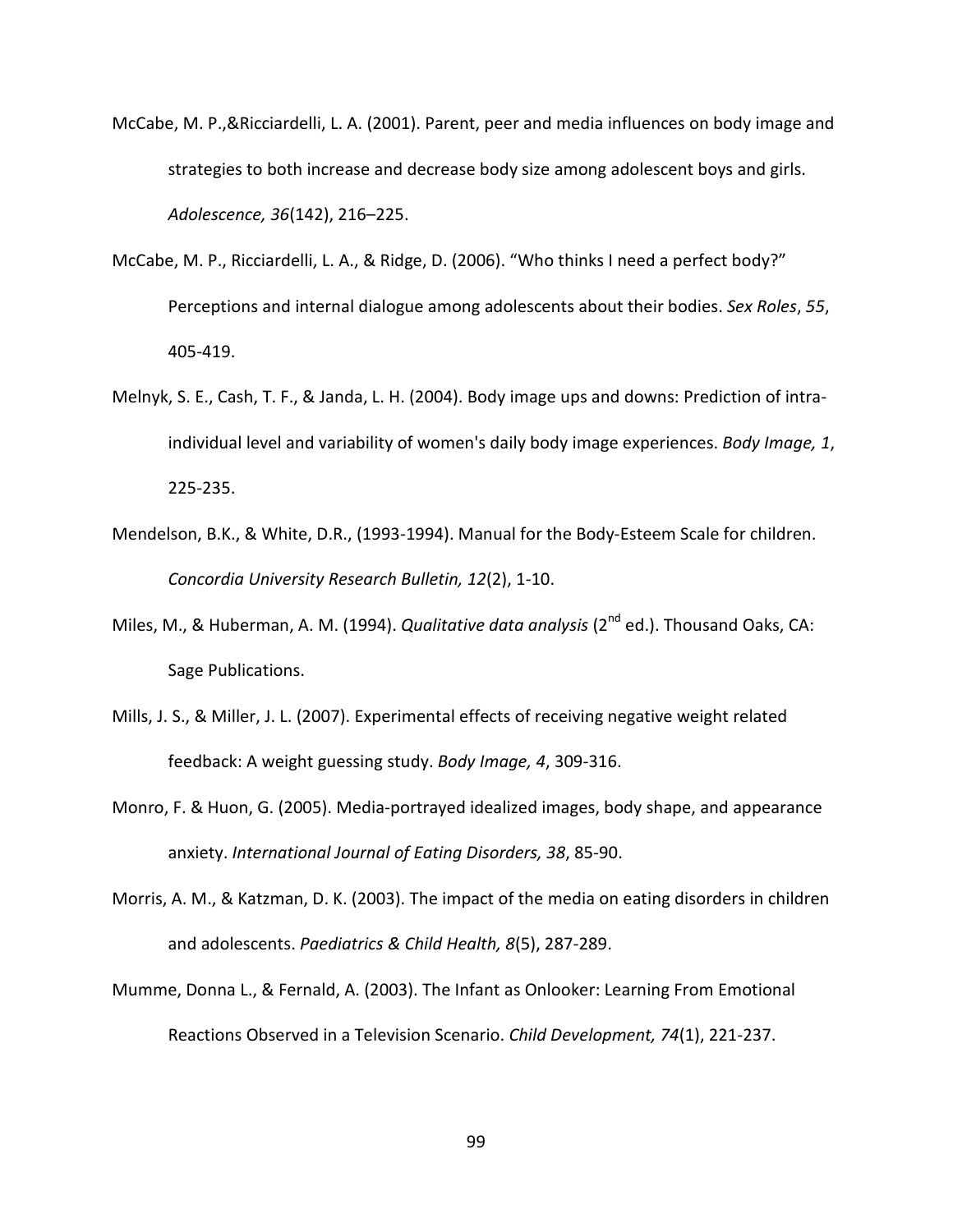- McCabe, M. P.,&Ricciardelli, L. A. (2001). Parent, peer and media influences on body image and strategies to both increase and decrease body size among adolescent boys and girls. *Adolescence, 36*(142), 216–225.
- McCabe, M. P., Ricciardelli, L. A., & Ridge, D. (2006). "Who thinks I need a perfect body?" Perceptions and internal dialogue among adolescents about their bodies. *Sex Roles*, *55*, 405-419.
- Melnyk, S. E., Cash, T. F., & Janda, L. H. (2004). Body image ups and downs: Prediction of intraindividual level and variability of women's daily body image experiences. *Body Image, 1*, 225-235.
- Mendelson, B.K., & White, D.R., (1993-1994). Manual for the Body-Esteem Scale for children. *Concordia University Research Bulletin, 12*(2), 1-10.
- Miles, M., & Huberman, A. M. (1994). *Qualitative data analysis* (2<sup>nd</sup> ed.). Thousand Oaks, CA: Sage Publications.
- Mills, J. S., & Miller, J. L. (2007). Experimental effects of receiving negative weight related feedback: A weight guessing study. *Body Image, 4*, 309-316.
- Monro, F. & Huon, G. (2005). Media-portrayed idealized images, body shape, and appearance anxiety. *International Journal of Eating Disorders, 38*, 85-90.
- Morris, A. M., & Katzman, D. K. (2003). The impact of the media on eating disorders in children and adolescents. *Paediatrics & Child Health, 8*(5), 287-289.
- Mumme, Donna L., & Fernald, A. (2003). The Infant as Onlooker: Learning From Emotional Reactions Observed in a Television Scenario. *Child Development, 74*(1), 221-237.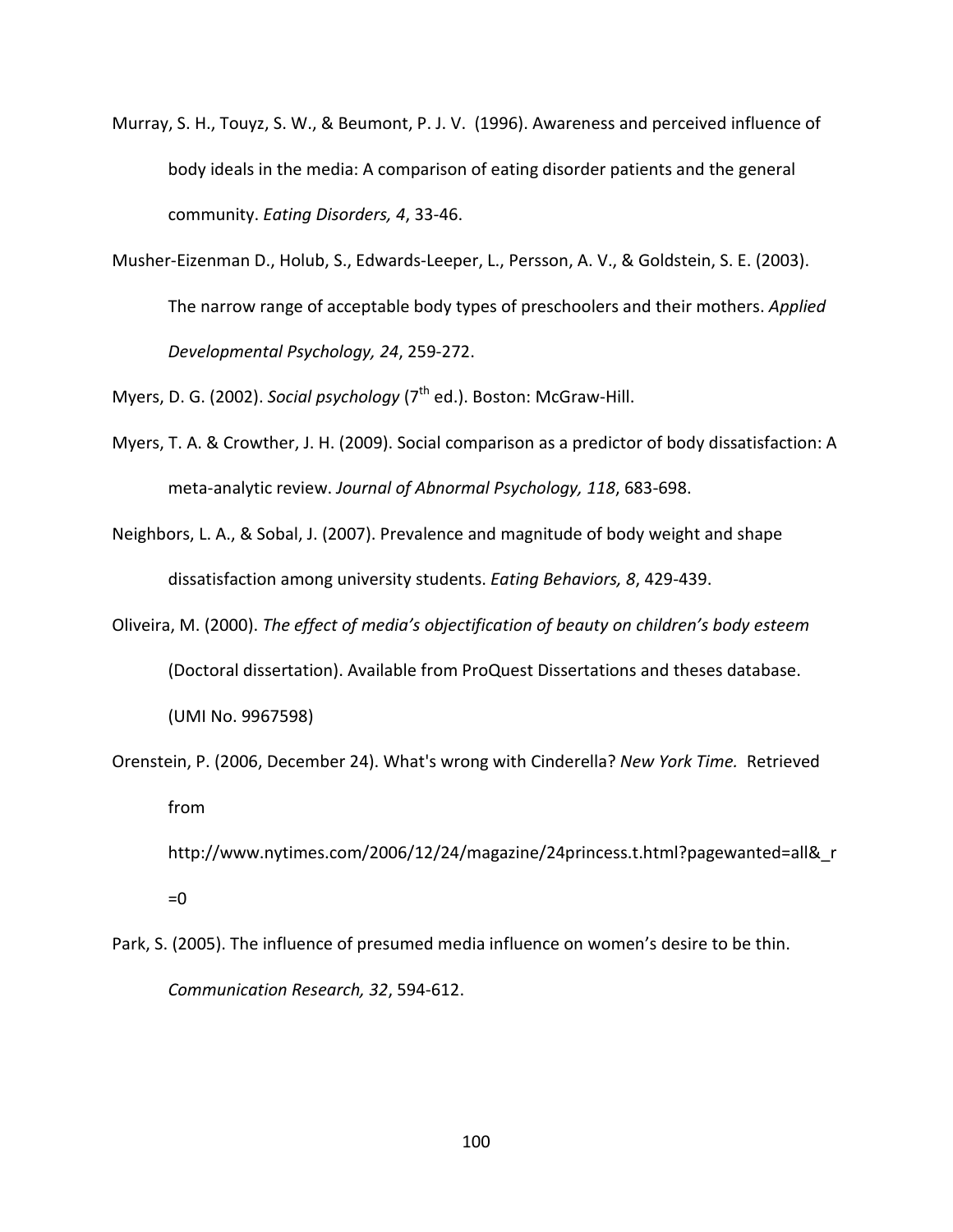- Murray, S. H., Touyz, S. W., & Beumont, P. J. V. (1996). Awareness and perceived influence of body ideals in the media: A comparison of eating disorder patients and the general community. *Eating Disorders, 4*, 33-46.
- Musher-Eizenman D., Holub, S., Edwards-Leeper, L., Persson, A. V., & Goldstein, S. E. (2003). The narrow range of acceptable body types of preschoolers and their mothers. *Applied Developmental Psychology, 24*, 259-272.
- Myers, D. G. (2002). *Social psychology* (7<sup>th</sup> ed.). Boston: McGraw-Hill.
- Myers, T. A. & Crowther, J. H. (2009). Social comparison as a predictor of body dissatisfaction: A meta-analytic review. *Journal of Abnormal Psychology, 118*, 683-698.
- Neighbors, L. A., & Sobal, J. (2007). Prevalence and magnitude of body weight and shape dissatisfaction among university students. *Eating Behaviors, 8*, 429-439.
- Oliveira, M. (2000). *The effect of media's objectification of beauty on children's body esteem* (Doctoral dissertation). Available from ProQuest Dissertations and theses database. (UMI No. 9967598)
- Orenstein, P. (2006, December 24). What's wrong with Cinderella? *New York Time.* Retrieved from

http://www.nytimes.com/2006/12/24/magazine/24princess.t.html?pagewanted=all&r  $=0$ 

Park, S. (2005). The influence of presumed media influence on women's desire to be thin. *Communication Research, 32*, 594-612.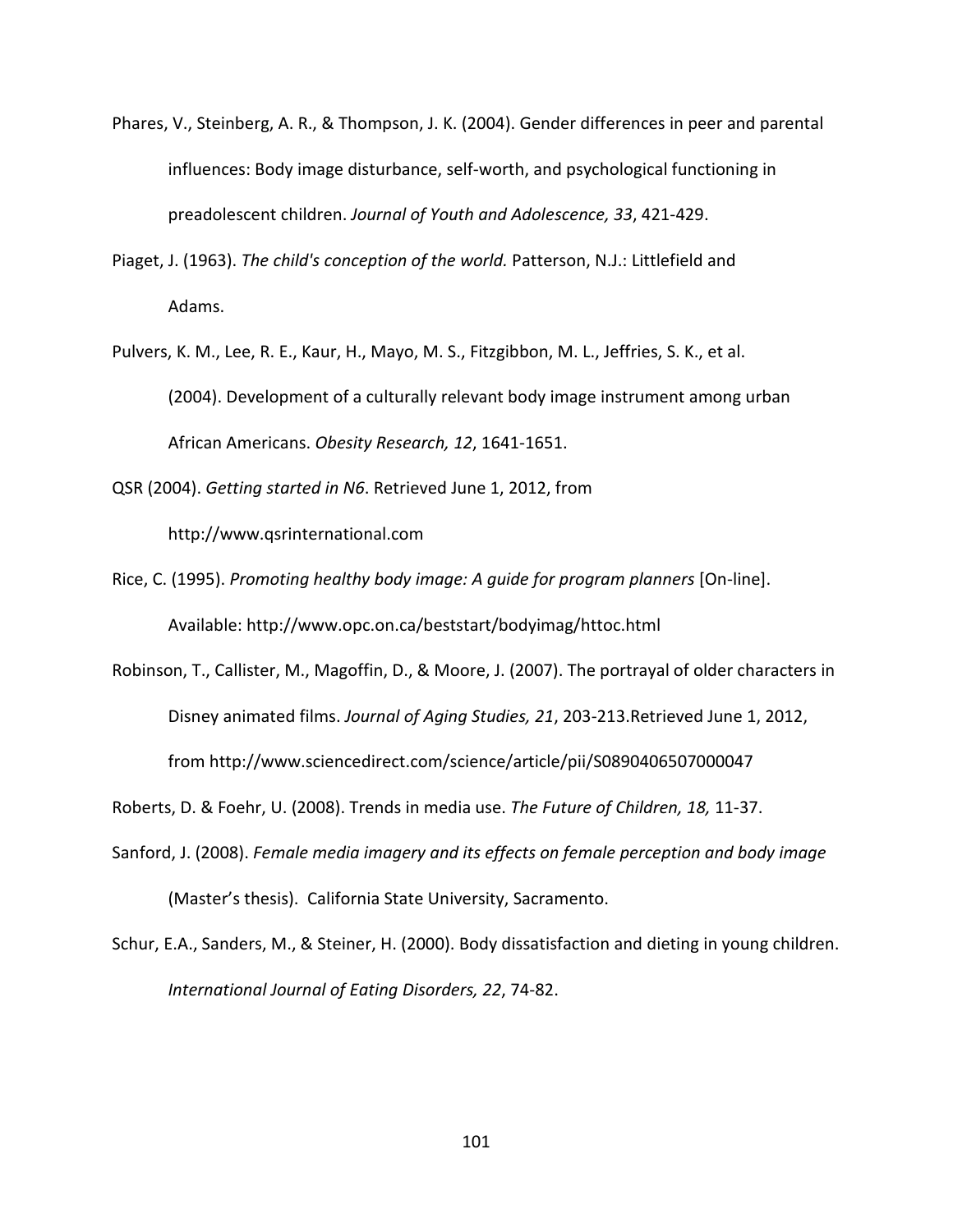- Phares, V., Steinberg, A. R., & Thompson, J. K. (2004). Gender differences in peer and parental influences: Body image disturbance, self-worth, and psychological functioning in preadolescent children. *Journal of Youth and Adolescence, 33*, 421-429.
- Piaget, J. (1963). *The child's conception of the world.* Patterson, N.J.: Littlefield and Adams.
- Pulvers, K. M., Lee, R. E., Kaur, H., Mayo, M. S., Fitzgibbon, M. L., Jeffries, S. K., et al. (2004). Development of a culturally relevant body image instrument among urban African Americans. *Obesity Research, 12*, 1641-1651.
- QSR (2004). *Getting started in N6*. Retrieved June 1, 2012, from [http://www.qsrinternational.com](http://www.qsrinternational.com/)
- Rice, C. (1995). *Promoting healthy body image: A guide for program planners* [On-line]. Available:<http://www.opc.on.ca/beststart/bodyimag/httoc.html>
- Robinson, T., Callister, M., Magoffin, D., & Moore, J. (2007). The portrayal of older characters in Disney animated films. *Journal of Aging Studies, 21*, 203-213.Retrieved June 1, 2012, from<http://www.sciencedirect.com/science/article/pii/S0890406507000047>

Roberts, D. & Foehr, U. (2008). Trends in media use. *The Future of Children, 18,* 11-37.

- Sanford, J. (2008). *Female media imagery and its effects on female perception and body image* (Master's thesis). California State University, Sacramento.
- Schur, E.A., Sanders, M., & Steiner, H. (2000). Body dissatisfaction and dieting in young children. *International Journal of Eating Disorders, 22*, 74-82.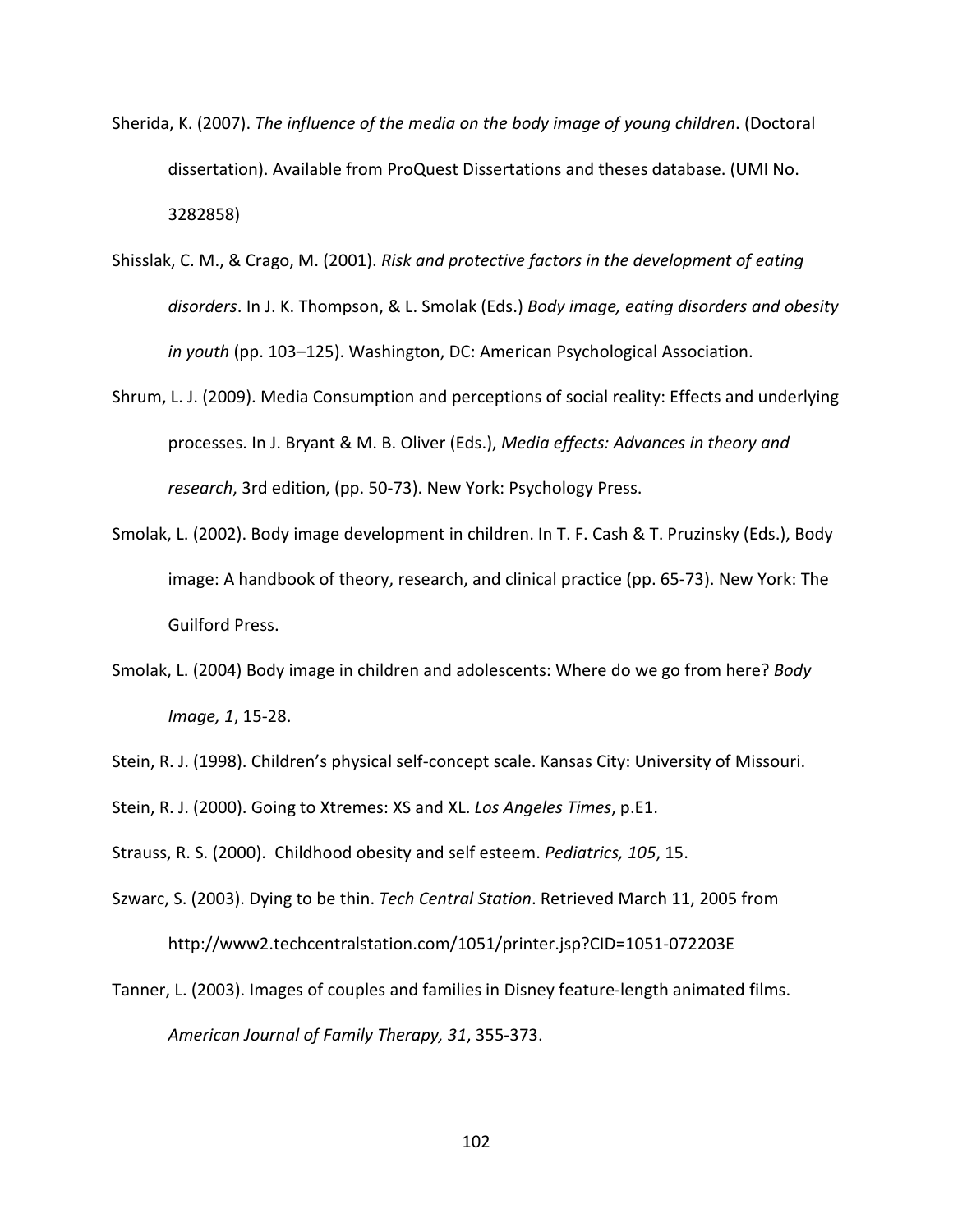- Sherida, K. (2007). *The influence of the media on the body image of young children*. (Doctoral dissertation). Available from ProQuest Dissertations and theses database. (UMI No. 3282858)
- Shisslak, C. M., & Crago, M. (2001). *Risk and protective factors in the development of eating disorders*. In J. K. Thompson, & L. Smolak (Eds.) *Body image, eating disorders and obesity in youth* (pp. 103–125). Washington, DC: American Psychological Association.
- Shrum, L. J. (2009). Media Consumption and perceptions of social reality: Effects and underlying processes. In J. Bryant & M. B. Oliver (Eds.), *Media effects: Advances in theory and research*, 3rd edition, (pp. 50-73). New York: Psychology Press.
- Smolak, L. (2002). Body image development in children. In T. F. Cash & T. Pruzinsky (Eds.), Body image: A handbook of theory, research, and clinical practice (pp. 65-73). New York: The Guilford Press.
- Smolak, L. (2004) Body image in children and adolescents: Where do we go from here? *Body Image, 1*, 15-28.
- Stein, R. J. (1998). Children's physical self-concept scale. Kansas City: University of Missouri.

Stein, R. J. (2000). Going to Xtremes: XS and XL. *Los Angeles Times*, p.E1.

Strauss, R. S. (2000). Childhood obesity and self esteem. *Pediatrics, 105*, 15.

- Szwarc, S. (2003). Dying to be thin. *Tech Central Station*. Retrieved March 11, 2005 from <http://www2.techcentralstation.com/1051/printer.jsp?CID=1051-072203E>
- Tanner, L. (2003). Images of couples and families in Disney feature-length animated films. *American Journal of Family Therapy, 31*, 355-373.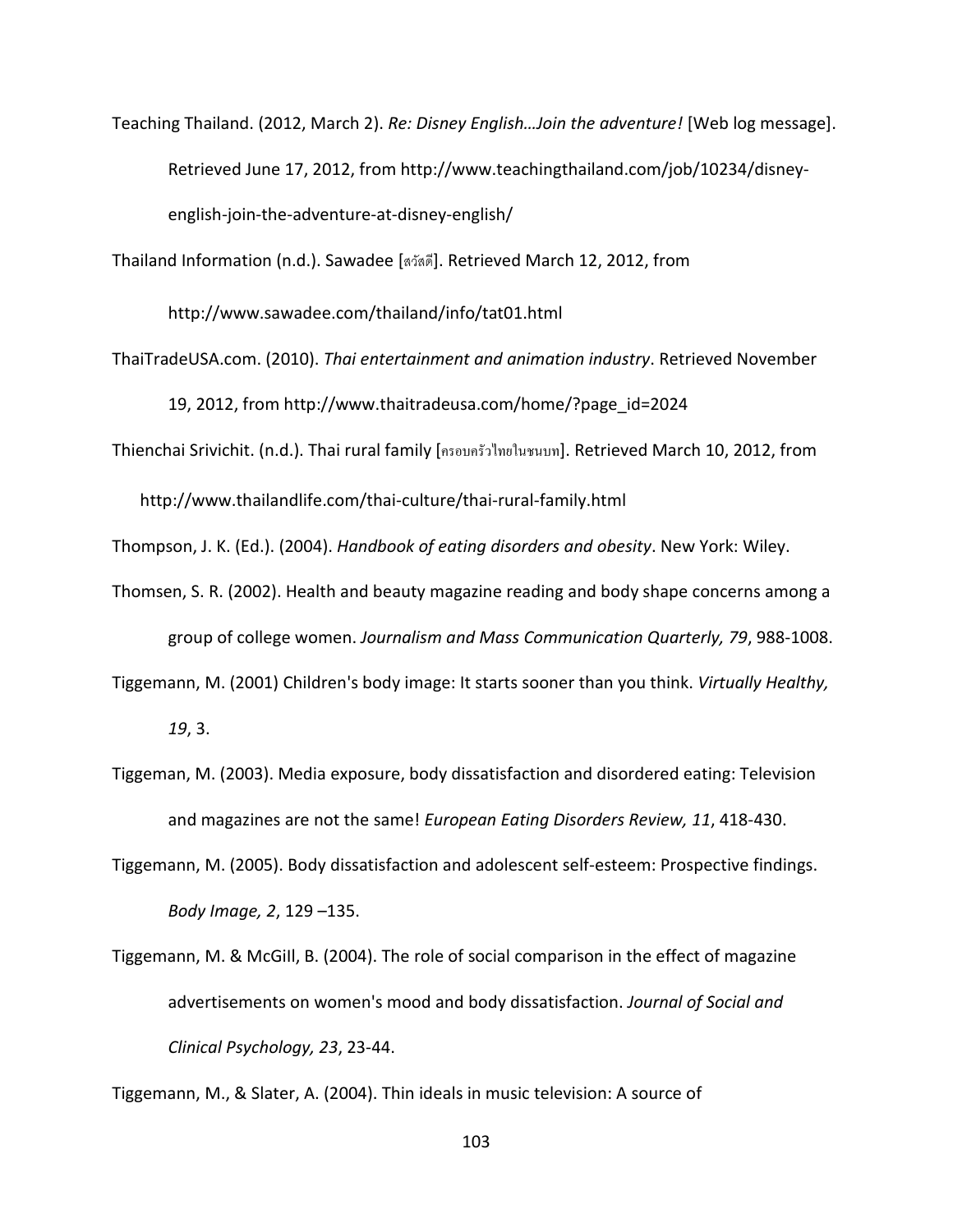Teaching Thailand. (2012, March 2). *Re: Disney English…Join the adventure!* [Web log message]. Retrieved June 17, 2012, from [http://www.teachingthailand.com/job/10234/disney](http://www.teachingthailand.com/job/10234/disney-english-join-the-adventure-at-disney-english/)[english-join-the-adventure-at-disney-english/](http://www.teachingthailand.com/job/10234/disney-english-join-the-adventure-at-disney-english/)

Thailand Information (n.d.). Sawadee [สวัสดี]. Retrieved March 12, 2012, from

<http://www.sawadee.com/thailand/info/tat01.html>

- ThaiTradeUSA.com. (2010). *Thai entertainment and animation industry*. Retrieved November 19, 2012, from [http://www.thaitradeusa.com/home/?page\\_id=2024](http://www.thaitradeusa.com/home/?page_id=2024)
- Thienchai Srivichit. (n.d.). Thai rural family [ครอบครัวไทยในชนบท]. Retrieved March 10, 2012, from

<http://www.thailandlife.com/thai-culture/thai-rural-family.html>

Thompson, J. K. (Ed.). (2004). *Handbook of eating disorders and obesity*. New York: Wiley.

- Thomsen, S. R. (2002). Health and beauty magazine reading and body shape concerns among a group of college women. *Journalism and Mass Communication Quarterly, 79*, 988-1008.
- Tiggemann, M. (2001) Children's body image: It starts sooner than you think. *Virtually Healthy, 19*, 3.
- Tiggeman, M. (2003). Media exposure, body dissatisfaction and disordered eating: Television and magazines are not the same! *European Eating Disorders Review, 11*, 418-430.
- Tiggemann, M. (2005). Body dissatisfaction and adolescent self-esteem: Prospective findings. *Body Image, 2*, 129 –135.
- Tiggemann, M. & McGiIl, B. (2004). The role of social comparison in the effect of magazine advertisements on women's mood and body dissatisfaction. *Journal of Social and Clinical Psychology, 23*, 23-44.

Tiggemann, M., & Slater, A. (2004). Thin ideals in music television: A source of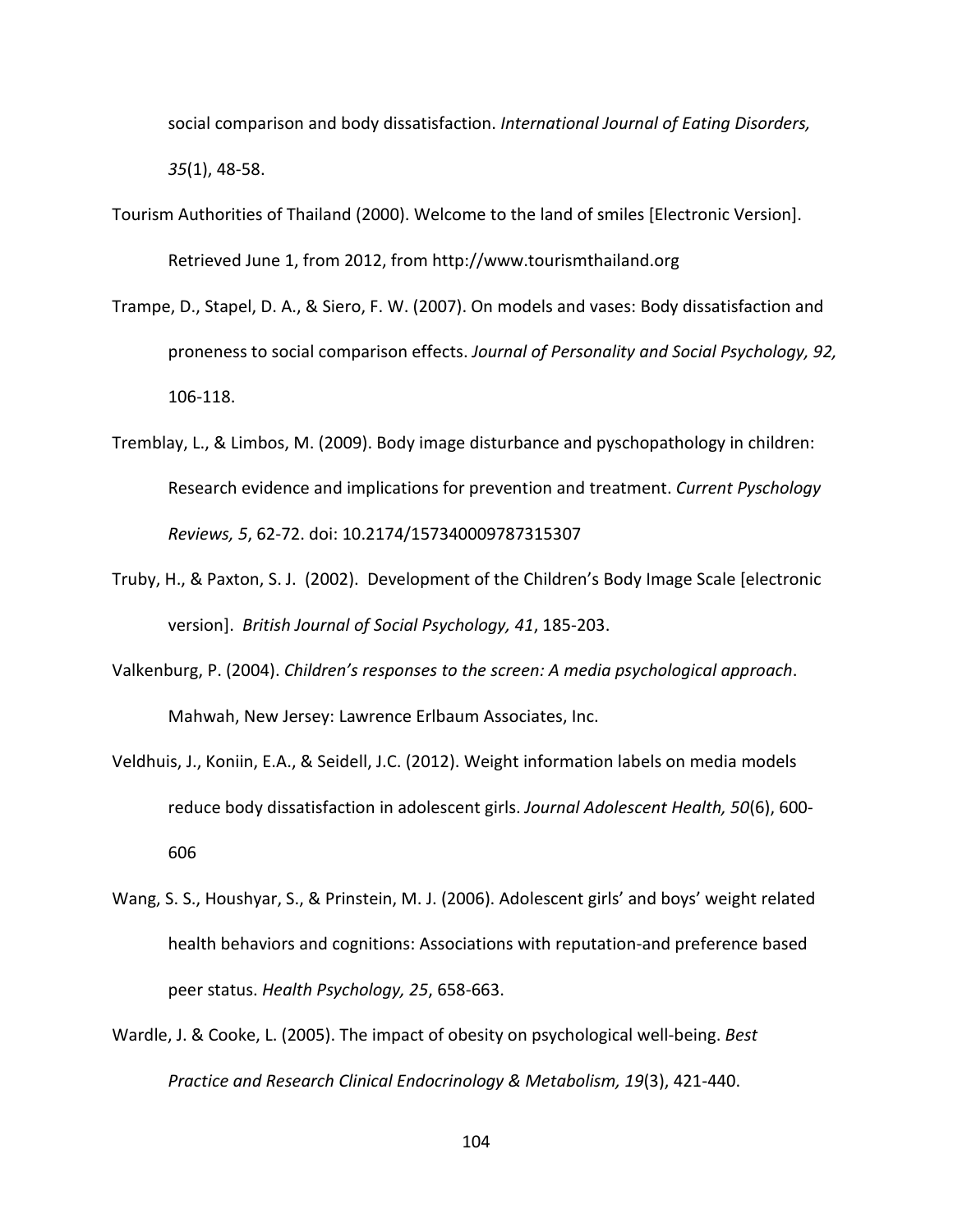social comparison and body dissatisfaction. *International Journal of Eating Disorders, 35*(1), 48-58.

- Tourism Authorities of Thailand (2000). Welcome to the land of smiles [Electronic Version]. Retrieved June 1, from 2012, fro[m http://www.tourismthailand.org](http://www.tourismthailand.org/)
- Trampe, D., Stapel, D. A., & Siero, F. W. (2007). On models and vases: Body dissatisfaction and proneness to social comparison effects. *Journal of Personality and Social Psychology, 92,*  106-118.
- Tremblay, L., & Limbos, M. (2009). Body image disturbance and pyschopathology in children: Research evidence and implications for prevention and treatment. *Current Pyschology Reviews, 5*, 62-72. doi: 10.2174/157340009787315307
- Truby, H., & Paxton, S. J. (2002). Development of the Children's Body Image Scale [electronic version]. *British Journal of Social Psychology, 41*, 185-203.
- Valkenburg, P. (2004). *Children's responses to the screen: A media psychological approach*. Mahwah, New Jersey: Lawrence Erlbaum Associates, Inc.
- Veldhuis, J., Koniin, E.A., & Seidell, J.C. (2012). Weight information labels on media models reduce body dissatisfaction in adolescent girls. *Journal Adolescent Health, 50*(6), 600- 606
- Wang, S. S., Houshyar, S., & Prinstein, M. J. (2006). Adolescent girls' and boys' weight related health behaviors and cognitions: Associations with reputation-and preference based peer status. *Health Psychology, 25*, 658-663.
- Wardle, J. & Cooke, L. (2005). The impact of obesity on psychological well-being. *Best Practice and Research Clinical Endocrinology & Metabolism, 19*(3), 421-440.